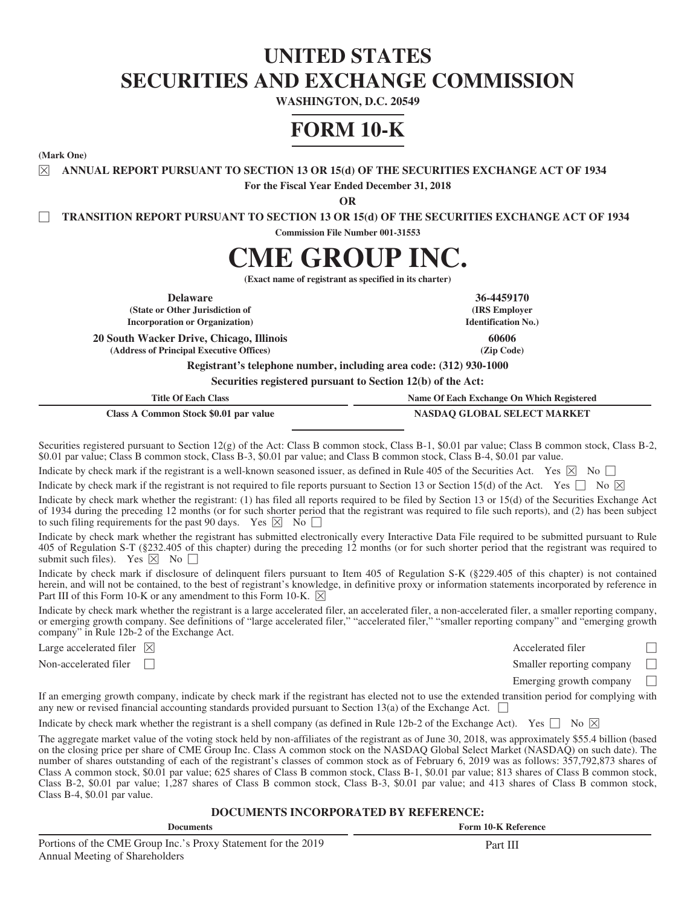# **UNITED STATES SECURITIES AND EXCHANGE COMMISSION**

**WASHINGTON, D.C. 20549**

## **FORM 10-K**

**(Mark One)**

 $\boxtimes$  ANNUAL REPORT PURSUANT TO SECTION 13 OR 15(d) OF THE SECURITIES EXCHANGE ACT OF 1934 **For the Fiscal Year Ended December 31, 2018**

**OR**

' **TRANSITION REPORT PURSUANT TO SECTION 13 OR 15(d) OF THE SECURITIES EXCHANGE ACT OF 1934**

**Commission File Number 001-31553**

# **CME GROUP INC.**

**(Exact name of registrant as specified in its charter)**

| <b>Delaware</b>                                                    | 36-4459170                 |
|--------------------------------------------------------------------|----------------------------|
| (State or Other Jurisdiction of                                    | (IRS Employer)             |
| <b>Incorporation or Organization</b> )                             | <b>Identification No.)</b> |
| 20 South Wacker Drive, Chicago, Illinois                           | 60606                      |
| (Address of Principal Executive Offices)                           | (Zip Code)                 |
| Registrant's telephone number, including area code: (312) 930-1000 |                            |
| Securities registered pursuant to Section 12(b) of the Act:        |                            |

| Title Of Each Class                   | Name Of Each Exchange On Which Registered |
|---------------------------------------|-------------------------------------------|
| Class A Common Stock \$0.01 par value | NASDAQ GLOBAL SELECT MARKET               |

Securities registered pursuant to Section 12(g) of the Act: Class B common stock, Class B-1, \$0.01 par value; Class B common stock, Class B-2, \$0.01 par value; Class B common stock, Class B-3, \$0.01 par value; and Class B common stock, Class B-4, \$0.01 par value.

Indicate by check mark if the registrant is a well-known seasoned issuer, as defined in Rule 405 of the Securities Act. Yes  $\boxtimes$  No  $\Box$ 

Indicate by check mark if the registrant is not required to file reports pursuant to Section 13 or Section 15(d) of the Act. Yes  $\Box$  No  $\boxtimes$ 

Indicate by check mark whether the registrant: (1) has filed all reports required to be filed by Section 13 or 15(d) of the Securities Exchange Act of 1934 during the preceding 12 months (or for such shorter period that the registrant was required to file such reports), and (2) has been subject to such filing requirements for the past 90 days. Yes  $\boxtimes$  No  $\Box$ 

Indicate by check mark whether the registrant has submitted electronically every Interactive Data File required to be submitted pursuant to Rule 405 of Regulation S-T (§232.405 of this chapter) during the preceding 12 months (or for such shorter period that the registrant was required to submit such files). Yes  $\boxtimes$  No  $\Box$ 

Indicate by check mark if disclosure of delinquent filers pursuant to Item 405 of Regulation S-K (§229.405 of this chapter) is not contained herein, and will not be contained, to the best of registrant's knowledge, in definitive proxy or information statements incorporated by reference in Part III of this Form 10-K or any amendment to this Form 10-K.  $\boxtimes$ 

Indicate by check mark whether the registrant is a large accelerated filer, an accelerated filer, a non-accelerated filer, a smaller reporting company, or emerging growth company. See definitions of "large accelerated filer," "accelerated filer," "smaller reporting company" and "emerging growth company" in Rule 12b-2 of the Exchange Act.

Large accelerated filer  $|\times|$  Accelerated filer

Non-accelerated filer  $\Box$ 

Emerging growth company '

If an emerging growth company, indicate by check mark if the registrant has elected not to use the extended transition period for complying with any new or revised financial accounting standards provided pursuant to Section 13(a) of the Exchange Act.  $\Box$ 

Indicate by check mark whether the registrant is a shell company (as defined in Rule 12b-2 of the Exchange Act). Yes  $\Box$  No  $\boxtimes$ 

The aggregate market value of the voting stock held by non-affiliates of the registrant as of June 30, 2018, was approximately \$55.4 billion (based on the closing price per share of CME Group Inc. Class A common stock on the NASDAQ Global Select Market (NASDAQ) on such date). The number of shares outstanding of each of the registrant's classes of common stock as of February 6, 2019 was as follows: 357,792,873 shares of Class A common stock, \$0.01 par value; 625 shares of Class B common stock, Class B-1, \$0.01 par value; 813 shares of Class B common stock, Class B-2, \$0.01 par value; 1,287 shares of Class B common stock, Class B-3, \$0.01 par value; and 413 shares of Class B common stock, Class B-4, \$0.01 par value.

## **DOCUMENTS INCORPORATED BY REFERENCE:**

#### **Documents Form 10-K Reference**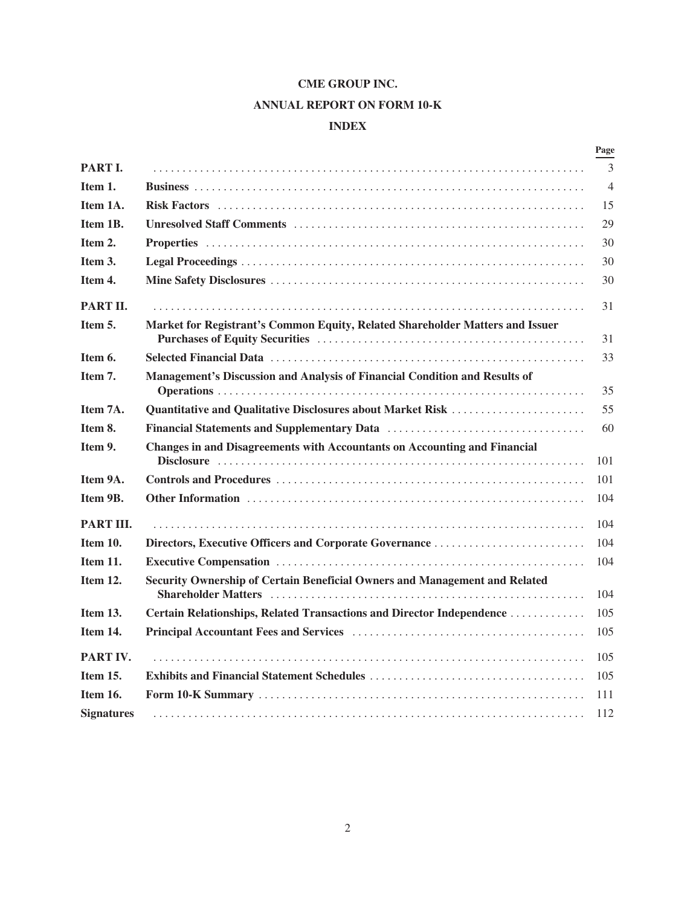## **CME GROUP INC.**

## **ANNUAL REPORT ON FORM 10-K**

## **INDEX**

|                   |                                                                               | Page           |
|-------------------|-------------------------------------------------------------------------------|----------------|
| <b>PARTI.</b>     |                                                                               | $\mathfrak{Z}$ |
| Item 1.           |                                                                               | $\overline{4}$ |
| Item 1A.          |                                                                               | 15             |
| Item 1B.          |                                                                               | 29             |
| Item 2.           |                                                                               | 30             |
| Item 3.           |                                                                               | 30             |
| Item 4.           |                                                                               | 30             |
| PART II.          |                                                                               | 31             |
| Item 5.           | Market for Registrant's Common Equity, Related Shareholder Matters and Issuer | 31             |
|                   |                                                                               | 33             |
| Item 6.           |                                                                               |                |
| Item 7.           | Management's Discussion and Analysis of Financial Condition and Results of    | 35             |
| Item 7A.          | Quantitative and Qualitative Disclosures about Market Risk                    | 55             |
| Item 8.           |                                                                               | 60             |
| Item 9.           | Changes in and Disagreements with Accountants on Accounting and Financial     |                |
|                   |                                                                               | 101            |
| <b>Item 9A.</b>   |                                                                               | 101            |
| Item 9B.          |                                                                               | 104            |
| PART III.         |                                                                               | 104            |
| Item 10.          | Directors, Executive Officers and Corporate Governance                        | 104            |
| Item 11.          |                                                                               | 104            |
| Item 12.          | Security Ownership of Certain Beneficial Owners and Management and Related    | 104            |
| Item 13.          | Certain Relationships, Related Transactions and Director Independence         | 105            |
| Item 14.          |                                                                               | 105            |
| PART IV.          |                                                                               | 105            |
| <b>Item 15.</b>   |                                                                               | 105            |
| <b>Item 16.</b>   |                                                                               | 111            |
|                   |                                                                               |                |
| <b>Signatures</b> |                                                                               | 112            |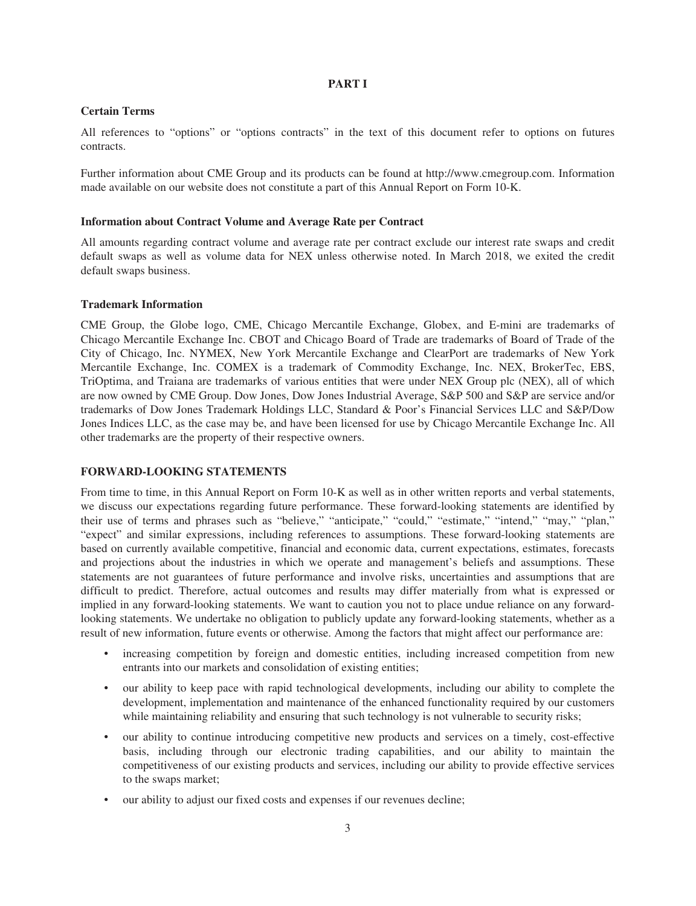#### **PART I**

#### **Certain Terms**

All references to "options" or "options contracts" in the text of this document refer to options on futures contracts.

Further information about CME Group and its products can be found at http://www.cmegroup.com. Information made available on our website does not constitute a part of this Annual Report on Form 10-K.

#### **Information about Contract Volume and Average Rate per Contract**

All amounts regarding contract volume and average rate per contract exclude our interest rate swaps and credit default swaps as well as volume data for NEX unless otherwise noted. In March 2018, we exited the credit default swaps business.

#### **Trademark Information**

CME Group, the Globe logo, CME, Chicago Mercantile Exchange, Globex, and E-mini are trademarks of Chicago Mercantile Exchange Inc. CBOT and Chicago Board of Trade are trademarks of Board of Trade of the City of Chicago, Inc. NYMEX, New York Mercantile Exchange and ClearPort are trademarks of New York Mercantile Exchange, Inc. COMEX is a trademark of Commodity Exchange, Inc. NEX, BrokerTec, EBS, TriOptima, and Traiana are trademarks of various entities that were under NEX Group plc (NEX), all of which are now owned by CME Group. Dow Jones, Dow Jones Industrial Average, S&P 500 and S&P are service and/or trademarks of Dow Jones Trademark Holdings LLC, Standard & Poor's Financial Services LLC and S&P/Dow Jones Indices LLC, as the case may be, and have been licensed for use by Chicago Mercantile Exchange Inc. All other trademarks are the property of their respective owners.

## **FORWARD-LOOKING STATEMENTS**

From time to time, in this Annual Report on Form 10-K as well as in other written reports and verbal statements, we discuss our expectations regarding future performance. These forward-looking statements are identified by their use of terms and phrases such as "believe," "anticipate," "could," "estimate," "intend," "may," "plan," "expect" and similar expressions, including references to assumptions. These forward-looking statements are based on currently available competitive, financial and economic data, current expectations, estimates, forecasts and projections about the industries in which we operate and management's beliefs and assumptions. These statements are not guarantees of future performance and involve risks, uncertainties and assumptions that are difficult to predict. Therefore, actual outcomes and results may differ materially from what is expressed or implied in any forward-looking statements. We want to caution you not to place undue reliance on any forwardlooking statements. We undertake no obligation to publicly update any forward-looking statements, whether as a result of new information, future events or otherwise. Among the factors that might affect our performance are:

- increasing competition by foreign and domestic entities, including increased competition from new entrants into our markets and consolidation of existing entities;
- our ability to keep pace with rapid technological developments, including our ability to complete the development, implementation and maintenance of the enhanced functionality required by our customers while maintaining reliability and ensuring that such technology is not vulnerable to security risks;
- our ability to continue introducing competitive new products and services on a timely, cost-effective basis, including through our electronic trading capabilities, and our ability to maintain the competitiveness of our existing products and services, including our ability to provide effective services to the swaps market;
- our ability to adjust our fixed costs and expenses if our revenues decline;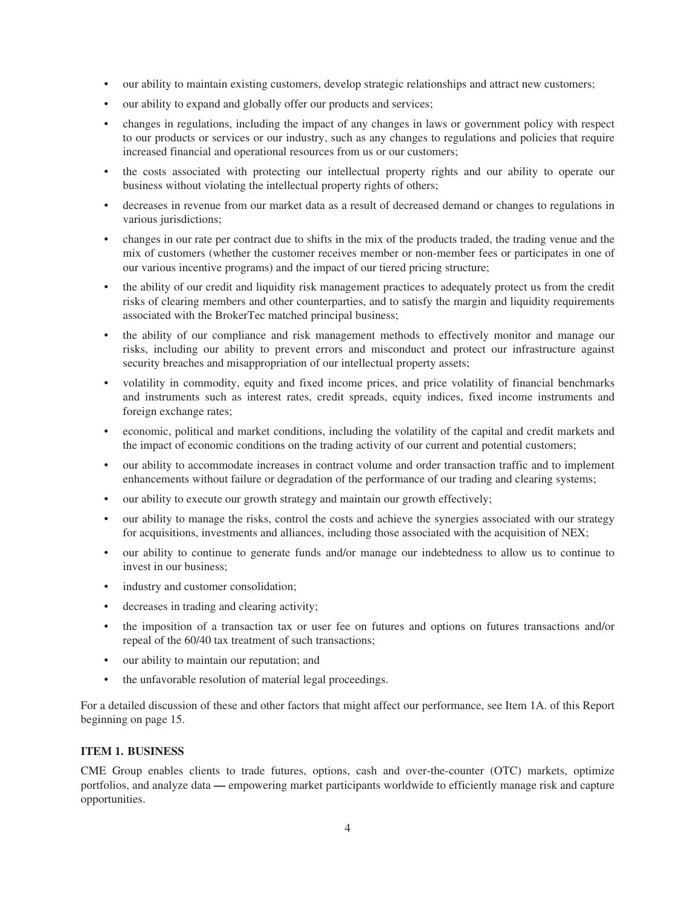- our ability to maintain existing customers, develop strategic relationships and attract new customers;
- our ability to expand and globally offer our products and services;
- changes in regulations, including the impact of any changes in laws or government policy with respect to our products or services or our industry, such as any changes to regulations and policies that require increased financial and operational resources from us or our customers;
- the costs associated with protecting our intellectual property rights and our ability to operate our business without violating the intellectual property rights of others;
- decreases in revenue from our market data as a result of decreased demand or changes to regulations in various jurisdictions;
- changes in our rate per contract due to shifts in the mix of the products traded, the trading venue and the mix of customers (whether the customer receives member or non-member fees or participates in one of our various incentive programs) and the impact of our tiered pricing structure;
- the ability of our credit and liquidity risk management practices to adequately protect us from the credit risks of clearing members and other counterparties, and to satisfy the margin and liquidity requirements associated with the BrokerTec matched principal business;
- the ability of our compliance and risk management methods to effectively monitor and manage our risks, including our ability to prevent errors and misconduct and protect our infrastructure against security breaches and misappropriation of our intellectual property assets;
- volatility in commodity, equity and fixed income prices, and price volatility of financial benchmarks and instruments such as interest rates, credit spreads, equity indices, fixed income instruments and foreign exchange rates;
- economic, political and market conditions, including the volatility of the capital and credit markets and the impact of economic conditions on the trading activity of our current and potential customers;
- our ability to accommodate increases in contract volume and order transaction traffic and to implement enhancements without failure or degradation of the performance of our trading and clearing systems;
- our ability to execute our growth strategy and maintain our growth effectively;
- our ability to manage the risks, control the costs and achieve the synergies associated with our strategy for acquisitions, investments and alliances, including those associated with the acquisition of NEX;
- our ability to continue to generate funds and/or manage our indebtedness to allow us to continue to invest in our business;
- industry and customer consolidation;
- decreases in trading and clearing activity;
- the imposition of a transaction tax or user fee on futures and options on futures transactions and/or repeal of the 60/40 tax treatment of such transactions;
- our ability to maintain our reputation; and
- the unfavorable resolution of material legal proceedings.

For a detailed discussion of these and other factors that might affect our performance, see Item 1A. of this Report beginning on page 15.

## **ITEM 1. BUSINESS**

CME Group enables clients to trade futures, options, cash and over-the-counter (OTC) markets, optimize portfolios, and analyze data **—** empowering market participants worldwide to efficiently manage risk and capture opportunities.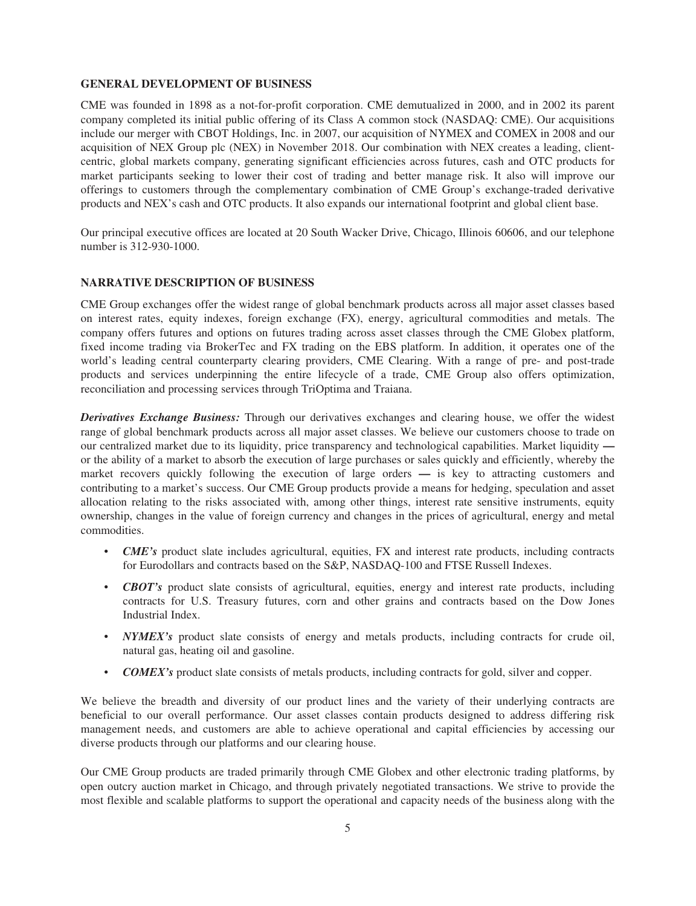#### **GENERAL DEVELOPMENT OF BUSINESS**

CME was founded in 1898 as a not-for-profit corporation. CME demutualized in 2000, and in 2002 its parent company completed its initial public offering of its Class A common stock (NASDAQ: CME). Our acquisitions include our merger with CBOT Holdings, Inc. in 2007, our acquisition of NYMEX and COMEX in 2008 and our acquisition of NEX Group plc (NEX) in November 2018. Our combination with NEX creates a leading, clientcentric, global markets company, generating significant efficiencies across futures, cash and OTC products for market participants seeking to lower their cost of trading and better manage risk. It also will improve our offerings to customers through the complementary combination of CME Group's exchange-traded derivative products and NEX's cash and OTC products. It also expands our international footprint and global client base.

Our principal executive offices are located at 20 South Wacker Drive, Chicago, Illinois 60606, and our telephone number is 312-930-1000.

#### **NARRATIVE DESCRIPTION OF BUSINESS**

CME Group exchanges offer the widest range of global benchmark products across all major asset classes based on interest rates, equity indexes, foreign exchange (FX), energy, agricultural commodities and metals. The company offers futures and options on futures trading across asset classes through the CME Globex platform, fixed income trading via BrokerTec and FX trading on the EBS platform. In addition, it operates one of the world's leading central counterparty clearing providers, CME Clearing. With a range of pre- and post-trade products and services underpinning the entire lifecycle of a trade, CME Group also offers optimization, reconciliation and processing services through TriOptima and Traiana.

*Derivatives Exchange Business:* Through our derivatives exchanges and clearing house, we offer the widest range of global benchmark products across all major asset classes. We believe our customers choose to trade on our centralized market due to its liquidity, price transparency and technological capabilities. Market liquidity  or the ability of a market to absorb the execution of large purchases or sales quickly and efficiently, whereby the market recovers quickly following the execution of large orders **—** is key to attracting customers and contributing to a market's success. Our CME Group products provide a means for hedging, speculation and asset allocation relating to the risks associated with, among other things, interest rate sensitive instruments, equity ownership, changes in the value of foreign currency and changes in the prices of agricultural, energy and metal commodities.

- *CME's* product slate includes agricultural, equities, FX and interest rate products, including contracts for Eurodollars and contracts based on the S&P, NASDAQ-100 and FTSE Russell Indexes.
- *CBOT's* product slate consists of agricultural, equities, energy and interest rate products, including contracts for U.S. Treasury futures, corn and other grains and contracts based on the Dow Jones Industrial Index.
- *NYMEX's* product slate consists of energy and metals products, including contracts for crude oil, natural gas, heating oil and gasoline.
- *COMEX's* product slate consists of metals products, including contracts for gold, silver and copper.

We believe the breadth and diversity of our product lines and the variety of their underlying contracts are beneficial to our overall performance. Our asset classes contain products designed to address differing risk management needs, and customers are able to achieve operational and capital efficiencies by accessing our diverse products through our platforms and our clearing house.

Our CME Group products are traded primarily through CME Globex and other electronic trading platforms, by open outcry auction market in Chicago, and through privately negotiated transactions. We strive to provide the most flexible and scalable platforms to support the operational and capacity needs of the business along with the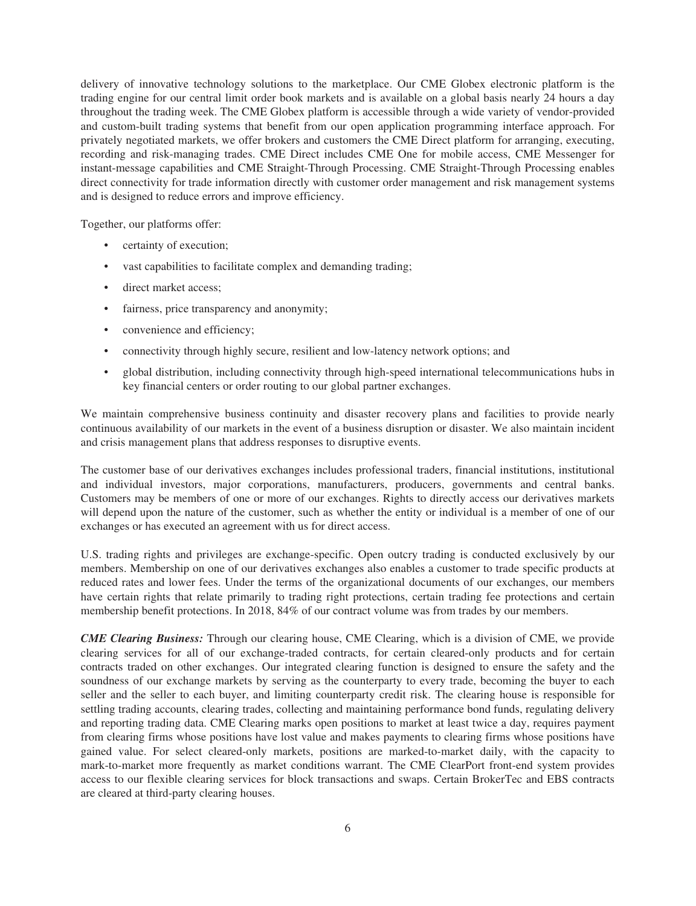delivery of innovative technology solutions to the marketplace. Our CME Globex electronic platform is the trading engine for our central limit order book markets and is available on a global basis nearly 24 hours a day throughout the trading week. The CME Globex platform is accessible through a wide variety of vendor-provided and custom-built trading systems that benefit from our open application programming interface approach. For privately negotiated markets, we offer brokers and customers the CME Direct platform for arranging, executing, recording and risk-managing trades. CME Direct includes CME One for mobile access, CME Messenger for instant-message capabilities and CME Straight-Through Processing. CME Straight-Through Processing enables direct connectivity for trade information directly with customer order management and risk management systems and is designed to reduce errors and improve efficiency.

Together, our platforms offer:

- certainty of execution;
- vast capabilities to facilitate complex and demanding trading;
- direct market access:
- fairness, price transparency and anonymity;
- convenience and efficiency;
- connectivity through highly secure, resilient and low-latency network options; and
- global distribution, including connectivity through high-speed international telecommunications hubs in key financial centers or order routing to our global partner exchanges.

We maintain comprehensive business continuity and disaster recovery plans and facilities to provide nearly continuous availability of our markets in the event of a business disruption or disaster. We also maintain incident and crisis management plans that address responses to disruptive events.

The customer base of our derivatives exchanges includes professional traders, financial institutions, institutional and individual investors, major corporations, manufacturers, producers, governments and central banks. Customers may be members of one or more of our exchanges. Rights to directly access our derivatives markets will depend upon the nature of the customer, such as whether the entity or individual is a member of one of our exchanges or has executed an agreement with us for direct access.

U.S. trading rights and privileges are exchange-specific. Open outcry trading is conducted exclusively by our members. Membership on one of our derivatives exchanges also enables a customer to trade specific products at reduced rates and lower fees. Under the terms of the organizational documents of our exchanges, our members have certain rights that relate primarily to trading right protections, certain trading fee protections and certain membership benefit protections. In 2018, 84% of our contract volume was from trades by our members.

*CME Clearing Business:* Through our clearing house, CME Clearing, which is a division of CME, we provide clearing services for all of our exchange-traded contracts, for certain cleared-only products and for certain contracts traded on other exchanges. Our integrated clearing function is designed to ensure the safety and the soundness of our exchange markets by serving as the counterparty to every trade, becoming the buyer to each seller and the seller to each buyer, and limiting counterparty credit risk. The clearing house is responsible for settling trading accounts, clearing trades, collecting and maintaining performance bond funds, regulating delivery and reporting trading data. CME Clearing marks open positions to market at least twice a day, requires payment from clearing firms whose positions have lost value and makes payments to clearing firms whose positions have gained value. For select cleared-only markets, positions are marked-to-market daily, with the capacity to mark-to-market more frequently as market conditions warrant. The CME ClearPort front-end system provides access to our flexible clearing services for block transactions and swaps. Certain BrokerTec and EBS contracts are cleared at third-party clearing houses.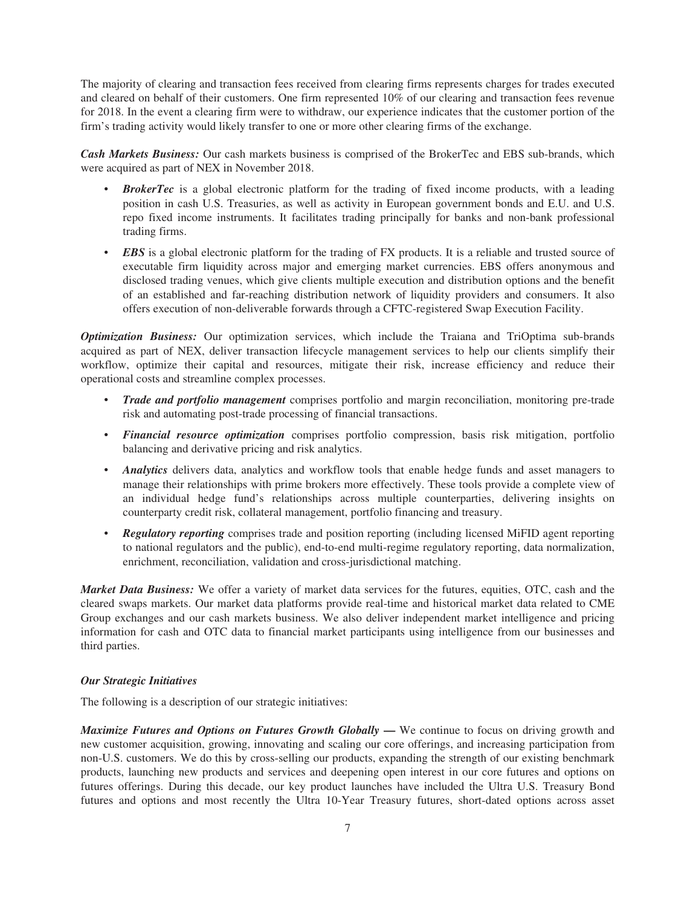The majority of clearing and transaction fees received from clearing firms represents charges for trades executed and cleared on behalf of their customers. One firm represented 10% of our clearing and transaction fees revenue for 2018. In the event a clearing firm were to withdraw, our experience indicates that the customer portion of the firm's trading activity would likely transfer to one or more other clearing firms of the exchange.

*Cash Markets Business:* Our cash markets business is comprised of the BrokerTec and EBS sub-brands, which were acquired as part of NEX in November 2018.

- *BrokerTec* is a global electronic platform for the trading of fixed income products, with a leading position in cash U.S. Treasuries, as well as activity in European government bonds and E.U. and U.S. repo fixed income instruments. It facilitates trading principally for banks and non-bank professional trading firms.
- *EBS* is a global electronic platform for the trading of FX products. It is a reliable and trusted source of executable firm liquidity across major and emerging market currencies. EBS offers anonymous and disclosed trading venues, which give clients multiple execution and distribution options and the benefit of an established and far-reaching distribution network of liquidity providers and consumers. It also offers execution of non-deliverable forwards through a CFTC-registered Swap Execution Facility.

*Optimization Business:* Our optimization services, which include the Traiana and TriOptima sub-brands acquired as part of NEX, deliver transaction lifecycle management services to help our clients simplify their workflow, optimize their capital and resources, mitigate their risk, increase efficiency and reduce their operational costs and streamline complex processes.

- *Trade and portfolio management* comprises portfolio and margin reconciliation, monitoring pre-trade risk and automating post-trade processing of financial transactions.
- *Financial resource optimization* comprises portfolio compression, basis risk mitigation, portfolio balancing and derivative pricing and risk analytics.
- *Analytics* delivers data, analytics and workflow tools that enable hedge funds and asset managers to manage their relationships with prime brokers more effectively. These tools provide a complete view of an individual hedge fund's relationships across multiple counterparties, delivering insights on counterparty credit risk, collateral management, portfolio financing and treasury.
- *Regulatory reporting* comprises trade and position reporting (including licensed MiFID agent reporting to national regulators and the public), end-to-end multi-regime regulatory reporting, data normalization, enrichment, reconciliation, validation and cross-jurisdictional matching.

*Market Data Business:* We offer a variety of market data services for the futures, equities, OTC, cash and the cleared swaps markets. Our market data platforms provide real-time and historical market data related to CME Group exchanges and our cash markets business. We also deliver independent market intelligence and pricing information for cash and OTC data to financial market participants using intelligence from our businesses and third parties.

## *Our Strategic Initiatives*

The following is a description of our strategic initiatives:

*Maximize Futures and Options on Futures Growth Globally — We continue to focus on driving growth and* new customer acquisition, growing, innovating and scaling our core offerings, and increasing participation from non-U.S. customers. We do this by cross-selling our products, expanding the strength of our existing benchmark products, launching new products and services and deepening open interest in our core futures and options on futures offerings. During this decade, our key product launches have included the Ultra U.S. Treasury Bond futures and options and most recently the Ultra 10-Year Treasury futures, short-dated options across asset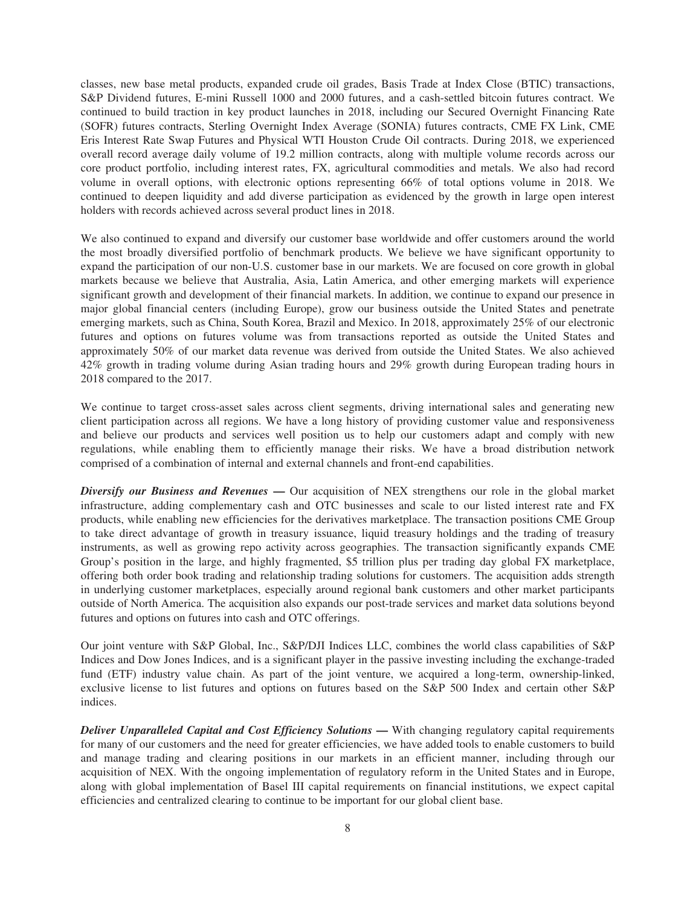classes, new base metal products, expanded crude oil grades, Basis Trade at Index Close (BTIC) transactions, S&P Dividend futures, E-mini Russell 1000 and 2000 futures, and a cash-settled bitcoin futures contract. We continued to build traction in key product launches in 2018, including our Secured Overnight Financing Rate (SOFR) futures contracts, Sterling Overnight Index Average (SONIA) futures contracts, CME FX Link, CME Eris Interest Rate Swap Futures and Physical WTI Houston Crude Oil contracts. During 2018, we experienced overall record average daily volume of 19.2 million contracts, along with multiple volume records across our core product portfolio, including interest rates, FX, agricultural commodities and metals. We also had record volume in overall options, with electronic options representing 66% of total options volume in 2018. We continued to deepen liquidity and add diverse participation as evidenced by the growth in large open interest holders with records achieved across several product lines in 2018.

We also continued to expand and diversify our customer base worldwide and offer customers around the world the most broadly diversified portfolio of benchmark products. We believe we have significant opportunity to expand the participation of our non-U.S. customer base in our markets. We are focused on core growth in global markets because we believe that Australia, Asia, Latin America, and other emerging markets will experience significant growth and development of their financial markets. In addition, we continue to expand our presence in major global financial centers (including Europe), grow our business outside the United States and penetrate emerging markets, such as China, South Korea, Brazil and Mexico. In 2018, approximately 25% of our electronic futures and options on futures volume was from transactions reported as outside the United States and approximately 50% of our market data revenue was derived from outside the United States. We also achieved 42% growth in trading volume during Asian trading hours and 29% growth during European trading hours in 2018 compared to the 2017.

We continue to target cross-asset sales across client segments, driving international sales and generating new client participation across all regions. We have a long history of providing customer value and responsiveness and believe our products and services well position us to help our customers adapt and comply with new regulations, while enabling them to efficiently manage their risks. We have a broad distribution network comprised of a combination of internal and external channels and front-end capabilities.

*Diversify our Business and Revenues* **—** Our acquisition of NEX strengthens our role in the global market infrastructure, adding complementary cash and OTC businesses and scale to our listed interest rate and FX products, while enabling new efficiencies for the derivatives marketplace. The transaction positions CME Group to take direct advantage of growth in treasury issuance, liquid treasury holdings and the trading of treasury instruments, as well as growing repo activity across geographies. The transaction significantly expands CME Group's position in the large, and highly fragmented, \$5 trillion plus per trading day global FX marketplace, offering both order book trading and relationship trading solutions for customers. The acquisition adds strength in underlying customer marketplaces, especially around regional bank customers and other market participants outside of North America. The acquisition also expands our post-trade services and market data solutions beyond futures and options on futures into cash and OTC offerings.

Our joint venture with S&P Global, Inc., S&P/DJI Indices LLC, combines the world class capabilities of S&P Indices and Dow Jones Indices, and is a significant player in the passive investing including the exchange-traded fund (ETF) industry value chain. As part of the joint venture, we acquired a long-term, ownership-linked, exclusive license to list futures and options on futures based on the S&P 500 Index and certain other S&P indices.

*Deliver Unparalleled Capital and Cost Efficiency Solutions* **—** With changing regulatory capital requirements for many of our customers and the need for greater efficiencies, we have added tools to enable customers to build and manage trading and clearing positions in our markets in an efficient manner, including through our acquisition of NEX. With the ongoing implementation of regulatory reform in the United States and in Europe, along with global implementation of Basel III capital requirements on financial institutions, we expect capital efficiencies and centralized clearing to continue to be important for our global client base.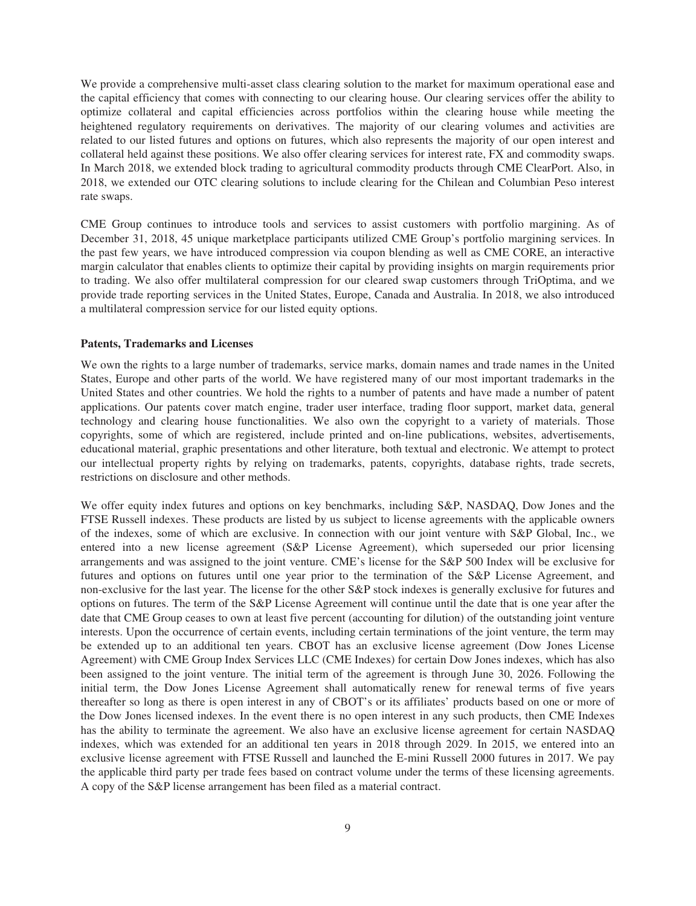We provide a comprehensive multi-asset class clearing solution to the market for maximum operational ease and the capital efficiency that comes with connecting to our clearing house. Our clearing services offer the ability to optimize collateral and capital efficiencies across portfolios within the clearing house while meeting the heightened regulatory requirements on derivatives. The majority of our clearing volumes and activities are related to our listed futures and options on futures, which also represents the majority of our open interest and collateral held against these positions. We also offer clearing services for interest rate, FX and commodity swaps. In March 2018, we extended block trading to agricultural commodity products through CME ClearPort. Also, in 2018, we extended our OTC clearing solutions to include clearing for the Chilean and Columbian Peso interest rate swaps.

CME Group continues to introduce tools and services to assist customers with portfolio margining. As of December 31, 2018, 45 unique marketplace participants utilized CME Group's portfolio margining services. In the past few years, we have introduced compression via coupon blending as well as CME CORE, an interactive margin calculator that enables clients to optimize their capital by providing insights on margin requirements prior to trading. We also offer multilateral compression for our cleared swap customers through TriOptima, and we provide trade reporting services in the United States, Europe, Canada and Australia. In 2018, we also introduced a multilateral compression service for our listed equity options.

#### **Patents, Trademarks and Licenses**

We own the rights to a large number of trademarks, service marks, domain names and trade names in the United States, Europe and other parts of the world. We have registered many of our most important trademarks in the United States and other countries. We hold the rights to a number of patents and have made a number of patent applications. Our patents cover match engine, trader user interface, trading floor support, market data, general technology and clearing house functionalities. We also own the copyright to a variety of materials. Those copyrights, some of which are registered, include printed and on-line publications, websites, advertisements, educational material, graphic presentations and other literature, both textual and electronic. We attempt to protect our intellectual property rights by relying on trademarks, patents, copyrights, database rights, trade secrets, restrictions on disclosure and other methods.

We offer equity index futures and options on key benchmarks, including S&P, NASDAQ, Dow Jones and the FTSE Russell indexes. These products are listed by us subject to license agreements with the applicable owners of the indexes, some of which are exclusive. In connection with our joint venture with S&P Global, Inc., we entered into a new license agreement (S&P License Agreement), which superseded our prior licensing arrangements and was assigned to the joint venture. CME's license for the S&P 500 Index will be exclusive for futures and options on futures until one year prior to the termination of the S&P License Agreement, and non-exclusive for the last year. The license for the other S&P stock indexes is generally exclusive for futures and options on futures. The term of the S&P License Agreement will continue until the date that is one year after the date that CME Group ceases to own at least five percent (accounting for dilution) of the outstanding joint venture interests. Upon the occurrence of certain events, including certain terminations of the joint venture, the term may be extended up to an additional ten years. CBOT has an exclusive license agreement (Dow Jones License Agreement) with CME Group Index Services LLC (CME Indexes) for certain Dow Jones indexes, which has also been assigned to the joint venture. The initial term of the agreement is through June 30, 2026. Following the initial term, the Dow Jones License Agreement shall automatically renew for renewal terms of five years thereafter so long as there is open interest in any of CBOT's or its affiliates' products based on one or more of the Dow Jones licensed indexes. In the event there is no open interest in any such products, then CME Indexes has the ability to terminate the agreement. We also have an exclusive license agreement for certain NASDAQ indexes, which was extended for an additional ten years in 2018 through 2029. In 2015, we entered into an exclusive license agreement with FTSE Russell and launched the E-mini Russell 2000 futures in 2017. We pay the applicable third party per trade fees based on contract volume under the terms of these licensing agreements. A copy of the S&P license arrangement has been filed as a material contract.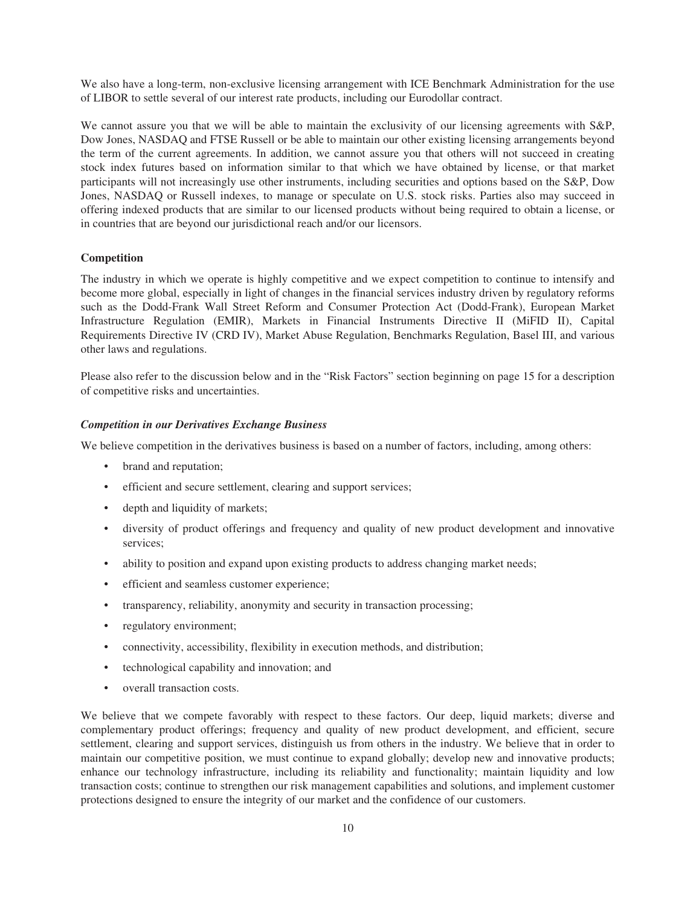We also have a long-term, non-exclusive licensing arrangement with ICE Benchmark Administration for the use of LIBOR to settle several of our interest rate products, including our Eurodollar contract.

We cannot assure you that we will be able to maintain the exclusivity of our licensing agreements with S&P, Dow Jones, NASDAQ and FTSE Russell or be able to maintain our other existing licensing arrangements beyond the term of the current agreements. In addition, we cannot assure you that others will not succeed in creating stock index futures based on information similar to that which we have obtained by license, or that market participants will not increasingly use other instruments, including securities and options based on the S&P, Dow Jones, NASDAQ or Russell indexes, to manage or speculate on U.S. stock risks. Parties also may succeed in offering indexed products that are similar to our licensed products without being required to obtain a license, or in countries that are beyond our jurisdictional reach and/or our licensors.

#### **Competition**

The industry in which we operate is highly competitive and we expect competition to continue to intensify and become more global, especially in light of changes in the financial services industry driven by regulatory reforms such as the Dodd-Frank Wall Street Reform and Consumer Protection Act (Dodd-Frank), European Market Infrastructure Regulation (EMIR), Markets in Financial Instruments Directive II (MiFID II), Capital Requirements Directive IV (CRD IV), Market Abuse Regulation, Benchmarks Regulation, Basel III, and various other laws and regulations.

Please also refer to the discussion below and in the "Risk Factors" section beginning on page 15 for a description of competitive risks and uncertainties.

#### *Competition in our Derivatives Exchange Business*

We believe competition in the derivatives business is based on a number of factors, including, among others:

- brand and reputation;
- efficient and secure settlement, clearing and support services;
- depth and liquidity of markets;
- diversity of product offerings and frequency and quality of new product development and innovative services;
- ability to position and expand upon existing products to address changing market needs;
- efficient and seamless customer experience;
- transparency, reliability, anonymity and security in transaction processing;
- regulatory environment;
- connectivity, accessibility, flexibility in execution methods, and distribution;
- technological capability and innovation; and
- overall transaction costs.

We believe that we compete favorably with respect to these factors. Our deep, liquid markets; diverse and complementary product offerings; frequency and quality of new product development, and efficient, secure settlement, clearing and support services, distinguish us from others in the industry. We believe that in order to maintain our competitive position, we must continue to expand globally; develop new and innovative products; enhance our technology infrastructure, including its reliability and functionality; maintain liquidity and low transaction costs; continue to strengthen our risk management capabilities and solutions, and implement customer protections designed to ensure the integrity of our market and the confidence of our customers.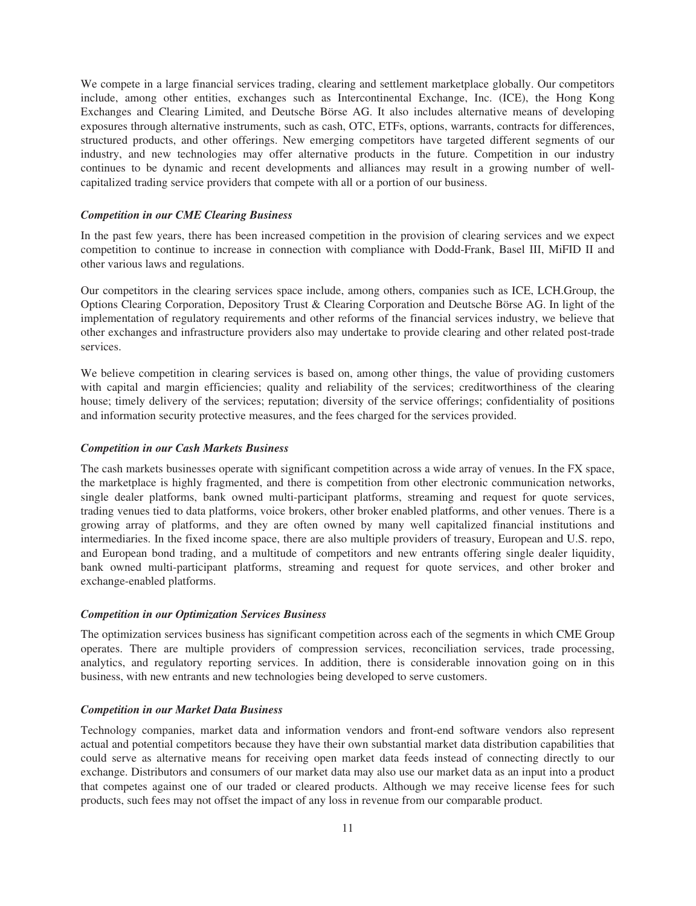We compete in a large financial services trading, clearing and settlement marketplace globally. Our competitors include, among other entities, exchanges such as Intercontinental Exchange, Inc. (ICE), the Hong Kong Exchanges and Clearing Limited, and Deutsche Börse AG. It also includes alternative means of developing exposures through alternative instruments, such as cash, OTC, ETFs, options, warrants, contracts for differences, structured products, and other offerings. New emerging competitors have targeted different segments of our industry, and new technologies may offer alternative products in the future. Competition in our industry continues to be dynamic and recent developments and alliances may result in a growing number of wellcapitalized trading service providers that compete with all or a portion of our business.

## *Competition in our CME Clearing Business*

In the past few years, there has been increased competition in the provision of clearing services and we expect competition to continue to increase in connection with compliance with Dodd-Frank, Basel III, MiFID II and other various laws and regulations.

Our competitors in the clearing services space include, among others, companies such as ICE, LCH.Group, the Options Clearing Corporation, Depository Trust & Clearing Corporation and Deutsche Börse AG. In light of the implementation of regulatory requirements and other reforms of the financial services industry, we believe that other exchanges and infrastructure providers also may undertake to provide clearing and other related post-trade services.

We believe competition in clearing services is based on, among other things, the value of providing customers with capital and margin efficiencies; quality and reliability of the services; creditworthiness of the clearing house; timely delivery of the services; reputation; diversity of the service offerings; confidentiality of positions and information security protective measures, and the fees charged for the services provided.

#### *Competition in our Cash Markets Business*

The cash markets businesses operate with significant competition across a wide array of venues. In the FX space, the marketplace is highly fragmented, and there is competition from other electronic communication networks, single dealer platforms, bank owned multi-participant platforms, streaming and request for quote services, trading venues tied to data platforms, voice brokers, other broker enabled platforms, and other venues. There is a growing array of platforms, and they are often owned by many well capitalized financial institutions and intermediaries. In the fixed income space, there are also multiple providers of treasury, European and U.S. repo, and European bond trading, and a multitude of competitors and new entrants offering single dealer liquidity, bank owned multi-participant platforms, streaming and request for quote services, and other broker and exchange-enabled platforms.

#### *Competition in our Optimization Services Business*

The optimization services business has significant competition across each of the segments in which CME Group operates. There are multiple providers of compression services, reconciliation services, trade processing, analytics, and regulatory reporting services. In addition, there is considerable innovation going on in this business, with new entrants and new technologies being developed to serve customers.

#### *Competition in our Market Data Business*

Technology companies, market data and information vendors and front-end software vendors also represent actual and potential competitors because they have their own substantial market data distribution capabilities that could serve as alternative means for receiving open market data feeds instead of connecting directly to our exchange. Distributors and consumers of our market data may also use our market data as an input into a product that competes against one of our traded or cleared products. Although we may receive license fees for such products, such fees may not offset the impact of any loss in revenue from our comparable product.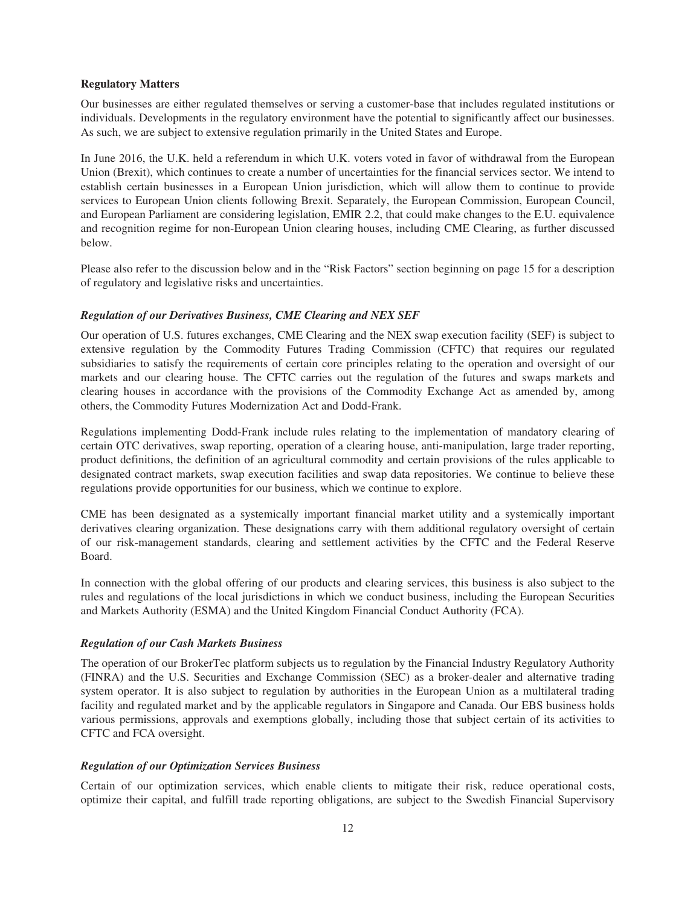#### **Regulatory Matters**

Our businesses are either regulated themselves or serving a customer-base that includes regulated institutions or individuals. Developments in the regulatory environment have the potential to significantly affect our businesses. As such, we are subject to extensive regulation primarily in the United States and Europe.

In June 2016, the U.K. held a referendum in which U.K. voters voted in favor of withdrawal from the European Union (Brexit), which continues to create a number of uncertainties for the financial services sector. We intend to establish certain businesses in a European Union jurisdiction, which will allow them to continue to provide services to European Union clients following Brexit. Separately, the European Commission, European Council, and European Parliament are considering legislation, EMIR 2.2, that could make changes to the E.U. equivalence and recognition regime for non-European Union clearing houses, including CME Clearing, as further discussed below.

Please also refer to the discussion below and in the "Risk Factors" section beginning on page 15 for a description of regulatory and legislative risks and uncertainties.

#### *Regulation of our Derivatives Business, CME Clearing and NEX SEF*

Our operation of U.S. futures exchanges, CME Clearing and the NEX swap execution facility (SEF) is subject to extensive regulation by the Commodity Futures Trading Commission (CFTC) that requires our regulated subsidiaries to satisfy the requirements of certain core principles relating to the operation and oversight of our markets and our clearing house. The CFTC carries out the regulation of the futures and swaps markets and clearing houses in accordance with the provisions of the Commodity Exchange Act as amended by, among others, the Commodity Futures Modernization Act and Dodd-Frank.

Regulations implementing Dodd-Frank include rules relating to the implementation of mandatory clearing of certain OTC derivatives, swap reporting, operation of a clearing house, anti-manipulation, large trader reporting, product definitions, the definition of an agricultural commodity and certain provisions of the rules applicable to designated contract markets, swap execution facilities and swap data repositories. We continue to believe these regulations provide opportunities for our business, which we continue to explore.

CME has been designated as a systemically important financial market utility and a systemically important derivatives clearing organization. These designations carry with them additional regulatory oversight of certain of our risk-management standards, clearing and settlement activities by the CFTC and the Federal Reserve Board.

In connection with the global offering of our products and clearing services, this business is also subject to the rules and regulations of the local jurisdictions in which we conduct business, including the European Securities and Markets Authority (ESMA) and the United Kingdom Financial Conduct Authority (FCA).

#### *Regulation of our Cash Markets Business*

The operation of our BrokerTec platform subjects us to regulation by the Financial Industry Regulatory Authority (FINRA) and the U.S. Securities and Exchange Commission (SEC) as a broker-dealer and alternative trading system operator. It is also subject to regulation by authorities in the European Union as a multilateral trading facility and regulated market and by the applicable regulators in Singapore and Canada. Our EBS business holds various permissions, approvals and exemptions globally, including those that subject certain of its activities to CFTC and FCA oversight.

#### *Regulation of our Optimization Services Business*

Certain of our optimization services, which enable clients to mitigate their risk, reduce operational costs, optimize their capital, and fulfill trade reporting obligations, are subject to the Swedish Financial Supervisory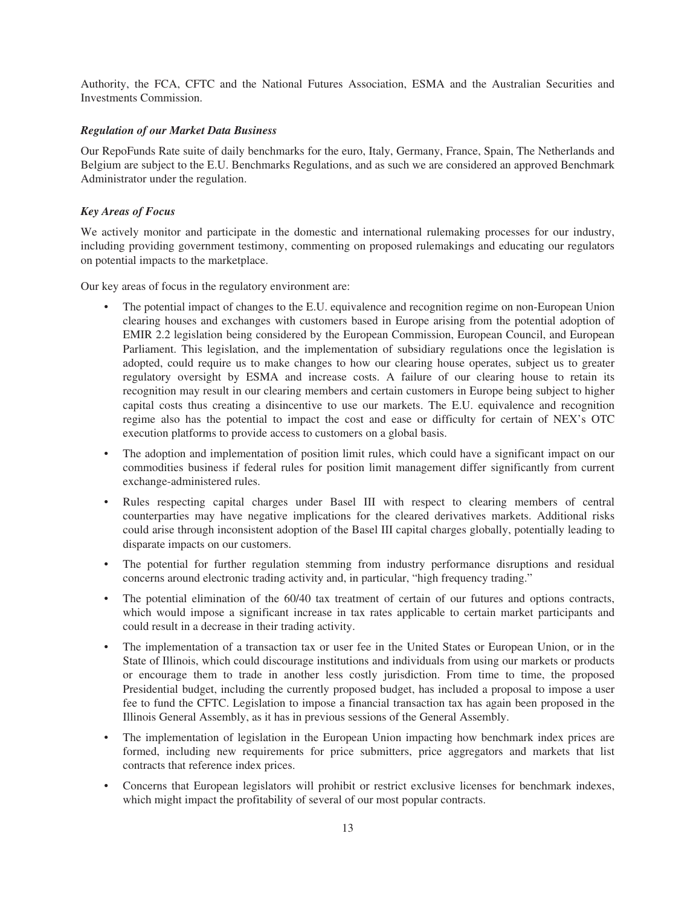Authority, the FCA, CFTC and the National Futures Association, ESMA and the Australian Securities and Investments Commission.

## *Regulation of our Market Data Business*

Our RepoFunds Rate suite of daily benchmarks for the euro, Italy, Germany, France, Spain, The Netherlands and Belgium are subject to the E.U. Benchmarks Regulations, and as such we are considered an approved Benchmark Administrator under the regulation.

#### *Key Areas of Focus*

We actively monitor and participate in the domestic and international rulemaking processes for our industry, including providing government testimony, commenting on proposed rulemakings and educating our regulators on potential impacts to the marketplace.

Our key areas of focus in the regulatory environment are:

- The potential impact of changes to the E.U. equivalence and recognition regime on non-European Union clearing houses and exchanges with customers based in Europe arising from the potential adoption of EMIR 2.2 legislation being considered by the European Commission, European Council, and European Parliament. This legislation, and the implementation of subsidiary regulations once the legislation is adopted, could require us to make changes to how our clearing house operates, subject us to greater regulatory oversight by ESMA and increase costs. A failure of our clearing house to retain its recognition may result in our clearing members and certain customers in Europe being subject to higher capital costs thus creating a disincentive to use our markets. The E.U. equivalence and recognition regime also has the potential to impact the cost and ease or difficulty for certain of NEX's OTC execution platforms to provide access to customers on a global basis.
- The adoption and implementation of position limit rules, which could have a significant impact on our commodities business if federal rules for position limit management differ significantly from current exchange-administered rules.
- Rules respecting capital charges under Basel III with respect to clearing members of central counterparties may have negative implications for the cleared derivatives markets. Additional risks could arise through inconsistent adoption of the Basel III capital charges globally, potentially leading to disparate impacts on our customers.
- The potential for further regulation stemming from industry performance disruptions and residual concerns around electronic trading activity and, in particular, "high frequency trading."
- The potential elimination of the 60/40 tax treatment of certain of our futures and options contracts, which would impose a significant increase in tax rates applicable to certain market participants and could result in a decrease in their trading activity.
- The implementation of a transaction tax or user fee in the United States or European Union, or in the State of Illinois, which could discourage institutions and individuals from using our markets or products or encourage them to trade in another less costly jurisdiction. From time to time, the proposed Presidential budget, including the currently proposed budget, has included a proposal to impose a user fee to fund the CFTC. Legislation to impose a financial transaction tax has again been proposed in the Illinois General Assembly, as it has in previous sessions of the General Assembly.
- The implementation of legislation in the European Union impacting how benchmark index prices are formed, including new requirements for price submitters, price aggregators and markets that list contracts that reference index prices.
- Concerns that European legislators will prohibit or restrict exclusive licenses for benchmark indexes, which might impact the profitability of several of our most popular contracts.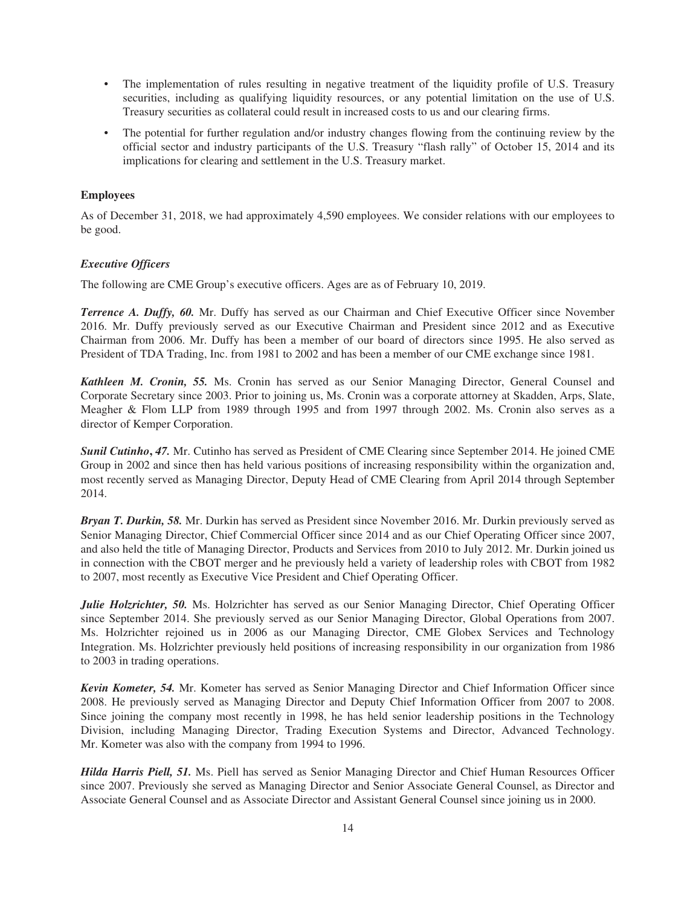- The implementation of rules resulting in negative treatment of the liquidity profile of U.S. Treasury securities, including as qualifying liquidity resources, or any potential limitation on the use of U.S. Treasury securities as collateral could result in increased costs to us and our clearing firms.
- The potential for further regulation and/or industry changes flowing from the continuing review by the official sector and industry participants of the U.S. Treasury "flash rally" of October 15, 2014 and its implications for clearing and settlement in the U.S. Treasury market.

## **Employees**

As of December 31, 2018, we had approximately 4,590 employees. We consider relations with our employees to be good.

#### *Executive Officers*

The following are CME Group's executive officers. Ages are as of February 10, 2019.

*Terrence A. Duffy, 60.* Mr. Duffy has served as our Chairman and Chief Executive Officer since November 2016. Mr. Duffy previously served as our Executive Chairman and President since 2012 and as Executive Chairman from 2006. Mr. Duffy has been a member of our board of directors since 1995. He also served as President of TDA Trading, Inc. from 1981 to 2002 and has been a member of our CME exchange since 1981.

*Kathleen M. Cronin, 55.* Ms. Cronin has served as our Senior Managing Director, General Counsel and Corporate Secretary since 2003. Prior to joining us, Ms. Cronin was a corporate attorney at Skadden, Arps, Slate, Meagher & Flom LLP from 1989 through 1995 and from 1997 through 2002. Ms. Cronin also serves as a director of Kemper Corporation.

*Sunil Cutinho***,** *47.* Mr. Cutinho has served as President of CME Clearing since September 2014. He joined CME Group in 2002 and since then has held various positions of increasing responsibility within the organization and, most recently served as Managing Director, Deputy Head of CME Clearing from April 2014 through September 2014.

*Bryan T. Durkin, 58.* Mr. Durkin has served as President since November 2016. Mr. Durkin previously served as Senior Managing Director, Chief Commercial Officer since 2014 and as our Chief Operating Officer since 2007, and also held the title of Managing Director, Products and Services from 2010 to July 2012. Mr. Durkin joined us in connection with the CBOT merger and he previously held a variety of leadership roles with CBOT from 1982 to 2007, most recently as Executive Vice President and Chief Operating Officer.

*Julie Holzrichter, 50.* Ms. Holzrichter has served as our Senior Managing Director, Chief Operating Officer since September 2014. She previously served as our Senior Managing Director, Global Operations from 2007. Ms. Holzrichter rejoined us in 2006 as our Managing Director, CME Globex Services and Technology Integration. Ms. Holzrichter previously held positions of increasing responsibility in our organization from 1986 to 2003 in trading operations.

*Kevin Kometer, 54.* Mr. Kometer has served as Senior Managing Director and Chief Information Officer since 2008. He previously served as Managing Director and Deputy Chief Information Officer from 2007 to 2008. Since joining the company most recently in 1998, he has held senior leadership positions in the Technology Division, including Managing Director, Trading Execution Systems and Director, Advanced Technology. Mr. Kometer was also with the company from 1994 to 1996.

*Hilda Harris Piell, 51.* Ms. Piell has served as Senior Managing Director and Chief Human Resources Officer since 2007. Previously she served as Managing Director and Senior Associate General Counsel, as Director and Associate General Counsel and as Associate Director and Assistant General Counsel since joining us in 2000.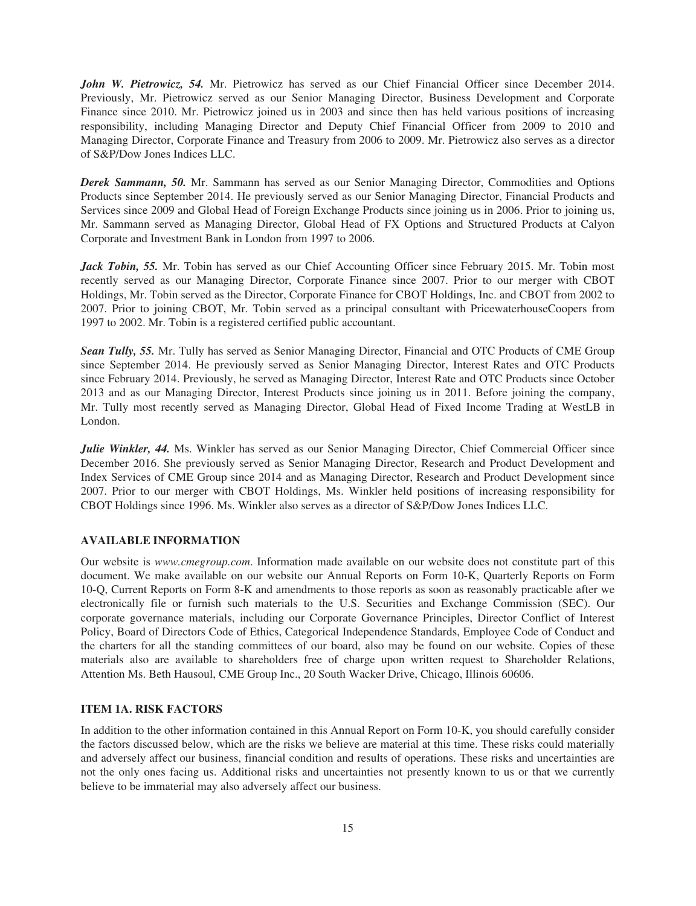*John W. Pietrowicz, 54.* Mr. Pietrowicz has served as our Chief Financial Officer since December 2014. Previously, Mr. Pietrowicz served as our Senior Managing Director, Business Development and Corporate Finance since 2010. Mr. Pietrowicz joined us in 2003 and since then has held various positions of increasing responsibility, including Managing Director and Deputy Chief Financial Officer from 2009 to 2010 and Managing Director, Corporate Finance and Treasury from 2006 to 2009. Mr. Pietrowicz also serves as a director of S&P/Dow Jones Indices LLC.

*Derek Sammann, 50.* Mr. Sammann has served as our Senior Managing Director, Commodities and Options Products since September 2014. He previously served as our Senior Managing Director, Financial Products and Services since 2009 and Global Head of Foreign Exchange Products since joining us in 2006. Prior to joining us, Mr. Sammann served as Managing Director, Global Head of FX Options and Structured Products at Calyon Corporate and Investment Bank in London from 1997 to 2006.

*Jack Tobin, 55.* Mr. Tobin has served as our Chief Accounting Officer since February 2015. Mr. Tobin most recently served as our Managing Director, Corporate Finance since 2007. Prior to our merger with CBOT Holdings, Mr. Tobin served as the Director, Corporate Finance for CBOT Holdings, Inc. and CBOT from 2002 to 2007. Prior to joining CBOT, Mr. Tobin served as a principal consultant with PricewaterhouseCoopers from 1997 to 2002. Mr. Tobin is a registered certified public accountant.

*Sean Tully, 55.* Mr. Tully has served as Senior Managing Director, Financial and OTC Products of CME Group since September 2014. He previously served as Senior Managing Director, Interest Rates and OTC Products since February 2014. Previously, he served as Managing Director, Interest Rate and OTC Products since October 2013 and as our Managing Director, Interest Products since joining us in 2011. Before joining the company, Mr. Tully most recently served as Managing Director, Global Head of Fixed Income Trading at WestLB in London.

*Julie Winkler, 44.* Ms. Winkler has served as our Senior Managing Director, Chief Commercial Officer since December 2016. She previously served as Senior Managing Director, Research and Product Development and Index Services of CME Group since 2014 and as Managing Director, Research and Product Development since 2007. Prior to our merger with CBOT Holdings, Ms. Winkler held positions of increasing responsibility for CBOT Holdings since 1996. Ms. Winkler also serves as a director of S&P/Dow Jones Indices LLC.

#### **AVAILABLE INFORMATION**

Our website is *www.cmegroup.com*. Information made available on our website does not constitute part of this document. We make available on our website our Annual Reports on Form 10-K, Quarterly Reports on Form 10-Q, Current Reports on Form 8-K and amendments to those reports as soon as reasonably practicable after we electronically file or furnish such materials to the U.S. Securities and Exchange Commission (SEC). Our corporate governance materials, including our Corporate Governance Principles, Director Conflict of Interest Policy, Board of Directors Code of Ethics, Categorical Independence Standards, Employee Code of Conduct and the charters for all the standing committees of our board, also may be found on our website. Copies of these materials also are available to shareholders free of charge upon written request to Shareholder Relations, Attention Ms. Beth Hausoul, CME Group Inc., 20 South Wacker Drive, Chicago, Illinois 60606.

#### **ITEM 1A. RISK FACTORS**

In addition to the other information contained in this Annual Report on Form 10-K, you should carefully consider the factors discussed below, which are the risks we believe are material at this time. These risks could materially and adversely affect our business, financial condition and results of operations. These risks and uncertainties are not the only ones facing us. Additional risks and uncertainties not presently known to us or that we currently believe to be immaterial may also adversely affect our business.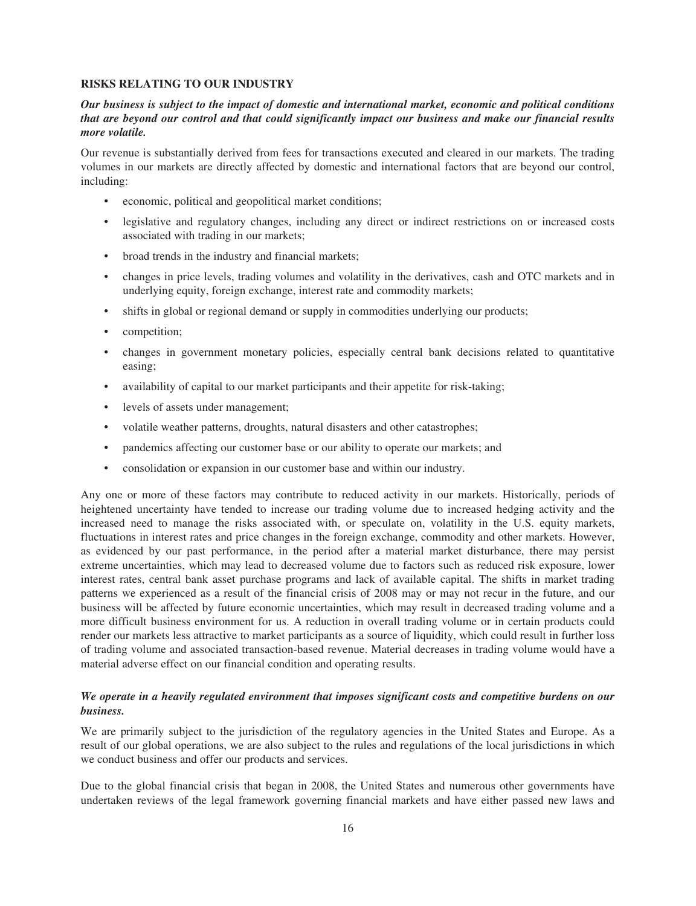#### **RISKS RELATING TO OUR INDUSTRY**

## *Our business is subject to the impact of domestic and international market, economic and political conditions that are beyond our control and that could significantly impact our business and make our financial results more volatile.*

Our revenue is substantially derived from fees for transactions executed and cleared in our markets. The trading volumes in our markets are directly affected by domestic and international factors that are beyond our control, including:

- economic, political and geopolitical market conditions;
- legislative and regulatory changes, including any direct or indirect restrictions on or increased costs associated with trading in our markets;
- broad trends in the industry and financial markets;
- changes in price levels, trading volumes and volatility in the derivatives, cash and OTC markets and in underlying equity, foreign exchange, interest rate and commodity markets;
- shifts in global or regional demand or supply in commodities underlying our products;
- competition;
- changes in government monetary policies, especially central bank decisions related to quantitative easing;
- availability of capital to our market participants and their appetite for risk-taking;
- levels of assets under management;
- volatile weather patterns, droughts, natural disasters and other catastrophes;
- pandemics affecting our customer base or our ability to operate our markets; and
- consolidation or expansion in our customer base and within our industry.

Any one or more of these factors may contribute to reduced activity in our markets. Historically, periods of heightened uncertainty have tended to increase our trading volume due to increased hedging activity and the increased need to manage the risks associated with, or speculate on, volatility in the U.S. equity markets, fluctuations in interest rates and price changes in the foreign exchange, commodity and other markets. However, as evidenced by our past performance, in the period after a material market disturbance, there may persist extreme uncertainties, which may lead to decreased volume due to factors such as reduced risk exposure, lower interest rates, central bank asset purchase programs and lack of available capital. The shifts in market trading patterns we experienced as a result of the financial crisis of 2008 may or may not recur in the future, and our business will be affected by future economic uncertainties, which may result in decreased trading volume and a more difficult business environment for us. A reduction in overall trading volume or in certain products could render our markets less attractive to market participants as a source of liquidity, which could result in further loss of trading volume and associated transaction-based revenue. Material decreases in trading volume would have a material adverse effect on our financial condition and operating results.

## *We operate in a heavily regulated environment that imposes significant costs and competitive burdens on our business.*

We are primarily subject to the jurisdiction of the regulatory agencies in the United States and Europe. As a result of our global operations, we are also subject to the rules and regulations of the local jurisdictions in which we conduct business and offer our products and services.

Due to the global financial crisis that began in 2008, the United States and numerous other governments have undertaken reviews of the legal framework governing financial markets and have either passed new laws and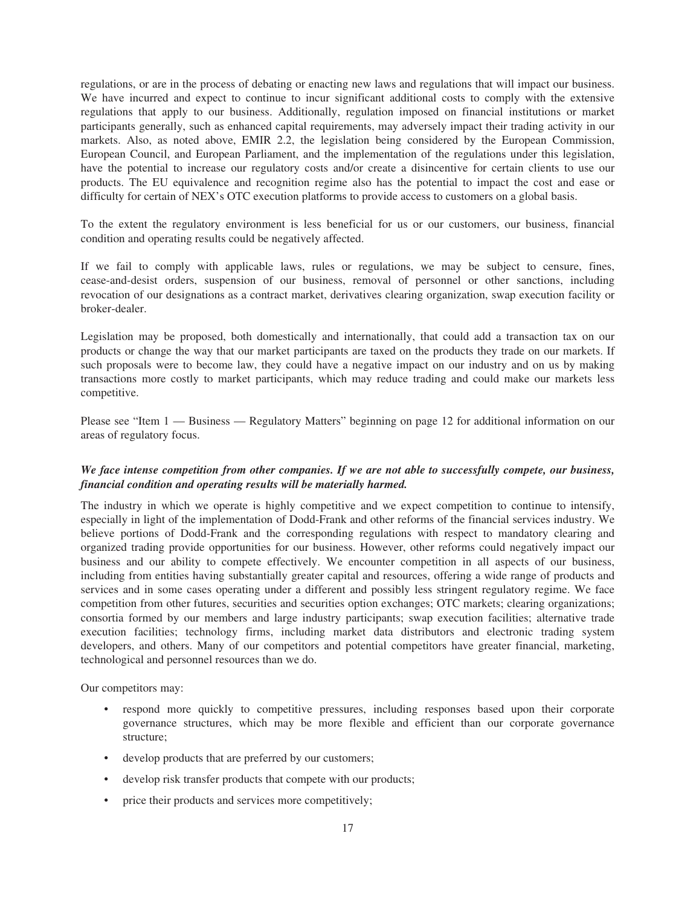regulations, or are in the process of debating or enacting new laws and regulations that will impact our business. We have incurred and expect to continue to incur significant additional costs to comply with the extensive regulations that apply to our business. Additionally, regulation imposed on financial institutions or market participants generally, such as enhanced capital requirements, may adversely impact their trading activity in our markets. Also, as noted above, EMIR 2.2, the legislation being considered by the European Commission, European Council, and European Parliament, and the implementation of the regulations under this legislation, have the potential to increase our regulatory costs and/or create a disincentive for certain clients to use our products. The EU equivalence and recognition regime also has the potential to impact the cost and ease or difficulty for certain of NEX's OTC execution platforms to provide access to customers on a global basis.

To the extent the regulatory environment is less beneficial for us or our customers, our business, financial condition and operating results could be negatively affected.

If we fail to comply with applicable laws, rules or regulations, we may be subject to censure, fines, cease-and-desist orders, suspension of our business, removal of personnel or other sanctions, including revocation of our designations as a contract market, derivatives clearing organization, swap execution facility or broker-dealer.

Legislation may be proposed, both domestically and internationally, that could add a transaction tax on our products or change the way that our market participants are taxed on the products they trade on our markets. If such proposals were to become law, they could have a negative impact on our industry and on us by making transactions more costly to market participants, which may reduce trading and could make our markets less competitive.

Please see "Item 1 — Business — Regulatory Matters" beginning on page 12 for additional information on our areas of regulatory focus.

## *We face intense competition from other companies. If we are not able to successfully compete, our business, financial condition and operating results will be materially harmed.*

The industry in which we operate is highly competitive and we expect competition to continue to intensify, especially in light of the implementation of Dodd-Frank and other reforms of the financial services industry. We believe portions of Dodd-Frank and the corresponding regulations with respect to mandatory clearing and organized trading provide opportunities for our business. However, other reforms could negatively impact our business and our ability to compete effectively. We encounter competition in all aspects of our business, including from entities having substantially greater capital and resources, offering a wide range of products and services and in some cases operating under a different and possibly less stringent regulatory regime. We face competition from other futures, securities and securities option exchanges; OTC markets; clearing organizations; consortia formed by our members and large industry participants; swap execution facilities; alternative trade execution facilities; technology firms, including market data distributors and electronic trading system developers, and others. Many of our competitors and potential competitors have greater financial, marketing, technological and personnel resources than we do.

Our competitors may:

- respond more quickly to competitive pressures, including responses based upon their corporate governance structures, which may be more flexible and efficient than our corporate governance structure;
- develop products that are preferred by our customers;
- develop risk transfer products that compete with our products;
- price their products and services more competitively;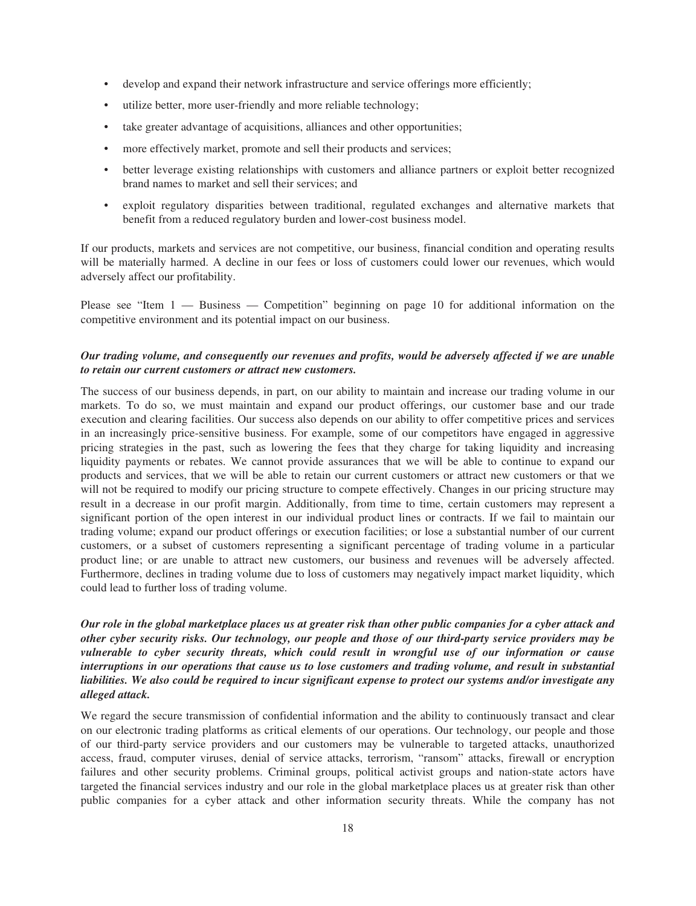- develop and expand their network infrastructure and service offerings more efficiently;
- utilize better, more user-friendly and more reliable technology;
- take greater advantage of acquisitions, alliances and other opportunities;
- more effectively market, promote and sell their products and services;
- better leverage existing relationships with customers and alliance partners or exploit better recognized brand names to market and sell their services; and
- exploit regulatory disparities between traditional, regulated exchanges and alternative markets that benefit from a reduced regulatory burden and lower-cost business model.

If our products, markets and services are not competitive, our business, financial condition and operating results will be materially harmed. A decline in our fees or loss of customers could lower our revenues, which would adversely affect our profitability.

Please see "Item  $1 -$  Business  $-$  Competition" beginning on page 10 for additional information on the competitive environment and its potential impact on our business.

## *Our trading volume, and consequently our revenues and profits, would be adversely affected if we are unable to retain our current customers or attract new customers.*

The success of our business depends, in part, on our ability to maintain and increase our trading volume in our markets. To do so, we must maintain and expand our product offerings, our customer base and our trade execution and clearing facilities. Our success also depends on our ability to offer competitive prices and services in an increasingly price-sensitive business. For example, some of our competitors have engaged in aggressive pricing strategies in the past, such as lowering the fees that they charge for taking liquidity and increasing liquidity payments or rebates. We cannot provide assurances that we will be able to continue to expand our products and services, that we will be able to retain our current customers or attract new customers or that we will not be required to modify our pricing structure to compete effectively. Changes in our pricing structure may result in a decrease in our profit margin. Additionally, from time to time, certain customers may represent a significant portion of the open interest in our individual product lines or contracts. If we fail to maintain our trading volume; expand our product offerings or execution facilities; or lose a substantial number of our current customers, or a subset of customers representing a significant percentage of trading volume in a particular product line; or are unable to attract new customers, our business and revenues will be adversely affected. Furthermore, declines in trading volume due to loss of customers may negatively impact market liquidity, which could lead to further loss of trading volume.

*Our role in the global marketplace places us at greater risk than other public companies for a cyber attack and other cyber security risks. Our technology, our people and those of our third-party service providers may be vulnerable to cyber security threats, which could result in wrongful use of our information or cause interruptions in our operations that cause us to lose customers and trading volume, and result in substantial liabilities. We also could be required to incur significant expense to protect our systems and/or investigate any alleged attack.*

We regard the secure transmission of confidential information and the ability to continuously transact and clear on our electronic trading platforms as critical elements of our operations. Our technology, our people and those of our third-party service providers and our customers may be vulnerable to targeted attacks, unauthorized access, fraud, computer viruses, denial of service attacks, terrorism, "ransom" attacks, firewall or encryption failures and other security problems. Criminal groups, political activist groups and nation-state actors have targeted the financial services industry and our role in the global marketplace places us at greater risk than other public companies for a cyber attack and other information security threats. While the company has not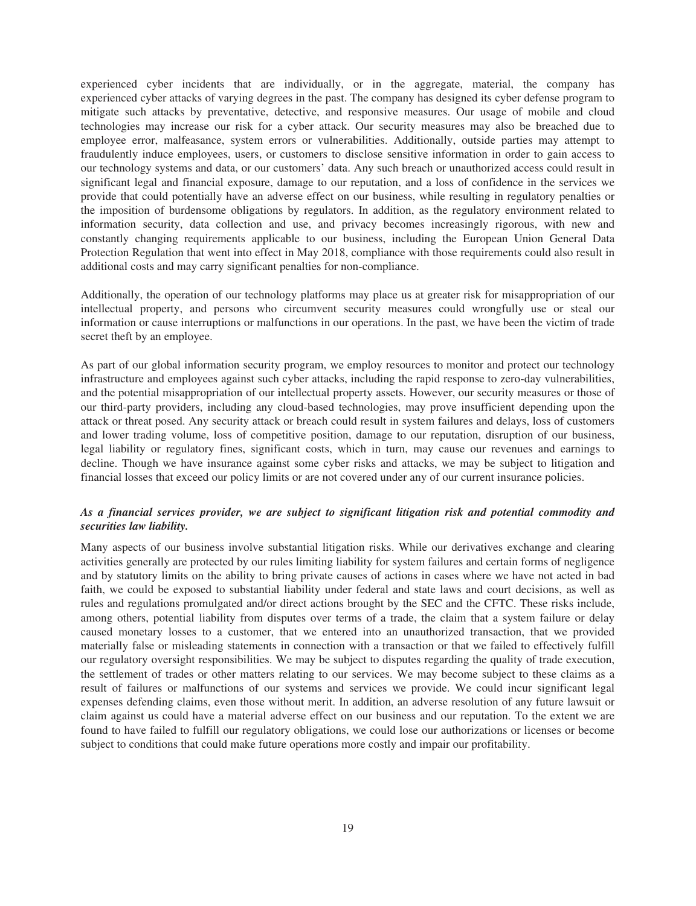experienced cyber incidents that are individually, or in the aggregate, material, the company has experienced cyber attacks of varying degrees in the past. The company has designed its cyber defense program to mitigate such attacks by preventative, detective, and responsive measures. Our usage of mobile and cloud technologies may increase our risk for a cyber attack. Our security measures may also be breached due to employee error, malfeasance, system errors or vulnerabilities. Additionally, outside parties may attempt to fraudulently induce employees, users, or customers to disclose sensitive information in order to gain access to our technology systems and data, or our customers' data. Any such breach or unauthorized access could result in significant legal and financial exposure, damage to our reputation, and a loss of confidence in the services we provide that could potentially have an adverse effect on our business, while resulting in regulatory penalties or the imposition of burdensome obligations by regulators. In addition, as the regulatory environment related to information security, data collection and use, and privacy becomes increasingly rigorous, with new and constantly changing requirements applicable to our business, including the European Union General Data Protection Regulation that went into effect in May 2018, compliance with those requirements could also result in additional costs and may carry significant penalties for non-compliance.

Additionally, the operation of our technology platforms may place us at greater risk for misappropriation of our intellectual property, and persons who circumvent security measures could wrongfully use or steal our information or cause interruptions or malfunctions in our operations. In the past, we have been the victim of trade secret theft by an employee.

As part of our global information security program, we employ resources to monitor and protect our technology infrastructure and employees against such cyber attacks, including the rapid response to zero-day vulnerabilities, and the potential misappropriation of our intellectual property assets. However, our security measures or those of our third-party providers, including any cloud-based technologies, may prove insufficient depending upon the attack or threat posed. Any security attack or breach could result in system failures and delays, loss of customers and lower trading volume, loss of competitive position, damage to our reputation, disruption of our business, legal liability or regulatory fines, significant costs, which in turn, may cause our revenues and earnings to decline. Though we have insurance against some cyber risks and attacks, we may be subject to litigation and financial losses that exceed our policy limits or are not covered under any of our current insurance policies.

## *As a financial services provider, we are subject to significant litigation risk and potential commodity and securities law liability.*

Many aspects of our business involve substantial litigation risks. While our derivatives exchange and clearing activities generally are protected by our rules limiting liability for system failures and certain forms of negligence and by statutory limits on the ability to bring private causes of actions in cases where we have not acted in bad faith, we could be exposed to substantial liability under federal and state laws and court decisions, as well as rules and regulations promulgated and/or direct actions brought by the SEC and the CFTC. These risks include, among others, potential liability from disputes over terms of a trade, the claim that a system failure or delay caused monetary losses to a customer, that we entered into an unauthorized transaction, that we provided materially false or misleading statements in connection with a transaction or that we failed to effectively fulfill our regulatory oversight responsibilities. We may be subject to disputes regarding the quality of trade execution, the settlement of trades or other matters relating to our services. We may become subject to these claims as a result of failures or malfunctions of our systems and services we provide. We could incur significant legal expenses defending claims, even those without merit. In addition, an adverse resolution of any future lawsuit or claim against us could have a material adverse effect on our business and our reputation. To the extent we are found to have failed to fulfill our regulatory obligations, we could lose our authorizations or licenses or become subject to conditions that could make future operations more costly and impair our profitability.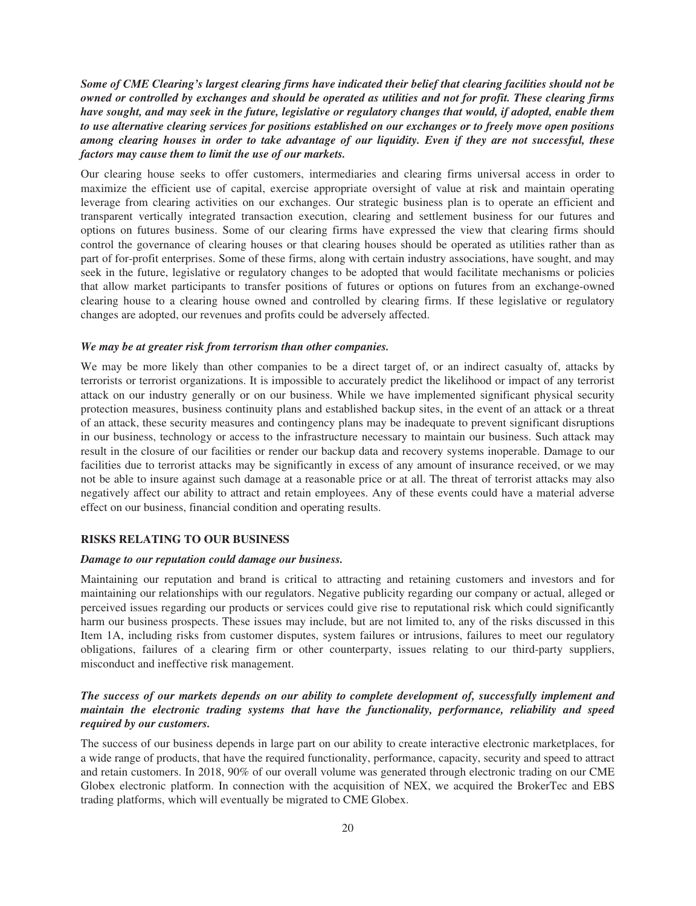*Some of CME Clearing's largest clearing firms have indicated their belief that clearing facilities should not be owned or controlled by exchanges and should be operated as utilities and not for profit. These clearing firms have sought, and may seek in the future, legislative or regulatory changes that would, if adopted, enable them to use alternative clearing services for positions established on our exchanges or to freely move open positions among clearing houses in order to take advantage of our liquidity. Even if they are not successful, these factors may cause them to limit the use of our markets.*

Our clearing house seeks to offer customers, intermediaries and clearing firms universal access in order to maximize the efficient use of capital, exercise appropriate oversight of value at risk and maintain operating leverage from clearing activities on our exchanges. Our strategic business plan is to operate an efficient and transparent vertically integrated transaction execution, clearing and settlement business for our futures and options on futures business. Some of our clearing firms have expressed the view that clearing firms should control the governance of clearing houses or that clearing houses should be operated as utilities rather than as part of for-profit enterprises. Some of these firms, along with certain industry associations, have sought, and may seek in the future, legislative or regulatory changes to be adopted that would facilitate mechanisms or policies that allow market participants to transfer positions of futures or options on futures from an exchange-owned clearing house to a clearing house owned and controlled by clearing firms. If these legislative or regulatory changes are adopted, our revenues and profits could be adversely affected.

#### *We may be at greater risk from terrorism than other companies.*

We may be more likely than other companies to be a direct target of, or an indirect casualty of, attacks by terrorists or terrorist organizations. It is impossible to accurately predict the likelihood or impact of any terrorist attack on our industry generally or on our business. While we have implemented significant physical security protection measures, business continuity plans and established backup sites, in the event of an attack or a threat of an attack, these security measures and contingency plans may be inadequate to prevent significant disruptions in our business, technology or access to the infrastructure necessary to maintain our business. Such attack may result in the closure of our facilities or render our backup data and recovery systems inoperable. Damage to our facilities due to terrorist attacks may be significantly in excess of any amount of insurance received, or we may not be able to insure against such damage at a reasonable price or at all. The threat of terrorist attacks may also negatively affect our ability to attract and retain employees. Any of these events could have a material adverse effect on our business, financial condition and operating results.

#### **RISKS RELATING TO OUR BUSINESS**

#### *Damage to our reputation could damage our business.*

Maintaining our reputation and brand is critical to attracting and retaining customers and investors and for maintaining our relationships with our regulators. Negative publicity regarding our company or actual, alleged or perceived issues regarding our products or services could give rise to reputational risk which could significantly harm our business prospects. These issues may include, but are not limited to, any of the risks discussed in this Item 1A, including risks from customer disputes, system failures or intrusions, failures to meet our regulatory obligations, failures of a clearing firm or other counterparty, issues relating to our third-party suppliers, misconduct and ineffective risk management.

## *The success of our markets depends on our ability to complete development of, successfully implement and maintain the electronic trading systems that have the functionality, performance, reliability and speed required by our customers.*

The success of our business depends in large part on our ability to create interactive electronic marketplaces, for a wide range of products, that have the required functionality, performance, capacity, security and speed to attract and retain customers. In 2018, 90% of our overall volume was generated through electronic trading on our CME Globex electronic platform. In connection with the acquisition of NEX, we acquired the BrokerTec and EBS trading platforms, which will eventually be migrated to CME Globex.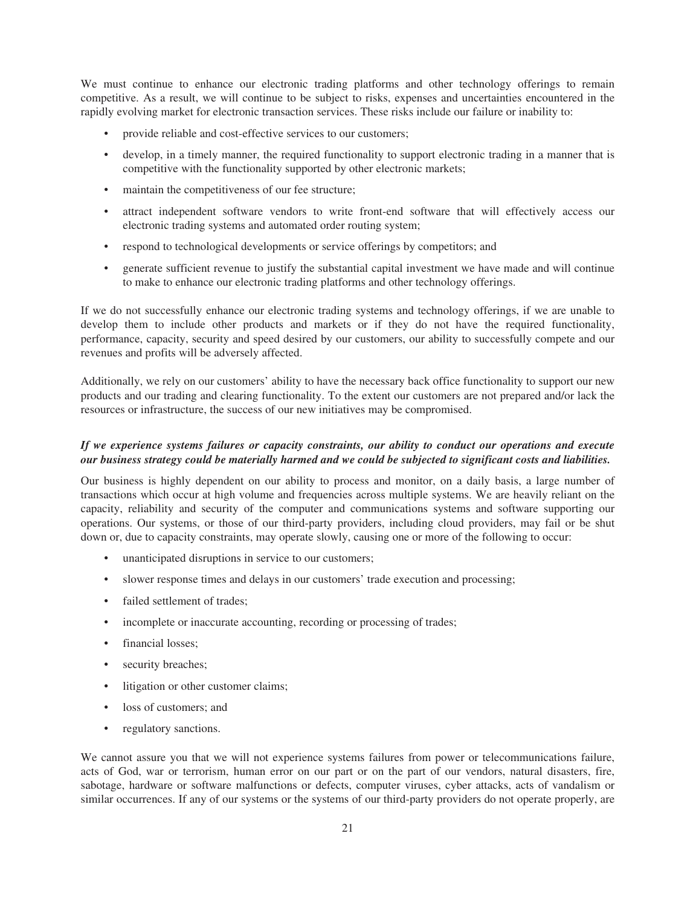We must continue to enhance our electronic trading platforms and other technology offerings to remain competitive. As a result, we will continue to be subject to risks, expenses and uncertainties encountered in the rapidly evolving market for electronic transaction services. These risks include our failure or inability to:

- provide reliable and cost-effective services to our customers;
- develop, in a timely manner, the required functionality to support electronic trading in a manner that is competitive with the functionality supported by other electronic markets;
- maintain the competitiveness of our fee structure;
- attract independent software vendors to write front-end software that will effectively access our electronic trading systems and automated order routing system;
- respond to technological developments or service offerings by competitors; and
- generate sufficient revenue to justify the substantial capital investment we have made and will continue to make to enhance our electronic trading platforms and other technology offerings.

If we do not successfully enhance our electronic trading systems and technology offerings, if we are unable to develop them to include other products and markets or if they do not have the required functionality, performance, capacity, security and speed desired by our customers, our ability to successfully compete and our revenues and profits will be adversely affected.

Additionally, we rely on our customers' ability to have the necessary back office functionality to support our new products and our trading and clearing functionality. To the extent our customers are not prepared and/or lack the resources or infrastructure, the success of our new initiatives may be compromised.

## *If we experience systems failures or capacity constraints, our ability to conduct our operations and execute our business strategy could be materially harmed and we could be subjected to significant costs and liabilities.*

Our business is highly dependent on our ability to process and monitor, on a daily basis, a large number of transactions which occur at high volume and frequencies across multiple systems. We are heavily reliant on the capacity, reliability and security of the computer and communications systems and software supporting our operations. Our systems, or those of our third-party providers, including cloud providers, may fail or be shut down or, due to capacity constraints, may operate slowly, causing one or more of the following to occur:

- unanticipated disruptions in service to our customers;
- slower response times and delays in our customers' trade execution and processing;
- failed settlement of trades:
- incomplete or inaccurate accounting, recording or processing of trades;
- financial losses;
- security breaches;
- litigation or other customer claims;
- loss of customers; and
- regulatory sanctions.

We cannot assure you that we will not experience systems failures from power or telecommunications failure, acts of God, war or terrorism, human error on our part or on the part of our vendors, natural disasters, fire, sabotage, hardware or software malfunctions or defects, computer viruses, cyber attacks, acts of vandalism or similar occurrences. If any of our systems or the systems of our third-party providers do not operate properly, are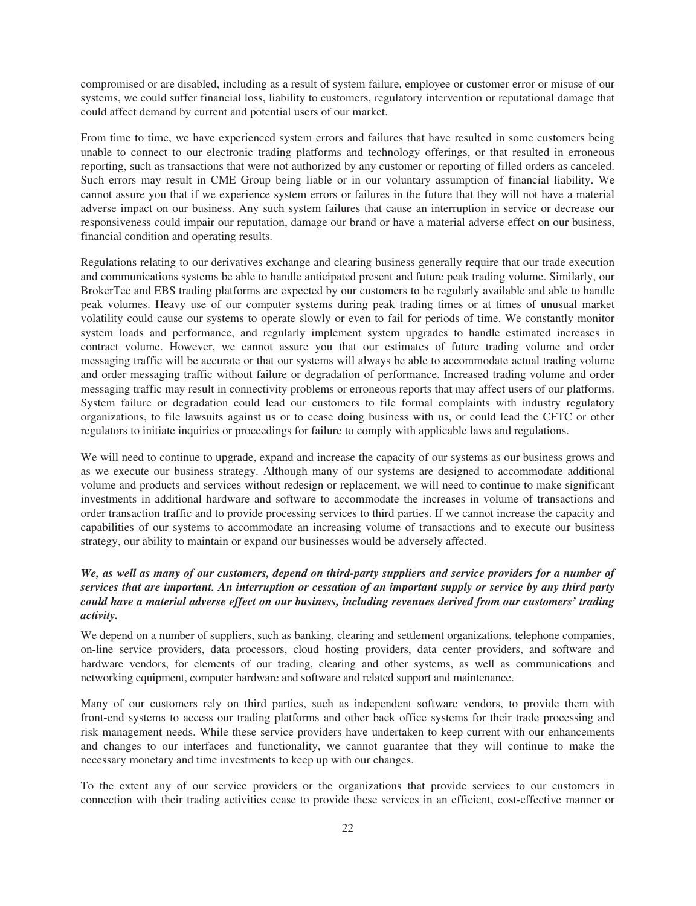compromised or are disabled, including as a result of system failure, employee or customer error or misuse of our systems, we could suffer financial loss, liability to customers, regulatory intervention or reputational damage that could affect demand by current and potential users of our market.

From time to time, we have experienced system errors and failures that have resulted in some customers being unable to connect to our electronic trading platforms and technology offerings, or that resulted in erroneous reporting, such as transactions that were not authorized by any customer or reporting of filled orders as canceled. Such errors may result in CME Group being liable or in our voluntary assumption of financial liability. We cannot assure you that if we experience system errors or failures in the future that they will not have a material adverse impact on our business. Any such system failures that cause an interruption in service or decrease our responsiveness could impair our reputation, damage our brand or have a material adverse effect on our business, financial condition and operating results.

Regulations relating to our derivatives exchange and clearing business generally require that our trade execution and communications systems be able to handle anticipated present and future peak trading volume. Similarly, our BrokerTec and EBS trading platforms are expected by our customers to be regularly available and able to handle peak volumes. Heavy use of our computer systems during peak trading times or at times of unusual market volatility could cause our systems to operate slowly or even to fail for periods of time. We constantly monitor system loads and performance, and regularly implement system upgrades to handle estimated increases in contract volume. However, we cannot assure you that our estimates of future trading volume and order messaging traffic will be accurate or that our systems will always be able to accommodate actual trading volume and order messaging traffic without failure or degradation of performance. Increased trading volume and order messaging traffic may result in connectivity problems or erroneous reports that may affect users of our platforms. System failure or degradation could lead our customers to file formal complaints with industry regulatory organizations, to file lawsuits against us or to cease doing business with us, or could lead the CFTC or other regulators to initiate inquiries or proceedings for failure to comply with applicable laws and regulations.

We will need to continue to upgrade, expand and increase the capacity of our systems as our business grows and as we execute our business strategy. Although many of our systems are designed to accommodate additional volume and products and services without redesign or replacement, we will need to continue to make significant investments in additional hardware and software to accommodate the increases in volume of transactions and order transaction traffic and to provide processing services to third parties. If we cannot increase the capacity and capabilities of our systems to accommodate an increasing volume of transactions and to execute our business strategy, our ability to maintain or expand our businesses would be adversely affected.

## *We, as well as many of our customers, depend on third-party suppliers and service providers for a number of services that are important. An interruption or cessation of an important supply or service by any third party could have a material adverse effect on our business, including revenues derived from our customers' trading activity.*

We depend on a number of suppliers, such as banking, clearing and settlement organizations, telephone companies, on-line service providers, data processors, cloud hosting providers, data center providers, and software and hardware vendors, for elements of our trading, clearing and other systems, as well as communications and networking equipment, computer hardware and software and related support and maintenance.

Many of our customers rely on third parties, such as independent software vendors, to provide them with front-end systems to access our trading platforms and other back office systems for their trade processing and risk management needs. While these service providers have undertaken to keep current with our enhancements and changes to our interfaces and functionality, we cannot guarantee that they will continue to make the necessary monetary and time investments to keep up with our changes.

To the extent any of our service providers or the organizations that provide services to our customers in connection with their trading activities cease to provide these services in an efficient, cost-effective manner or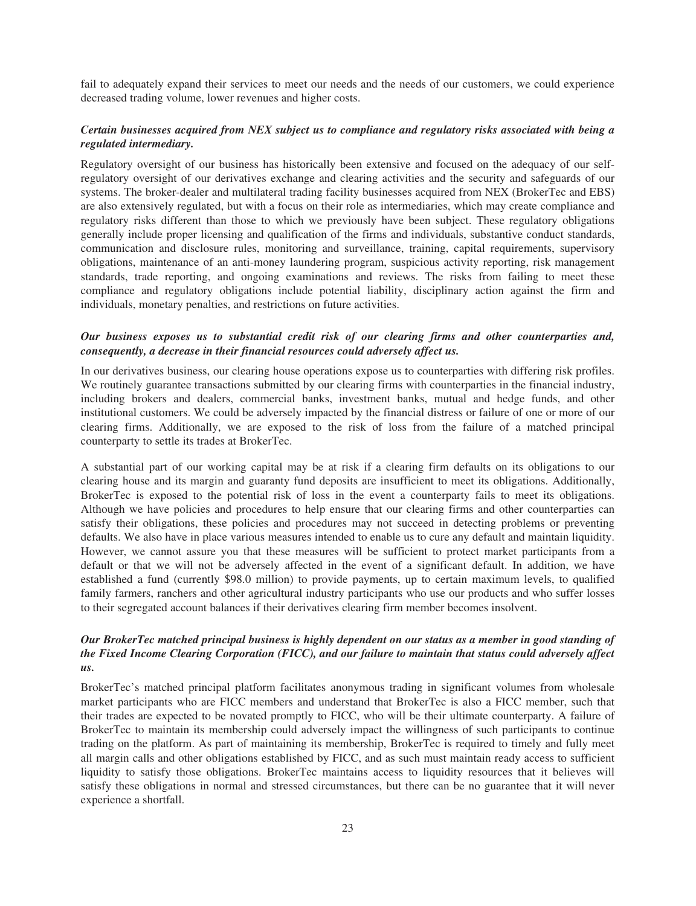fail to adequately expand their services to meet our needs and the needs of our customers, we could experience decreased trading volume, lower revenues and higher costs.

## *Certain businesses acquired from NEX subject us to compliance and regulatory risks associated with being a regulated intermediary.*

Regulatory oversight of our business has historically been extensive and focused on the adequacy of our selfregulatory oversight of our derivatives exchange and clearing activities and the security and safeguards of our systems. The broker-dealer and multilateral trading facility businesses acquired from NEX (BrokerTec and EBS) are also extensively regulated, but with a focus on their role as intermediaries, which may create compliance and regulatory risks different than those to which we previously have been subject. These regulatory obligations generally include proper licensing and qualification of the firms and individuals, substantive conduct standards, communication and disclosure rules, monitoring and surveillance, training, capital requirements, supervisory obligations, maintenance of an anti-money laundering program, suspicious activity reporting, risk management standards, trade reporting, and ongoing examinations and reviews. The risks from failing to meet these compliance and regulatory obligations include potential liability, disciplinary action against the firm and individuals, monetary penalties, and restrictions on future activities.

## *Our business exposes us to substantial credit risk of our clearing firms and other counterparties and, consequently, a decrease in their financial resources could adversely affect us.*

In our derivatives business, our clearing house operations expose us to counterparties with differing risk profiles. We routinely guarantee transactions submitted by our clearing firms with counterparties in the financial industry, including brokers and dealers, commercial banks, investment banks, mutual and hedge funds, and other institutional customers. We could be adversely impacted by the financial distress or failure of one or more of our clearing firms. Additionally, we are exposed to the risk of loss from the failure of a matched principal counterparty to settle its trades at BrokerTec.

A substantial part of our working capital may be at risk if a clearing firm defaults on its obligations to our clearing house and its margin and guaranty fund deposits are insufficient to meet its obligations. Additionally, BrokerTec is exposed to the potential risk of loss in the event a counterparty fails to meet its obligations. Although we have policies and procedures to help ensure that our clearing firms and other counterparties can satisfy their obligations, these policies and procedures may not succeed in detecting problems or preventing defaults. We also have in place various measures intended to enable us to cure any default and maintain liquidity. However, we cannot assure you that these measures will be sufficient to protect market participants from a default or that we will not be adversely affected in the event of a significant default. In addition, we have established a fund (currently \$98.0 million) to provide payments, up to certain maximum levels, to qualified family farmers, ranchers and other agricultural industry participants who use our products and who suffer losses to their segregated account balances if their derivatives clearing firm member becomes insolvent.

## *Our BrokerTec matched principal business is highly dependent on our status as a member in good standing of the Fixed Income Clearing Corporation (FICC), and our failure to maintain that status could adversely affect us.*

BrokerTec's matched principal platform facilitates anonymous trading in significant volumes from wholesale market participants who are FICC members and understand that BrokerTec is also a FICC member, such that their trades are expected to be novated promptly to FICC, who will be their ultimate counterparty. A failure of BrokerTec to maintain its membership could adversely impact the willingness of such participants to continue trading on the platform. As part of maintaining its membership, BrokerTec is required to timely and fully meet all margin calls and other obligations established by FICC, and as such must maintain ready access to sufficient liquidity to satisfy those obligations. BrokerTec maintains access to liquidity resources that it believes will satisfy these obligations in normal and stressed circumstances, but there can be no guarantee that it will never experience a shortfall.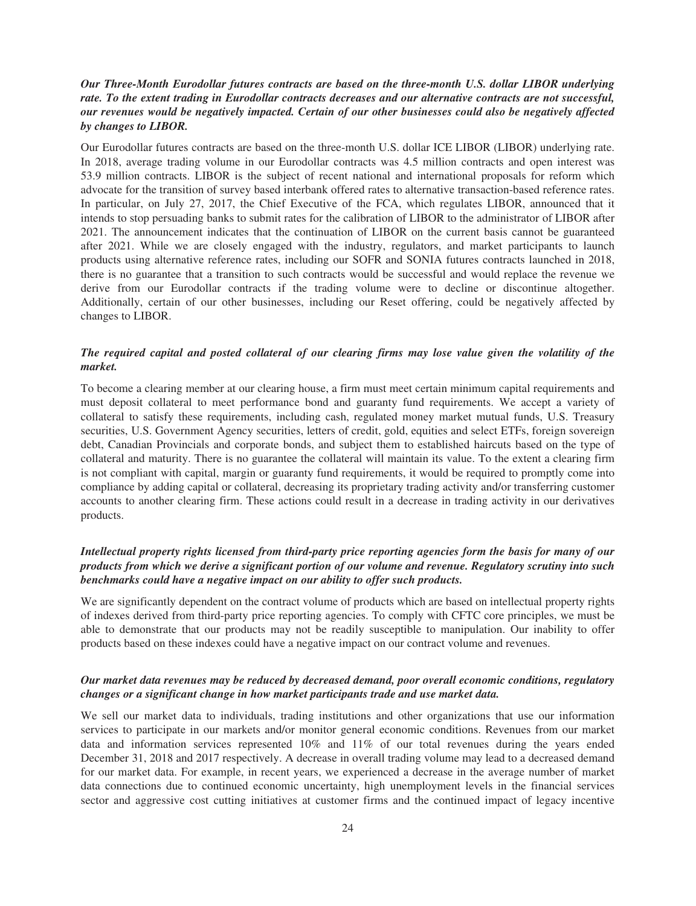## *Our Three-Month Eurodollar futures contracts are based on the three-month U.S. dollar LIBOR underlying rate. To the extent trading in Eurodollar contracts decreases and our alternative contracts are not successful, our revenues would be negatively impacted. Certain of our other businesses could also be negatively affected by changes to LIBOR.*

Our Eurodollar futures contracts are based on the three-month U.S. dollar ICE LIBOR (LIBOR) underlying rate. In 2018, average trading volume in our Eurodollar contracts was 4.5 million contracts and open interest was 53.9 million contracts. LIBOR is the subject of recent national and international proposals for reform which advocate for the transition of survey based interbank offered rates to alternative transaction-based reference rates. In particular, on July 27, 2017, the Chief Executive of the FCA, which regulates LIBOR, announced that it intends to stop persuading banks to submit rates for the calibration of LIBOR to the administrator of LIBOR after 2021. The announcement indicates that the continuation of LIBOR on the current basis cannot be guaranteed after 2021. While we are closely engaged with the industry, regulators, and market participants to launch products using alternative reference rates, including our SOFR and SONIA futures contracts launched in 2018, there is no guarantee that a transition to such contracts would be successful and would replace the revenue we derive from our Eurodollar contracts if the trading volume were to decline or discontinue altogether. Additionally, certain of our other businesses, including our Reset offering, could be negatively affected by changes to LIBOR.

## *The required capital and posted collateral of our clearing firms may lose value given the volatility of the market.*

To become a clearing member at our clearing house, a firm must meet certain minimum capital requirements and must deposit collateral to meet performance bond and guaranty fund requirements. We accept a variety of collateral to satisfy these requirements, including cash, regulated money market mutual funds, U.S. Treasury securities, U.S. Government Agency securities, letters of credit, gold, equities and select ETFs, foreign sovereign debt, Canadian Provincials and corporate bonds, and subject them to established haircuts based on the type of collateral and maturity. There is no guarantee the collateral will maintain its value. To the extent a clearing firm is not compliant with capital, margin or guaranty fund requirements, it would be required to promptly come into compliance by adding capital or collateral, decreasing its proprietary trading activity and/or transferring customer accounts to another clearing firm. These actions could result in a decrease in trading activity in our derivatives products.

## *Intellectual property rights licensed from third-party price reporting agencies form the basis for many of our products from which we derive a significant portion of our volume and revenue. Regulatory scrutiny into such benchmarks could have a negative impact on our ability to offer such products.*

We are significantly dependent on the contract volume of products which are based on intellectual property rights of indexes derived from third-party price reporting agencies. To comply with CFTC core principles, we must be able to demonstrate that our products may not be readily susceptible to manipulation. Our inability to offer products based on these indexes could have a negative impact on our contract volume and revenues.

## *Our market data revenues may be reduced by decreased demand, poor overall economic conditions, regulatory changes or a significant change in how market participants trade and use market data.*

We sell our market data to individuals, trading institutions and other organizations that use our information services to participate in our markets and/or monitor general economic conditions. Revenues from our market data and information services represented 10% and 11% of our total revenues during the years ended December 31, 2018 and 2017 respectively. A decrease in overall trading volume may lead to a decreased demand for our market data. For example, in recent years, we experienced a decrease in the average number of market data connections due to continued economic uncertainty, high unemployment levels in the financial services sector and aggressive cost cutting initiatives at customer firms and the continued impact of legacy incentive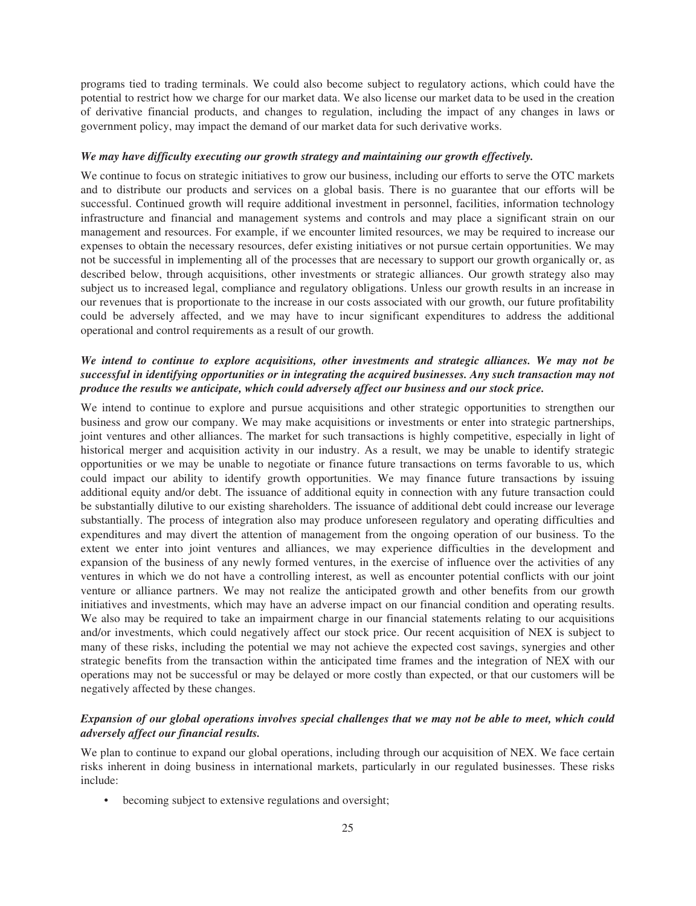programs tied to trading terminals. We could also become subject to regulatory actions, which could have the potential to restrict how we charge for our market data. We also license our market data to be used in the creation of derivative financial products, and changes to regulation, including the impact of any changes in laws or government policy, may impact the demand of our market data for such derivative works.

#### *We may have difficulty executing our growth strategy and maintaining our growth effectively.*

We continue to focus on strategic initiatives to grow our business, including our efforts to serve the OTC markets and to distribute our products and services on a global basis. There is no guarantee that our efforts will be successful. Continued growth will require additional investment in personnel, facilities, information technology infrastructure and financial and management systems and controls and may place a significant strain on our management and resources. For example, if we encounter limited resources, we may be required to increase our expenses to obtain the necessary resources, defer existing initiatives or not pursue certain opportunities. We may not be successful in implementing all of the processes that are necessary to support our growth organically or, as described below, through acquisitions, other investments or strategic alliances. Our growth strategy also may subject us to increased legal, compliance and regulatory obligations. Unless our growth results in an increase in our revenues that is proportionate to the increase in our costs associated with our growth, our future profitability could be adversely affected, and we may have to incur significant expenditures to address the additional operational and control requirements as a result of our growth.

## *We intend to continue to explore acquisitions, other investments and strategic alliances. We may not be successful in identifying opportunities or in integrating the acquired businesses. Any such transaction may not produce the results we anticipate, which could adversely affect our business and our stock price.*

We intend to continue to explore and pursue acquisitions and other strategic opportunities to strengthen our business and grow our company. We may make acquisitions or investments or enter into strategic partnerships, joint ventures and other alliances. The market for such transactions is highly competitive, especially in light of historical merger and acquisition activity in our industry. As a result, we may be unable to identify strategic opportunities or we may be unable to negotiate or finance future transactions on terms favorable to us, which could impact our ability to identify growth opportunities. We may finance future transactions by issuing additional equity and/or debt. The issuance of additional equity in connection with any future transaction could be substantially dilutive to our existing shareholders. The issuance of additional debt could increase our leverage substantially. The process of integration also may produce unforeseen regulatory and operating difficulties and expenditures and may divert the attention of management from the ongoing operation of our business. To the extent we enter into joint ventures and alliances, we may experience difficulties in the development and expansion of the business of any newly formed ventures, in the exercise of influence over the activities of any ventures in which we do not have a controlling interest, as well as encounter potential conflicts with our joint venture or alliance partners. We may not realize the anticipated growth and other benefits from our growth initiatives and investments, which may have an adverse impact on our financial condition and operating results. We also may be required to take an impairment charge in our financial statements relating to our acquisitions and/or investments, which could negatively affect our stock price. Our recent acquisition of NEX is subject to many of these risks, including the potential we may not achieve the expected cost savings, synergies and other strategic benefits from the transaction within the anticipated time frames and the integration of NEX with our operations may not be successful or may be delayed or more costly than expected, or that our customers will be negatively affected by these changes.

## *Expansion of our global operations involves special challenges that we may not be able to meet, which could adversely affect our financial results.*

We plan to continue to expand our global operations, including through our acquisition of NEX. We face certain risks inherent in doing business in international markets, particularly in our regulated businesses. These risks include:

• becoming subject to extensive regulations and oversight;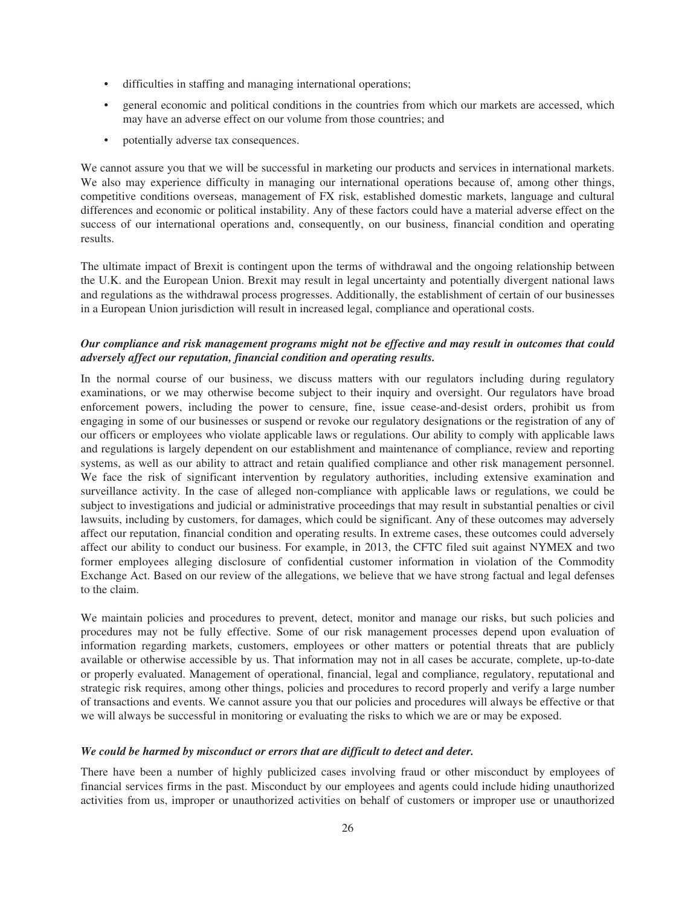- difficulties in staffing and managing international operations;
- general economic and political conditions in the countries from which our markets are accessed, which may have an adverse effect on our volume from those countries; and
- potentially adverse tax consequences.

We cannot assure you that we will be successful in marketing our products and services in international markets. We also may experience difficulty in managing our international operations because of, among other things, competitive conditions overseas, management of FX risk, established domestic markets, language and cultural differences and economic or political instability. Any of these factors could have a material adverse effect on the success of our international operations and, consequently, on our business, financial condition and operating results.

The ultimate impact of Brexit is contingent upon the terms of withdrawal and the ongoing relationship between the U.K. and the European Union. Brexit may result in legal uncertainty and potentially divergent national laws and regulations as the withdrawal process progresses. Additionally, the establishment of certain of our businesses in a European Union jurisdiction will result in increased legal, compliance and operational costs.

## *Our compliance and risk management programs might not be effective and may result in outcomes that could adversely affect our reputation, financial condition and operating results.*

In the normal course of our business, we discuss matters with our regulators including during regulatory examinations, or we may otherwise become subject to their inquiry and oversight. Our regulators have broad enforcement powers, including the power to censure, fine, issue cease-and-desist orders, prohibit us from engaging in some of our businesses or suspend or revoke our regulatory designations or the registration of any of our officers or employees who violate applicable laws or regulations. Our ability to comply with applicable laws and regulations is largely dependent on our establishment and maintenance of compliance, review and reporting systems, as well as our ability to attract and retain qualified compliance and other risk management personnel. We face the risk of significant intervention by regulatory authorities, including extensive examination and surveillance activity. In the case of alleged non-compliance with applicable laws or regulations, we could be subject to investigations and judicial or administrative proceedings that may result in substantial penalties or civil lawsuits, including by customers, for damages, which could be significant. Any of these outcomes may adversely affect our reputation, financial condition and operating results. In extreme cases, these outcomes could adversely affect our ability to conduct our business. For example, in 2013, the CFTC filed suit against NYMEX and two former employees alleging disclosure of confidential customer information in violation of the Commodity Exchange Act. Based on our review of the allegations, we believe that we have strong factual and legal defenses to the claim.

We maintain policies and procedures to prevent, detect, monitor and manage our risks, but such policies and procedures may not be fully effective. Some of our risk management processes depend upon evaluation of information regarding markets, customers, employees or other matters or potential threats that are publicly available or otherwise accessible by us. That information may not in all cases be accurate, complete, up-to-date or properly evaluated. Management of operational, financial, legal and compliance, regulatory, reputational and strategic risk requires, among other things, policies and procedures to record properly and verify a large number of transactions and events. We cannot assure you that our policies and procedures will always be effective or that we will always be successful in monitoring or evaluating the risks to which we are or may be exposed.

## *We could be harmed by misconduct or errors that are difficult to detect and deter.*

There have been a number of highly publicized cases involving fraud or other misconduct by employees of financial services firms in the past. Misconduct by our employees and agents could include hiding unauthorized activities from us, improper or unauthorized activities on behalf of customers or improper use or unauthorized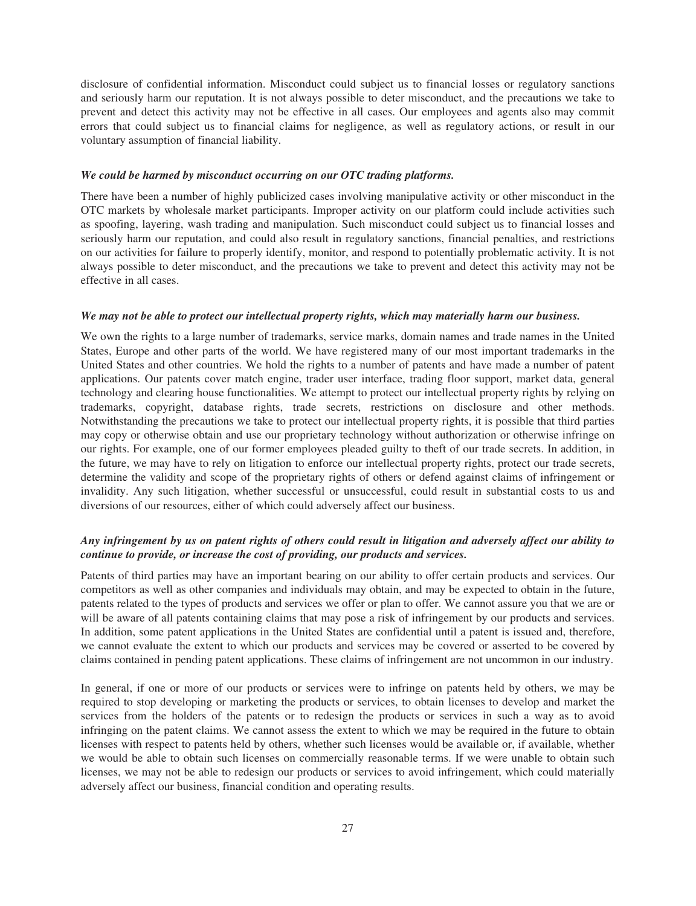disclosure of confidential information. Misconduct could subject us to financial losses or regulatory sanctions and seriously harm our reputation. It is not always possible to deter misconduct, and the precautions we take to prevent and detect this activity may not be effective in all cases. Our employees and agents also may commit errors that could subject us to financial claims for negligence, as well as regulatory actions, or result in our voluntary assumption of financial liability.

#### *We could be harmed by misconduct occurring on our OTC trading platforms.*

There have been a number of highly publicized cases involving manipulative activity or other misconduct in the OTC markets by wholesale market participants. Improper activity on our platform could include activities such as spoofing, layering, wash trading and manipulation. Such misconduct could subject us to financial losses and seriously harm our reputation, and could also result in regulatory sanctions, financial penalties, and restrictions on our activities for failure to properly identify, monitor, and respond to potentially problematic activity. It is not always possible to deter misconduct, and the precautions we take to prevent and detect this activity may not be effective in all cases.

#### *We may not be able to protect our intellectual property rights, which may materially harm our business.*

We own the rights to a large number of trademarks, service marks, domain names and trade names in the United States, Europe and other parts of the world. We have registered many of our most important trademarks in the United States and other countries. We hold the rights to a number of patents and have made a number of patent applications. Our patents cover match engine, trader user interface, trading floor support, market data, general technology and clearing house functionalities. We attempt to protect our intellectual property rights by relying on trademarks, copyright, database rights, trade secrets, restrictions on disclosure and other methods. Notwithstanding the precautions we take to protect our intellectual property rights, it is possible that third parties may copy or otherwise obtain and use our proprietary technology without authorization or otherwise infringe on our rights. For example, one of our former employees pleaded guilty to theft of our trade secrets. In addition, in the future, we may have to rely on litigation to enforce our intellectual property rights, protect our trade secrets, determine the validity and scope of the proprietary rights of others or defend against claims of infringement or invalidity. Any such litigation, whether successful or unsuccessful, could result in substantial costs to us and diversions of our resources, either of which could adversely affect our business.

## *Any infringement by us on patent rights of others could result in litigation and adversely affect our ability to continue to provide, or increase the cost of providing, our products and services.*

Patents of third parties may have an important bearing on our ability to offer certain products and services. Our competitors as well as other companies and individuals may obtain, and may be expected to obtain in the future, patents related to the types of products and services we offer or plan to offer. We cannot assure you that we are or will be aware of all patents containing claims that may pose a risk of infringement by our products and services. In addition, some patent applications in the United States are confidential until a patent is issued and, therefore, we cannot evaluate the extent to which our products and services may be covered or asserted to be covered by claims contained in pending patent applications. These claims of infringement are not uncommon in our industry.

In general, if one or more of our products or services were to infringe on patents held by others, we may be required to stop developing or marketing the products or services, to obtain licenses to develop and market the services from the holders of the patents or to redesign the products or services in such a way as to avoid infringing on the patent claims. We cannot assess the extent to which we may be required in the future to obtain licenses with respect to patents held by others, whether such licenses would be available or, if available, whether we would be able to obtain such licenses on commercially reasonable terms. If we were unable to obtain such licenses, we may not be able to redesign our products or services to avoid infringement, which could materially adversely affect our business, financial condition and operating results.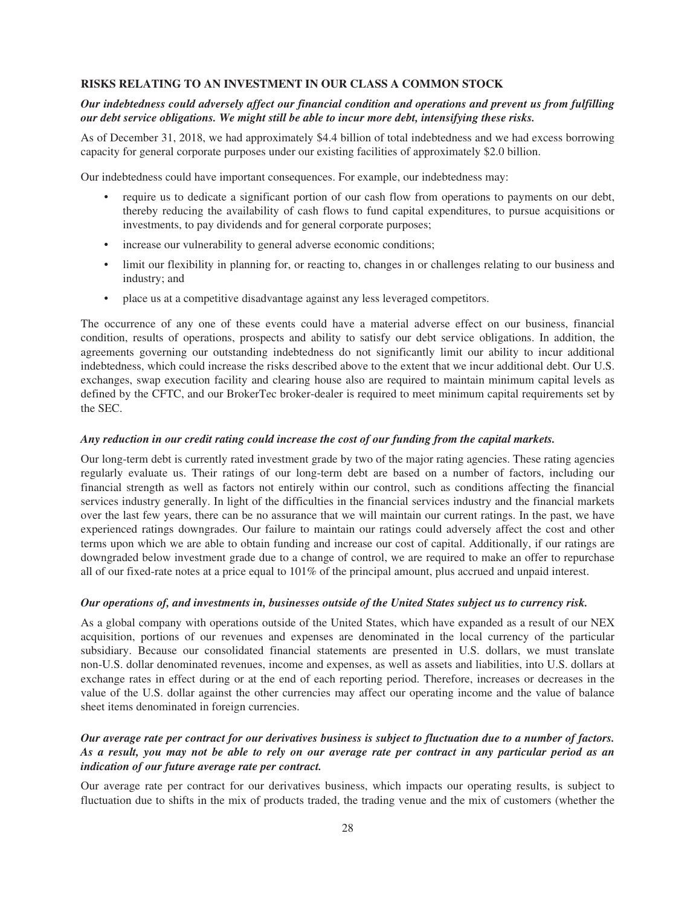#### **RISKS RELATING TO AN INVESTMENT IN OUR CLASS A COMMON STOCK**

## *Our indebtedness could adversely affect our financial condition and operations and prevent us from fulfilling our debt service obligations. We might still be able to incur more debt, intensifying these risks.*

As of December 31, 2018, we had approximately \$4.4 billion of total indebtedness and we had excess borrowing capacity for general corporate purposes under our existing facilities of approximately \$2.0 billion.

Our indebtedness could have important consequences. For example, our indebtedness may:

- require us to dedicate a significant portion of our cash flow from operations to payments on our debt, thereby reducing the availability of cash flows to fund capital expenditures, to pursue acquisitions or investments, to pay dividends and for general corporate purposes;
- increase our vulnerability to general adverse economic conditions;
- limit our flexibility in planning for, or reacting to, changes in or challenges relating to our business and industry; and
- place us at a competitive disadvantage against any less leveraged competitors.

The occurrence of any one of these events could have a material adverse effect on our business, financial condition, results of operations, prospects and ability to satisfy our debt service obligations. In addition, the agreements governing our outstanding indebtedness do not significantly limit our ability to incur additional indebtedness, which could increase the risks described above to the extent that we incur additional debt. Our U.S. exchanges, swap execution facility and clearing house also are required to maintain minimum capital levels as defined by the CFTC, and our BrokerTec broker-dealer is required to meet minimum capital requirements set by the SEC.

#### *Any reduction in our credit rating could increase the cost of our funding from the capital markets.*

Our long-term debt is currently rated investment grade by two of the major rating agencies. These rating agencies regularly evaluate us. Their ratings of our long-term debt are based on a number of factors, including our financial strength as well as factors not entirely within our control, such as conditions affecting the financial services industry generally. In light of the difficulties in the financial services industry and the financial markets over the last few years, there can be no assurance that we will maintain our current ratings. In the past, we have experienced ratings downgrades. Our failure to maintain our ratings could adversely affect the cost and other terms upon which we are able to obtain funding and increase our cost of capital. Additionally, if our ratings are downgraded below investment grade due to a change of control, we are required to make an offer to repurchase all of our fixed-rate notes at a price equal to 101% of the principal amount, plus accrued and unpaid interest.

#### *Our operations of, and investments in, businesses outside of the United States subject us to currency risk.*

As a global company with operations outside of the United States, which have expanded as a result of our NEX acquisition, portions of our revenues and expenses are denominated in the local currency of the particular subsidiary. Because our consolidated financial statements are presented in U.S. dollars, we must translate non-U.S. dollar denominated revenues, income and expenses, as well as assets and liabilities, into U.S. dollars at exchange rates in effect during or at the end of each reporting period. Therefore, increases or decreases in the value of the U.S. dollar against the other currencies may affect our operating income and the value of balance sheet items denominated in foreign currencies.

## *Our average rate per contract for our derivatives business is subject to fluctuation due to a number of factors. As a result, you may not be able to rely on our average rate per contract in any particular period as an indication of our future average rate per contract.*

Our average rate per contract for our derivatives business, which impacts our operating results, is subject to fluctuation due to shifts in the mix of products traded, the trading venue and the mix of customers (whether the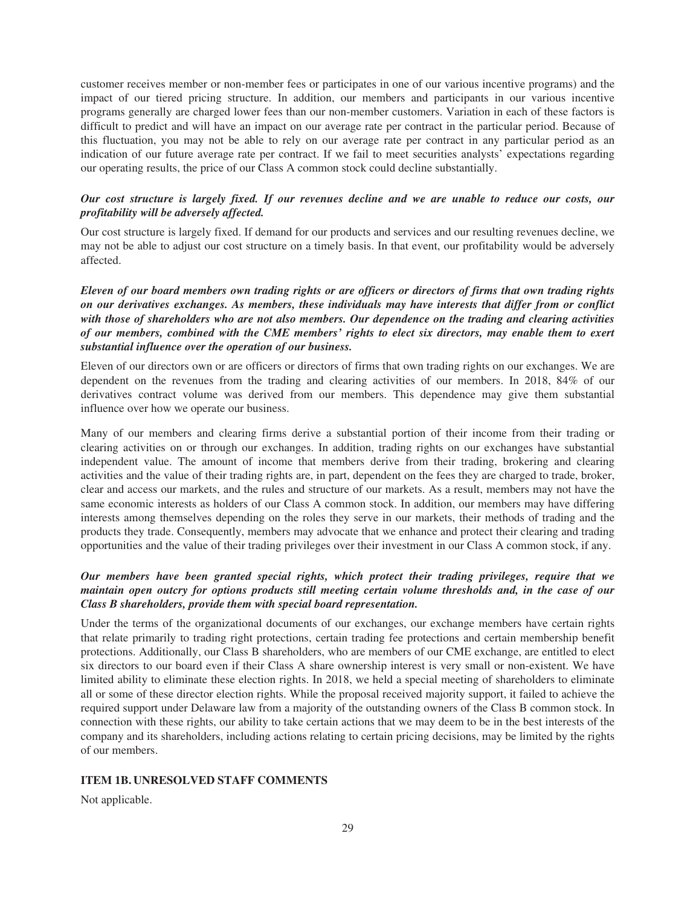customer receives member or non-member fees or participates in one of our various incentive programs) and the impact of our tiered pricing structure. In addition, our members and participants in our various incentive programs generally are charged lower fees than our non-member customers. Variation in each of these factors is difficult to predict and will have an impact on our average rate per contract in the particular period. Because of this fluctuation, you may not be able to rely on our average rate per contract in any particular period as an indication of our future average rate per contract. If we fail to meet securities analysts' expectations regarding our operating results, the price of our Class A common stock could decline substantially.

## *Our cost structure is largely fixed. If our revenues decline and we are unable to reduce our costs, our profitability will be adversely affected.*

Our cost structure is largely fixed. If demand for our products and services and our resulting revenues decline, we may not be able to adjust our cost structure on a timely basis. In that event, our profitability would be adversely affected.

## *Eleven of our board members own trading rights or are officers or directors of firms that own trading rights on our derivatives exchanges. As members, these individuals may have interests that differ from or conflict with those of shareholders who are not also members. Our dependence on the trading and clearing activities of our members, combined with the CME members' rights to elect six directors, may enable them to exert substantial influence over the operation of our business.*

Eleven of our directors own or are officers or directors of firms that own trading rights on our exchanges. We are dependent on the revenues from the trading and clearing activities of our members. In 2018, 84% of our derivatives contract volume was derived from our members. This dependence may give them substantial influence over how we operate our business.

Many of our members and clearing firms derive a substantial portion of their income from their trading or clearing activities on or through our exchanges. In addition, trading rights on our exchanges have substantial independent value. The amount of income that members derive from their trading, brokering and clearing activities and the value of their trading rights are, in part, dependent on the fees they are charged to trade, broker, clear and access our markets, and the rules and structure of our markets. As a result, members may not have the same economic interests as holders of our Class A common stock. In addition, our members may have differing interests among themselves depending on the roles they serve in our markets, their methods of trading and the products they trade. Consequently, members may advocate that we enhance and protect their clearing and trading opportunities and the value of their trading privileges over their investment in our Class A common stock, if any.

## *Our members have been granted special rights, which protect their trading privileges, require that we maintain open outcry for options products still meeting certain volume thresholds and, in the case of our Class B shareholders, provide them with special board representation.*

Under the terms of the organizational documents of our exchanges, our exchange members have certain rights that relate primarily to trading right protections, certain trading fee protections and certain membership benefit protections. Additionally, our Class B shareholders, who are members of our CME exchange, are entitled to elect six directors to our board even if their Class A share ownership interest is very small or non-existent. We have limited ability to eliminate these election rights. In 2018, we held a special meeting of shareholders to eliminate all or some of these director election rights. While the proposal received majority support, it failed to achieve the required support under Delaware law from a majority of the outstanding owners of the Class B common stock. In connection with these rights, our ability to take certain actions that we may deem to be in the best interests of the company and its shareholders, including actions relating to certain pricing decisions, may be limited by the rights of our members.

## **ITEM 1B. UNRESOLVED STAFF COMMENTS**

Not applicable.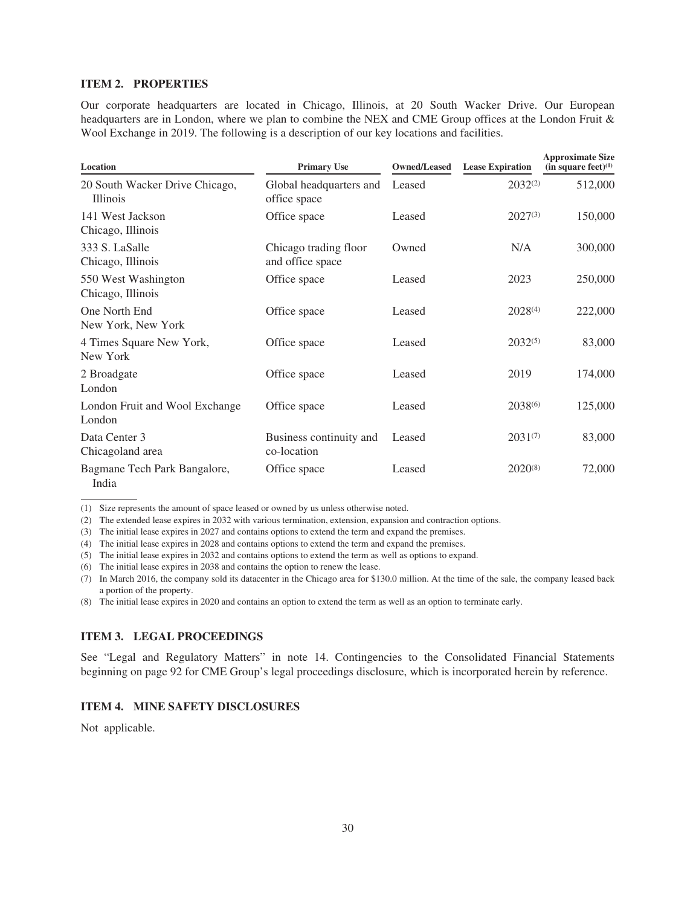## **ITEM 2. PROPERTIES**

Our corporate headquarters are located in Chicago, Illinois, at 20 South Wacker Drive. Our European headquarters are in London, where we plan to combine the NEX and CME Group offices at the London Fruit & Wool Exchange in 2019. The following is a description of our key locations and facilities.

**Approximate Size**

| Location                                   | <b>Primary Use</b>                        | Owned/Leased | <b>Lease Expiration</b> | Approximate Size<br>$(in square feet)^{(1)}$ |
|--------------------------------------------|-------------------------------------------|--------------|-------------------------|----------------------------------------------|
| 20 South Wacker Drive Chicago,<br>Illinois | Global headquarters and<br>office space   | Leased       | $2032^{(2)}$            | 512,000                                      |
| 141 West Jackson<br>Chicago, Illinois      | Office space                              | Leased       | $2027^{(3)}$            | 150,000                                      |
| 333 S. LaSalle<br>Chicago, Illinois        | Chicago trading floor<br>and office space | Owned        | N/A                     | 300,000                                      |
| 550 West Washington<br>Chicago, Illinois   | Office space                              | Leased       | 2023                    | 250,000                                      |
| One North End<br>New York, New York        | Office space                              | Leased       | $2028^{(4)}$            | 222,000                                      |
| 4 Times Square New York,<br>New York       | Office space                              | Leased       | $2032^{(5)}$            | 83,000                                       |
| 2 Broadgate<br>London                      | Office space                              | Leased       | 2019                    | 174,000                                      |
| London Fruit and Wool Exchange<br>London   | Office space                              | Leased       | 2038(6)                 | 125,000                                      |
| Data Center 3<br>Chicagoland area          | Business continuity and<br>co-location    | Leased       | $2031^{(7)}$            | 83,000                                       |
| Bagmane Tech Park Bangalore,<br>India      | Office space                              | Leased       | $2020^{(8)}$            | 72,000                                       |

(1) Size represents the amount of space leased or owned by us unless otherwise noted.

(2) The extended lease expires in 2032 with various termination, extension, expansion and contraction options.

(3) The initial lease expires in 2027 and contains options to extend the term and expand the premises.

(4) The initial lease expires in 2028 and contains options to extend the term and expand the premises.

(5) The initial lease expires in 2032 and contains options to extend the term as well as options to expand.

(6) The initial lease expires in 2038 and contains the option to renew the lease.

(7) In March 2016, the company sold its datacenter in the Chicago area for \$130.0 million. At the time of the sale, the company leased back a portion of the property.

(8) The initial lease expires in 2020 and contains an option to extend the term as well as an option to terminate early.

## **ITEM 3. LEGAL PROCEEDINGS**

See "Legal and Regulatory Matters" in note 14. Contingencies to the Consolidated Financial Statements beginning on page 92 for CME Group's legal proceedings disclosure, which is incorporated herein by reference.

#### **ITEM 4. MINE SAFETY DISCLOSURES**

Not applicable.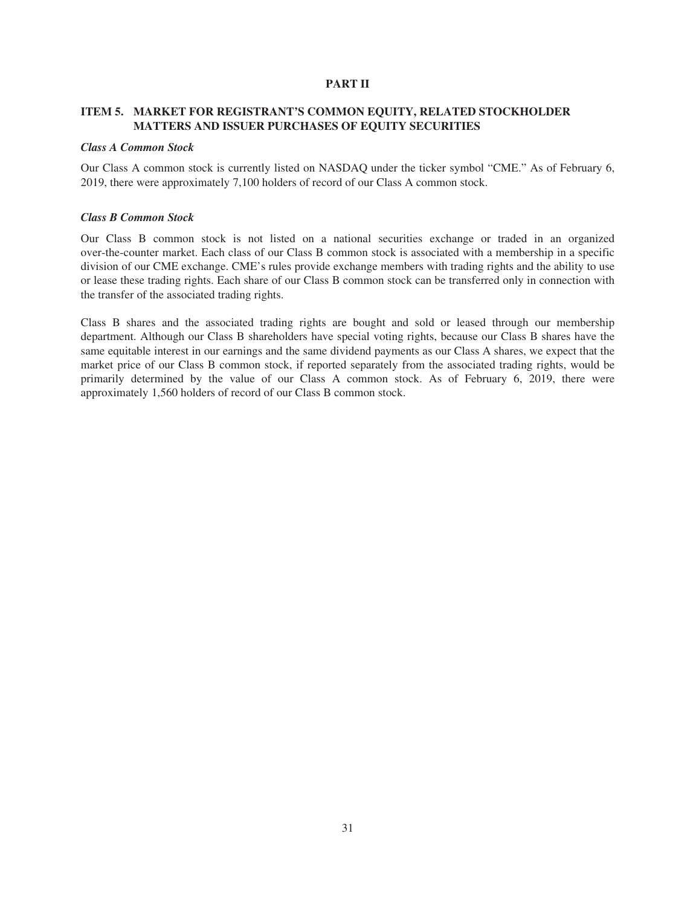#### **PART II**

## **ITEM 5. MARKET FOR REGISTRANT'S COMMON EQUITY, RELATED STOCKHOLDER MATTERS AND ISSUER PURCHASES OF EQUITY SECURITIES**

#### *Class A Common Stock*

Our Class A common stock is currently listed on NASDAQ under the ticker symbol "CME." As of February 6, 2019, there were approximately 7,100 holders of record of our Class A common stock.

#### *Class B Common Stock*

Our Class B common stock is not listed on a national securities exchange or traded in an organized over-the-counter market. Each class of our Class B common stock is associated with a membership in a specific division of our CME exchange. CME's rules provide exchange members with trading rights and the ability to use or lease these trading rights. Each share of our Class B common stock can be transferred only in connection with the transfer of the associated trading rights.

Class B shares and the associated trading rights are bought and sold or leased through our membership department. Although our Class B shareholders have special voting rights, because our Class B shares have the same equitable interest in our earnings and the same dividend payments as our Class A shares, we expect that the market price of our Class B common stock, if reported separately from the associated trading rights, would be primarily determined by the value of our Class A common stock. As of February 6, 2019, there were approximately 1,560 holders of record of our Class B common stock.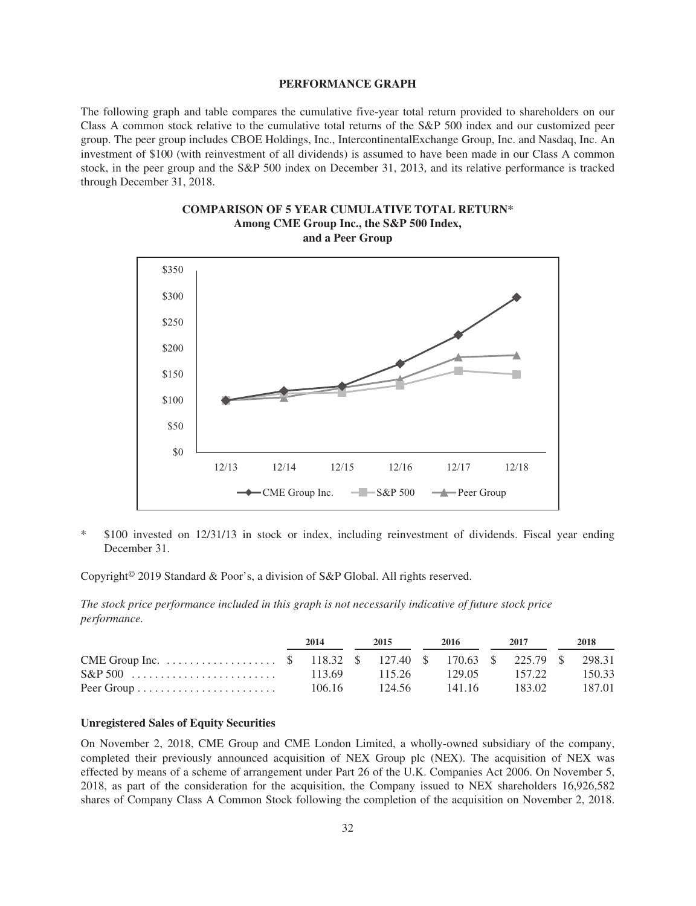#### **PERFORMANCE GRAPH**

The following graph and table compares the cumulative five-year total return provided to shareholders on our Class A common stock relative to the cumulative total returns of the S&P 500 index and our customized peer group. The peer group includes CBOE Holdings, Inc., IntercontinentalExchange Group, Inc. and Nasdaq, Inc. An investment of \$100 (with reinvestment of all dividends) is assumed to have been made in our Class A common stock, in the peer group and the S&P 500 index on December 31, 2013, and its relative performance is tracked through December 31, 2018.





\* \$100 invested on 12/31/13 in stock or index, including reinvestment of dividends. Fiscal year ending December 31.

Copyright© 2019 Standard & Poor's, a division of S&P Global. All rights reserved.

*The stock price performance included in this graph is not necessarily indicative of future stock price performance.*

|                                                                  | 2014 |  | 2015 |  | 2016 |                             | 2017 |  | 2018 |          |
|------------------------------------------------------------------|------|--|------|--|------|-----------------------------|------|--|------|----------|
| CME Group Inc. \$ 118.32 \$ 127.40 \$ 170.63 \$ 225.79 \$ 298.31 |      |  |      |  |      |                             |      |  |      |          |
|                                                                  |      |  |      |  |      | 115.26 129.05 157.22 150.33 |      |  |      |          |
|                                                                  |      |  |      |  |      | 106.16 124.56 141.16 183.02 |      |  |      | - 187.01 |

#### **Unregistered Sales of Equity Securities**

On November 2, 2018, CME Group and CME London Limited, a wholly-owned subsidiary of the company, completed their previously announced acquisition of NEX Group plc (NEX). The acquisition of NEX was effected by means of a scheme of arrangement under Part 26 of the U.K. Companies Act 2006. On November 5, 2018, as part of the consideration for the acquisition, the Company issued to NEX shareholders 16,926,582 shares of Company Class A Common Stock following the completion of the acquisition on November 2, 2018.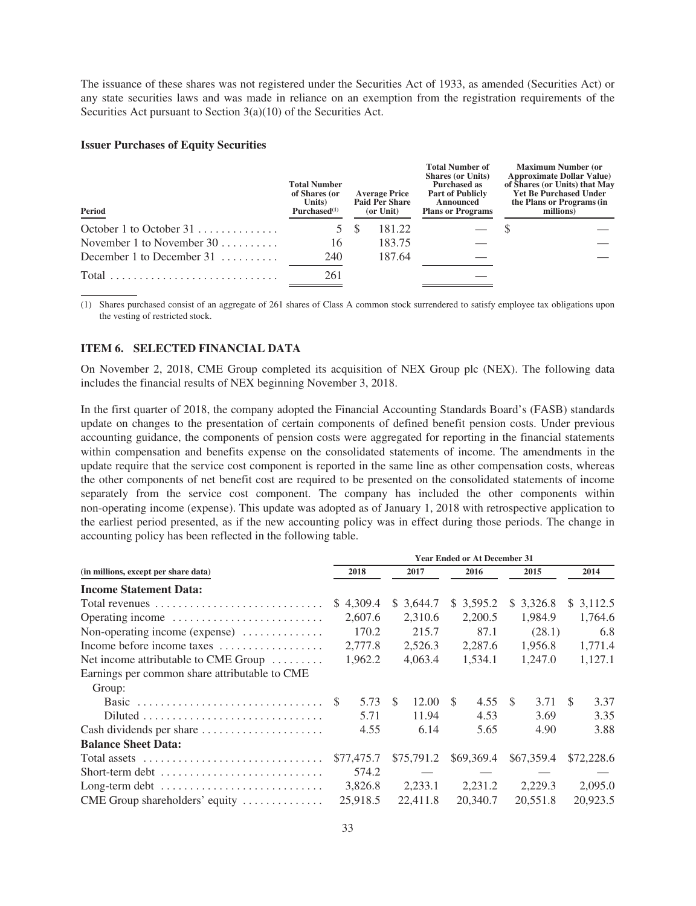The issuance of these shares was not registered under the Securities Act of 1933, as amended (Securities Act) or any state securities laws and was made in reliance on an exemption from the registration requirements of the Securities Act pursuant to Section 3(a)(10) of the Securities Act.

## **Issuer Purchases of Equity Securities**

| <u>Period</u>                               | <b>Total Number</b><br>of Shares (or<br>Units)<br>Purchased <sup>(1)</sup> | <b>Average Price</b><br><b>Paid Per Share</b><br>(or Unit) |        | <b>Total Number of</b><br><b>Shares (or Units)</b><br><b>Purchased as</b><br><b>Part of Publicly</b><br>Announced<br><b>Plans or Programs</b> | <b>Maximum Number (or</b><br><b>Approximate Dollar Value)</b><br>of Shares (or Units) that May<br><b>Yet Be Purchased Under</b><br>the Plans or Programs (in<br>millions) |  |  |
|---------------------------------------------|----------------------------------------------------------------------------|------------------------------------------------------------|--------|-----------------------------------------------------------------------------------------------------------------------------------------------|---------------------------------------------------------------------------------------------------------------------------------------------------------------------------|--|--|
| October 1 to October 31 $\dots$             |                                                                            |                                                            | 181.22 |                                                                                                                                               |                                                                                                                                                                           |  |  |
| November 1 to November 30 $\dots\dots\dots$ | 16                                                                         |                                                            | 183.75 |                                                                                                                                               |                                                                                                                                                                           |  |  |
| December 1 to December 31 $\dots\dots\dots$ | 240                                                                        |                                                            | 187.64 |                                                                                                                                               |                                                                                                                                                                           |  |  |
|                                             | 261                                                                        |                                                            |        |                                                                                                                                               |                                                                                                                                                                           |  |  |

(1) Shares purchased consist of an aggregate of 261 shares of Class A common stock surrendered to satisfy employee tax obligations upon the vesting of restricted stock.

#### **ITEM 6. SELECTED FINANCIAL DATA**

On November 2, 2018, CME Group completed its acquisition of NEX Group plc (NEX). The following data includes the financial results of NEX beginning November 3, 2018.

In the first quarter of 2018, the company adopted the Financial Accounting Standards Board's (FASB) standards update on changes to the presentation of certain components of defined benefit pension costs. Under previous accounting guidance, the components of pension costs were aggregated for reporting in the financial statements within compensation and benefits expense on the consolidated statements of income. The amendments in the update require that the service cost component is reported in the same line as other compensation costs, whereas the other components of net benefit cost are required to be presented on the consolidated statements of income separately from the service cost component. The company has included the other components within non-operating income (expense). This update was adopted as of January 1, 2018 with retrospective application to the earliest period presented, as if the new accounting policy was in effect during those periods. The change in accounting policy has been reflected in the following table.

|                                                                          | <b>Year Ended or At December 31</b> |               |            |            |            |  |  |  |  |
|--------------------------------------------------------------------------|-------------------------------------|---------------|------------|------------|------------|--|--|--|--|
| (in millions, except per share data)                                     | 2018                                | 2017          | 2016       | 2015       | 2014       |  |  |  |  |
| <b>Income Statement Data:</b>                                            |                                     |               |            |            |            |  |  |  |  |
| Total revenues $\dots\dots\dots\dots\dots\dots\dots\dots\dots\dots\dots$ | \$4,309.4                           | \$ 3,644.7    | \$3,595.2  | \$3,326.8  | \$3,112.5  |  |  |  |  |
| Operating income                                                         | 2,607.6                             | 2,310.6       | 2,200.5    | 1,984.9    | 1,764.6    |  |  |  |  |
| Non-operating income (expense)                                           | 170.2                               | 215.7         | 87.1       | (28.1)     | 6.8        |  |  |  |  |
| Income before income taxes                                               | 2,777.8                             | 2,526.3       | 2,287.6    | 1,956.8    | 1,771.4    |  |  |  |  |
| Net income attributable to CME Group                                     | 1,962.2                             | 4,063.4       | 1,534.1    | 1,247.0    | 1,127.1    |  |  |  |  |
| Earnings per common share attributable to CME                            |                                     |               |            |            |            |  |  |  |  |
| Group:                                                                   |                                     |               |            |            |            |  |  |  |  |
|                                                                          | 5.73                                | 12.00 S<br>-S | 4.55S      | 3.71       | 3.37<br>-S |  |  |  |  |
| $Diluted \dots \dots \dots \dots \dots \dots \dots \dots \dots \dots$    | 5.71                                | 11.94         | 4.53       | 3.69       | 3.35       |  |  |  |  |
|                                                                          | 4.55                                | 6.14          | 5.65       | 4.90       | 3.88       |  |  |  |  |
| <b>Balance Sheet Data:</b>                                               |                                     |               |            |            |            |  |  |  |  |
| Total assets                                                             | \$77,475.7                          | \$75,791.2    | \$69,369.4 | \$67,359.4 | \$72,228.6 |  |  |  |  |
| Short-term debt                                                          | 574.2                               |               |            |            |            |  |  |  |  |
| Long-term debt $\dots\dots\dots\dots\dots\dots\dots\dots\dots\dots\dots$ | 3,826.8                             | 2,233.1       | 2,231.2    | 2,229.3    | 2,095.0    |  |  |  |  |
| CME Group shareholders' equity                                           | 25,918.5                            | 22,411.8      | 20.340.7   | 20,551.8   | 20,923.5   |  |  |  |  |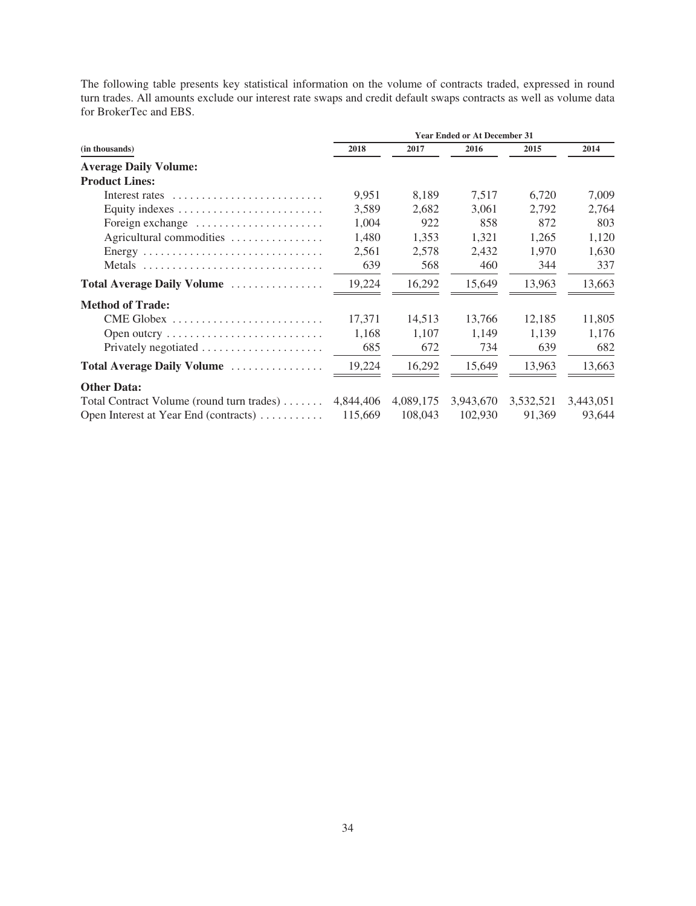The following table presents key statistical information on the volume of contracts traded, expressed in round turn trades. All amounts exclude our interest rate swaps and credit default swaps contracts as well as volume data for BrokerTec and EBS.

|                                                                     | <b>Year Ended or At December 31</b> |           |           |           |           |  |  |  |  |
|---------------------------------------------------------------------|-------------------------------------|-----------|-----------|-----------|-----------|--|--|--|--|
| (in thousands)                                                      | 2018                                | 2017      | 2016      | 2015      | 2014      |  |  |  |  |
| <b>Average Daily Volume:</b>                                        |                                     |           |           |           |           |  |  |  |  |
| <b>Product Lines:</b>                                               |                                     |           |           |           |           |  |  |  |  |
| Interest rates                                                      | 9,951                               | 8,189     | 7,517     | 6.720     | 7,009     |  |  |  |  |
|                                                                     | 3,589                               | 2,682     | 3,061     | 2,792     | 2,764     |  |  |  |  |
| Foreign exchange                                                    | 1,004                               | 922       | 858       | 872       | 803       |  |  |  |  |
| Agricultural commodities $\dots\dots\dots\dots\dots$                | 1,480                               | 1,353     | 1,321     | 1,265     | 1,120     |  |  |  |  |
|                                                                     | 2,561                               | 2,578     | 2,432     | 1,970     | 1,630     |  |  |  |  |
|                                                                     | 639                                 | 568       | 460       | 344       | 337       |  |  |  |  |
| Total Average Daily Volume                                          | 19,224                              | 16,292    | 15,649    | 13,963    | 13,663    |  |  |  |  |
| <b>Method of Trade:</b>                                             |                                     |           |           |           |           |  |  |  |  |
| CME Globex                                                          | 17,371                              | 14,513    | 13,766    | 12,185    | 11,805    |  |  |  |  |
| Open outcry $\dots \dots \dots \dots \dots \dots \dots \dots \dots$ | 1,168                               | 1,107     | 1,149     | 1,139     | 1,176     |  |  |  |  |
|                                                                     | 685                                 | 672       | 734       | 639       | 682       |  |  |  |  |
| Total Average Daily Volume                                          | 19,224                              | 16,292    | 15,649    | 13,963    | 13,663    |  |  |  |  |
| <b>Other Data:</b>                                                  |                                     |           |           |           |           |  |  |  |  |
| Total Contract Volume (round turn trades)                           | 4,844,406                           | 4,089,175 | 3,943,670 | 3,532,521 | 3,443,051 |  |  |  |  |
| Open Interest at Year End (contracts)                               | 115,669                             | 108,043   | 102,930   | 91,369    | 93,644    |  |  |  |  |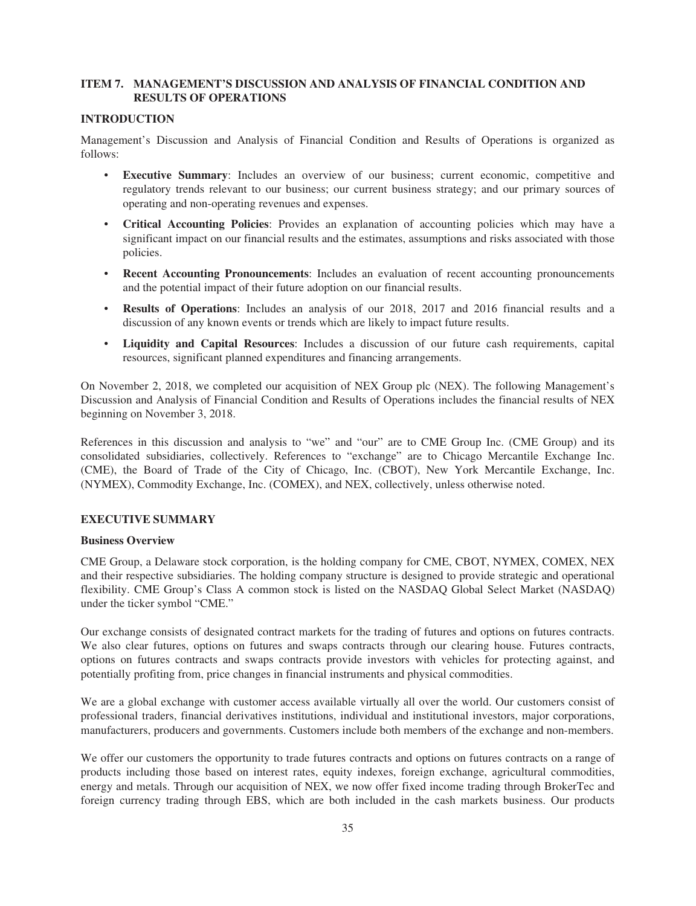## **ITEM 7. MANAGEMENT'S DISCUSSION AND ANALYSIS OF FINANCIAL CONDITION AND RESULTS OF OPERATIONS**

#### **INTRODUCTION**

Management's Discussion and Analysis of Financial Condition and Results of Operations is organized as follows:

- **Executive Summary**: Includes an overview of our business; current economic, competitive and regulatory trends relevant to our business; our current business strategy; and our primary sources of operating and non-operating revenues and expenses.
- **Critical Accounting Policies**: Provides an explanation of accounting policies which may have a significant impact on our financial results and the estimates, assumptions and risks associated with those policies.
- **Recent Accounting Pronouncements**: Includes an evaluation of recent accounting pronouncements and the potential impact of their future adoption on our financial results.
- **Results of Operations**: Includes an analysis of our 2018, 2017 and 2016 financial results and a discussion of any known events or trends which are likely to impact future results.
- **Liquidity and Capital Resources**: Includes a discussion of our future cash requirements, capital resources, significant planned expenditures and financing arrangements.

On November 2, 2018, we completed our acquisition of NEX Group plc (NEX). The following Management's Discussion and Analysis of Financial Condition and Results of Operations includes the financial results of NEX beginning on November 3, 2018.

References in this discussion and analysis to "we" and "our" are to CME Group Inc. (CME Group) and its consolidated subsidiaries, collectively. References to "exchange" are to Chicago Mercantile Exchange Inc. (CME), the Board of Trade of the City of Chicago, Inc. (CBOT), New York Mercantile Exchange, Inc. (NYMEX), Commodity Exchange, Inc. (COMEX), and NEX, collectively, unless otherwise noted.

## **EXECUTIVE SUMMARY**

#### **Business Overview**

CME Group, a Delaware stock corporation, is the holding company for CME, CBOT, NYMEX, COMEX, NEX and their respective subsidiaries. The holding company structure is designed to provide strategic and operational flexibility. CME Group's Class A common stock is listed on the NASDAQ Global Select Market (NASDAQ) under the ticker symbol "CME."

Our exchange consists of designated contract markets for the trading of futures and options on futures contracts. We also clear futures, options on futures and swaps contracts through our clearing house. Futures contracts, options on futures contracts and swaps contracts provide investors with vehicles for protecting against, and potentially profiting from, price changes in financial instruments and physical commodities.

We are a global exchange with customer access available virtually all over the world. Our customers consist of professional traders, financial derivatives institutions, individual and institutional investors, major corporations, manufacturers, producers and governments. Customers include both members of the exchange and non-members.

We offer our customers the opportunity to trade futures contracts and options on futures contracts on a range of products including those based on interest rates, equity indexes, foreign exchange, agricultural commodities, energy and metals. Through our acquisition of NEX, we now offer fixed income trading through BrokerTec and foreign currency trading through EBS, which are both included in the cash markets business. Our products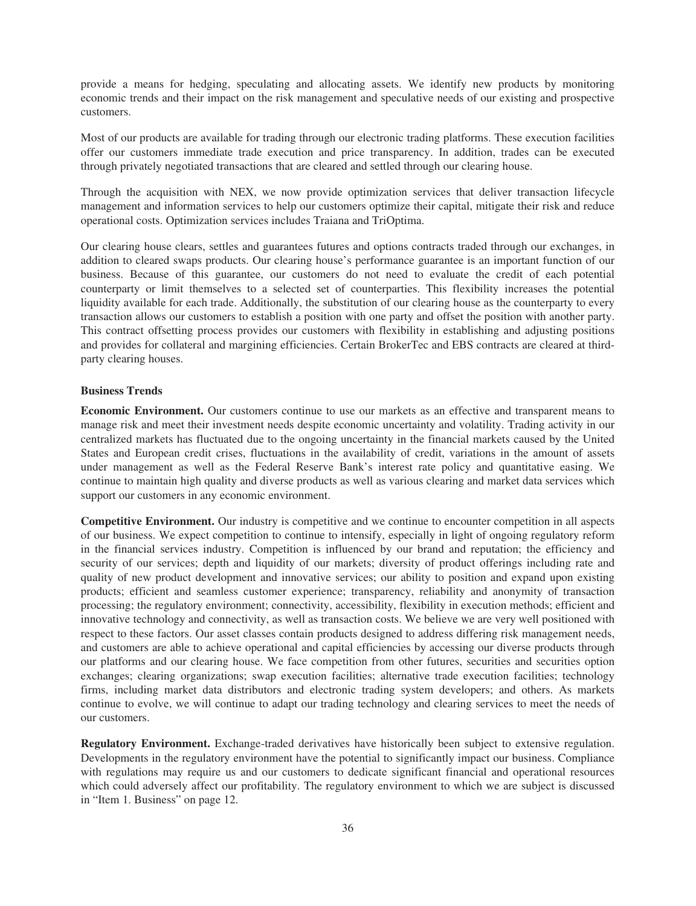provide a means for hedging, speculating and allocating assets. We identify new products by monitoring economic trends and their impact on the risk management and speculative needs of our existing and prospective customers.

Most of our products are available for trading through our electronic trading platforms. These execution facilities offer our customers immediate trade execution and price transparency. In addition, trades can be executed through privately negotiated transactions that are cleared and settled through our clearing house.

Through the acquisition with NEX, we now provide optimization services that deliver transaction lifecycle management and information services to help our customers optimize their capital, mitigate their risk and reduce operational costs. Optimization services includes Traiana and TriOptima.

Our clearing house clears, settles and guarantees futures and options contracts traded through our exchanges, in addition to cleared swaps products. Our clearing house's performance guarantee is an important function of our business. Because of this guarantee, our customers do not need to evaluate the credit of each potential counterparty or limit themselves to a selected set of counterparties. This flexibility increases the potential liquidity available for each trade. Additionally, the substitution of our clearing house as the counterparty to every transaction allows our customers to establish a position with one party and offset the position with another party. This contract offsetting process provides our customers with flexibility in establishing and adjusting positions and provides for collateral and margining efficiencies. Certain BrokerTec and EBS contracts are cleared at thirdparty clearing houses.

#### **Business Trends**

**Economic Environment.** Our customers continue to use our markets as an effective and transparent means to manage risk and meet their investment needs despite economic uncertainty and volatility. Trading activity in our centralized markets has fluctuated due to the ongoing uncertainty in the financial markets caused by the United States and European credit crises, fluctuations in the availability of credit, variations in the amount of assets under management as well as the Federal Reserve Bank's interest rate policy and quantitative easing. We continue to maintain high quality and diverse products as well as various clearing and market data services which support our customers in any economic environment.

**Competitive Environment.** Our industry is competitive and we continue to encounter competition in all aspects of our business. We expect competition to continue to intensify, especially in light of ongoing regulatory reform in the financial services industry. Competition is influenced by our brand and reputation; the efficiency and security of our services; depth and liquidity of our markets; diversity of product offerings including rate and quality of new product development and innovative services; our ability to position and expand upon existing products; efficient and seamless customer experience; transparency, reliability and anonymity of transaction processing; the regulatory environment; connectivity, accessibility, flexibility in execution methods; efficient and innovative technology and connectivity, as well as transaction costs. We believe we are very well positioned with respect to these factors. Our asset classes contain products designed to address differing risk management needs, and customers are able to achieve operational and capital efficiencies by accessing our diverse products through our platforms and our clearing house. We face competition from other futures, securities and securities option exchanges; clearing organizations; swap execution facilities; alternative trade execution facilities; technology firms, including market data distributors and electronic trading system developers; and others. As markets continue to evolve, we will continue to adapt our trading technology and clearing services to meet the needs of our customers.

**Regulatory Environment.** Exchange-traded derivatives have historically been subject to extensive regulation. Developments in the regulatory environment have the potential to significantly impact our business. Compliance with regulations may require us and our customers to dedicate significant financial and operational resources which could adversely affect our profitability. The regulatory environment to which we are subject is discussed in "Item 1. Business" on page 12.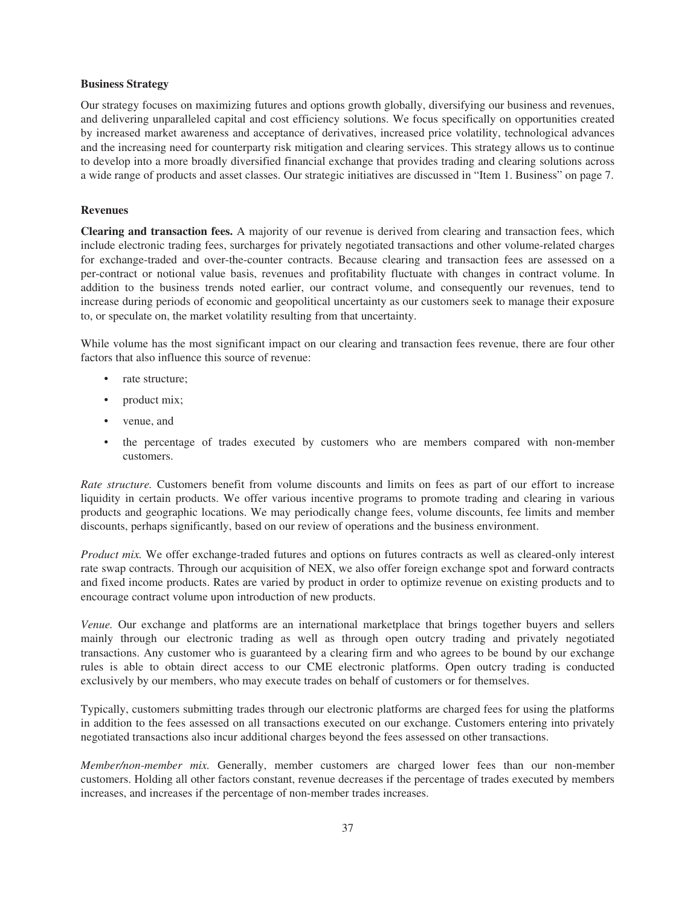### **Business Strategy**

Our strategy focuses on maximizing futures and options growth globally, diversifying our business and revenues, and delivering unparalleled capital and cost efficiency solutions. We focus specifically on opportunities created by increased market awareness and acceptance of derivatives, increased price volatility, technological advances and the increasing need for counterparty risk mitigation and clearing services. This strategy allows us to continue to develop into a more broadly diversified financial exchange that provides trading and clearing solutions across a wide range of products and asset classes. Our strategic initiatives are discussed in "Item 1. Business" on page 7.

# **Revenues**

**Clearing and transaction fees.** A majority of our revenue is derived from clearing and transaction fees, which include electronic trading fees, surcharges for privately negotiated transactions and other volume-related charges for exchange-traded and over-the-counter contracts. Because clearing and transaction fees are assessed on a per-contract or notional value basis, revenues and profitability fluctuate with changes in contract volume. In addition to the business trends noted earlier, our contract volume, and consequently our revenues, tend to increase during periods of economic and geopolitical uncertainty as our customers seek to manage their exposure to, or speculate on, the market volatility resulting from that uncertainty.

While volume has the most significant impact on our clearing and transaction fees revenue, there are four other factors that also influence this source of revenue:

- rate structure:
- product mix;
- venue, and
- the percentage of trades executed by customers who are members compared with non-member customers.

*Rate structure.* Customers benefit from volume discounts and limits on fees as part of our effort to increase liquidity in certain products. We offer various incentive programs to promote trading and clearing in various products and geographic locations. We may periodically change fees, volume discounts, fee limits and member discounts, perhaps significantly, based on our review of operations and the business environment.

*Product mix.* We offer exchange-traded futures and options on futures contracts as well as cleared-only interest rate swap contracts. Through our acquisition of NEX, we also offer foreign exchange spot and forward contracts and fixed income products. Rates are varied by product in order to optimize revenue on existing products and to encourage contract volume upon introduction of new products.

*Venue.* Our exchange and platforms are an international marketplace that brings together buyers and sellers mainly through our electronic trading as well as through open outcry trading and privately negotiated transactions. Any customer who is guaranteed by a clearing firm and who agrees to be bound by our exchange rules is able to obtain direct access to our CME electronic platforms. Open outcry trading is conducted exclusively by our members, who may execute trades on behalf of customers or for themselves.

Typically, customers submitting trades through our electronic platforms are charged fees for using the platforms in addition to the fees assessed on all transactions executed on our exchange. Customers entering into privately negotiated transactions also incur additional charges beyond the fees assessed on other transactions.

*Member/non-member mix.* Generally, member customers are charged lower fees than our non-member customers. Holding all other factors constant, revenue decreases if the percentage of trades executed by members increases, and increases if the percentage of non-member trades increases.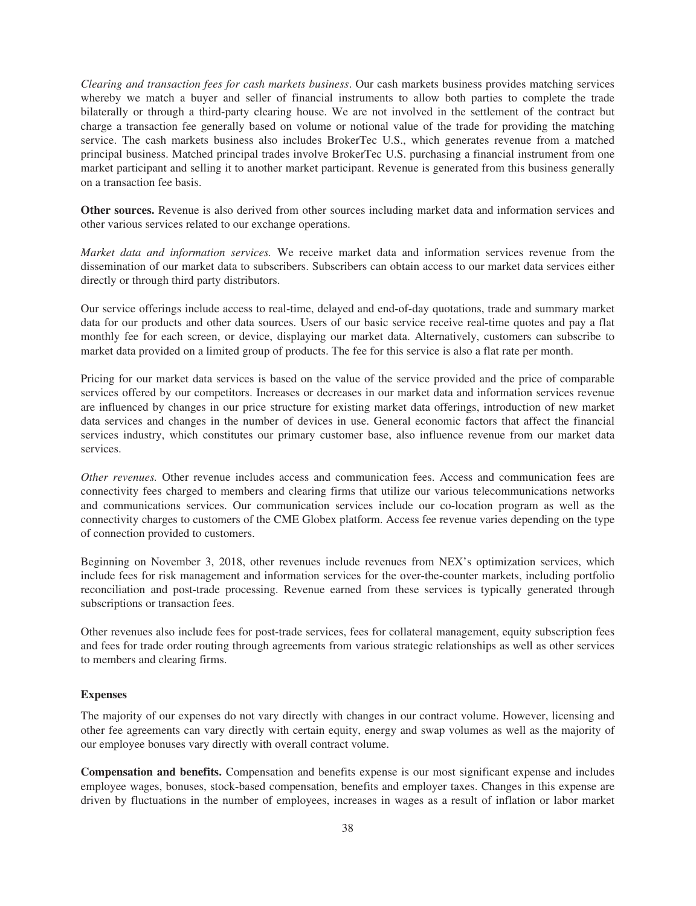*Clearing and transaction fees for cash markets business*. Our cash markets business provides matching services whereby we match a buyer and seller of financial instruments to allow both parties to complete the trade bilaterally or through a third-party clearing house. We are not involved in the settlement of the contract but charge a transaction fee generally based on volume or notional value of the trade for providing the matching service. The cash markets business also includes BrokerTec U.S., which generates revenue from a matched principal business. Matched principal trades involve BrokerTec U.S. purchasing a financial instrument from one market participant and selling it to another market participant. Revenue is generated from this business generally on a transaction fee basis.

**Other sources.** Revenue is also derived from other sources including market data and information services and other various services related to our exchange operations.

*Market data and information services.* We receive market data and information services revenue from the dissemination of our market data to subscribers. Subscribers can obtain access to our market data services either directly or through third party distributors.

Our service offerings include access to real-time, delayed and end-of-day quotations, trade and summary market data for our products and other data sources. Users of our basic service receive real-time quotes and pay a flat monthly fee for each screen, or device, displaying our market data. Alternatively, customers can subscribe to market data provided on a limited group of products. The fee for this service is also a flat rate per month.

Pricing for our market data services is based on the value of the service provided and the price of comparable services offered by our competitors. Increases or decreases in our market data and information services revenue are influenced by changes in our price structure for existing market data offerings, introduction of new market data services and changes in the number of devices in use. General economic factors that affect the financial services industry, which constitutes our primary customer base, also influence revenue from our market data services.

*Other revenues.* Other revenue includes access and communication fees. Access and communication fees are connectivity fees charged to members and clearing firms that utilize our various telecommunications networks and communications services. Our communication services include our co-location program as well as the connectivity charges to customers of the CME Globex platform. Access fee revenue varies depending on the type of connection provided to customers.

Beginning on November 3, 2018, other revenues include revenues from NEX's optimization services, which include fees for risk management and information services for the over-the-counter markets, including portfolio reconciliation and post-trade processing. Revenue earned from these services is typically generated through subscriptions or transaction fees.

Other revenues also include fees for post-trade services, fees for collateral management, equity subscription fees and fees for trade order routing through agreements from various strategic relationships as well as other services to members and clearing firms.

# **Expenses**

The majority of our expenses do not vary directly with changes in our contract volume. However, licensing and other fee agreements can vary directly with certain equity, energy and swap volumes as well as the majority of our employee bonuses vary directly with overall contract volume.

**Compensation and benefits.** Compensation and benefits expense is our most significant expense and includes employee wages, bonuses, stock-based compensation, benefits and employer taxes. Changes in this expense are driven by fluctuations in the number of employees, increases in wages as a result of inflation or labor market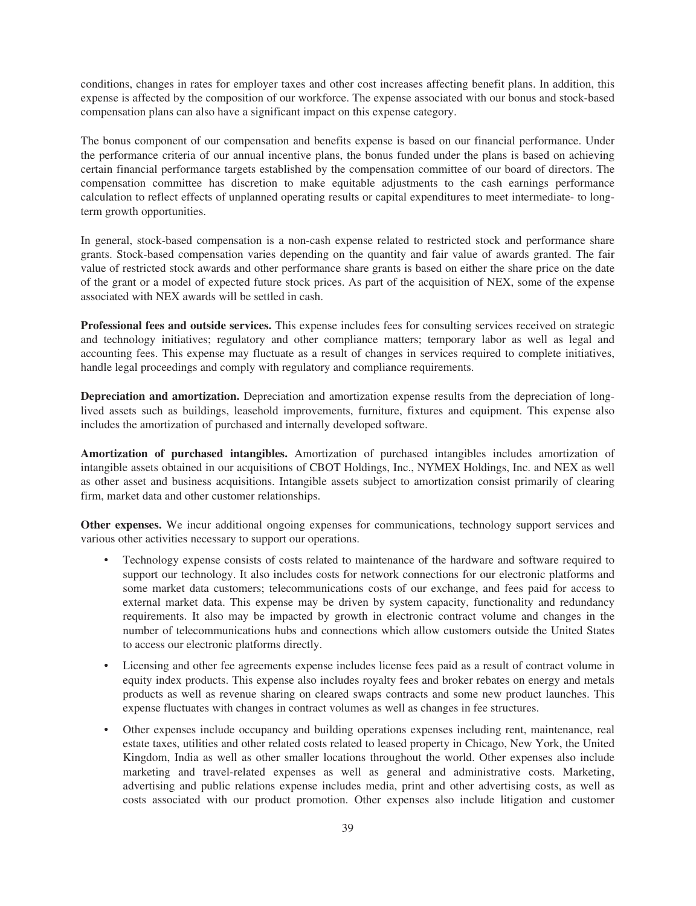conditions, changes in rates for employer taxes and other cost increases affecting benefit plans. In addition, this expense is affected by the composition of our workforce. The expense associated with our bonus and stock-based compensation plans can also have a significant impact on this expense category.

The bonus component of our compensation and benefits expense is based on our financial performance. Under the performance criteria of our annual incentive plans, the bonus funded under the plans is based on achieving certain financial performance targets established by the compensation committee of our board of directors. The compensation committee has discretion to make equitable adjustments to the cash earnings performance calculation to reflect effects of unplanned operating results or capital expenditures to meet intermediate- to longterm growth opportunities.

In general, stock-based compensation is a non-cash expense related to restricted stock and performance share grants. Stock-based compensation varies depending on the quantity and fair value of awards granted. The fair value of restricted stock awards and other performance share grants is based on either the share price on the date of the grant or a model of expected future stock prices. As part of the acquisition of NEX, some of the expense associated with NEX awards will be settled in cash.

**Professional fees and outside services.** This expense includes fees for consulting services received on strategic and technology initiatives; regulatory and other compliance matters; temporary labor as well as legal and accounting fees. This expense may fluctuate as a result of changes in services required to complete initiatives, handle legal proceedings and comply with regulatory and compliance requirements.

**Depreciation and amortization.** Depreciation and amortization expense results from the depreciation of longlived assets such as buildings, leasehold improvements, furniture, fixtures and equipment. This expense also includes the amortization of purchased and internally developed software.

**Amortization of purchased intangibles.** Amortization of purchased intangibles includes amortization of intangible assets obtained in our acquisitions of CBOT Holdings, Inc., NYMEX Holdings, Inc. and NEX as well as other asset and business acquisitions. Intangible assets subject to amortization consist primarily of clearing firm, market data and other customer relationships.

**Other expenses.** We incur additional ongoing expenses for communications, technology support services and various other activities necessary to support our operations.

- Technology expense consists of costs related to maintenance of the hardware and software required to support our technology. It also includes costs for network connections for our electronic platforms and some market data customers; telecommunications costs of our exchange, and fees paid for access to external market data. This expense may be driven by system capacity, functionality and redundancy requirements. It also may be impacted by growth in electronic contract volume and changes in the number of telecommunications hubs and connections which allow customers outside the United States to access our electronic platforms directly.
- Licensing and other fee agreements expense includes license fees paid as a result of contract volume in equity index products. This expense also includes royalty fees and broker rebates on energy and metals products as well as revenue sharing on cleared swaps contracts and some new product launches. This expense fluctuates with changes in contract volumes as well as changes in fee structures.
- Other expenses include occupancy and building operations expenses including rent, maintenance, real estate taxes, utilities and other related costs related to leased property in Chicago, New York, the United Kingdom, India as well as other smaller locations throughout the world. Other expenses also include marketing and travel-related expenses as well as general and administrative costs. Marketing, advertising and public relations expense includes media, print and other advertising costs, as well as costs associated with our product promotion. Other expenses also include litigation and customer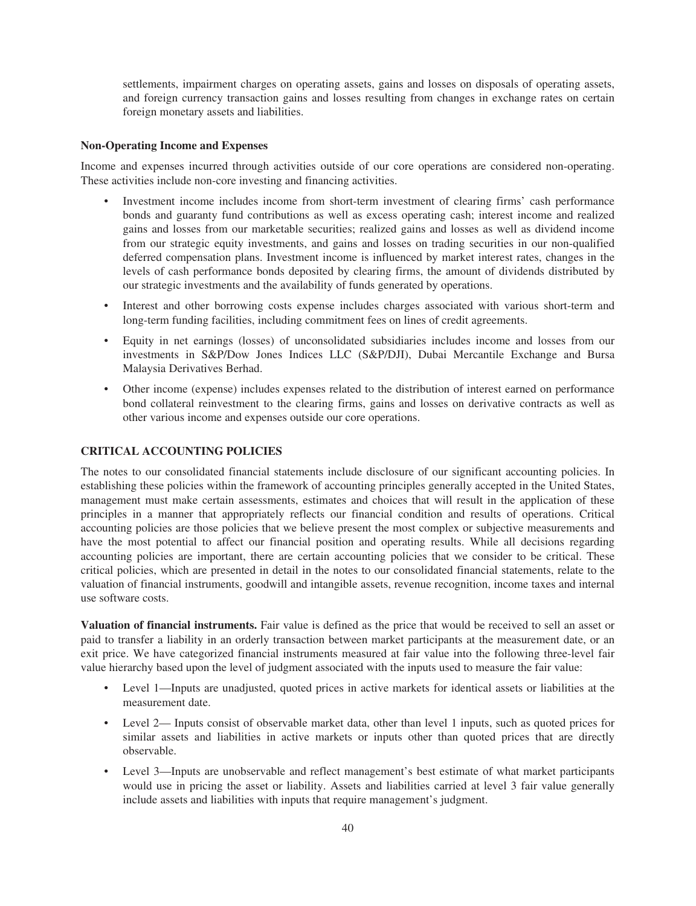settlements, impairment charges on operating assets, gains and losses on disposals of operating assets, and foreign currency transaction gains and losses resulting from changes in exchange rates on certain foreign monetary assets and liabilities.

## **Non-Operating Income and Expenses**

Income and expenses incurred through activities outside of our core operations are considered non-operating. These activities include non-core investing and financing activities.

- Investment income includes income from short-term investment of clearing firms' cash performance bonds and guaranty fund contributions as well as excess operating cash; interest income and realized gains and losses from our marketable securities; realized gains and losses as well as dividend income from our strategic equity investments, and gains and losses on trading securities in our non-qualified deferred compensation plans. Investment income is influenced by market interest rates, changes in the levels of cash performance bonds deposited by clearing firms, the amount of dividends distributed by our strategic investments and the availability of funds generated by operations.
- Interest and other borrowing costs expense includes charges associated with various short-term and long-term funding facilities, including commitment fees on lines of credit agreements.
- Equity in net earnings (losses) of unconsolidated subsidiaries includes income and losses from our investments in S&P/Dow Jones Indices LLC (S&P/DJI), Dubai Mercantile Exchange and Bursa Malaysia Derivatives Berhad.
- Other income (expense) includes expenses related to the distribution of interest earned on performance bond collateral reinvestment to the clearing firms, gains and losses on derivative contracts as well as other various income and expenses outside our core operations.

# **CRITICAL ACCOUNTING POLICIES**

The notes to our consolidated financial statements include disclosure of our significant accounting policies. In establishing these policies within the framework of accounting principles generally accepted in the United States, management must make certain assessments, estimates and choices that will result in the application of these principles in a manner that appropriately reflects our financial condition and results of operations. Critical accounting policies are those policies that we believe present the most complex or subjective measurements and have the most potential to affect our financial position and operating results. While all decisions regarding accounting policies are important, there are certain accounting policies that we consider to be critical. These critical policies, which are presented in detail in the notes to our consolidated financial statements, relate to the valuation of financial instruments, goodwill and intangible assets, revenue recognition, income taxes and internal use software costs.

**Valuation of financial instruments.** Fair value is defined as the price that would be received to sell an asset or paid to transfer a liability in an orderly transaction between market participants at the measurement date, or an exit price. We have categorized financial instruments measured at fair value into the following three-level fair value hierarchy based upon the level of judgment associated with the inputs used to measure the fair value:

- Level 1—Inputs are unadjusted, quoted prices in active markets for identical assets or liabilities at the measurement date.
- Level 2— Inputs consist of observable market data, other than level 1 inputs, such as quoted prices for similar assets and liabilities in active markets or inputs other than quoted prices that are directly observable.
- Level 3—Inputs are unobservable and reflect management's best estimate of what market participants would use in pricing the asset or liability. Assets and liabilities carried at level 3 fair value generally include assets and liabilities with inputs that require management's judgment.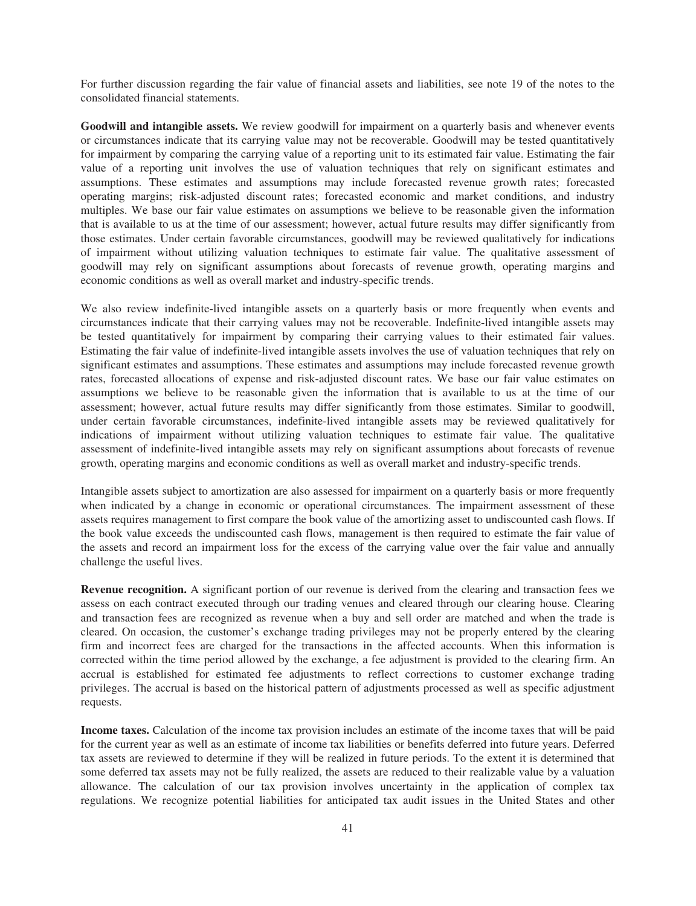For further discussion regarding the fair value of financial assets and liabilities, see note 19 of the notes to the consolidated financial statements.

**Goodwill and intangible assets.** We review goodwill for impairment on a quarterly basis and whenever events or circumstances indicate that its carrying value may not be recoverable. Goodwill may be tested quantitatively for impairment by comparing the carrying value of a reporting unit to its estimated fair value. Estimating the fair value of a reporting unit involves the use of valuation techniques that rely on significant estimates and assumptions. These estimates and assumptions may include forecasted revenue growth rates; forecasted operating margins; risk-adjusted discount rates; forecasted economic and market conditions, and industry multiples. We base our fair value estimates on assumptions we believe to be reasonable given the information that is available to us at the time of our assessment; however, actual future results may differ significantly from those estimates. Under certain favorable circumstances, goodwill may be reviewed qualitatively for indications of impairment without utilizing valuation techniques to estimate fair value. The qualitative assessment of goodwill may rely on significant assumptions about forecasts of revenue growth, operating margins and economic conditions as well as overall market and industry-specific trends.

We also review indefinite-lived intangible assets on a quarterly basis or more frequently when events and circumstances indicate that their carrying values may not be recoverable. Indefinite-lived intangible assets may be tested quantitatively for impairment by comparing their carrying values to their estimated fair values. Estimating the fair value of indefinite-lived intangible assets involves the use of valuation techniques that rely on significant estimates and assumptions. These estimates and assumptions may include forecasted revenue growth rates, forecasted allocations of expense and risk-adjusted discount rates. We base our fair value estimates on assumptions we believe to be reasonable given the information that is available to us at the time of our assessment; however, actual future results may differ significantly from those estimates. Similar to goodwill, under certain favorable circumstances, indefinite-lived intangible assets may be reviewed qualitatively for indications of impairment without utilizing valuation techniques to estimate fair value. The qualitative assessment of indefinite-lived intangible assets may rely on significant assumptions about forecasts of revenue growth, operating margins and economic conditions as well as overall market and industry-specific trends.

Intangible assets subject to amortization are also assessed for impairment on a quarterly basis or more frequently when indicated by a change in economic or operational circumstances. The impairment assessment of these assets requires management to first compare the book value of the amortizing asset to undiscounted cash flows. If the book value exceeds the undiscounted cash flows, management is then required to estimate the fair value of the assets and record an impairment loss for the excess of the carrying value over the fair value and annually challenge the useful lives.

**Revenue recognition.** A significant portion of our revenue is derived from the clearing and transaction fees we assess on each contract executed through our trading venues and cleared through our clearing house. Clearing and transaction fees are recognized as revenue when a buy and sell order are matched and when the trade is cleared. On occasion, the customer's exchange trading privileges may not be properly entered by the clearing firm and incorrect fees are charged for the transactions in the affected accounts. When this information is corrected within the time period allowed by the exchange, a fee adjustment is provided to the clearing firm. An accrual is established for estimated fee adjustments to reflect corrections to customer exchange trading privileges. The accrual is based on the historical pattern of adjustments processed as well as specific adjustment requests.

**Income taxes.** Calculation of the income tax provision includes an estimate of the income taxes that will be paid for the current year as well as an estimate of income tax liabilities or benefits deferred into future years. Deferred tax assets are reviewed to determine if they will be realized in future periods. To the extent it is determined that some deferred tax assets may not be fully realized, the assets are reduced to their realizable value by a valuation allowance. The calculation of our tax provision involves uncertainty in the application of complex tax regulations. We recognize potential liabilities for anticipated tax audit issues in the United States and other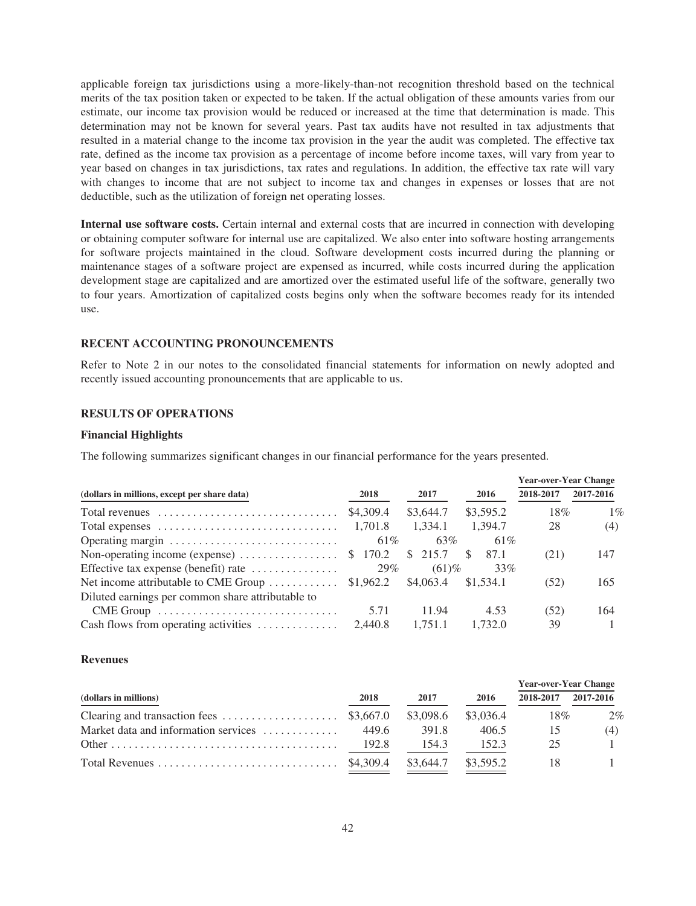applicable foreign tax jurisdictions using a more-likely-than-not recognition threshold based on the technical merits of the tax position taken or expected to be taken. If the actual obligation of these amounts varies from our estimate, our income tax provision would be reduced or increased at the time that determination is made. This determination may not be known for several years. Past tax audits have not resulted in tax adjustments that resulted in a material change to the income tax provision in the year the audit was completed. The effective tax rate, defined as the income tax provision as a percentage of income before income taxes, will vary from year to year based on changes in tax jurisdictions, tax rates and regulations. In addition, the effective tax rate will vary with changes to income that are not subject to income tax and changes in expenses or losses that are not deductible, such as the utilization of foreign net operating losses.

**Internal use software costs.** Certain internal and external costs that are incurred in connection with developing or obtaining computer software for internal use are capitalized. We also enter into software hosting arrangements for software projects maintained in the cloud. Software development costs incurred during the planning or maintenance stages of a software project are expensed as incurred, while costs incurred during the application development stage are capitalized and are amortized over the estimated useful life of the software, generally two to four years. Amortization of capitalized costs begins only when the software becomes ready for its intended use.

#### **RECENT ACCOUNTING PRONOUNCEMENTS**

Refer to Note 2 in our notes to the consolidated financial statements for information on newly adopted and recently issued accounting pronouncements that are applicable to us.

### **RESULTS OF OPERATIONS**

#### **Financial Highlights**

The following summarizes significant changes in our financial performance for the years presented.

|                                                                    |           |           |                       | <b>Year-over-Year Change</b> |           |
|--------------------------------------------------------------------|-----------|-----------|-----------------------|------------------------------|-----------|
| (dollars in millions, except per share data)                       | 2018      | 2017      | 2016                  | 2018-2017                    | 2017-2016 |
| Total revenues                                                     | \$4,309.4 | \$3,644.7 | \$3,595.2             | 18%                          | 1%        |
|                                                                    | 1.701.8   | 1.334.1   | 1.394.7               | 28                           | (4)       |
|                                                                    | 61\%      | 63%       | 61\%                  |                              |           |
| Non-operating income (expense) $\dots\dots\dots\dots\dots$         | \$ 170.2  | \$215.7   | <sup>\$</sup><br>87.1 | (21)                         | 147       |
| Effective tax expense (benefit) rate $\dots\dots\dots\dots\dots$   | 29%       | $(61)$ %  | 33%                   |                              |           |
| Net income attributable to CME Group $\dots \dots \dots$ \$1,962.2 |           | \$4,063.4 | \$1,534.1             | (52)                         | 165       |
| Diluted earnings per common share attributable to                  |           |           |                       |                              |           |
|                                                                    | 5.71      | 11.94     | 4.53                  | (52)                         | 164       |
| Cash flows from operating activities                               | 2.440.8   | 1.751.1   | 1,732.0               | 39                           |           |

## **Revenues**

|                                                                         |       |                     |           | Teal-Over-Teal Change |           |
|-------------------------------------------------------------------------|-------|---------------------|-----------|-----------------------|-----------|
| (dollars in millions)                                                   | 2018  | 2017                | 2016      | 2018-2017             | 2017-2016 |
| Clearing and transaction fees $\dots \dots \dots \dots \dots$ \$3,667.0 |       | \$3,098.6           | \$3.036.4 | 18%                   | 2%        |
| Market data and information services                                    | 449.6 | 391.8               | 406.5     |                       | (4)       |
|                                                                         | 192.8 | 1543                | 152.3     | 25.                   |           |
|                                                                         |       | \$3,644.7 \$3,595.2 |           |                       |           |

**Year-over-Year Change**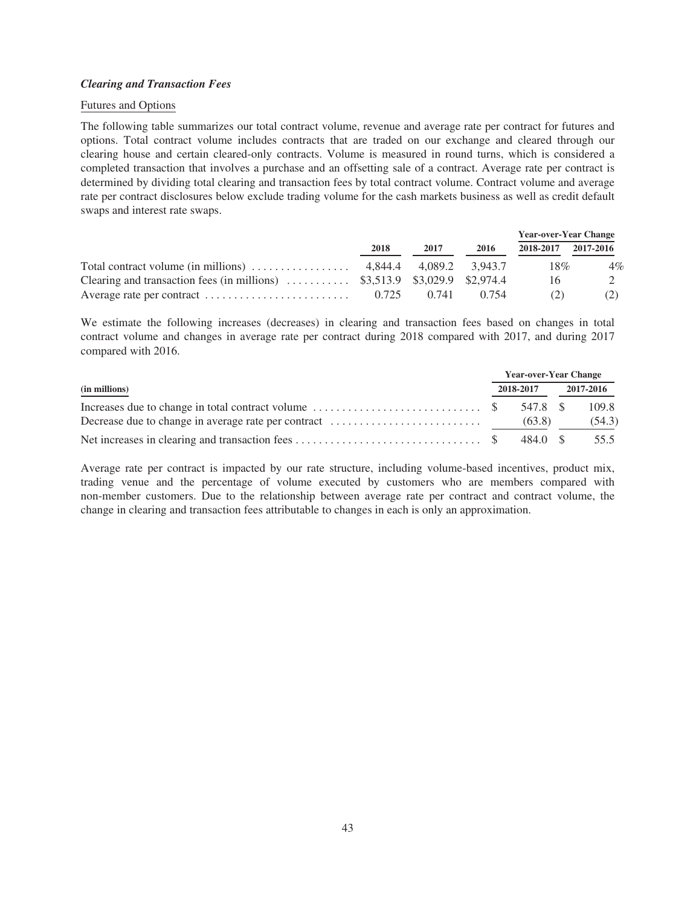# *Clearing and Transaction Fees*

# Futures and Options

The following table summarizes our total contract volume, revenue and average rate per contract for futures and options. Total contract volume includes contracts that are traded on our exchange and cleared through our clearing house and certain cleared-only contracts. Volume is measured in round turns, which is considered a completed transaction that involves a purchase and an offsetting sale of a contract. Average rate per contract is determined by dividing total clearing and transaction fees by total contract volume. Contract volume and average rate per contract disclosures below exclude trading volume for the cash markets business as well as credit default swaps and interest rate swaps.

|                                                                                           |      |       |       | <b>Year-over-Year Change</b> |           |  |
|-------------------------------------------------------------------------------------------|------|-------|-------|------------------------------|-----------|--|
|                                                                                           | 2018 | 2017  | 2016  | 2018-2017                    | 2017-2016 |  |
| Total contract volume (in millions) $\ldots \ldots \ldots \ldots$ 4,844.4 4,089.2 3,943.7 |      |       |       | 18%                          | 4%        |  |
| Clearing and transaction fees (in millions) $\ldots$ \$3,513.9 \$3,029.9 \$2,974.4        |      |       |       | 16                           |           |  |
|                                                                                           |      | 0.741 | 0.754 |                              |           |  |

We estimate the following increases (decreases) in clearing and transaction fees based on changes in total contract volume and changes in average rate per contract during 2018 compared with 2017, and during 2017 compared with 2016.

|                                                                                                  | <b>Year-over-Year Change</b> |           |  |                 |  |
|--------------------------------------------------------------------------------------------------|------------------------------|-----------|--|-----------------|--|
| (in millions)                                                                                    |                              | 2018-2017 |  | 2017-2016       |  |
| Decrease due to change in average rate per contract                                              |                              | (63.8)    |  | 109.8<br>(54.3) |  |
| Net increases in clearing and transaction fees $\dots \dots \dots \dots \dots \dots \dots \dots$ |                              | 484.0 \$  |  | 55.5            |  |

Average rate per contract is impacted by our rate structure, including volume-based incentives, product mix, trading venue and the percentage of volume executed by customers who are members compared with non-member customers. Due to the relationship between average rate per contract and contract volume, the change in clearing and transaction fees attributable to changes in each is only an approximation.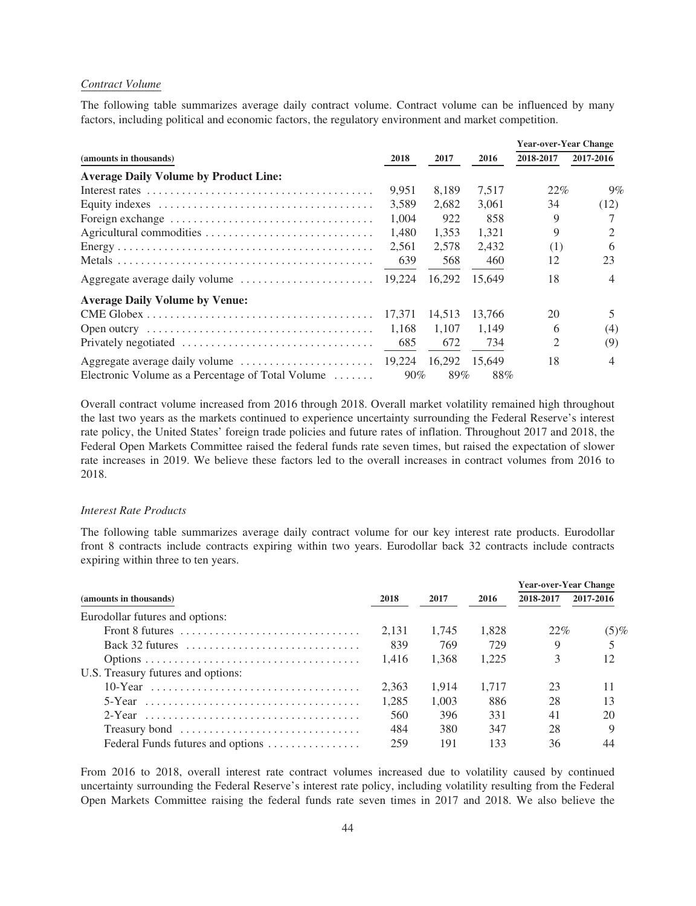#### *Contract Volume*

The following table summarizes average daily contract volume. Contract volume can be influenced by many factors, including political and economic factors, the regulatory environment and market competition.

|                                                   |        |        |        | Year-over-Year Change |           |
|---------------------------------------------------|--------|--------|--------|-----------------------|-----------|
| (amounts in thousands)                            | 2018   | 2017   | 2016   | 2018-2017             | 2017-2016 |
| <b>Average Daily Volume by Product Line:</b>      |        |        |        |                       |           |
|                                                   | 9.951  | 8.189  | 7.517  | $22\%$                | 9%        |
|                                                   | 3,589  | 2,682  | 3,061  | 34                    | (12)      |
|                                                   | 1.004  | 922    | 858    | 9                     |           |
|                                                   | 1.480  | 1.353  | 1,321  | 9                     |           |
|                                                   | 2.561  | 2,578  | 2,432  | (1)                   | 6         |
|                                                   | 639    | 568    | 460    | 12                    | 23        |
|                                                   | 19.224 | 16.292 | 15,649 | 18                    |           |
| <b>Average Daily Volume by Venue:</b>             |        |        |        |                       |           |
|                                                   | 17.371 | 14.513 | 13.766 | 20                    |           |
|                                                   | 1.168  | 1.107  | 1.149  | 6                     | (4)       |
|                                                   | 685    | 672    | 734    | 2                     | (9)       |
|                                                   | 19.224 | 16.292 | 15.649 | 18                    | 4         |
| Electronic Volume as a Percentage of Total Volume | $90\%$ | 89%    | 88%    |                       |           |

Overall contract volume increased from 2016 through 2018. Overall market volatility remained high throughout the last two years as the markets continued to experience uncertainty surrounding the Federal Reserve's interest rate policy, the United States' foreign trade policies and future rates of inflation. Throughout 2017 and 2018, the Federal Open Markets Committee raised the federal funds rate seven times, but raised the expectation of slower rate increases in 2019. We believe these factors led to the overall increases in contract volumes from 2016 to 2018.

### *Interest Rate Products*

The following table summarizes average daily contract volume for our key interest rate products. Eurodollar front 8 contracts include contracts expiring within two years. Eurodollar back 32 contracts include contracts expiring within three to ten years.

|                                                                               |       |       |       | <b>Year-over-Year Change</b> |           |
|-------------------------------------------------------------------------------|-------|-------|-------|------------------------------|-----------|
| (amounts in thousands)                                                        | 2018  | 2017  | 2016  | 2018-2017                    | 2017-2016 |
| Eurodollar futures and options:                                               |       |       |       |                              |           |
| Front 8 futures                                                               | 2.131 | 1.745 | 1.828 | 22%                          | (5)%      |
| Back 32 futures $\dots \dots \dots \dots \dots \dots \dots \dots \dots \dots$ | 839   | 769   | 729   | 9                            | 5         |
|                                                                               | 1.416 | 1.368 | 1.225 |                              |           |
| U.S. Treasury futures and options:                                            |       |       |       |                              |           |
|                                                                               | 2.363 | 1.914 | 1.717 | 23                           |           |
|                                                                               | 1.285 | 1.003 | 886   | 28                           | 13        |
|                                                                               | 560   | 396   | 331   | 41                           | 20        |
| Treasury bond                                                                 | 484   | 380   | 347   | 28                           | 9         |
| Federal Funds futures and options                                             | 259   | 191   | 133   | 36                           |           |

From 2016 to 2018, overall interest rate contract volumes increased due to volatility caused by continued uncertainty surrounding the Federal Reserve's interest rate policy, including volatility resulting from the Federal Open Markets Committee raising the federal funds rate seven times in 2017 and 2018. We also believe the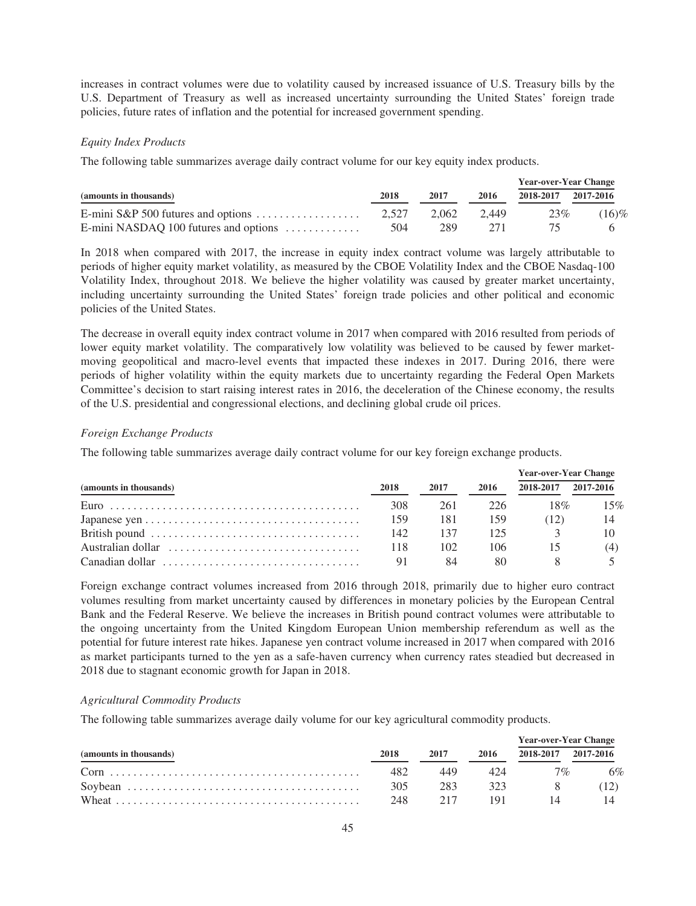increases in contract volumes were due to volatility caused by increased issuance of U.S. Treasury bills by the U.S. Department of Treasury as well as increased uncertainty surrounding the United States' foreign trade policies, future rates of inflation and the potential for increased government spending.

### *Equity Index Products*

The following table summarizes average daily contract volume for our key equity index products.

|                                       |      |      |             | <b>Year-over-Year Change</b> |          |
|---------------------------------------|------|------|-------------|------------------------------|----------|
| (amounts in thousands)                | 2018 | 2017 | 2016        | 2018-2017 2017-2016          |          |
|                                       |      |      | 2.062 2.449 | 23%                          | $(16)$ % |
| E-mini NASDAQ 100 futures and options | 504  | 289  | 271         |                              |          |

In 2018 when compared with 2017, the increase in equity index contract volume was largely attributable to periods of higher equity market volatility, as measured by the CBOE Volatility Index and the CBOE Nasdaq-100 Volatility Index, throughout 2018. We believe the higher volatility was caused by greater market uncertainty, including uncertainty surrounding the United States' foreign trade policies and other political and economic policies of the United States.

The decrease in overall equity index contract volume in 2017 when compared with 2016 resulted from periods of lower equity market volatility. The comparatively low volatility was believed to be caused by fewer marketmoving geopolitical and macro-level events that impacted these indexes in 2017. During 2016, there were periods of higher volatility within the equity markets due to uncertainty regarding the Federal Open Markets Committee's decision to start raising interest rates in 2016, the deceleration of the Chinese economy, the results of the U.S. presidential and congressional elections, and declining global crude oil prices.

# *Foreign Exchange Products*

The following table summarizes average daily contract volume for our key foreign exchange products.

|                        |      |      |      | <b>Year-over-Year Change</b> |           |  |
|------------------------|------|------|------|------------------------------|-----------|--|
| (amounts in thousands) | 2018 | 2017 | 2016 | 2018-2017                    | 2017-2016 |  |
|                        | 308  | 261  | 226  | 18%                          | 15%       |  |
|                        | 159  | 181  | 159  | (12)                         | 14        |  |
|                        | 142  | 137  | 125  |                              |           |  |
|                        | 118  | 102  | 106  |                              |           |  |
|                        |      |      |      |                              |           |  |

Foreign exchange contract volumes increased from 2016 through 2018, primarily due to higher euro contract volumes resulting from market uncertainty caused by differences in monetary policies by the European Central Bank and the Federal Reserve. We believe the increases in British pound contract volumes were attributable to the ongoing uncertainty from the United Kingdom European Union membership referendum as well as the potential for future interest rate hikes. Japanese yen contract volume increased in 2017 when compared with 2016 as market participants turned to the yen as a safe-haven currency when currency rates steadied but decreased in 2018 due to stagnant economic growth for Japan in 2018.

# *Agricultural Commodity Products*

The following table summarizes average daily volume for our key agricultural commodity products.

|                        |      |      |      | <b>Year-over-Year Change</b> |    |
|------------------------|------|------|------|------------------------------|----|
| (amounts in thousands) | 2018 | 2017 | 2016 | 2018-2017 2017-2016          |    |
|                        | 482. | 449  | 424  | $7\%$                        | 6% |
|                        | 305  | 283  | 323  |                              |    |
|                        | 248  | 2.17 | 191  |                              |    |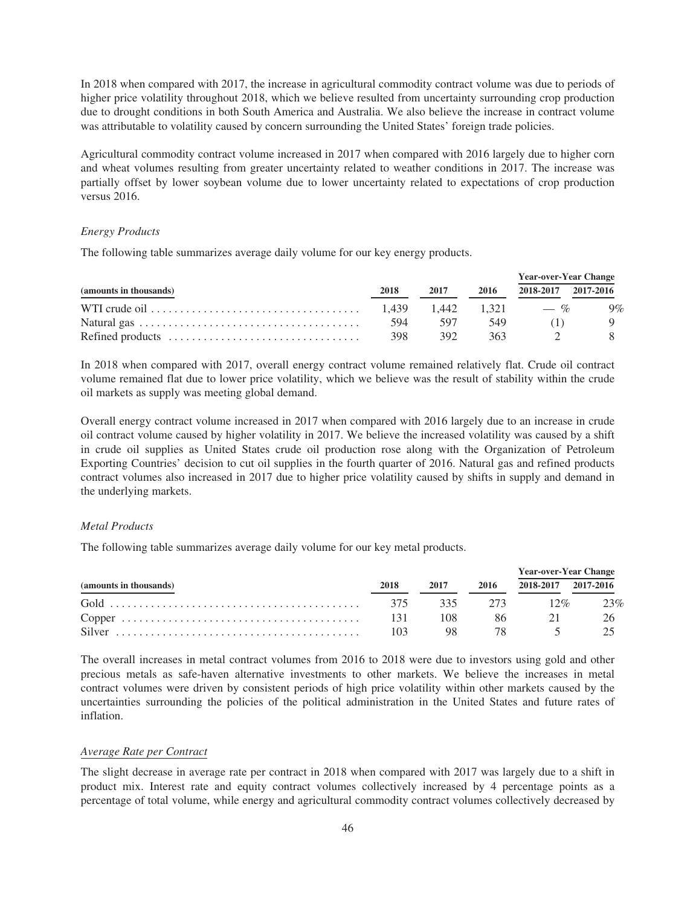In 2018 when compared with 2017, the increase in agricultural commodity contract volume was due to periods of higher price volatility throughout 2018, which we believe resulted from uncertainty surrounding crop production due to drought conditions in both South America and Australia. We also believe the increase in contract volume was attributable to volatility caused by concern surrounding the United States' foreign trade policies.

Agricultural commodity contract volume increased in 2017 when compared with 2016 largely due to higher corn and wheat volumes resulting from greater uncertainty related to weather conditions in 2017. The increase was partially offset by lower soybean volume due to lower uncertainty related to expectations of crop production versus 2016.

# *Energy Products*

The following table summarizes average daily volume for our key energy products.

|                        |      |      |      | <b>Year-over-Year Change</b> |    |
|------------------------|------|------|------|------------------------------|----|
| (amounts in thousands) | 2018 | 2017 | 2016 | 2018-2017 2017-2016          |    |
|                        |      |      |      |                              | 9% |
|                        | -594 | 597  | -549 | (1)                          |    |
|                        | -398 | 392. | 363  |                              |    |

In 2018 when compared with 2017, overall energy contract volume remained relatively flat. Crude oil contract volume remained flat due to lower price volatility, which we believe was the result of stability within the crude oil markets as supply was meeting global demand.

Overall energy contract volume increased in 2017 when compared with 2016 largely due to an increase in crude oil contract volume caused by higher volatility in 2017. We believe the increased volatility was caused by a shift in crude oil supplies as United States crude oil production rose along with the Organization of Petroleum Exporting Countries' decision to cut oil supplies in the fourth quarter of 2016. Natural gas and refined products contract volumes also increased in 2017 due to higher price volatility caused by shifts in supply and demand in the underlying markets.

### *Metal Products*

The following table summarizes average daily volume for our key metal products.

|                        |      |      |      | <b>Year-over-Year Change</b> |      |
|------------------------|------|------|------|------------------------------|------|
| (amounts in thousands) | 2018 | 2017 | 2016 | 2018-2017 2017-2016          |      |
|                        | 375  | 335  | 273  | 12%                          | -23% |
|                        |      | 108  | 86   |                              | -26  |
|                        | 103  | 98   | - 78 |                              |      |

The overall increases in metal contract volumes from 2016 to 2018 were due to investors using gold and other precious metals as safe-haven alternative investments to other markets. We believe the increases in metal contract volumes were driven by consistent periods of high price volatility within other markets caused by the uncertainties surrounding the policies of the political administration in the United States and future rates of inflation.

### *Average Rate per Contract*

The slight decrease in average rate per contract in 2018 when compared with 2017 was largely due to a shift in product mix. Interest rate and equity contract volumes collectively increased by 4 percentage points as a percentage of total volume, while energy and agricultural commodity contract volumes collectively decreased by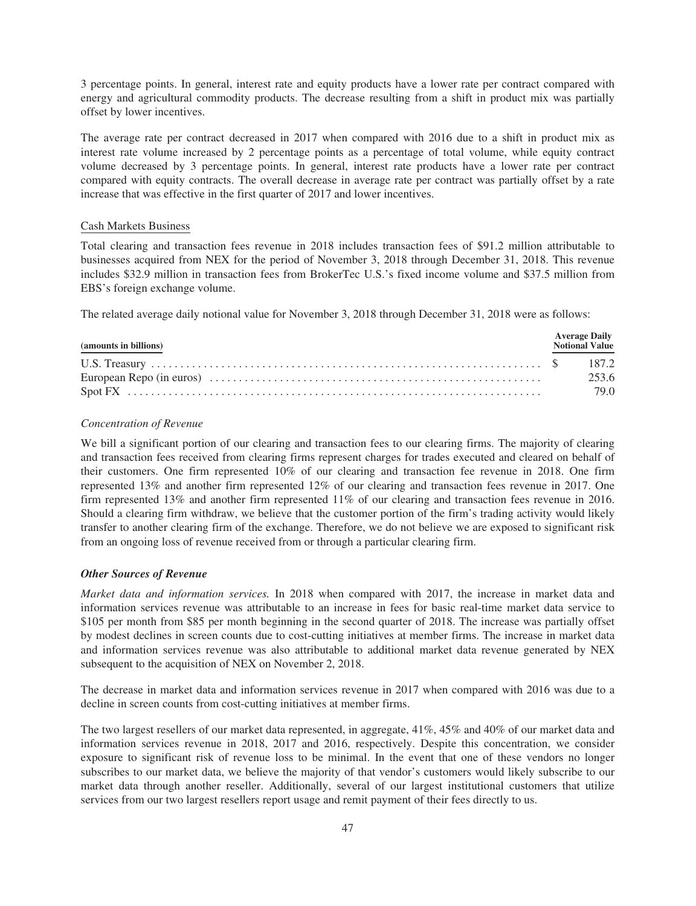3 percentage points. In general, interest rate and equity products have a lower rate per contract compared with energy and agricultural commodity products. The decrease resulting from a shift in product mix was partially offset by lower incentives.

The average rate per contract decreased in 2017 when compared with 2016 due to a shift in product mix as interest rate volume increased by 2 percentage points as a percentage of total volume, while equity contract volume decreased by 3 percentage points. In general, interest rate products have a lower rate per contract compared with equity contracts. The overall decrease in average rate per contract was partially offset by a rate increase that was effective in the first quarter of 2017 and lower incentives.

## Cash Markets Business

Total clearing and transaction fees revenue in 2018 includes transaction fees of \$91.2 million attributable to businesses acquired from NEX for the period of November 3, 2018 through December 31, 2018. This revenue includes \$32.9 million in transaction fees from BrokerTec U.S.'s fixed income volume and \$37.5 million from EBS's foreign exchange volume.

The related average daily notional value for November 3, 2018 through December 31, 2018 were as follows:

| (amounts in billions) | <b>Average Daily<br/>Notional Value</b> |       |
|-----------------------|-----------------------------------------|-------|
|                       |                                         |       |
|                       |                                         | 253.6 |
|                       |                                         | 79.0  |

# *Concentration of Revenue*

We bill a significant portion of our clearing and transaction fees to our clearing firms. The majority of clearing and transaction fees received from clearing firms represent charges for trades executed and cleared on behalf of their customers. One firm represented 10% of our clearing and transaction fee revenue in 2018. One firm represented 13% and another firm represented 12% of our clearing and transaction fees revenue in 2017. One firm represented 13% and another firm represented 11% of our clearing and transaction fees revenue in 2016. Should a clearing firm withdraw, we believe that the customer portion of the firm's trading activity would likely transfer to another clearing firm of the exchange. Therefore, we do not believe we are exposed to significant risk from an ongoing loss of revenue received from or through a particular clearing firm.

### *Other Sources of Revenue*

*Market data and information services.* In 2018 when compared with 2017, the increase in market data and information services revenue was attributable to an increase in fees for basic real-time market data service to \$105 per month from \$85 per month beginning in the second quarter of 2018. The increase was partially offset by modest declines in screen counts due to cost-cutting initiatives at member firms. The increase in market data and information services revenue was also attributable to additional market data revenue generated by NEX subsequent to the acquisition of NEX on November 2, 2018.

The decrease in market data and information services revenue in 2017 when compared with 2016 was due to a decline in screen counts from cost-cutting initiatives at member firms.

The two largest resellers of our market data represented, in aggregate, 41%, 45% and 40% of our market data and information services revenue in 2018, 2017 and 2016, respectively. Despite this concentration, we consider exposure to significant risk of revenue loss to be minimal. In the event that one of these vendors no longer subscribes to our market data, we believe the majority of that vendor's customers would likely subscribe to our market data through another reseller. Additionally, several of our largest institutional customers that utilize services from our two largest resellers report usage and remit payment of their fees directly to us.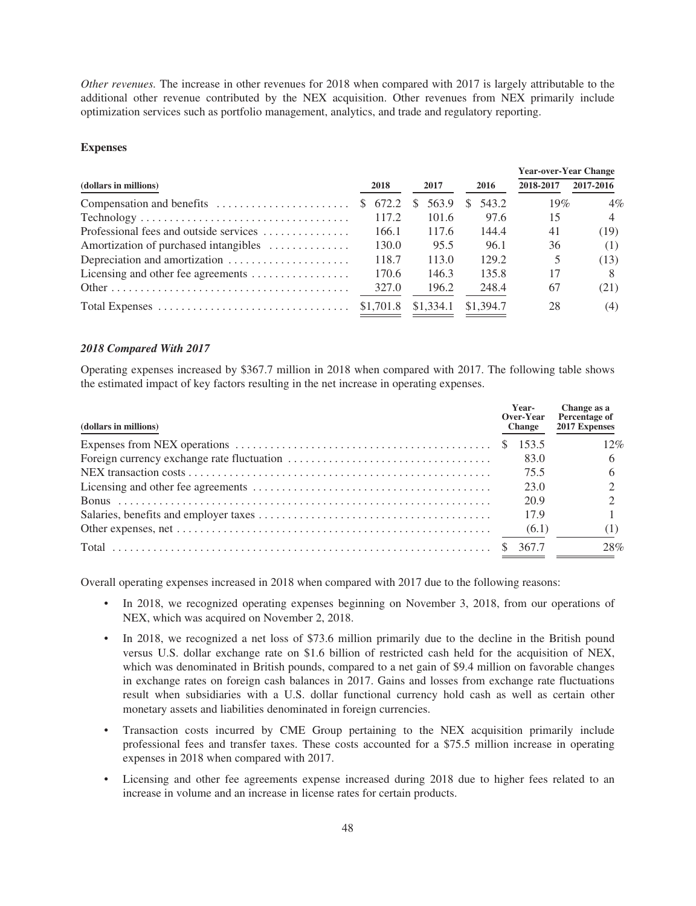*Other revenues.* The increase in other revenues for 2018 when compared with 2017 is largely attributable to the additional other revenue contributed by the NEX acquisition. Other revenues from NEX primarily include optimization services such as portfolio management, analytics, and trade and regulatory reporting.

# **Expenses**

|                                                                                        |       |                       |             | <b>Year-over-Year Change</b> |           |
|----------------------------------------------------------------------------------------|-------|-----------------------|-------------|------------------------------|-----------|
| (dollars in millions)                                                                  | 2018  | 2017                  | 2016        | 2018-2017                    | 2017-2016 |
| Compensation and benefits $\dots \dots \dots \dots \dots \dots$ \$ 672.2               |       | 563.9<br><sup>S</sup> | -S<br>543.2 | 19%                          | $4\%$     |
|                                                                                        | 117.2 | 101.6                 | 97.6        | 15                           | 4         |
| Professional fees and outside services                                                 | 166.1 | 117.6                 | 144.4       | 41                           | (19)      |
| Amortization of purchased intangibles                                                  | 130.0 | 95.5                  | 96.1        | 36                           | (1)       |
| Depreciation and amortization                                                          | 118.7 | 113.0                 | 129.2       | 5                            | (13)      |
| Licensing and other fee agreements                                                     | 170.6 | 146.3                 | 135.8       | 17                           |           |
|                                                                                        | 327.0 | 196.2                 | 248.4       | 67                           | (21)      |
| Total Expenses $\dots \dots \dots \dots \dots \dots \dots \dots \dots \dots$ \$1,701.8 |       | \$1,334.1             | \$1,394.7   | 28                           | (4)       |

## *2018 Compared With 2017*

Operating expenses increased by \$367.7 million in 2018 when compared with 2017. The following table shows the estimated impact of key factors resulting in the net increase in operating expenses.

| (dollars in millions) | Year-<br>Over-Year<br><b>Change</b> |       | Change as a<br>Percentage of<br>2017 Expenses |  |
|-----------------------|-------------------------------------|-------|-----------------------------------------------|--|
|                       |                                     |       | 12%                                           |  |
|                       |                                     | 83.0  |                                               |  |
|                       |                                     | 75.5  |                                               |  |
|                       |                                     | 23.0  |                                               |  |
|                       |                                     | 20.9  |                                               |  |
|                       |                                     | 17.9  |                                               |  |
|                       |                                     | (6.1) |                                               |  |
|                       |                                     |       | 28%                                           |  |

Overall operating expenses increased in 2018 when compared with 2017 due to the following reasons:

- In 2018, we recognized operating expenses beginning on November 3, 2018, from our operations of NEX, which was acquired on November 2, 2018.
- In 2018, we recognized a net loss of \$73.6 million primarily due to the decline in the British pound versus U.S. dollar exchange rate on \$1.6 billion of restricted cash held for the acquisition of NEX, which was denominated in British pounds, compared to a net gain of \$9.4 million on favorable changes in exchange rates on foreign cash balances in 2017. Gains and losses from exchange rate fluctuations result when subsidiaries with a U.S. dollar functional currency hold cash as well as certain other monetary assets and liabilities denominated in foreign currencies.
- Transaction costs incurred by CME Group pertaining to the NEX acquisition primarily include professional fees and transfer taxes. These costs accounted for a \$75.5 million increase in operating expenses in 2018 when compared with 2017.
- Licensing and other fee agreements expense increased during 2018 due to higher fees related to an increase in volume and an increase in license rates for certain products.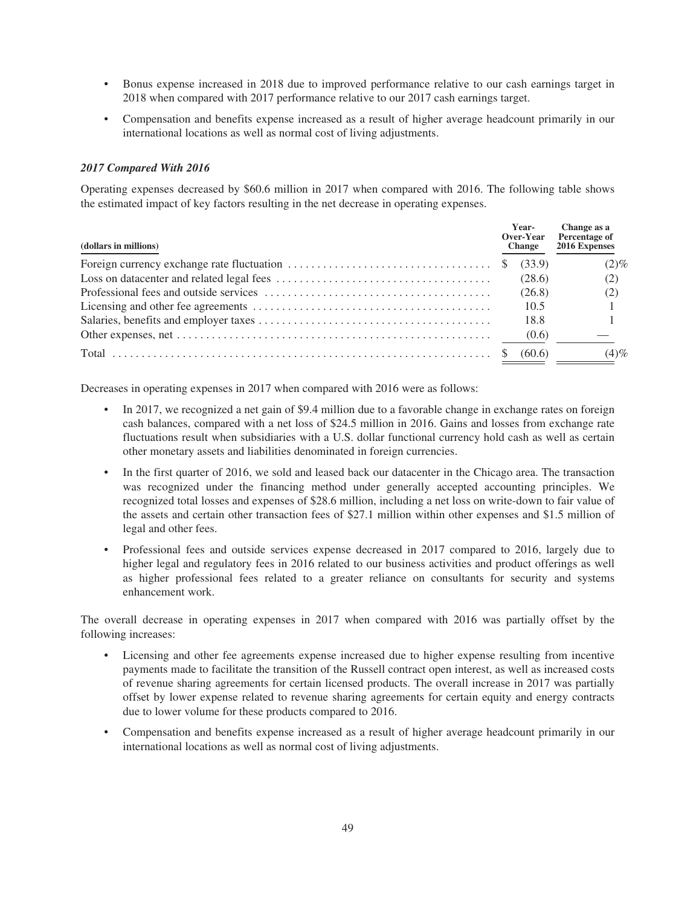- Bonus expense increased in 2018 due to improved performance relative to our cash earnings target in 2018 when compared with 2017 performance relative to our 2017 cash earnings target.
- Compensation and benefits expense increased as a result of higher average headcount primarily in our international locations as well as normal cost of living adjustments.

# *2017 Compared With 2016*

Operating expenses decreased by \$60.6 million in 2017 when compared with 2016. The following table shows the estimated impact of key factors resulting in the net decrease in operating expenses.

| (dollars in millions) | Year-<br>Over-Year<br><b>Change</b> | Change as a<br>Percentage of<br>2016 Expenses |  |
|-----------------------|-------------------------------------|-----------------------------------------------|--|
|                       |                                     | $(2)\%$                                       |  |
|                       | (28.6)                              | (2)                                           |  |
|                       | (26.8)                              | (2)                                           |  |
|                       | 10.5                                |                                               |  |
|                       | 18.8                                |                                               |  |
|                       | (0.6)                               |                                               |  |
|                       | (60.6)                              | (4)%                                          |  |

Decreases in operating expenses in 2017 when compared with 2016 were as follows:

- In 2017, we recognized a net gain of \$9.4 million due to a favorable change in exchange rates on foreign cash balances, compared with a net loss of \$24.5 million in 2016. Gains and losses from exchange rate fluctuations result when subsidiaries with a U.S. dollar functional currency hold cash as well as certain other monetary assets and liabilities denominated in foreign currencies.
- In the first quarter of 2016, we sold and leased back our datacenter in the Chicago area. The transaction was recognized under the financing method under generally accepted accounting principles. We recognized total losses and expenses of \$28.6 million, including a net loss on write-down to fair value of the assets and certain other transaction fees of \$27.1 million within other expenses and \$1.5 million of legal and other fees.
- Professional fees and outside services expense decreased in 2017 compared to 2016, largely due to higher legal and regulatory fees in 2016 related to our business activities and product offerings as well as higher professional fees related to a greater reliance on consultants for security and systems enhancement work.

The overall decrease in operating expenses in 2017 when compared with 2016 was partially offset by the following increases:

- Licensing and other fee agreements expense increased due to higher expense resulting from incentive payments made to facilitate the transition of the Russell contract open interest, as well as increased costs of revenue sharing agreements for certain licensed products. The overall increase in 2017 was partially offset by lower expense related to revenue sharing agreements for certain equity and energy contracts due to lower volume for these products compared to 2016.
- Compensation and benefits expense increased as a result of higher average headcount primarily in our international locations as well as normal cost of living adjustments.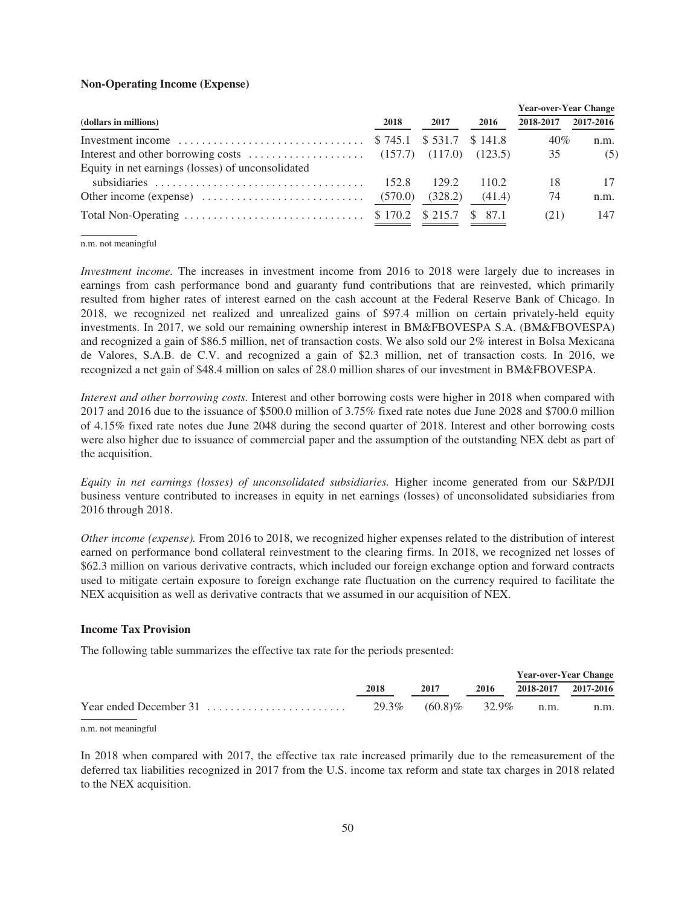## **Non-Operating Income (Expense)**

|                                                                                |         |         |        | <b>Year-over-Year Change</b> |           |
|--------------------------------------------------------------------------------|---------|---------|--------|------------------------------|-----------|
| (dollars in millions)                                                          | 2018    | 2017    | 2016   | 2018-2017                    | 2017-2016 |
|                                                                                |         |         |        | 40%                          | n.m.      |
|                                                                                |         |         |        | 35                           | (5)       |
| Equity in net earnings (losses) of unconsolidated                              |         |         |        |                              |           |
|                                                                                | 152.8   | 129.2   | 110.2  | 18                           | 17        |
| Other income (expense) $\dots \dots \dots \dots \dots \dots \dots \dots \dots$ | (570.0) | (328.2) | (41.4) | 74                           | n.m.      |
|                                                                                |         |         |        | (21)                         | 147       |

n.m. not meaningful

*Investment income.* The increases in investment income from 2016 to 2018 were largely due to increases in earnings from cash performance bond and guaranty fund contributions that are reinvested, which primarily resulted from higher rates of interest earned on the cash account at the Federal Reserve Bank of Chicago. In 2018, we recognized net realized and unrealized gains of \$97.4 million on certain privately-held equity investments. In 2017, we sold our remaining ownership interest in BM&FBOVESPA S.A. (BM&FBOVESPA) and recognized a gain of \$86.5 million, net of transaction costs. We also sold our 2% interest in Bolsa Mexicana de Valores, S.A.B. de C.V. and recognized a gain of \$2.3 million, net of transaction costs. In 2016, we recognized a net gain of \$48.4 million on sales of 28.0 million shares of our investment in BM&FBOVESPA.

*Interest and other borrowing costs.* Interest and other borrowing costs were higher in 2018 when compared with 2017 and 2016 due to the issuance of \$500.0 million of 3.75% fixed rate notes due June 2028 and \$700.0 million of 4.15% fixed rate notes due June 2048 during the second quarter of 2018. Interest and other borrowing costs were also higher due to issuance of commercial paper and the assumption of the outstanding NEX debt as part of the acquisition.

*Equity in net earnings (losses) of unconsolidated subsidiaries.* Higher income generated from our S&P/DJI business venture contributed to increases in equity in net earnings (losses) of unconsolidated subsidiaries from 2016 through 2018.

*Other income (expense).* From 2016 to 2018, we recognized higher expenses related to the distribution of interest earned on performance bond collateral reinvestment to the clearing firms. In 2018, we recognized net losses of \$62.3 million on various derivative contracts, which included our foreign exchange option and forward contracts used to mitigate certain exposure to foreign exchange rate fluctuation on the currency required to facilitate the NEX acquisition as well as derivative contracts that we assumed in our acquisition of NEX.

#### **Income Tax Provision**

The following table summarizes the effective tax rate for the periods presented:

|      |                                   |      |                     | <b>Year-over-Year Change</b> |
|------|-----------------------------------|------|---------------------|------------------------------|
| 2018 | 2017                              | 2016 | 2018-2017 2017-2016 |                              |
|      | $29.3\%$ $(60.8)\%$ $32.9\%$ n.m. |      |                     | n.m.                         |

n.m. not meaningful

In 2018 when compared with 2017, the effective tax rate increased primarily due to the remeasurement of the deferred tax liabilities recognized in 2017 from the U.S. income tax reform and state tax charges in 2018 related to the NEX acquisition.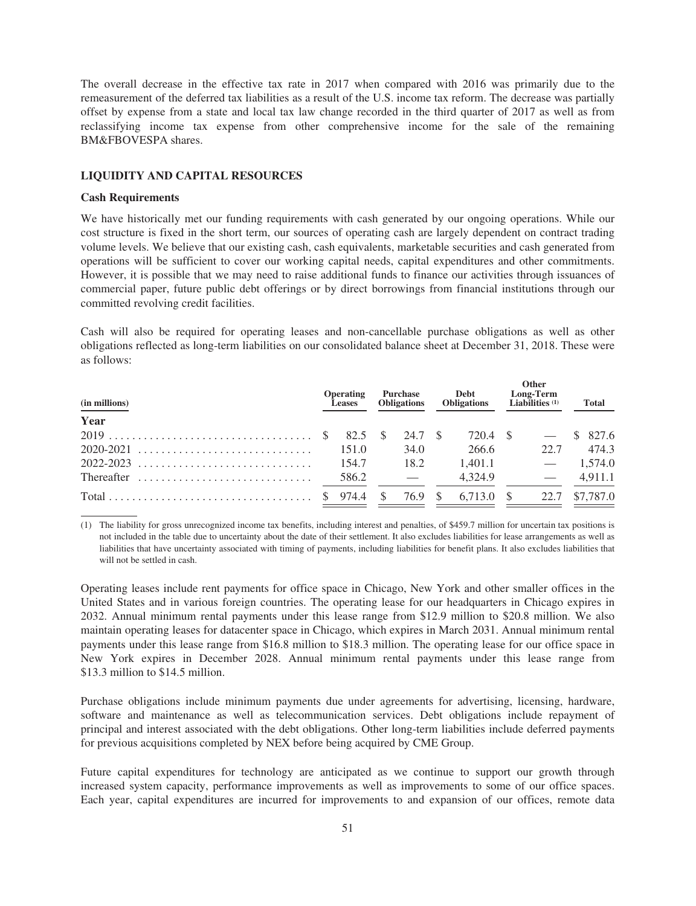The overall decrease in the effective tax rate in 2017 when compared with 2016 was primarily due to the remeasurement of the deferred tax liabilities as a result of the U.S. income tax reform. The decrease was partially offset by expense from a state and local tax law change recorded in the third quarter of 2017 as well as from reclassifying income tax expense from other comprehensive income for the sale of the remaining BM&FBOVESPA shares.

#### **LIQUIDITY AND CAPITAL RESOURCES**

#### **Cash Requirements**

We have historically met our funding requirements with cash generated by our ongoing operations. While our cost structure is fixed in the short term, our sources of operating cash are largely dependent on contract trading volume levels. We believe that our existing cash, cash equivalents, marketable securities and cash generated from operations will be sufficient to cover our working capital needs, capital expenditures and other commitments. However, it is possible that we may need to raise additional funds to finance our activities through issuances of commercial paper, future public debt offerings or by direct borrowings from financial institutions through our committed revolving credit facilities.

Cash will also be required for operating leases and non-cancellable purchase obligations as well as other obligations reflected as long-term liabilities on our consolidated balance sheet at December 31, 2018. These were as follows:

| (in millions)                                                        | <b>Operating</b><br><b>Leases</b> | Purchase<br><b>Obligations</b> | Debt<br><b>Obligations</b> | Other<br>Long-Term<br>Liabilities $(1)$ | <b>Total</b>   |
|----------------------------------------------------------------------|-----------------------------------|--------------------------------|----------------------------|-----------------------------------------|----------------|
| Year                                                                 |                                   |                                |                            |                                         |                |
|                                                                      |                                   | 24.7 \$                        | 720.4 \$                   |                                         | \$ 827.6       |
|                                                                      | 151.0                             | 34.0                           | 266.6                      | 22.7                                    | 474.3          |
|                                                                      | 154.7                             | 18.2                           | 1.401.1                    |                                         | 1.574.0        |
| Thereafter $\ldots \ldots \ldots \ldots \ldots \ldots \ldots \ldots$ | 586.2                             |                                | 4.324.9                    |                                         | 4.911.1        |
|                                                                      |                                   | 76.9 S                         | 6.713.0 \$                 |                                         | 22.7 \$7,787.0 |

(1) The liability for gross unrecognized income tax benefits, including interest and penalties, of \$459.7 million for uncertain tax positions is not included in the table due to uncertainty about the date of their settlement. It also excludes liabilities for lease arrangements as well as liabilities that have uncertainty associated with timing of payments, including liabilities for benefit plans. It also excludes liabilities that will not be settled in cash.

Operating leases include rent payments for office space in Chicago, New York and other smaller offices in the United States and in various foreign countries. The operating lease for our headquarters in Chicago expires in 2032. Annual minimum rental payments under this lease range from \$12.9 million to \$20.8 million. We also maintain operating leases for datacenter space in Chicago, which expires in March 2031. Annual minimum rental payments under this lease range from \$16.8 million to \$18.3 million. The operating lease for our office space in New York expires in December 2028. Annual minimum rental payments under this lease range from \$13.3 million to \$14.5 million.

Purchase obligations include minimum payments due under agreements for advertising, licensing, hardware, software and maintenance as well as telecommunication services. Debt obligations include repayment of principal and interest associated with the debt obligations. Other long-term liabilities include deferred payments for previous acquisitions completed by NEX before being acquired by CME Group.

Future capital expenditures for technology are anticipated as we continue to support our growth through increased system capacity, performance improvements as well as improvements to some of our office spaces. Each year, capital expenditures are incurred for improvements to and expansion of our offices, remote data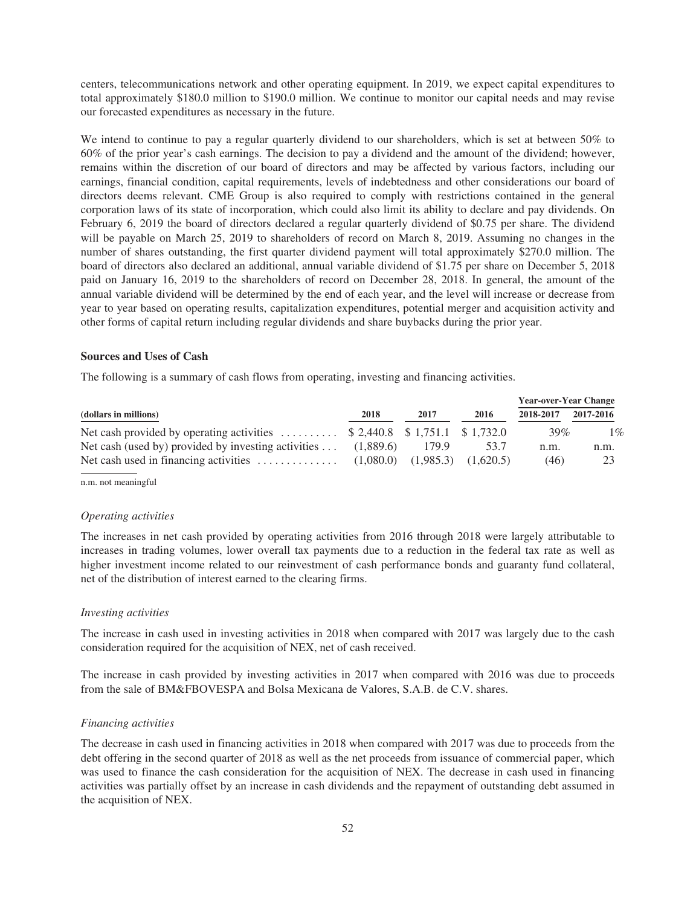centers, telecommunications network and other operating equipment. In 2019, we expect capital expenditures to total approximately \$180.0 million to \$190.0 million. We continue to monitor our capital needs and may revise our forecasted expenditures as necessary in the future.

We intend to continue to pay a regular quarterly dividend to our shareholders, which is set at between 50% to 60% of the prior year's cash earnings. The decision to pay a dividend and the amount of the dividend; however, remains within the discretion of our board of directors and may be affected by various factors, including our earnings, financial condition, capital requirements, levels of indebtedness and other considerations our board of directors deems relevant. CME Group is also required to comply with restrictions contained in the general corporation laws of its state of incorporation, which could also limit its ability to declare and pay dividends. On February 6, 2019 the board of directors declared a regular quarterly dividend of \$0.75 per share. The dividend will be payable on March 25, 2019 to shareholders of record on March 8, 2019. Assuming no changes in the number of shares outstanding, the first quarter dividend payment will total approximately \$270.0 million. The board of directors also declared an additional, annual variable dividend of \$1.75 per share on December 5, 2018 paid on January 16, 2019 to the shareholders of record on December 28, 2018. In general, the amount of the annual variable dividend will be determined by the end of each year, and the level will increase or decrease from year to year based on operating results, capitalization expenditures, potential merger and acquisition activity and other forms of capital return including regular dividends and share buybacks during the prior year.

### **Sources and Uses of Cash**

The following is a summary of cash flows from operating, investing and financing activities.

|                                                                                            |           |           |           | <b>Year-over-Year Change</b> |           |
|--------------------------------------------------------------------------------------------|-----------|-----------|-----------|------------------------------|-----------|
| (dollars in millions)                                                                      | 2018      | 2017      | 2016      | 2018-2017                    | 2017-2016 |
| Net cash provided by operating activities $\ldots \ldots$ \$ 2,440.8 \$ 1,751.1 \$ 1,732.0 |           |           |           | 39%                          | $1\%$     |
| Net cash (used by) provided by investing activities $\dots$                                | (1.889.6) | 179.9     | 53.7      | n.m.                         | n.m.      |
| Net cash used in financing activities $\ldots$                                             | (1.080.0) | (1.985.3) | (1.620.5) | (46)                         | 23        |

n.m. not meaningful

#### *Operating activities*

The increases in net cash provided by operating activities from 2016 through 2018 were largely attributable to increases in trading volumes, lower overall tax payments due to a reduction in the federal tax rate as well as higher investment income related to our reinvestment of cash performance bonds and guaranty fund collateral, net of the distribution of interest earned to the clearing firms.

#### *Investing activities*

The increase in cash used in investing activities in 2018 when compared with 2017 was largely due to the cash consideration required for the acquisition of NEX, net of cash received.

The increase in cash provided by investing activities in 2017 when compared with 2016 was due to proceeds from the sale of BM&FBOVESPA and Bolsa Mexicana de Valores, S.A.B. de C.V. shares.

#### *Financing activities*

The decrease in cash used in financing activities in 2018 when compared with 2017 was due to proceeds from the debt offering in the second quarter of 2018 as well as the net proceeds from issuance of commercial paper, which was used to finance the cash consideration for the acquisition of NEX. The decrease in cash used in financing activities was partially offset by an increase in cash dividends and the repayment of outstanding debt assumed in the acquisition of NEX.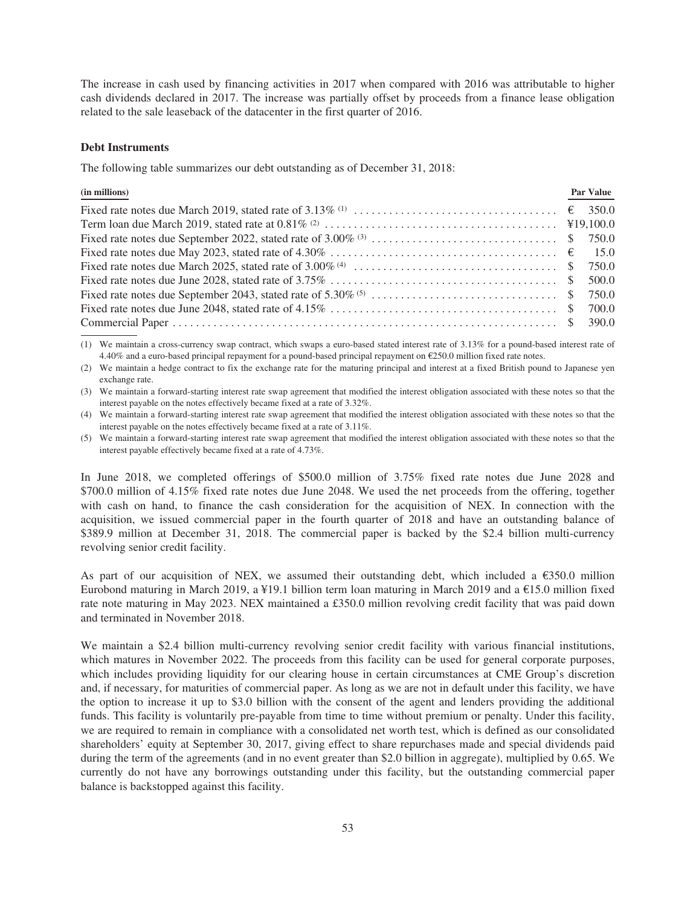The increase in cash used by financing activities in 2017 when compared with 2016 was attributable to higher cash dividends declared in 2017. The increase was partially offset by proceeds from a finance lease obligation related to the sale leaseback of the datacenter in the first quarter of 2016.

#### **Debt Instruments**

The following table summarizes our debt outstanding as of December 31, 2018:

| (in millions) | <b>Par Value</b> |
|---------------|------------------|
|               |                  |
|               |                  |
|               |                  |
|               |                  |
|               |                  |
|               |                  |
|               | 750.0            |
|               |                  |
|               |                  |

(1) We maintain a cross-currency swap contract, which swaps a euro-based stated interest rate of 3.13% for a pound-based interest rate of 4.40% and a euro-based principal repayment for a pound-based principal repayment on  $\epsilon$ 250.0 million fixed rate notes.

(2) We maintain a hedge contract to fix the exchange rate for the maturing principal and interest at a fixed British pound to Japanese yen exchange rate.

(3) We maintain a forward-starting interest rate swap agreement that modified the interest obligation associated with these notes so that the interest payable on the notes effectively became fixed at a rate of 3.32%.

(4) We maintain a forward-starting interest rate swap agreement that modified the interest obligation associated with these notes so that the interest payable on the notes effectively became fixed at a rate of 3.11%.

(5) We maintain a forward-starting interest rate swap agreement that modified the interest obligation associated with these notes so that the interest payable effectively became fixed at a rate of 4.73%.

In June 2018, we completed offerings of \$500.0 million of 3.75% fixed rate notes due June 2028 and \$700.0 million of 4.15% fixed rate notes due June 2048. We used the net proceeds from the offering, together with cash on hand, to finance the cash consideration for the acquisition of NEX. In connection with the acquisition, we issued commercial paper in the fourth quarter of 2018 and have an outstanding balance of \$389.9 million at December 31, 2018. The commercial paper is backed by the \$2.4 billion multi-currency revolving senior credit facility.

As part of our acquisition of NEX, we assumed their outstanding debt, which included a €350.0 million Eurobond maturing in March 2019, a ¥19.1 billion term loan maturing in March 2019 and a €15.0 million fixed rate note maturing in May 2023. NEX maintained a £350.0 million revolving credit facility that was paid down and terminated in November 2018.

We maintain a \$2.4 billion multi-currency revolving senior credit facility with various financial institutions, which matures in November 2022. The proceeds from this facility can be used for general corporate purposes, which includes providing liquidity for our clearing house in certain circumstances at CME Group's discretion and, if necessary, for maturities of commercial paper. As long as we are not in default under this facility, we have the option to increase it up to \$3.0 billion with the consent of the agent and lenders providing the additional funds. This facility is voluntarily pre-payable from time to time without premium or penalty. Under this facility, we are required to remain in compliance with a consolidated net worth test, which is defined as our consolidated shareholders' equity at September 30, 2017, giving effect to share repurchases made and special dividends paid during the term of the agreements (and in no event greater than \$2.0 billion in aggregate), multiplied by 0.65. We currently do not have any borrowings outstanding under this facility, but the outstanding commercial paper balance is backstopped against this facility.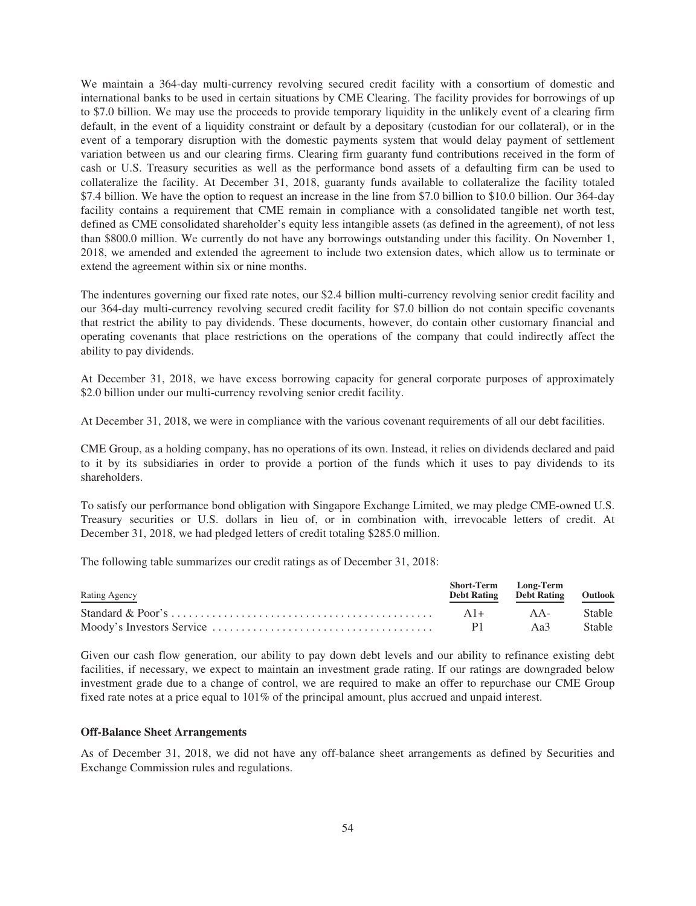We maintain a 364-day multi-currency revolving secured credit facility with a consortium of domestic and international banks to be used in certain situations by CME Clearing. The facility provides for borrowings of up to \$7.0 billion. We may use the proceeds to provide temporary liquidity in the unlikely event of a clearing firm default, in the event of a liquidity constraint or default by a depositary (custodian for our collateral), or in the event of a temporary disruption with the domestic payments system that would delay payment of settlement variation between us and our clearing firms. Clearing firm guaranty fund contributions received in the form of cash or U.S. Treasury securities as well as the performance bond assets of a defaulting firm can be used to collateralize the facility. At December 31, 2018, guaranty funds available to collateralize the facility totaled \$7.4 billion. We have the option to request an increase in the line from \$7.0 billion to \$10.0 billion. Our 364-day facility contains a requirement that CME remain in compliance with a consolidated tangible net worth test, defined as CME consolidated shareholder's equity less intangible assets (as defined in the agreement), of not less than \$800.0 million. We currently do not have any borrowings outstanding under this facility. On November 1, 2018, we amended and extended the agreement to include two extension dates, which allow us to terminate or extend the agreement within six or nine months.

The indentures governing our fixed rate notes, our \$2.4 billion multi-currency revolving senior credit facility and our 364-day multi-currency revolving secured credit facility for \$7.0 billion do not contain specific covenants that restrict the ability to pay dividends. These documents, however, do contain other customary financial and operating covenants that place restrictions on the operations of the company that could indirectly affect the ability to pay dividends.

At December 31, 2018, we have excess borrowing capacity for general corporate purposes of approximately \$2.0 billion under our multi-currency revolving senior credit facility.

At December 31, 2018, we were in compliance with the various covenant requirements of all our debt facilities.

CME Group, as a holding company, has no operations of its own. Instead, it relies on dividends declared and paid to it by its subsidiaries in order to provide a portion of the funds which it uses to pay dividends to its shareholders.

To satisfy our performance bond obligation with Singapore Exchange Limited, we may pledge CME-owned U.S. Treasury securities or U.S. dollars in lieu of, or in combination with, irrevocable letters of credit. At December 31, 2018, we had pledged letters of credit totaling \$285.0 million.

The following table summarizes our credit ratings as of December 31, 2018:

| Rating Agency | Short-Term Long-Term | Debt Rating Debt Rating Outlook |               |
|---------------|----------------------|---------------------------------|---------------|
|               | $A1+$                | $AA-$                           | - Stable      |
|               | P1                   | Aa <sup>3</sup>                 | <b>Stable</b> |

Given our cash flow generation, our ability to pay down debt levels and our ability to refinance existing debt facilities, if necessary, we expect to maintain an investment grade rating. If our ratings are downgraded below investment grade due to a change of control, we are required to make an offer to repurchase our CME Group fixed rate notes at a price equal to 101% of the principal amount, plus accrued and unpaid interest.

# **Off-Balance Sheet Arrangements**

As of December 31, 2018, we did not have any off-balance sheet arrangements as defined by Securities and Exchange Commission rules and regulations.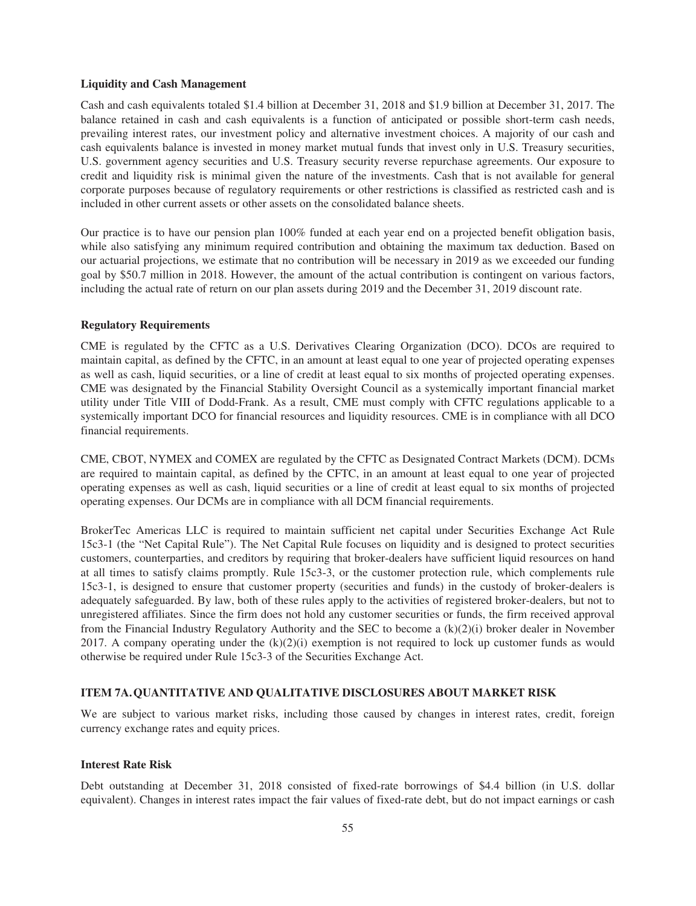# **Liquidity and Cash Management**

Cash and cash equivalents totaled \$1.4 billion at December 31, 2018 and \$1.9 billion at December 31, 2017. The balance retained in cash and cash equivalents is a function of anticipated or possible short-term cash needs, prevailing interest rates, our investment policy and alternative investment choices. A majority of our cash and cash equivalents balance is invested in money market mutual funds that invest only in U.S. Treasury securities, U.S. government agency securities and U.S. Treasury security reverse repurchase agreements. Our exposure to credit and liquidity risk is minimal given the nature of the investments. Cash that is not available for general corporate purposes because of regulatory requirements or other restrictions is classified as restricted cash and is included in other current assets or other assets on the consolidated balance sheets.

Our practice is to have our pension plan 100% funded at each year end on a projected benefit obligation basis, while also satisfying any minimum required contribution and obtaining the maximum tax deduction. Based on our actuarial projections, we estimate that no contribution will be necessary in 2019 as we exceeded our funding goal by \$50.7 million in 2018. However, the amount of the actual contribution is contingent on various factors, including the actual rate of return on our plan assets during 2019 and the December 31, 2019 discount rate.

# **Regulatory Requirements**

CME is regulated by the CFTC as a U.S. Derivatives Clearing Organization (DCO). DCOs are required to maintain capital, as defined by the CFTC, in an amount at least equal to one year of projected operating expenses as well as cash, liquid securities, or a line of credit at least equal to six months of projected operating expenses. CME was designated by the Financial Stability Oversight Council as a systemically important financial market utility under Title VIII of Dodd-Frank. As a result, CME must comply with CFTC regulations applicable to a systemically important DCO for financial resources and liquidity resources. CME is in compliance with all DCO financial requirements.

CME, CBOT, NYMEX and COMEX are regulated by the CFTC as Designated Contract Markets (DCM). DCMs are required to maintain capital, as defined by the CFTC, in an amount at least equal to one year of projected operating expenses as well as cash, liquid securities or a line of credit at least equal to six months of projected operating expenses. Our DCMs are in compliance with all DCM financial requirements.

BrokerTec Americas LLC is required to maintain sufficient net capital under Securities Exchange Act Rule 15c3-1 (the "Net Capital Rule"). The Net Capital Rule focuses on liquidity and is designed to protect securities customers, counterparties, and creditors by requiring that broker-dealers have sufficient liquid resources on hand at all times to satisfy claims promptly. Rule 15c3-3, or the customer protection rule, which complements rule 15c3-1, is designed to ensure that customer property (securities and funds) in the custody of broker-dealers is adequately safeguarded. By law, both of these rules apply to the activities of registered broker-dealers, but not to unregistered affiliates. Since the firm does not hold any customer securities or funds, the firm received approval from the Financial Industry Regulatory Authority and the SEC to become a (k)(2)(i) broker dealer in November 2017. A company operating under the  $(k)(2)(i)$  exemption is not required to lock up customer funds as would otherwise be required under Rule 15c3-3 of the Securities Exchange Act.

# **ITEM 7A.QUANTITATIVE AND QUALITATIVE DISCLOSURES ABOUT MARKET RISK**

We are subject to various market risks, including those caused by changes in interest rates, credit, foreign currency exchange rates and equity prices.

#### **Interest Rate Risk**

Debt outstanding at December 31, 2018 consisted of fixed-rate borrowings of \$4.4 billion (in U.S. dollar equivalent). Changes in interest rates impact the fair values of fixed-rate debt, but do not impact earnings or cash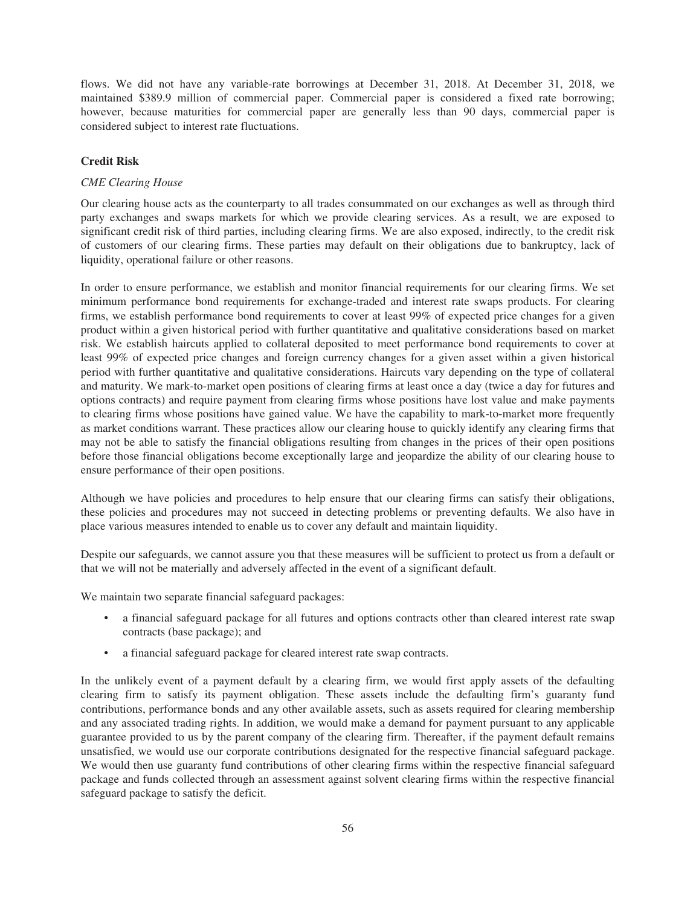flows. We did not have any variable-rate borrowings at December 31, 2018. At December 31, 2018, we maintained \$389.9 million of commercial paper. Commercial paper is considered a fixed rate borrowing; however, because maturities for commercial paper are generally less than 90 days, commercial paper is considered subject to interest rate fluctuations.

# **Credit Risk**

## *CME Clearing House*

Our clearing house acts as the counterparty to all trades consummated on our exchanges as well as through third party exchanges and swaps markets for which we provide clearing services. As a result, we are exposed to significant credit risk of third parties, including clearing firms. We are also exposed, indirectly, to the credit risk of customers of our clearing firms. These parties may default on their obligations due to bankruptcy, lack of liquidity, operational failure or other reasons.

In order to ensure performance, we establish and monitor financial requirements for our clearing firms. We set minimum performance bond requirements for exchange-traded and interest rate swaps products. For clearing firms, we establish performance bond requirements to cover at least 99% of expected price changes for a given product within a given historical period with further quantitative and qualitative considerations based on market risk. We establish haircuts applied to collateral deposited to meet performance bond requirements to cover at least 99% of expected price changes and foreign currency changes for a given asset within a given historical period with further quantitative and qualitative considerations. Haircuts vary depending on the type of collateral and maturity. We mark-to-market open positions of clearing firms at least once a day (twice a day for futures and options contracts) and require payment from clearing firms whose positions have lost value and make payments to clearing firms whose positions have gained value. We have the capability to mark-to-market more frequently as market conditions warrant. These practices allow our clearing house to quickly identify any clearing firms that may not be able to satisfy the financial obligations resulting from changes in the prices of their open positions before those financial obligations become exceptionally large and jeopardize the ability of our clearing house to ensure performance of their open positions.

Although we have policies and procedures to help ensure that our clearing firms can satisfy their obligations, these policies and procedures may not succeed in detecting problems or preventing defaults. We also have in place various measures intended to enable us to cover any default and maintain liquidity.

Despite our safeguards, we cannot assure you that these measures will be sufficient to protect us from a default or that we will not be materially and adversely affected in the event of a significant default.

We maintain two separate financial safeguard packages:

- a financial safeguard package for all futures and options contracts other than cleared interest rate swap contracts (base package); and
- a financial safeguard package for cleared interest rate swap contracts.

In the unlikely event of a payment default by a clearing firm, we would first apply assets of the defaulting clearing firm to satisfy its payment obligation. These assets include the defaulting firm's guaranty fund contributions, performance bonds and any other available assets, such as assets required for clearing membership and any associated trading rights. In addition, we would make a demand for payment pursuant to any applicable guarantee provided to us by the parent company of the clearing firm. Thereafter, if the payment default remains unsatisfied, we would use our corporate contributions designated for the respective financial safeguard package. We would then use guaranty fund contributions of other clearing firms within the respective financial safeguard package and funds collected through an assessment against solvent clearing firms within the respective financial safeguard package to satisfy the deficit.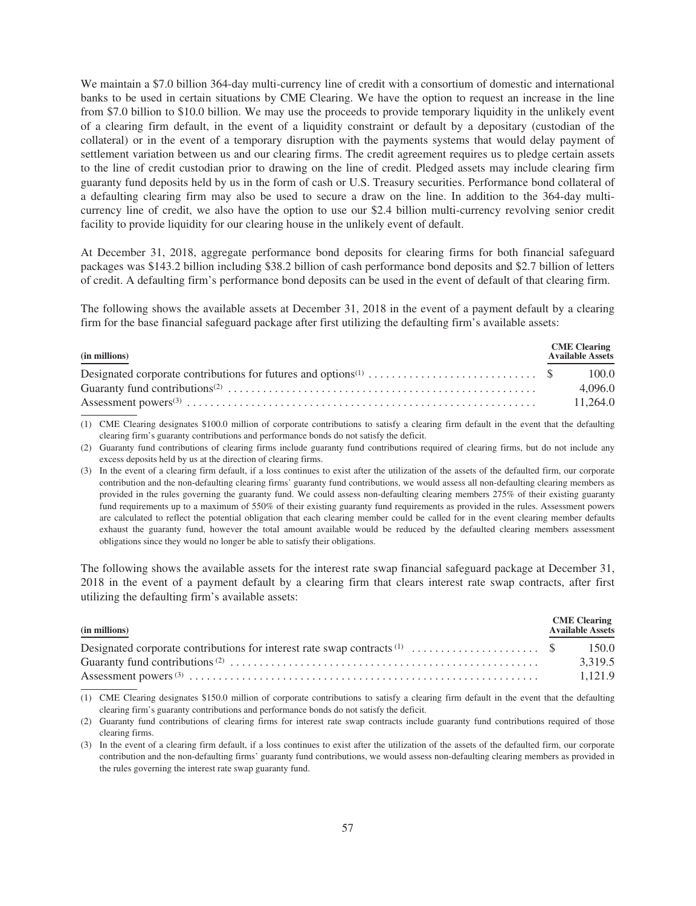We maintain a \$7.0 billion 364-day multi-currency line of credit with a consortium of domestic and international banks to be used in certain situations by CME Clearing. We have the option to request an increase in the line from \$7.0 billion to \$10.0 billion. We may use the proceeds to provide temporary liquidity in the unlikely event of a clearing firm default, in the event of a liquidity constraint or default by a depositary (custodian of the collateral) or in the event of a temporary disruption with the payments systems that would delay payment of settlement variation between us and our clearing firms. The credit agreement requires us to pledge certain assets to the line of credit custodian prior to drawing on the line of credit. Pledged assets may include clearing firm guaranty fund deposits held by us in the form of cash or U.S. Treasury securities. Performance bond collateral of a defaulting clearing firm may also be used to secure a draw on the line. In addition to the 364-day multicurrency line of credit, we also have the option to use our \$2.4 billion multi-currency revolving senior credit facility to provide liquidity for our clearing house in the unlikely event of default.

At December 31, 2018, aggregate performance bond deposits for clearing firms for both financial safeguard packages was \$143.2 billion including \$38.2 billion of cash performance bond deposits and \$2.7 billion of letters of credit. A defaulting firm's performance bond deposits can be used in the event of default of that clearing firm.

The following shows the available assets at December 31, 2018 in the event of a payment default by a clearing firm for the base financial safeguard package after first utilizing the defaulting firm's available assets:

| (in millions) | <b>CME Clearing</b><br><b>Available Assets</b> |
|---------------|------------------------------------------------|
|               |                                                |
|               | 4.096.0                                        |
|               | 11.264.0                                       |

(1) CME Clearing designates \$100.0 million of corporate contributions to satisfy a clearing firm default in the event that the defaulting clearing firm's guaranty contributions and performance bonds do not satisfy the deficit.

(2) Guaranty fund contributions of clearing firms include guaranty fund contributions required of clearing firms, but do not include any excess deposits held by us at the direction of clearing firms.

(3) In the event of a clearing firm default, if a loss continues to exist after the utilization of the assets of the defaulted firm, our corporate contribution and the non-defaulting clearing firms' guaranty fund contributions, we would assess all non-defaulting clearing members as provided in the rules governing the guaranty fund. We could assess non-defaulting clearing members 275% of their existing guaranty fund requirements up to a maximum of 550% of their existing guaranty fund requirements as provided in the rules. Assessment powers are calculated to reflect the potential obligation that each clearing member could be called for in the event clearing member defaults exhaust the guaranty fund, however the total amount available would be reduced by the defaulted clearing members assessment obligations since they would no longer be able to satisfy their obligations.

The following shows the available assets for the interest rate swap financial safeguard package at December 31, 2018 in the event of a payment default by a clearing firm that clears interest rate swap contracts, after first utilizing the defaulting firm's available assets:

| (in millions) | <b>CME Clearing</b><br><b>Available Assets</b> |
|---------------|------------------------------------------------|
|               |                                                |
|               | 3.319.5                                        |
|               | 1.121.9                                        |

<sup>(1)</sup> CME Clearing designates \$150.0 million of corporate contributions to satisfy a clearing firm default in the event that the defaulting clearing firm's guaranty contributions and performance bonds do not satisfy the deficit.

<sup>(2)</sup> Guaranty fund contributions of clearing firms for interest rate swap contracts include guaranty fund contributions required of those clearing firms.

<sup>(3)</sup> In the event of a clearing firm default, if a loss continues to exist after the utilization of the assets of the defaulted firm, our corporate contribution and the non-defaulting firms' guaranty fund contributions, we would assess non-defaulting clearing members as provided in the rules governing the interest rate swap guaranty fund.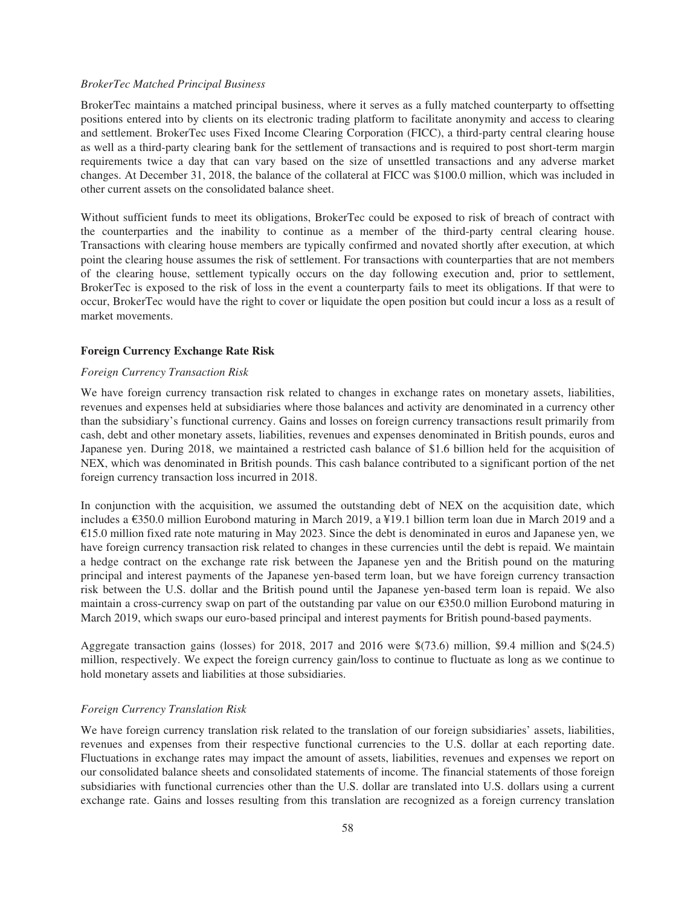#### *BrokerTec Matched Principal Business*

BrokerTec maintains a matched principal business, where it serves as a fully matched counterparty to offsetting positions entered into by clients on its electronic trading platform to facilitate anonymity and access to clearing and settlement. BrokerTec uses Fixed Income Clearing Corporation (FICC), a third-party central clearing house as well as a third-party clearing bank for the settlement of transactions and is required to post short-term margin requirements twice a day that can vary based on the size of unsettled transactions and any adverse market changes. At December 31, 2018, the balance of the collateral at FICC was \$100.0 million, which was included in other current assets on the consolidated balance sheet.

Without sufficient funds to meet its obligations, BrokerTec could be exposed to risk of breach of contract with the counterparties and the inability to continue as a member of the third-party central clearing house. Transactions with clearing house members are typically confirmed and novated shortly after execution, at which point the clearing house assumes the risk of settlement. For transactions with counterparties that are not members of the clearing house, settlement typically occurs on the day following execution and, prior to settlement, BrokerTec is exposed to the risk of loss in the event a counterparty fails to meet its obligations. If that were to occur, BrokerTec would have the right to cover or liquidate the open position but could incur a loss as a result of market movements.

# **Foreign Currency Exchange Rate Risk**

# *Foreign Currency Transaction Risk*

We have foreign currency transaction risk related to changes in exchange rates on monetary assets, liabilities, revenues and expenses held at subsidiaries where those balances and activity are denominated in a currency other than the subsidiary's functional currency. Gains and losses on foreign currency transactions result primarily from cash, debt and other monetary assets, liabilities, revenues and expenses denominated in British pounds, euros and Japanese yen. During 2018, we maintained a restricted cash balance of \$1.6 billion held for the acquisition of NEX, which was denominated in British pounds. This cash balance contributed to a significant portion of the net foreign currency transaction loss incurred in 2018.

In conjunction with the acquisition, we assumed the outstanding debt of NEX on the acquisition date, which includes a €350.0 million Eurobond maturing in March 2019, a ¥19.1 billion term loan due in March 2019 and a €15.0 million fixed rate note maturing in May 2023. Since the debt is denominated in euros and Japanese yen, we have foreign currency transaction risk related to changes in these currencies until the debt is repaid. We maintain a hedge contract on the exchange rate risk between the Japanese yen and the British pound on the maturing principal and interest payments of the Japanese yen-based term loan, but we have foreign currency transaction risk between the U.S. dollar and the British pound until the Japanese yen-based term loan is repaid. We also maintain a cross-currency swap on part of the outstanding par value on our €350.0 million Eurobond maturing in March 2019, which swaps our euro-based principal and interest payments for British pound-based payments.

Aggregate transaction gains (losses) for 2018, 2017 and 2016 were \$(73.6) million, \$9.4 million and \$(24.5) million, respectively. We expect the foreign currency gain/loss to continue to fluctuate as long as we continue to hold monetary assets and liabilities at those subsidiaries.

#### *Foreign Currency Translation Risk*

We have foreign currency translation risk related to the translation of our foreign subsidiaries' assets, liabilities, revenues and expenses from their respective functional currencies to the U.S. dollar at each reporting date. Fluctuations in exchange rates may impact the amount of assets, liabilities, revenues and expenses we report on our consolidated balance sheets and consolidated statements of income. The financial statements of those foreign subsidiaries with functional currencies other than the U.S. dollar are translated into U.S. dollars using a current exchange rate. Gains and losses resulting from this translation are recognized as a foreign currency translation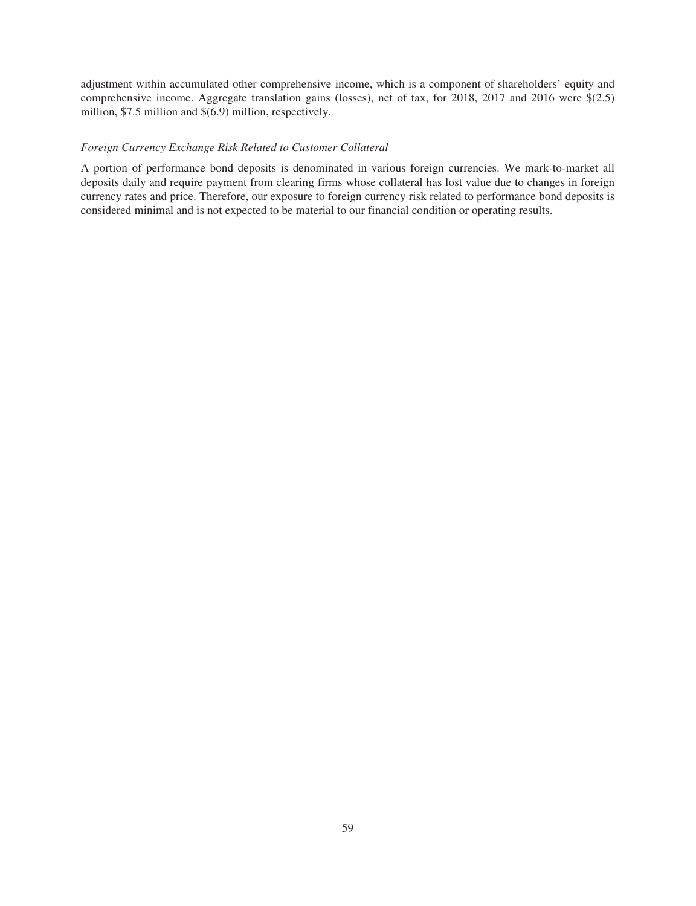adjustment within accumulated other comprehensive income, which is a component of shareholders' equity and comprehensive income. Aggregate translation gains (losses), net of tax, for 2018, 2017 and 2016 were \$(2.5) million, \$7.5 million and \$(6.9) million, respectively.

# *Foreign Currency Exchange Risk Related to Customer Collateral*

A portion of performance bond deposits is denominated in various foreign currencies. We mark-to-market all deposits daily and require payment from clearing firms whose collateral has lost value due to changes in foreign currency rates and price. Therefore, our exposure to foreign currency risk related to performance bond deposits is considered minimal and is not expected to be material to our financial condition or operating results.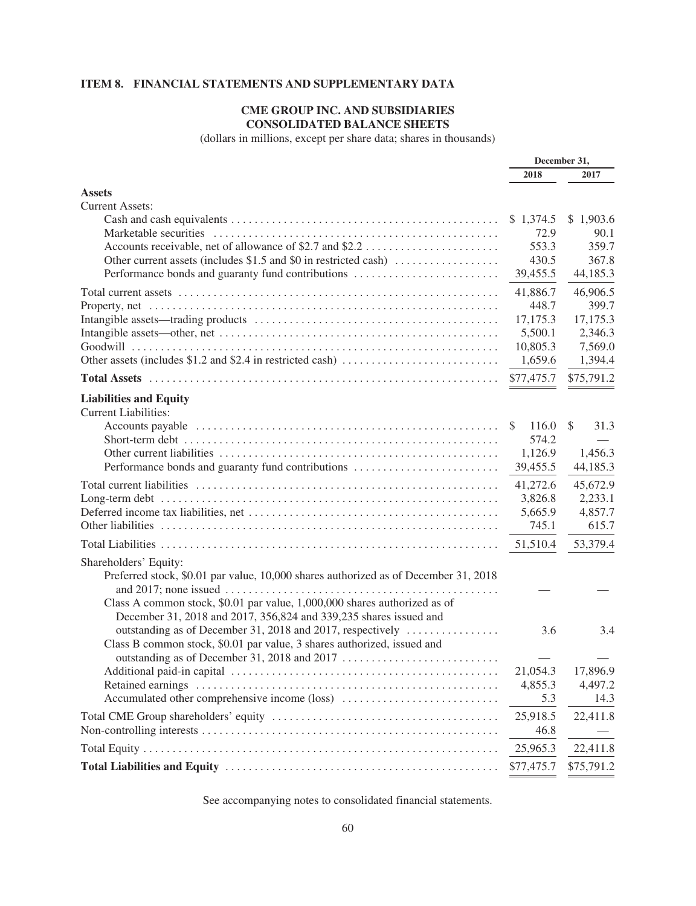# **ITEM 8. FINANCIAL STATEMENTS AND SUPPLEMENTARY DATA**

# **CME GROUP INC. AND SUBSIDIARIES CONSOLIDATED BALANCE SHEETS**

(dollars in millions, except per share data; shares in thousands)

|                                                                                                                               | December 31,          |            |
|-------------------------------------------------------------------------------------------------------------------------------|-----------------------|------------|
|                                                                                                                               | 2018                  | 2017       |
| <b>Assets</b>                                                                                                                 |                       |            |
| <b>Current Assets:</b>                                                                                                        |                       |            |
|                                                                                                                               | \$1,374.5             | \$1,903.6  |
|                                                                                                                               | 72.9                  | 90.1       |
|                                                                                                                               | 553.3                 | 359.7      |
| Other current assets (includes $$1.5$ and $$0$ in restricted cash)                                                            | 430.5                 | 367.8      |
| Performance bonds and guaranty fund contributions                                                                             | 39,455.5              | 44,185.3   |
|                                                                                                                               | 41,886.7              | 46,906.5   |
|                                                                                                                               | 448.7                 | 399.7      |
|                                                                                                                               | 17,175.3              | 17,175.3   |
|                                                                                                                               | 5,500.1               | 2,346.3    |
|                                                                                                                               | 10,805.3              | 7,569.0    |
|                                                                                                                               | 1,659.6               | 1,394.4    |
|                                                                                                                               | \$77,475.7            | \$75,791.2 |
| <b>Liabilities and Equity</b>                                                                                                 |                       |            |
| <b>Current Liabilities:</b>                                                                                                   |                       |            |
|                                                                                                                               | 116.0<br><sup>S</sup> | \$<br>31.3 |
|                                                                                                                               | 574.2                 |            |
|                                                                                                                               | 1,126.9               | 1,456.3    |
| Performance bonds and guaranty fund contributions                                                                             | 39,455.5              | 44,185.3   |
|                                                                                                                               | 41,272.6              | 45,672.9   |
|                                                                                                                               | 3,826.8               | 2,233.1    |
|                                                                                                                               | 5,665.9               | 4,857.7    |
|                                                                                                                               | 745.1                 | 615.7      |
|                                                                                                                               | 51,510.4              | 53,379.4   |
| Shareholders' Equity:                                                                                                         |                       |            |
| Preferred stock, \$0.01 par value, 10,000 shares authorized as of December 31, 2018                                           |                       |            |
| and 2017; none issued $\dots \dots \dots \dots \dots \dots \dots \dots \dots \dots \dots \dots \dots \dots \dots \dots \dots$ |                       |            |
| Class A common stock, \$0.01 par value, 1,000,000 shares authorized as of                                                     |                       |            |
| December 31, 2018 and 2017, 356,824 and 339,235 shares issued and                                                             |                       |            |
| outstanding as of December 31, 2018 and 2017, respectively                                                                    | 3.6                   | 3.4        |
| Class B common stock, \$0.01 par value, 3 shares authorized, issued and                                                       |                       |            |
|                                                                                                                               |                       |            |
|                                                                                                                               | 21,054.3              | 17,896.9   |
|                                                                                                                               | 4,855.3               | 4,497.2    |
| Accumulated other comprehensive income (loss)                                                                                 | 5.3                   | 14.3       |
|                                                                                                                               | 25,918.5              | 22,411.8   |
|                                                                                                                               | 46.8                  |            |
|                                                                                                                               | 25,965.3              | 22,411.8   |
|                                                                                                                               | \$77,475.7            | \$75,791.2 |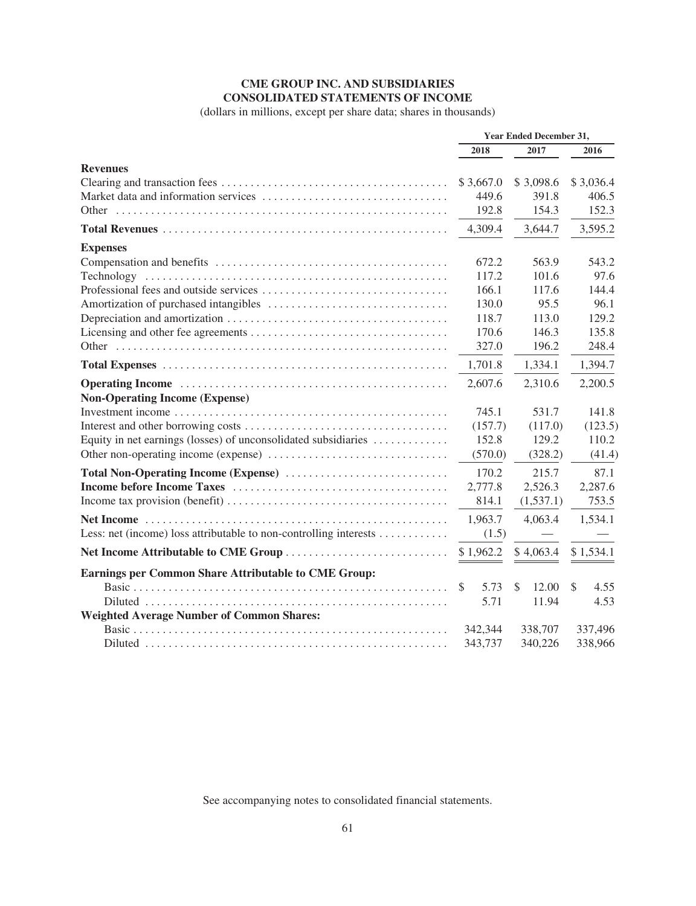# **CME GROUP INC. AND SUBSIDIARIES CONSOLIDATED STATEMENTS OF INCOME**

(dollars in millions, except per share data; shares in thousands)

|                                                                   | <b>Year Ended December 31,</b> |             |                      |
|-------------------------------------------------------------------|--------------------------------|-------------|----------------------|
|                                                                   | 2018                           | 2017        | 2016                 |
| <b>Revenues</b>                                                   |                                |             |                      |
|                                                                   | \$3,667.0                      | \$ 3,098.6  | \$3,036.4            |
|                                                                   | 449.6                          | 391.8       | 406.5                |
|                                                                   | 192.8                          | 154.3       | 152.3                |
|                                                                   | 4,309.4                        | 3,644.7     | 3,595.2              |
| <b>Expenses</b>                                                   |                                |             |                      |
|                                                                   | 672.2                          | 563.9       | 543.2                |
|                                                                   | 117.2                          | 101.6       | 97.6                 |
|                                                                   | 166.1                          | 117.6       | 144.4                |
|                                                                   | 130.0                          | 95.5        | 96.1                 |
|                                                                   | 118.7                          | 113.0       | 129.2                |
|                                                                   | 170.6                          | 146.3       | 135.8                |
|                                                                   | 327.0                          | 196.2       | 248.4                |
|                                                                   | 1,701.8                        | 1,334.1     | 1,394.7              |
|                                                                   | 2,607.6                        | 2,310.6     | 2,200.5              |
| <b>Non-Operating Income (Expense)</b>                             |                                |             |                      |
|                                                                   | 745.1                          | 531.7       | 141.8                |
|                                                                   | (157.7)                        | (117.0)     | (123.5)              |
| Equity in net earnings (losses) of unconsolidated subsidiaries    | 152.8                          | 129.2       | 110.2                |
|                                                                   | (570.0)                        | (328.2)     | (41.4)               |
|                                                                   | 170.2                          | 215.7       | 87.1                 |
|                                                                   | 2,777.8                        | 2,526.3     | 2,287.6              |
|                                                                   | 814.1                          | (1,537.1)   | 753.5                |
|                                                                   | 1,963.7                        | 4,063.4     | 1,534.1              |
| Less: net (income) loss attributable to non-controlling interests | (1.5)                          |             |                      |
| Net Income Attributable to CME Group                              | \$1,962.2                      | \$4,063.4   | \$1,534.1            |
| Earnings per Common Share Attributable to CME Group:              |                                |             |                      |
|                                                                   | \$<br>5.73                     | \$<br>12.00 | $\mathbb{S}$<br>4.55 |
|                                                                   | 5.71                           | 11.94       | 4.53                 |
| <b>Weighted Average Number of Common Shares:</b>                  |                                |             |                      |
|                                                                   | 342,344                        | 338,707     | 337,496              |
|                                                                   | 343,737                        | 340,226     | 338,966              |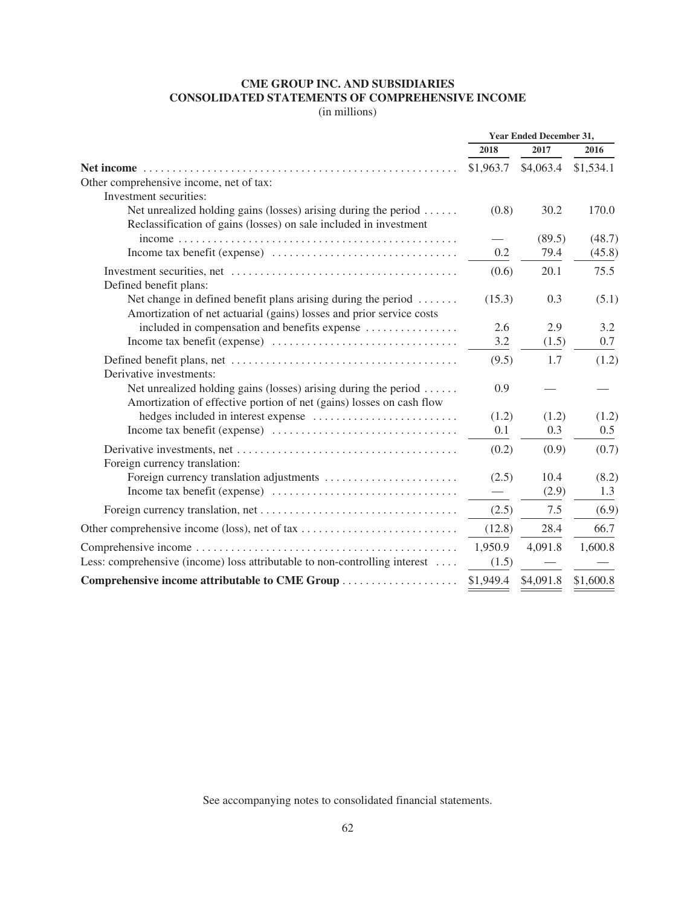# **CME GROUP INC. AND SUBSIDIARIES CONSOLIDATED STATEMENTS OF COMPREHENSIVE INCOME**

(in millions)

|                                                                                                                                                    | Year Ended December 31, |           |           |
|----------------------------------------------------------------------------------------------------------------------------------------------------|-------------------------|-----------|-----------|
|                                                                                                                                                    | 2018                    | 2017      | 2016      |
| Other comprehensive income, net of tax:                                                                                                            | \$1,963.7               | \$4,063.4 | \$1,534.1 |
| Investment securities:                                                                                                                             |                         |           |           |
| Net unrealized holding gains (losses) arising during the period $\dots$ .<br>Reclassification of gains (losses) on sale included in investment     | (0.8)                   | 30.2      | 170.0     |
|                                                                                                                                                    |                         | (89.5)    | (48.7)    |
|                                                                                                                                                    | 0.2                     | 79.4      | (45.8)    |
| Defined benefit plans:                                                                                                                             | (0.6)                   | 20.1      | 75.5      |
| Net change in defined benefit plans arising during the period $\dots\dots$<br>Amortization of net actuarial (gains) losses and prior service costs | (15.3)                  | 0.3       | (5.1)     |
| included in compensation and benefits expense                                                                                                      | 2.6                     | 2.9       | 3.2       |
|                                                                                                                                                    | 3.2                     | (1.5)     | 0.7       |
| Derivative investments:                                                                                                                            | (9.5)                   | 1.7       | (1.2)     |
| Net unrealized holding gains (losses) arising during the period $\dots$ .<br>Amortization of effective portion of net (gains) losses on cash flow  | 0.9                     |           |           |
|                                                                                                                                                    | (1.2)                   | (1.2)     | (1.2)     |
|                                                                                                                                                    | 0.1                     | 0.3       | 0.5       |
| Foreign currency translation:                                                                                                                      | (0.2)                   | (0.9)     | (0.7)     |
| Foreign currency translation adjustments                                                                                                           | (2.5)                   | 10.4      | (8.2)     |
|                                                                                                                                                    |                         | (2.9)     | 1.3       |
|                                                                                                                                                    | (2.5)                   | 7.5       | (6.9)     |
|                                                                                                                                                    | (12.8)                  | 28.4      | 66.7      |
|                                                                                                                                                    | 1,950.9                 | 4,091.8   | 1,600.8   |
| Less: comprehensive (income) loss attributable to non-controlling interest                                                                         | (1.5)                   |           |           |
| Comprehensive income attributable to CME Group                                                                                                     | \$1,949.4               | \$4,091.8 | \$1,600.8 |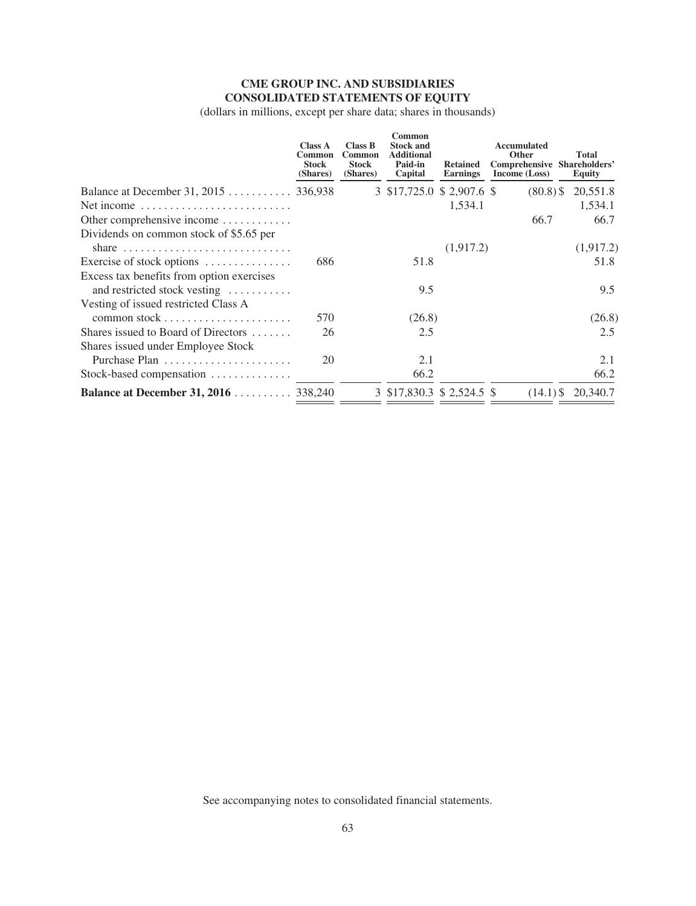# **CME GROUP INC. AND SUBSIDIARIES CONSOLIDATED STATEMENTS OF EQUITY**

(dollars in millions, except per share data; shares in thousands)

|                                                                    | <b>Class A</b><br>Common<br><b>Stock</b><br>(Shares) | Class B<br>Common<br><b>Stock</b><br>(Shares) | Common<br><b>Stock and</b><br><b>Additional</b><br>Paid-in<br>Capital | <b>Retained</b><br><b>Earnings</b> | <b>Accumulated</b><br><b>Other</b><br>Comprehensive Shareholders'<br>Income (Loss) | <b>Total</b><br>Equity |
|--------------------------------------------------------------------|------------------------------------------------------|-----------------------------------------------|-----------------------------------------------------------------------|------------------------------------|------------------------------------------------------------------------------------|------------------------|
| Balance at December 31, 2015 336,938                               |                                                      |                                               | 3 \$17,725.0 \$ 2,907.6 \$                                            |                                    | $(80.8)$ \$                                                                        | 20,551.8               |
| Net income $\dots \dots \dots \dots \dots \dots \dots \dots \dots$ |                                                      |                                               |                                                                       | 1,534.1                            |                                                                                    | 1,534.1                |
| Other comprehensive income $\dots \dots \dots$                     |                                                      |                                               |                                                                       |                                    | 66.7                                                                               | 66.7                   |
| Dividends on common stock of \$5.65 per                            |                                                      |                                               |                                                                       |                                    |                                                                                    |                        |
| share $\ldots \ldots \ldots \ldots \ldots \ldots \ldots \ldots$    |                                                      |                                               |                                                                       | (1,917.2)                          |                                                                                    | (1,917.2)              |
| Exercise of stock options                                          | 686                                                  |                                               | 51.8                                                                  |                                    |                                                                                    | 51.8                   |
| Excess tax benefits from option exercises                          |                                                      |                                               |                                                                       |                                    |                                                                                    |                        |
| and restricted stock vesting                                       |                                                      |                                               | 9.5                                                                   |                                    |                                                                                    | 9.5                    |
| Vesting of issued restricted Class A                               |                                                      |                                               |                                                                       |                                    |                                                                                    |                        |
|                                                                    | 570                                                  |                                               | (26.8)                                                                |                                    |                                                                                    | (26.8)                 |
| Shares issued to Board of Directors $\dots \dots$                  | 26                                                   |                                               | 2.5                                                                   |                                    |                                                                                    | 2.5                    |
| Shares issued under Employee Stock                                 |                                                      |                                               |                                                                       |                                    |                                                                                    |                        |
| Purchase Plan                                                      | 20                                                   |                                               | 2.1                                                                   |                                    |                                                                                    | 2.1                    |
| Stock-based compensation $\dots\dots\dots\dots$                    |                                                      |                                               | 66.2                                                                  |                                    |                                                                                    | 66.2                   |
| <b>Balance at December 31, 2016</b> 338,240                        |                                                      |                                               | 3 \$17,830.3 \$ 2,524.5 \$                                            |                                    | $(14.1)$ \$                                                                        | 20,340.7               |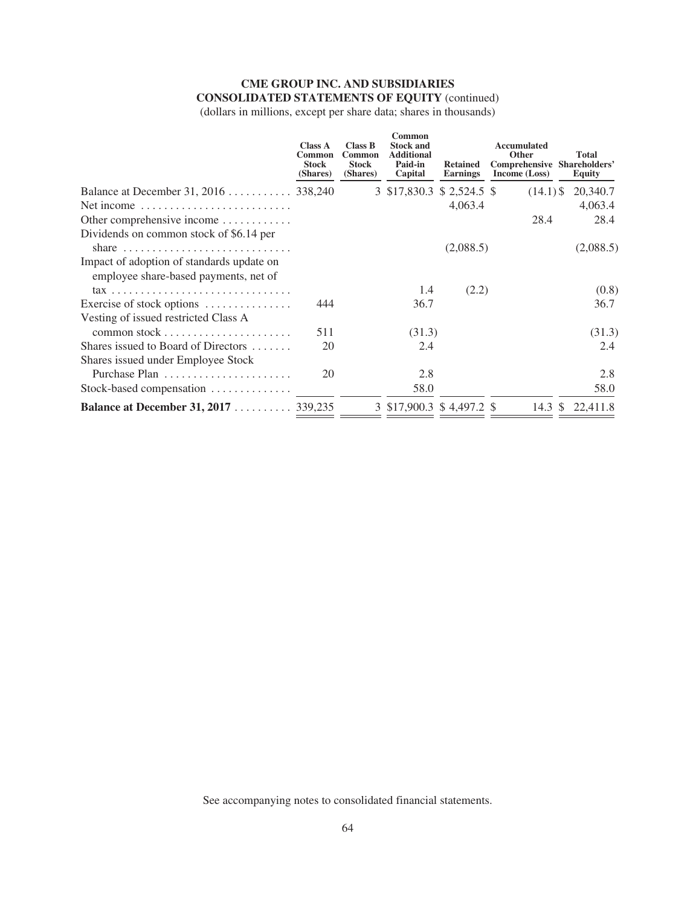# **CME GROUP INC. AND SUBSIDIARIES CONSOLIDATED STATEMENTS OF EQUITY** (continued)

(dollars in millions, except per share data; shares in thousands)

|                                                                                    | <b>Class A</b><br>Common<br><b>Stock</b><br>(Shares) | <b>Class B</b><br><b>Common</b><br><b>Stock</b><br>(Shares) | Common<br><b>Stock and</b><br><b>Additional</b><br>Paid-in<br>Capital | <b>Retained</b><br><b>Earnings</b> | Accumulated<br>Other<br>Comprehensive Shareholders'<br>Income (Loss) | <b>Total</b><br>Equity |
|------------------------------------------------------------------------------------|------------------------------------------------------|-------------------------------------------------------------|-----------------------------------------------------------------------|------------------------------------|----------------------------------------------------------------------|------------------------|
|                                                                                    |                                                      |                                                             | 3 \$17,830.3 \$ 2,524.5 \$                                            |                                    | $(14.1)$ \$                                                          | 20,340.7               |
| Net income $\dots \dots \dots \dots \dots \dots \dots \dots \dots$                 |                                                      |                                                             |                                                                       | 4,063.4                            |                                                                      | 4,063.4                |
| Other comprehensive income                                                         |                                                      |                                                             |                                                                       |                                    | 28.4                                                                 | 28.4                   |
| Dividends on common stock of \$6.14 per                                            |                                                      |                                                             |                                                                       |                                    |                                                                      |                        |
| share $\ldots \ldots \ldots \ldots \ldots \ldots \ldots \ldots \ldots$             |                                                      |                                                             |                                                                       | (2,088.5)                          |                                                                      | (2,088.5)              |
| Impact of adoption of standards update on<br>employee share-based payments, net of |                                                      |                                                             |                                                                       |                                    |                                                                      |                        |
|                                                                                    |                                                      |                                                             | 1.4                                                                   | (2.2)                              |                                                                      | (0.8)                  |
| Exercise of stock options $\dots \dots \dots \dots$                                | 444                                                  |                                                             | 36.7                                                                  |                                    |                                                                      | 36.7                   |
| Vesting of issued restricted Class A                                               |                                                      |                                                             |                                                                       |                                    |                                                                      |                        |
| common stock $\dots\dots\dots\dots\dots\dots\dots\dots$                            | 511                                                  |                                                             | (31.3)                                                                |                                    |                                                                      | (31.3)                 |
| Shares issued to Board of Directors                                                | 20                                                   |                                                             | 2.4                                                                   |                                    |                                                                      | 2.4                    |
| Shares issued under Employee Stock                                                 |                                                      |                                                             |                                                                       |                                    |                                                                      |                        |
| Purchase Plan                                                                      | 20                                                   |                                                             | 2.8                                                                   |                                    |                                                                      | 2.8                    |
| Stock-based compensation $\dots \dots \dots$                                       |                                                      |                                                             | 58.0                                                                  |                                    |                                                                      | 58.0                   |
| <b>Balance at December 31, 2017</b> 339,235                                        |                                                      |                                                             | 3 \$17,900.3 \$4,497.2 \$                                             |                                    | 14.3 $\sqrt{ }$                                                      | 22,411.8               |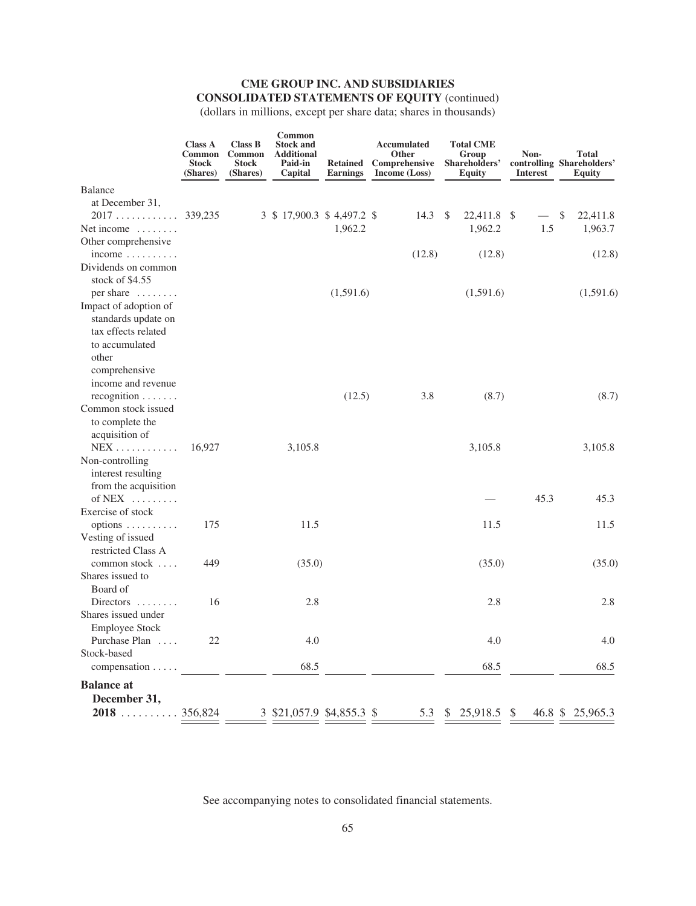# **CME GROUP INC. AND SUBSIDIARIES CONSOLIDATED STATEMENTS OF EQUITY** (continued)

(dollars in millions, except per share data; shares in thousands)

|                                                      | <b>Class A</b><br>Common<br><b>Stock</b><br>(Shares) | <b>Class B</b><br>Common<br><b>Stock</b><br>(Shares) | Common<br><b>Stock and</b><br><b>Additional</b><br>Paid-in<br>Capital | Retained<br><b>Earnings</b> | Accumulated<br>Other<br>Comprehensive<br>Income (Loss) |        | <b>Total CME</b><br>Group<br>Shareholders'<br>Equity | Non-<br><b>Interest</b> | <b>Total</b><br>controlling Shareholders'<br>Equity |
|------------------------------------------------------|------------------------------------------------------|------------------------------------------------------|-----------------------------------------------------------------------|-----------------------------|--------------------------------------------------------|--------|------------------------------------------------------|-------------------------|-----------------------------------------------------|
| <b>Balance</b>                                       |                                                      |                                                      |                                                                       |                             |                                                        |        |                                                      |                         |                                                     |
| at December 31,                                      |                                                      |                                                      |                                                                       |                             |                                                        |        |                                                      |                         |                                                     |
| 2017                                                 | 339,235                                              |                                                      | 3 \$ 17,900.3 \$ 4,497.2 \$                                           |                             |                                                        | 14.3   | \$<br>22,411.8 \$                                    |                         | 22,411.8<br>\$                                      |
| Net income $\dots\dots$                              |                                                      |                                                      |                                                                       | 1,962.2                     |                                                        |        | 1,962.2                                              | 1.5                     | 1,963.7                                             |
| Other comprehensive<br>income $\ldots \ldots \ldots$ |                                                      |                                                      |                                                                       |                             |                                                        | (12.8) | (12.8)                                               |                         | (12.8)                                              |
| Dividends on common                                  |                                                      |                                                      |                                                                       |                             |                                                        |        |                                                      |                         |                                                     |
| stock of \$4.55                                      |                                                      |                                                      |                                                                       |                             |                                                        |        |                                                      |                         |                                                     |
| $per share \ldots \ldots$                            |                                                      |                                                      |                                                                       | (1,591.6)                   |                                                        |        | (1,591.6)                                            |                         | (1,591.6)                                           |
| Impact of adoption of                                |                                                      |                                                      |                                                                       |                             |                                                        |        |                                                      |                         |                                                     |
| standards update on                                  |                                                      |                                                      |                                                                       |                             |                                                        |        |                                                      |                         |                                                     |
| tax effects related                                  |                                                      |                                                      |                                                                       |                             |                                                        |        |                                                      |                         |                                                     |
| to accumulated                                       |                                                      |                                                      |                                                                       |                             |                                                        |        |                                                      |                         |                                                     |
| other                                                |                                                      |                                                      |                                                                       |                             |                                                        |        |                                                      |                         |                                                     |
| comprehensive                                        |                                                      |                                                      |                                                                       |                             |                                                        |        |                                                      |                         |                                                     |
| income and revenue                                   |                                                      |                                                      |                                                                       |                             |                                                        |        |                                                      |                         |                                                     |
| recognition $\dots \dots$                            |                                                      |                                                      |                                                                       | (12.5)                      |                                                        | 3.8    | (8.7)                                                |                         | (8.7)                                               |
| Common stock issued                                  |                                                      |                                                      |                                                                       |                             |                                                        |        |                                                      |                         |                                                     |
| to complete the                                      |                                                      |                                                      |                                                                       |                             |                                                        |        |                                                      |                         |                                                     |
| acquisition of                                       |                                                      |                                                      |                                                                       |                             |                                                        |        |                                                      |                         |                                                     |
| NEX<br>Non-controlling                               | 16,927                                               |                                                      | 3,105.8                                                               |                             |                                                        |        | 3,105.8                                              |                         | 3,105.8                                             |
| interest resulting                                   |                                                      |                                                      |                                                                       |                             |                                                        |        |                                                      |                         |                                                     |
| from the acquisition                                 |                                                      |                                                      |                                                                       |                             |                                                        |        |                                                      |                         |                                                     |
| of $NEX$                                             |                                                      |                                                      |                                                                       |                             |                                                        |        |                                                      | 45.3                    | 45.3                                                |
| Exercise of stock                                    |                                                      |                                                      |                                                                       |                             |                                                        |        |                                                      |                         |                                                     |
| options                                              | 175                                                  |                                                      | 11.5                                                                  |                             |                                                        |        | 11.5                                                 |                         | 11.5                                                |
| Vesting of issued                                    |                                                      |                                                      |                                                                       |                             |                                                        |        |                                                      |                         |                                                     |
| restricted Class A                                   |                                                      |                                                      |                                                                       |                             |                                                        |        |                                                      |                         |                                                     |
| common stock                                         | 449                                                  |                                                      | (35.0)                                                                |                             |                                                        |        | (35.0)                                               |                         | (35.0)                                              |
| Shares issued to                                     |                                                      |                                                      |                                                                       |                             |                                                        |        |                                                      |                         |                                                     |
| Board of                                             |                                                      |                                                      |                                                                       |                             |                                                        |        |                                                      |                         |                                                     |
| Directors $\dots\dots$                               | 16                                                   |                                                      | 2.8                                                                   |                             |                                                        |        | 2.8                                                  |                         | 2.8                                                 |
| Shares issued under                                  |                                                      |                                                      |                                                                       |                             |                                                        |        |                                                      |                         |                                                     |
| <b>Employee Stock</b>                                |                                                      |                                                      |                                                                       |                             |                                                        |        |                                                      |                         |                                                     |
| Purchase Plan                                        | 22                                                   |                                                      | 4.0                                                                   |                             |                                                        |        | 4.0                                                  |                         | 4.0                                                 |
| Stock-based                                          |                                                      |                                                      |                                                                       |                             |                                                        |        | 68.5                                                 |                         | 68.5                                                |
| compensation                                         |                                                      |                                                      | 68.5                                                                  |                             |                                                        |        |                                                      |                         |                                                     |
| <b>Balance at</b>                                    |                                                      |                                                      |                                                                       |                             |                                                        |        |                                                      |                         |                                                     |
| December 31,                                         |                                                      |                                                      |                                                                       |                             |                                                        |        |                                                      |                         |                                                     |
| $2018$ 356,824                                       |                                                      |                                                      | 3 \$21,057.9 \$4,855.3 \$                                             |                             |                                                        | 5.3    | \$<br>25,918.5 \$                                    |                         | 46.8 \$ 25,965.3                                    |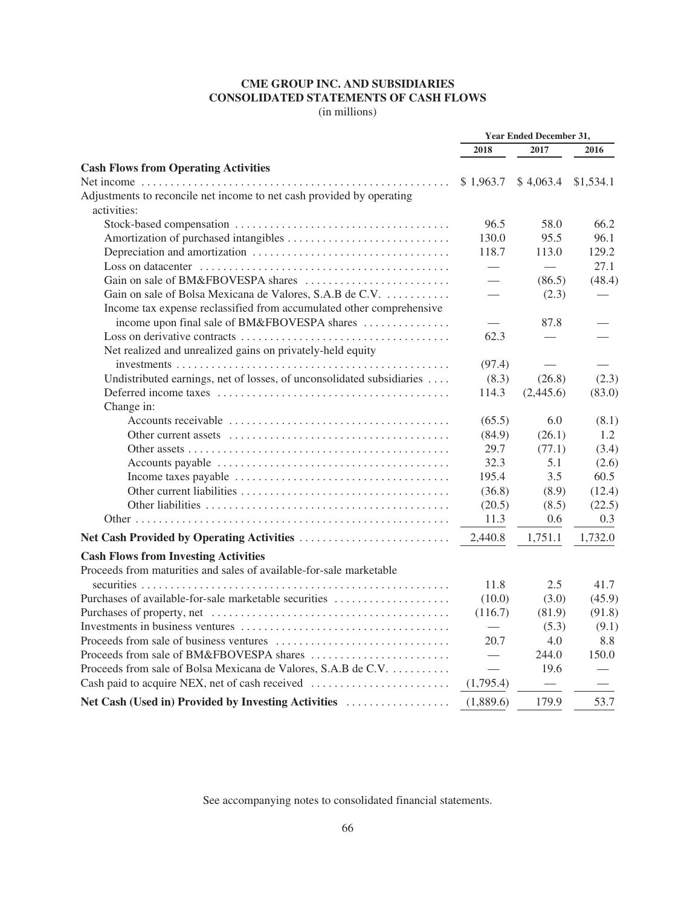# **CME GROUP INC. AND SUBSIDIARIES CONSOLIDATED STATEMENTS OF CASH FLOWS**

(in millions)

|                                                                                                      | <b>Year Ended December 31,</b> |           |           |
|------------------------------------------------------------------------------------------------------|--------------------------------|-----------|-----------|
|                                                                                                      | 2018                           | 2017      | 2016      |
| <b>Cash Flows from Operating Activities</b>                                                          |                                |           |           |
|                                                                                                      | \$1,963.7                      | \$4,063.4 | \$1,534.1 |
| Adjustments to reconcile net income to net cash provided by operating                                |                                |           |           |
| activities:                                                                                          |                                |           |           |
|                                                                                                      | 96.5                           | 58.0      | 66.2      |
|                                                                                                      | 130.0                          | 95.5      | 96.1      |
|                                                                                                      | 118.7                          | 113.0     | 129.2     |
|                                                                                                      |                                |           | 27.1      |
|                                                                                                      |                                | (86.5)    | (48.4)    |
| Gain on sale of Bolsa Mexicana de Valores, S.A.B de C.V.                                             |                                | (2.3)     |           |
| Income tax expense reclassified from accumulated other comprehensive                                 |                                |           |           |
| income upon final sale of BM&FBOVESPA shares                                                         | $\overbrace{\phantom{aaaaa}}$  | 87.8      |           |
|                                                                                                      | 62.3                           |           |           |
| Net realized and unrealized gains on privately-held equity                                           |                                |           |           |
|                                                                                                      | (97.4)                         |           |           |
| Undistributed earnings, net of losses, of unconsolidated subsidiaries                                | (8.3)                          | (26.8)    | (2.3)     |
|                                                                                                      | 114.3                          | (2,445.6) | (83.0)    |
| Change in:                                                                                           |                                |           |           |
| Accounts receivable $\ldots, \ldots, \ldots, \ldots, \ldots, \ldots, \ldots, \ldots, \ldots, \ldots$ | (65.5)                         | 6.0       | (8.1)     |
|                                                                                                      | (84.9)                         | (26.1)    | 1.2       |
|                                                                                                      | 29.7                           | (77.1)    | (3.4)     |
|                                                                                                      | 32.3                           | 5.1       | (2.6)     |
|                                                                                                      | 195.4                          | 3.5       | 60.5      |
|                                                                                                      | (36.8)                         | (8.9)     | (12.4)    |
|                                                                                                      | (20.5)                         | (8.5)     | (22.5)    |
|                                                                                                      | 11.3                           | 0.6       | 0.3       |
|                                                                                                      |                                |           |           |
|                                                                                                      | 2,440.8                        | 1,751.1   | 1,732.0   |
| <b>Cash Flows from Investing Activities</b>                                                          |                                |           |           |
| Proceeds from maturities and sales of available-for-sale marketable                                  |                                |           |           |
|                                                                                                      | 11.8                           | 2.5       | 41.7      |
| Purchases of available-for-sale marketable securities                                                | (10.0)                         | (3.0)     | (45.9)    |
|                                                                                                      | (116.7)                        | (81.9)    | (91.8)    |
|                                                                                                      |                                | (5.3)     | (9.1)     |
|                                                                                                      | 20.7                           | 4.0       | 8.8       |
|                                                                                                      |                                | 244.0     | 150.0     |
| Proceeds from sale of Bolsa Mexicana de Valores, S.A.B de C.V.                                       |                                | 19.6      |           |
| Cash paid to acquire NEX, net of cash received                                                       | (1,795.4)                      |           |           |
| Net Cash (Used in) Provided by Investing Activities                                                  | (1,889.6)                      | 179.9     | 53.7      |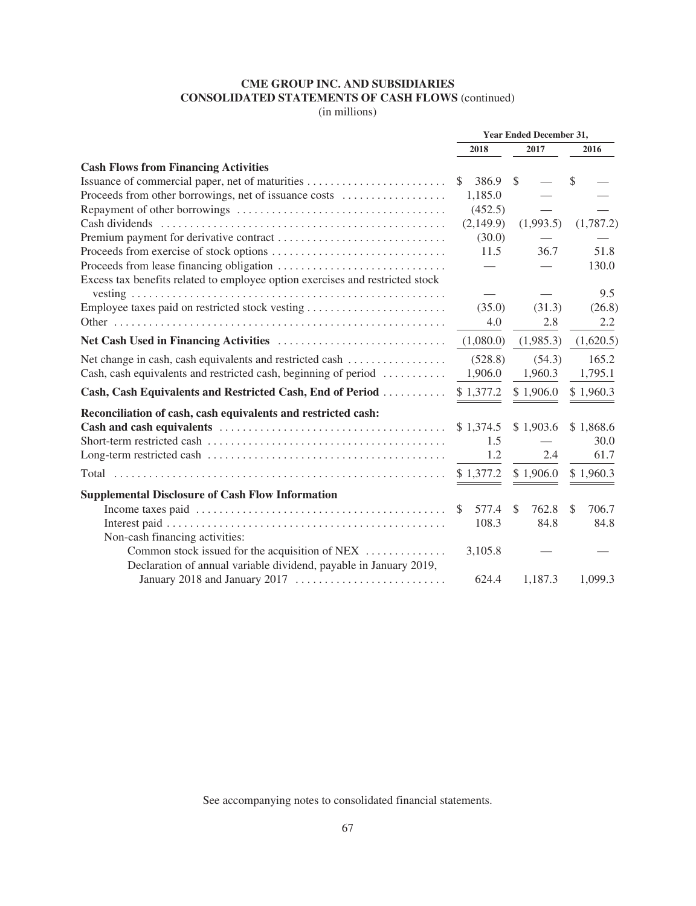# **CME GROUP INC. AND SUBSIDIARIES CONSOLIDATED STATEMENTS OF CASH FLOWS** (continued)

(in millions)

|                                                                               | <b>Year Ended December 31,</b> |                        |             |
|-------------------------------------------------------------------------------|--------------------------------|------------------------|-------------|
|                                                                               | 2018                           | 2017                   | 2016        |
| <b>Cash Flows from Financing Activities</b>                                   |                                |                        |             |
|                                                                               | 386.9<br>S.                    | <sup>\$</sup>          | S.          |
| Proceeds from other borrowings, net of issuance costs                         | 1,185.0                        |                        |             |
|                                                                               | (452.5)                        |                        |             |
|                                                                               | (2,149.9)                      | (1,993.5)              | (1,787.2)   |
|                                                                               | (30.0)                         |                        |             |
|                                                                               | 11.5                           | 36.7                   | 51.8        |
|                                                                               |                                |                        | 130.0       |
| Excess tax benefits related to employee option exercises and restricted stock |                                |                        |             |
|                                                                               |                                |                        | 9.5         |
| Employee taxes paid on restricted stock vesting                               | (35.0)                         | (31.3)                 | (26.8)      |
|                                                                               | 4.0                            | 2.8                    | 2.2         |
|                                                                               | (1,080.0)                      | (1,985.3)              | (1,620.5)   |
| Net change in cash, cash equivalents and restricted cash                      | (528.8)                        | (54.3)                 | 165.2       |
| Cash, cash equivalents and restricted cash, beginning of period               | 1,906.0                        | 1,960.3                | 1,795.1     |
| Cash, Cash Equivalents and Restricted Cash, End of Period                     | \$1,377.2                      | \$1,906.0              | \$1,960.3   |
| Reconciliation of cash, cash equivalents and restricted cash:                 |                                |                        |             |
|                                                                               | \$1,374.5                      | \$1,903.6              | \$1,868.6   |
|                                                                               | 1.5                            |                        | 30.0        |
|                                                                               | 1.2                            | 2.4                    | 61.7        |
|                                                                               | \$1,377.2                      | \$1,906.0              | \$1,960.3   |
| <b>Supplemental Disclosure of Cash Flow Information</b>                       |                                |                        |             |
|                                                                               | <sup>\$</sup><br>577.4         | <sup>\$</sup><br>762.8 | \$<br>706.7 |
|                                                                               | 108.3                          | 84.8                   | 84.8        |
| Non-cash financing activities:                                                |                                |                        |             |
| Common stock issued for the acquisition of NEX                                | 3,105.8                        |                        |             |
| Declaration of annual variable dividend, payable in January 2019,             |                                |                        |             |
| January 2018 and January 2017                                                 | 624.4                          | 1,187.3                | 1.099.3     |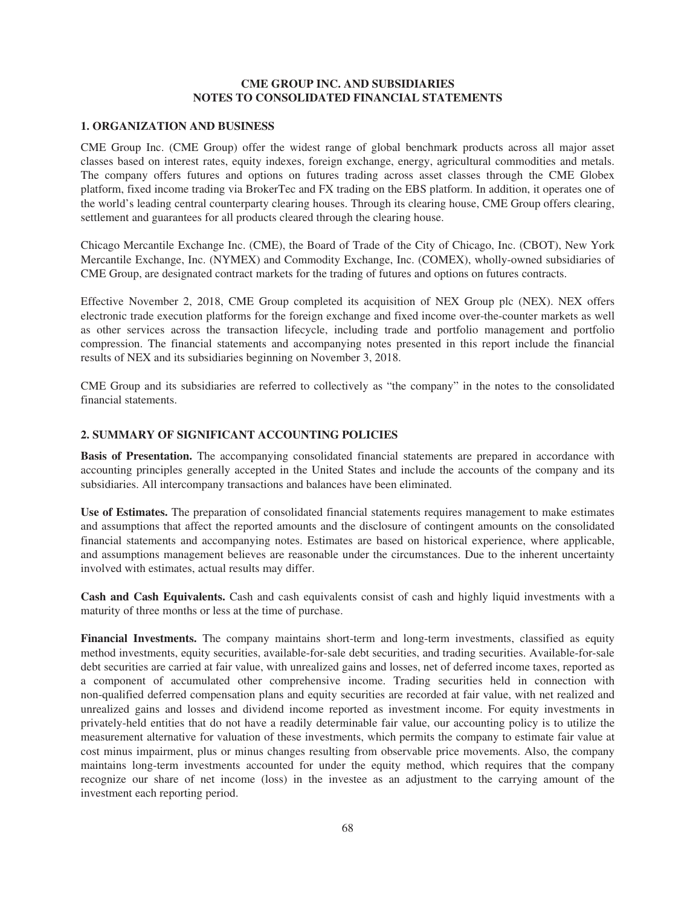# **CME GROUP INC. AND SUBSIDIARIES NOTES TO CONSOLIDATED FINANCIAL STATEMENTS**

# **1. ORGANIZATION AND BUSINESS**

CME Group Inc. (CME Group) offer the widest range of global benchmark products across all major asset classes based on interest rates, equity indexes, foreign exchange, energy, agricultural commodities and metals. The company offers futures and options on futures trading across asset classes through the CME Globex platform, fixed income trading via BrokerTec and FX trading on the EBS platform. In addition, it operates one of the world's leading central counterparty clearing houses. Through its clearing house, CME Group offers clearing, settlement and guarantees for all products cleared through the clearing house.

Chicago Mercantile Exchange Inc. (CME), the Board of Trade of the City of Chicago, Inc. (CBOT), New York Mercantile Exchange, Inc. (NYMEX) and Commodity Exchange, Inc. (COMEX), wholly-owned subsidiaries of CME Group, are designated contract markets for the trading of futures and options on futures contracts.

Effective November 2, 2018, CME Group completed its acquisition of NEX Group plc (NEX). NEX offers electronic trade execution platforms for the foreign exchange and fixed income over-the-counter markets as well as other services across the transaction lifecycle, including trade and portfolio management and portfolio compression. The financial statements and accompanying notes presented in this report include the financial results of NEX and its subsidiaries beginning on November 3, 2018.

CME Group and its subsidiaries are referred to collectively as "the company" in the notes to the consolidated financial statements.

# **2. SUMMARY OF SIGNIFICANT ACCOUNTING POLICIES**

**Basis of Presentation.** The accompanying consolidated financial statements are prepared in accordance with accounting principles generally accepted in the United States and include the accounts of the company and its subsidiaries. All intercompany transactions and balances have been eliminated.

**Use of Estimates.** The preparation of consolidated financial statements requires management to make estimates and assumptions that affect the reported amounts and the disclosure of contingent amounts on the consolidated financial statements and accompanying notes. Estimates are based on historical experience, where applicable, and assumptions management believes are reasonable under the circumstances. Due to the inherent uncertainty involved with estimates, actual results may differ.

**Cash and Cash Equivalents.** Cash and cash equivalents consist of cash and highly liquid investments with a maturity of three months or less at the time of purchase.

**Financial Investments.** The company maintains short-term and long-term investments, classified as equity method investments, equity securities, available-for-sale debt securities, and trading securities. Available-for-sale debt securities are carried at fair value, with unrealized gains and losses, net of deferred income taxes, reported as a component of accumulated other comprehensive income. Trading securities held in connection with non-qualified deferred compensation plans and equity securities are recorded at fair value, with net realized and unrealized gains and losses and dividend income reported as investment income. For equity investments in privately-held entities that do not have a readily determinable fair value, our accounting policy is to utilize the measurement alternative for valuation of these investments, which permits the company to estimate fair value at cost minus impairment, plus or minus changes resulting from observable price movements. Also, the company maintains long-term investments accounted for under the equity method, which requires that the company recognize our share of net income (loss) in the investee as an adjustment to the carrying amount of the investment each reporting period.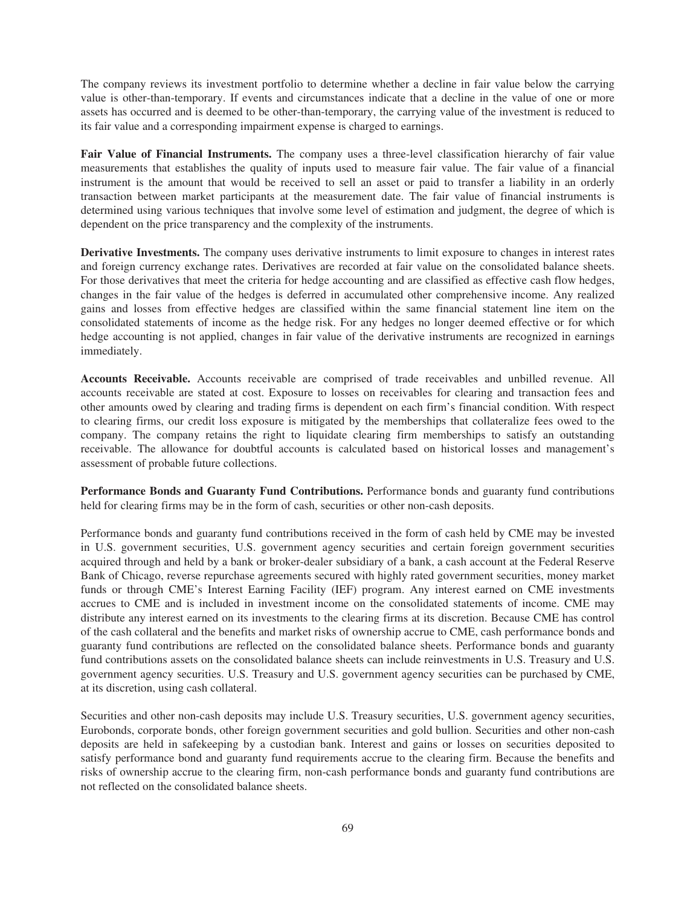The company reviews its investment portfolio to determine whether a decline in fair value below the carrying value is other-than-temporary. If events and circumstances indicate that a decline in the value of one or more assets has occurred and is deemed to be other-than-temporary, the carrying value of the investment is reduced to its fair value and a corresponding impairment expense is charged to earnings.

**Fair Value of Financial Instruments.** The company uses a three-level classification hierarchy of fair value measurements that establishes the quality of inputs used to measure fair value. The fair value of a financial instrument is the amount that would be received to sell an asset or paid to transfer a liability in an orderly transaction between market participants at the measurement date. The fair value of financial instruments is determined using various techniques that involve some level of estimation and judgment, the degree of which is dependent on the price transparency and the complexity of the instruments.

**Derivative Investments.** The company uses derivative instruments to limit exposure to changes in interest rates and foreign currency exchange rates. Derivatives are recorded at fair value on the consolidated balance sheets. For those derivatives that meet the criteria for hedge accounting and are classified as effective cash flow hedges, changes in the fair value of the hedges is deferred in accumulated other comprehensive income. Any realized gains and losses from effective hedges are classified within the same financial statement line item on the consolidated statements of income as the hedge risk. For any hedges no longer deemed effective or for which hedge accounting is not applied, changes in fair value of the derivative instruments are recognized in earnings immediately.

**Accounts Receivable.** Accounts receivable are comprised of trade receivables and unbilled revenue. All accounts receivable are stated at cost. Exposure to losses on receivables for clearing and transaction fees and other amounts owed by clearing and trading firms is dependent on each firm's financial condition. With respect to clearing firms, our credit loss exposure is mitigated by the memberships that collateralize fees owed to the company. The company retains the right to liquidate clearing firm memberships to satisfy an outstanding receivable. The allowance for doubtful accounts is calculated based on historical losses and management's assessment of probable future collections.

**Performance Bonds and Guaranty Fund Contributions.** Performance bonds and guaranty fund contributions held for clearing firms may be in the form of cash, securities or other non-cash deposits.

Performance bonds and guaranty fund contributions received in the form of cash held by CME may be invested in U.S. government securities, U.S. government agency securities and certain foreign government securities acquired through and held by a bank or broker-dealer subsidiary of a bank, a cash account at the Federal Reserve Bank of Chicago, reverse repurchase agreements secured with highly rated government securities, money market funds or through CME's Interest Earning Facility (IEF) program. Any interest earned on CME investments accrues to CME and is included in investment income on the consolidated statements of income. CME may distribute any interest earned on its investments to the clearing firms at its discretion. Because CME has control of the cash collateral and the benefits and market risks of ownership accrue to CME, cash performance bonds and guaranty fund contributions are reflected on the consolidated balance sheets. Performance bonds and guaranty fund contributions assets on the consolidated balance sheets can include reinvestments in U.S. Treasury and U.S. government agency securities. U.S. Treasury and U.S. government agency securities can be purchased by CME, at its discretion, using cash collateral.

Securities and other non-cash deposits may include U.S. Treasury securities, U.S. government agency securities, Eurobonds, corporate bonds, other foreign government securities and gold bullion. Securities and other non-cash deposits are held in safekeeping by a custodian bank. Interest and gains or losses on securities deposited to satisfy performance bond and guaranty fund requirements accrue to the clearing firm. Because the benefits and risks of ownership accrue to the clearing firm, non-cash performance bonds and guaranty fund contributions are not reflected on the consolidated balance sheets.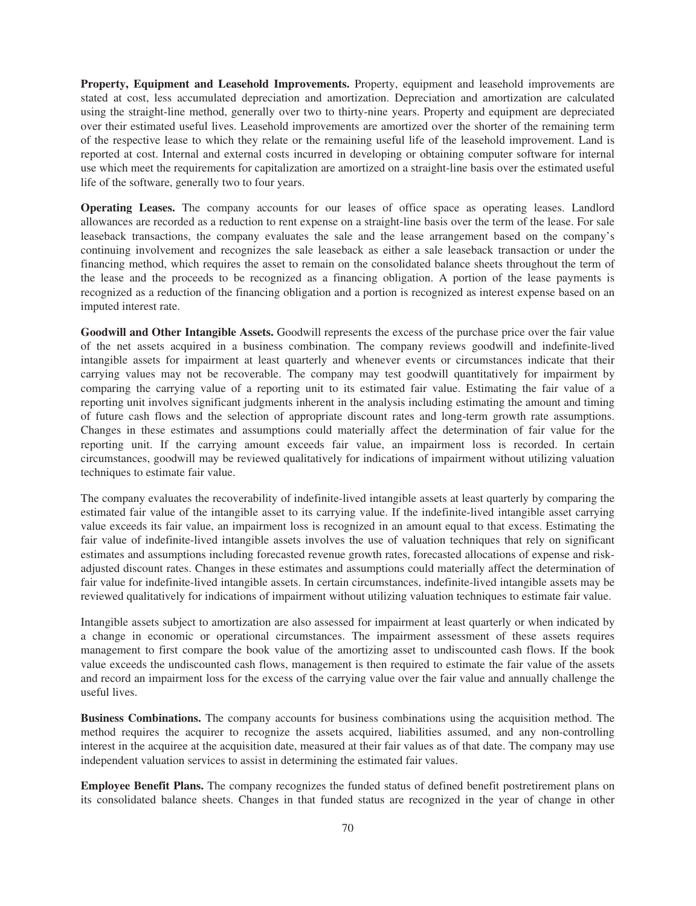**Property, Equipment and Leasehold Improvements.** Property, equipment and leasehold improvements are stated at cost, less accumulated depreciation and amortization. Depreciation and amortization are calculated using the straight-line method, generally over two to thirty-nine years. Property and equipment are depreciated over their estimated useful lives. Leasehold improvements are amortized over the shorter of the remaining term of the respective lease to which they relate or the remaining useful life of the leasehold improvement. Land is reported at cost. Internal and external costs incurred in developing or obtaining computer software for internal use which meet the requirements for capitalization are amortized on a straight-line basis over the estimated useful life of the software, generally two to four years.

**Operating Leases.** The company accounts for our leases of office space as operating leases. Landlord allowances are recorded as a reduction to rent expense on a straight-line basis over the term of the lease. For sale leaseback transactions, the company evaluates the sale and the lease arrangement based on the company's continuing involvement and recognizes the sale leaseback as either a sale leaseback transaction or under the financing method, which requires the asset to remain on the consolidated balance sheets throughout the term of the lease and the proceeds to be recognized as a financing obligation. A portion of the lease payments is recognized as a reduction of the financing obligation and a portion is recognized as interest expense based on an imputed interest rate.

**Goodwill and Other Intangible Assets.** Goodwill represents the excess of the purchase price over the fair value of the net assets acquired in a business combination. The company reviews goodwill and indefinite-lived intangible assets for impairment at least quarterly and whenever events or circumstances indicate that their carrying values may not be recoverable. The company may test goodwill quantitatively for impairment by comparing the carrying value of a reporting unit to its estimated fair value. Estimating the fair value of a reporting unit involves significant judgments inherent in the analysis including estimating the amount and timing of future cash flows and the selection of appropriate discount rates and long-term growth rate assumptions. Changes in these estimates and assumptions could materially affect the determination of fair value for the reporting unit. If the carrying amount exceeds fair value, an impairment loss is recorded. In certain circumstances, goodwill may be reviewed qualitatively for indications of impairment without utilizing valuation techniques to estimate fair value.

The company evaluates the recoverability of indefinite-lived intangible assets at least quarterly by comparing the estimated fair value of the intangible asset to its carrying value. If the indefinite-lived intangible asset carrying value exceeds its fair value, an impairment loss is recognized in an amount equal to that excess. Estimating the fair value of indefinite-lived intangible assets involves the use of valuation techniques that rely on significant estimates and assumptions including forecasted revenue growth rates, forecasted allocations of expense and riskadjusted discount rates. Changes in these estimates and assumptions could materially affect the determination of fair value for indefinite-lived intangible assets. In certain circumstances, indefinite-lived intangible assets may be reviewed qualitatively for indications of impairment without utilizing valuation techniques to estimate fair value.

Intangible assets subject to amortization are also assessed for impairment at least quarterly or when indicated by a change in economic or operational circumstances. The impairment assessment of these assets requires management to first compare the book value of the amortizing asset to undiscounted cash flows. If the book value exceeds the undiscounted cash flows, management is then required to estimate the fair value of the assets and record an impairment loss for the excess of the carrying value over the fair value and annually challenge the useful lives.

**Business Combinations.** The company accounts for business combinations using the acquisition method. The method requires the acquirer to recognize the assets acquired, liabilities assumed, and any non-controlling interest in the acquiree at the acquisition date, measured at their fair values as of that date. The company may use independent valuation services to assist in determining the estimated fair values.

**Employee Benefit Plans.** The company recognizes the funded status of defined benefit postretirement plans on its consolidated balance sheets. Changes in that funded status are recognized in the year of change in other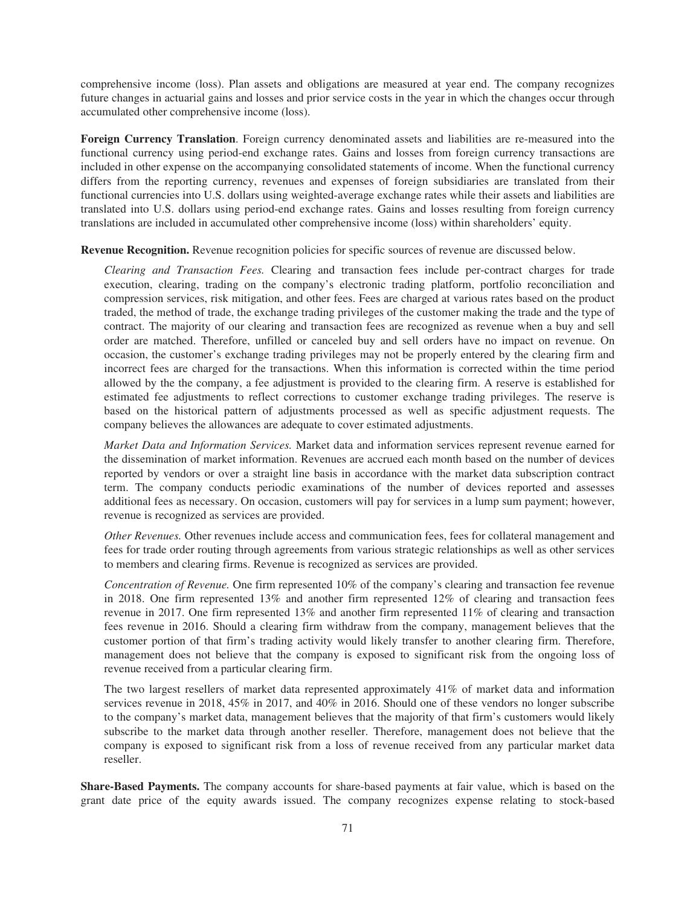comprehensive income (loss). Plan assets and obligations are measured at year end. The company recognizes future changes in actuarial gains and losses and prior service costs in the year in which the changes occur through accumulated other comprehensive income (loss).

**Foreign Currency Translation**. Foreign currency denominated assets and liabilities are re-measured into the functional currency using period-end exchange rates. Gains and losses from foreign currency transactions are included in other expense on the accompanying consolidated statements of income. When the functional currency differs from the reporting currency, revenues and expenses of foreign subsidiaries are translated from their functional currencies into U.S. dollars using weighted-average exchange rates while their assets and liabilities are translated into U.S. dollars using period-end exchange rates. Gains and losses resulting from foreign currency translations are included in accumulated other comprehensive income (loss) within shareholders' equity.

**Revenue Recognition.** Revenue recognition policies for specific sources of revenue are discussed below.

*Clearing and Transaction Fees.* Clearing and transaction fees include per-contract charges for trade execution, clearing, trading on the company's electronic trading platform, portfolio reconciliation and compression services, risk mitigation, and other fees. Fees are charged at various rates based on the product traded, the method of trade, the exchange trading privileges of the customer making the trade and the type of contract. The majority of our clearing and transaction fees are recognized as revenue when a buy and sell order are matched. Therefore, unfilled or canceled buy and sell orders have no impact on revenue. On occasion, the customer's exchange trading privileges may not be properly entered by the clearing firm and incorrect fees are charged for the transactions. When this information is corrected within the time period allowed by the the company, a fee adjustment is provided to the clearing firm. A reserve is established for estimated fee adjustments to reflect corrections to customer exchange trading privileges. The reserve is based on the historical pattern of adjustments processed as well as specific adjustment requests. The company believes the allowances are adequate to cover estimated adjustments.

*Market Data and Information Services.* Market data and information services represent revenue earned for the dissemination of market information. Revenues are accrued each month based on the number of devices reported by vendors or over a straight line basis in accordance with the market data subscription contract term. The company conducts periodic examinations of the number of devices reported and assesses additional fees as necessary. On occasion, customers will pay for services in a lump sum payment; however, revenue is recognized as services are provided.

*Other Revenues.* Other revenues include access and communication fees, fees for collateral management and fees for trade order routing through agreements from various strategic relationships as well as other services to members and clearing firms. Revenue is recognized as services are provided.

*Concentration of Revenue.* One firm represented 10% of the company's clearing and transaction fee revenue in 2018. One firm represented 13% and another firm represented 12% of clearing and transaction fees revenue in 2017. One firm represented 13% and another firm represented 11% of clearing and transaction fees revenue in 2016. Should a clearing firm withdraw from the company, management believes that the customer portion of that firm's trading activity would likely transfer to another clearing firm. Therefore, management does not believe that the company is exposed to significant risk from the ongoing loss of revenue received from a particular clearing firm.

The two largest resellers of market data represented approximately 41% of market data and information services revenue in 2018, 45% in 2017, and 40% in 2016. Should one of these vendors no longer subscribe to the company's market data, management believes that the majority of that firm's customers would likely subscribe to the market data through another reseller. Therefore, management does not believe that the company is exposed to significant risk from a loss of revenue received from any particular market data reseller.

**Share-Based Payments.** The company accounts for share-based payments at fair value, which is based on the grant date price of the equity awards issued. The company recognizes expense relating to stock-based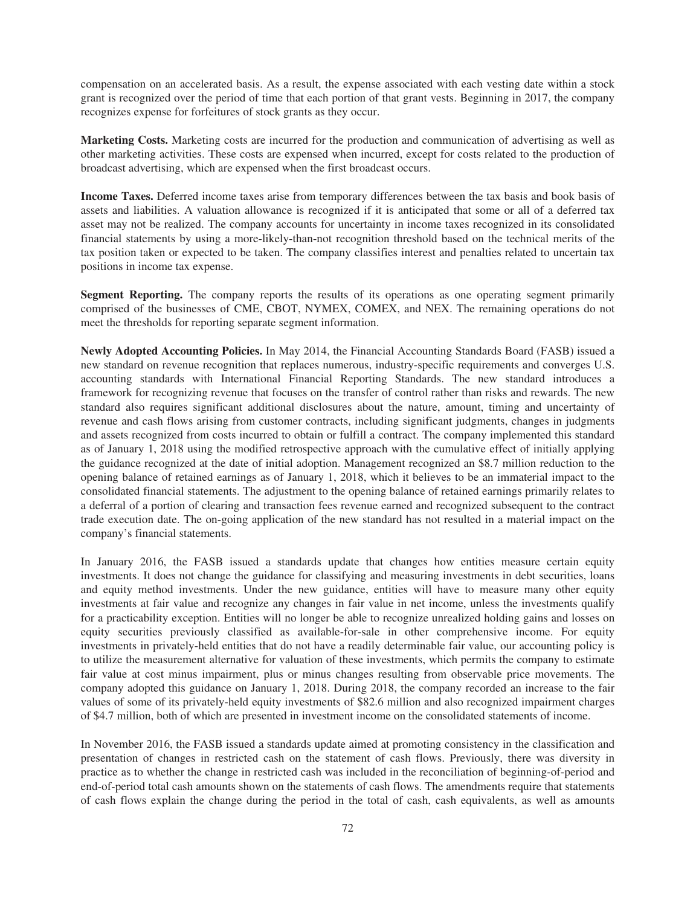compensation on an accelerated basis. As a result, the expense associated with each vesting date within a stock grant is recognized over the period of time that each portion of that grant vests. Beginning in 2017, the company recognizes expense for forfeitures of stock grants as they occur.

**Marketing Costs.** Marketing costs are incurred for the production and communication of advertising as well as other marketing activities. These costs are expensed when incurred, except for costs related to the production of broadcast advertising, which are expensed when the first broadcast occurs.

**Income Taxes.** Deferred income taxes arise from temporary differences between the tax basis and book basis of assets and liabilities. A valuation allowance is recognized if it is anticipated that some or all of a deferred tax asset may not be realized. The company accounts for uncertainty in income taxes recognized in its consolidated financial statements by using a more-likely-than-not recognition threshold based on the technical merits of the tax position taken or expected to be taken. The company classifies interest and penalties related to uncertain tax positions in income tax expense.

**Segment Reporting.** The company reports the results of its operations as one operating segment primarily comprised of the businesses of CME, CBOT, NYMEX, COMEX, and NEX. The remaining operations do not meet the thresholds for reporting separate segment information.

**Newly Adopted Accounting Policies.** In May 2014, the Financial Accounting Standards Board (FASB) issued a new standard on revenue recognition that replaces numerous, industry-specific requirements and converges U.S. accounting standards with International Financial Reporting Standards. The new standard introduces a framework for recognizing revenue that focuses on the transfer of control rather than risks and rewards. The new standard also requires significant additional disclosures about the nature, amount, timing and uncertainty of revenue and cash flows arising from customer contracts, including significant judgments, changes in judgments and assets recognized from costs incurred to obtain or fulfill a contract. The company implemented this standard as of January 1, 2018 using the modified retrospective approach with the cumulative effect of initially applying the guidance recognized at the date of initial adoption. Management recognized an \$8.7 million reduction to the opening balance of retained earnings as of January 1, 2018, which it believes to be an immaterial impact to the consolidated financial statements. The adjustment to the opening balance of retained earnings primarily relates to a deferral of a portion of clearing and transaction fees revenue earned and recognized subsequent to the contract trade execution date. The on-going application of the new standard has not resulted in a material impact on the company's financial statements.

In January 2016, the FASB issued a standards update that changes how entities measure certain equity investments. It does not change the guidance for classifying and measuring investments in debt securities, loans and equity method investments. Under the new guidance, entities will have to measure many other equity investments at fair value and recognize any changes in fair value in net income, unless the investments qualify for a practicability exception. Entities will no longer be able to recognize unrealized holding gains and losses on equity securities previously classified as available-for-sale in other comprehensive income. For equity investments in privately-held entities that do not have a readily determinable fair value, our accounting policy is to utilize the measurement alternative for valuation of these investments, which permits the company to estimate fair value at cost minus impairment, plus or minus changes resulting from observable price movements. The company adopted this guidance on January 1, 2018. During 2018, the company recorded an increase to the fair values of some of its privately-held equity investments of \$82.6 million and also recognized impairment charges of \$4.7 million, both of which are presented in investment income on the consolidated statements of income.

In November 2016, the FASB issued a standards update aimed at promoting consistency in the classification and presentation of changes in restricted cash on the statement of cash flows. Previously, there was diversity in practice as to whether the change in restricted cash was included in the reconciliation of beginning-of-period and end-of-period total cash amounts shown on the statements of cash flows. The amendments require that statements of cash flows explain the change during the period in the total of cash, cash equivalents, as well as amounts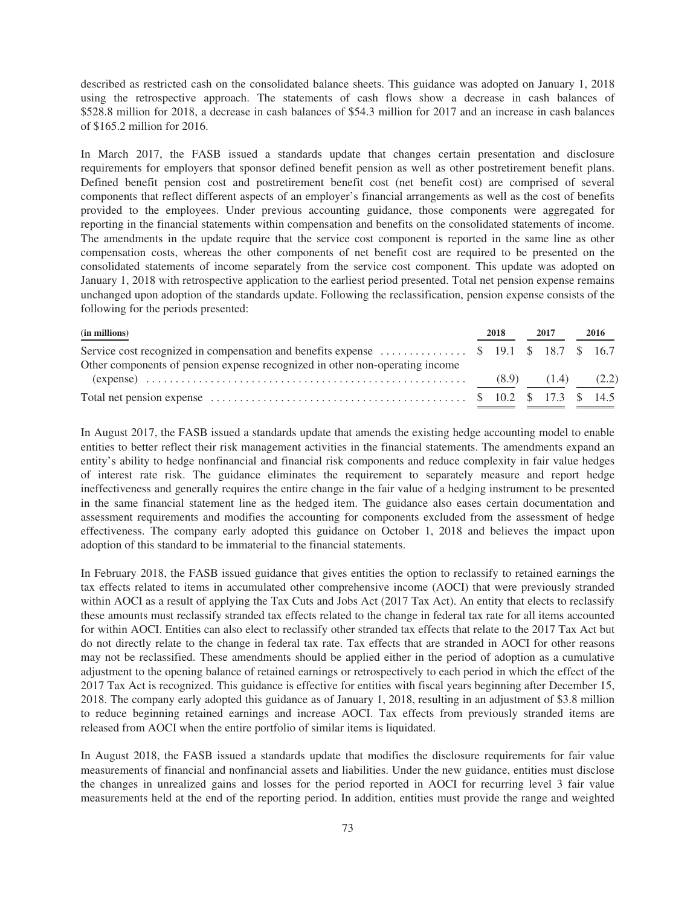described as restricted cash on the consolidated balance sheets. This guidance was adopted on January 1, 2018 using the retrospective approach. The statements of cash flows show a decrease in cash balances of \$528.8 million for 2018, a decrease in cash balances of \$54.3 million for 2017 and an increase in cash balances of \$165.2 million for 2016.

In March 2017, the FASB issued a standards update that changes certain presentation and disclosure requirements for employers that sponsor defined benefit pension as well as other postretirement benefit plans. Defined benefit pension cost and postretirement benefit cost (net benefit cost) are comprised of several components that reflect different aspects of an employer's financial arrangements as well as the cost of benefits provided to the employees. Under previous accounting guidance, those components were aggregated for reporting in the financial statements within compensation and benefits on the consolidated statements of income. The amendments in the update require that the service cost component is reported in the same line as other compensation costs, whereas the other components of net benefit cost are required to be presented on the consolidated statements of income separately from the service cost component. This update was adopted on January 1, 2018 with retrospective application to the earliest period presented. Total net pension expense remains unchanged upon adoption of the standards update. Following the reclassification, pension expense consists of the following for the periods presented:

| (in millions)                                                                                                               | 2018 | 2017                    | 2016 |
|-----------------------------------------------------------------------------------------------------------------------------|------|-------------------------|------|
|                                                                                                                             |      |                         |      |
| Other components of pension expense recognized in other non-operating income                                                |      |                         |      |
|                                                                                                                             |      | $(8.9)$ $(1.4)$ $(2.2)$ |      |
| Total net pension expense $\dots \dots \dots \dots \dots \dots \dots \dots \dots \dots \dots \dots$ \$ 10.2 \$ 17.3 \$ 14.5 |      |                         |      |

In August 2017, the FASB issued a standards update that amends the existing hedge accounting model to enable entities to better reflect their risk management activities in the financial statements. The amendments expand an entity's ability to hedge nonfinancial and financial risk components and reduce complexity in fair value hedges of interest rate risk. The guidance eliminates the requirement to separately measure and report hedge ineffectiveness and generally requires the entire change in the fair value of a hedging instrument to be presented in the same financial statement line as the hedged item. The guidance also eases certain documentation and assessment requirements and modifies the accounting for components excluded from the assessment of hedge effectiveness. The company early adopted this guidance on October 1, 2018 and believes the impact upon adoption of this standard to be immaterial to the financial statements.

In February 2018, the FASB issued guidance that gives entities the option to reclassify to retained earnings the tax effects related to items in accumulated other comprehensive income (AOCI) that were previously stranded within AOCI as a result of applying the Tax Cuts and Jobs Act (2017 Tax Act). An entity that elects to reclassify these amounts must reclassify stranded tax effects related to the change in federal tax rate for all items accounted for within AOCI. Entities can also elect to reclassify other stranded tax effects that relate to the 2017 Tax Act but do not directly relate to the change in federal tax rate. Tax effects that are stranded in AOCI for other reasons may not be reclassified. These amendments should be applied either in the period of adoption as a cumulative adjustment to the opening balance of retained earnings or retrospectively to each period in which the effect of the 2017 Tax Act is recognized. This guidance is effective for entities with fiscal years beginning after December 15, 2018. The company early adopted this guidance as of January 1, 2018, resulting in an adjustment of \$3.8 million to reduce beginning retained earnings and increase AOCI. Tax effects from previously stranded items are released from AOCI when the entire portfolio of similar items is liquidated.

In August 2018, the FASB issued a standards update that modifies the disclosure requirements for fair value measurements of financial and nonfinancial assets and liabilities. Under the new guidance, entities must disclose the changes in unrealized gains and losses for the period reported in AOCI for recurring level 3 fair value measurements held at the end of the reporting period. In addition, entities must provide the range and weighted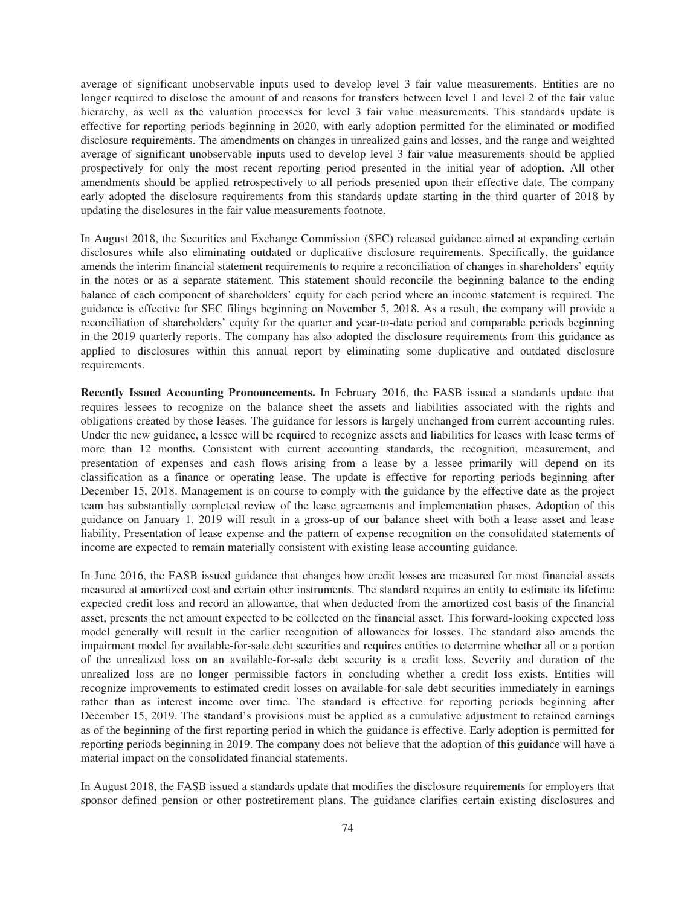average of significant unobservable inputs used to develop level 3 fair value measurements. Entities are no longer required to disclose the amount of and reasons for transfers between level 1 and level 2 of the fair value hierarchy, as well as the valuation processes for level 3 fair value measurements. This standards update is effective for reporting periods beginning in 2020, with early adoption permitted for the eliminated or modified disclosure requirements. The amendments on changes in unrealized gains and losses, and the range and weighted average of significant unobservable inputs used to develop level 3 fair value measurements should be applied prospectively for only the most recent reporting period presented in the initial year of adoption. All other amendments should be applied retrospectively to all periods presented upon their effective date. The company early adopted the disclosure requirements from this standards update starting in the third quarter of 2018 by updating the disclosures in the fair value measurements footnote.

In August 2018, the Securities and Exchange Commission (SEC) released guidance aimed at expanding certain disclosures while also eliminating outdated or duplicative disclosure requirements. Specifically, the guidance amends the interim financial statement requirements to require a reconciliation of changes in shareholders' equity in the notes or as a separate statement. This statement should reconcile the beginning balance to the ending balance of each component of shareholders' equity for each period where an income statement is required. The guidance is effective for SEC filings beginning on November 5, 2018. As a result, the company will provide a reconciliation of shareholders' equity for the quarter and year-to-date period and comparable periods beginning in the 2019 quarterly reports. The company has also adopted the disclosure requirements from this guidance as applied to disclosures within this annual report by eliminating some duplicative and outdated disclosure requirements.

**Recently Issued Accounting Pronouncements.** In February 2016, the FASB issued a standards update that requires lessees to recognize on the balance sheet the assets and liabilities associated with the rights and obligations created by those leases. The guidance for lessors is largely unchanged from current accounting rules. Under the new guidance, a lessee will be required to recognize assets and liabilities for leases with lease terms of more than 12 months. Consistent with current accounting standards, the recognition, measurement, and presentation of expenses and cash flows arising from a lease by a lessee primarily will depend on its classification as a finance or operating lease. The update is effective for reporting periods beginning after December 15, 2018. Management is on course to comply with the guidance by the effective date as the project team has substantially completed review of the lease agreements and implementation phases. Adoption of this guidance on January 1, 2019 will result in a gross-up of our balance sheet with both a lease asset and lease liability. Presentation of lease expense and the pattern of expense recognition on the consolidated statements of income are expected to remain materially consistent with existing lease accounting guidance.

In June 2016, the FASB issued guidance that changes how credit losses are measured for most financial assets measured at amortized cost and certain other instruments. The standard requires an entity to estimate its lifetime expected credit loss and record an allowance, that when deducted from the amortized cost basis of the financial asset, presents the net amount expected to be collected on the financial asset. This forward-looking expected loss model generally will result in the earlier recognition of allowances for losses. The standard also amends the impairment model for available-for-sale debt securities and requires entities to determine whether all or a portion of the unrealized loss on an available-for-sale debt security is a credit loss. Severity and duration of the unrealized loss are no longer permissible factors in concluding whether a credit loss exists. Entities will recognize improvements to estimated credit losses on available-for-sale debt securities immediately in earnings rather than as interest income over time. The standard is effective for reporting periods beginning after December 15, 2019. The standard's provisions must be applied as a cumulative adjustment to retained earnings as of the beginning of the first reporting period in which the guidance is effective. Early adoption is permitted for reporting periods beginning in 2019. The company does not believe that the adoption of this guidance will have a material impact on the consolidated financial statements.

In August 2018, the FASB issued a standards update that modifies the disclosure requirements for employers that sponsor defined pension or other postretirement plans. The guidance clarifies certain existing disclosures and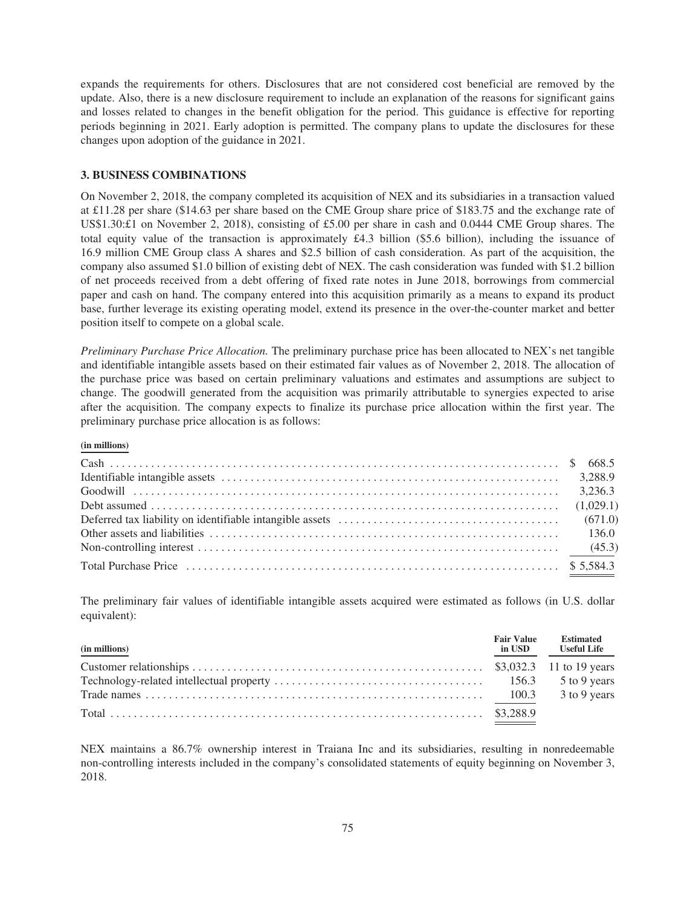expands the requirements for others. Disclosures that are not considered cost beneficial are removed by the update. Also, there is a new disclosure requirement to include an explanation of the reasons for significant gains and losses related to changes in the benefit obligation for the period. This guidance is effective for reporting periods beginning in 2021. Early adoption is permitted. The company plans to update the disclosures for these changes upon adoption of the guidance in 2021.

#### **3. BUSINESS COMBINATIONS**

On November 2, 2018, the company completed its acquisition of NEX and its subsidiaries in a transaction valued at £11.28 per share (\$14.63 per share based on the CME Group share price of \$183.75 and the exchange rate of US\$1.30:£1 on November 2, 2018), consisting of £5.00 per share in cash and 0.0444 CME Group shares. The total equity value of the transaction is approximately £4.3 billion (\$5.6 billion), including the issuance of 16.9 million CME Group class A shares and \$2.5 billion of cash consideration. As part of the acquisition, the company also assumed \$1.0 billion of existing debt of NEX. The cash consideration was funded with \$1.2 billion of net proceeds received from a debt offering of fixed rate notes in June 2018, borrowings from commercial paper and cash on hand. The company entered into this acquisition primarily as a means to expand its product base, further leverage its existing operating model, extend its presence in the over-the-counter market and better position itself to compete on a global scale.

*Preliminary Purchase Price Allocation.* The preliminary purchase price has been allocated to NEX's net tangible and identifiable intangible assets based on their estimated fair values as of November 2, 2018. The allocation of the purchase price was based on certain preliminary valuations and estimates and assumptions are subject to change. The goodwill generated from the acquisition was primarily attributable to synergies expected to arise after the acquisition. The company expects to finalize its purchase price allocation within the first year. The preliminary purchase price allocation is as follows:

### **(in millions)**

The preliminary fair values of identifiable intangible assets acquired were estimated as follows (in U.S. dollar equivalent):

| (in millions) | <b>Fair Value</b><br>in USD | <b>Estimated</b><br>Useful Life |
|---------------|-----------------------------|---------------------------------|
|               |                             |                                 |
|               |                             |                                 |
|               |                             |                                 |
|               |                             |                                 |

NEX maintains a 86.7% ownership interest in Traiana Inc and its subsidiaries, resulting in nonredeemable non-controlling interests included in the company's consolidated statements of equity beginning on November 3, 2018.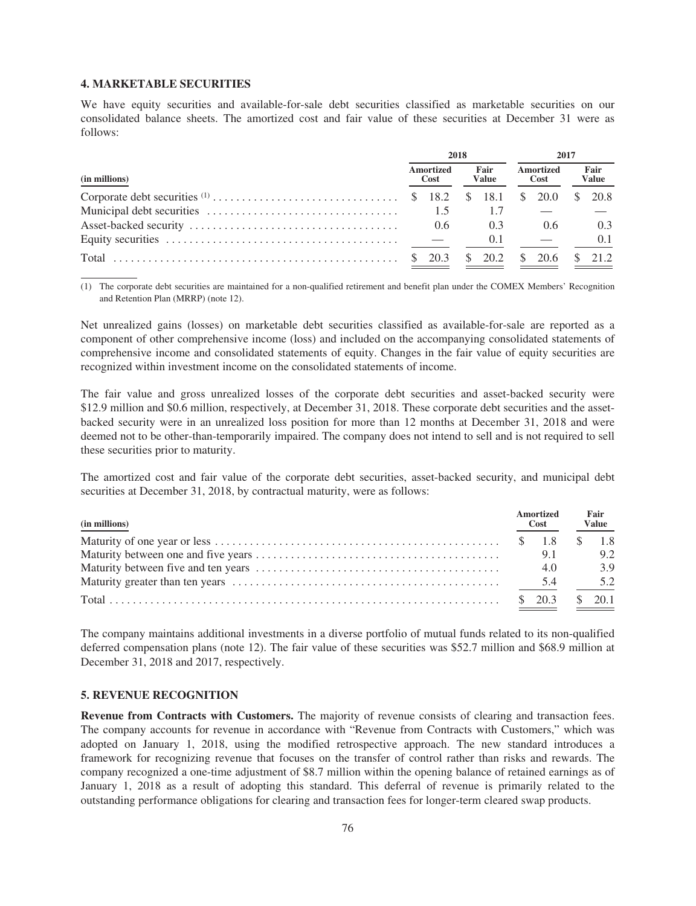#### **4. MARKETABLE SECURITIES**

We have equity securities and available-for-sale debt securities classified as marketable securities on our consolidated balance sheets. The amortized cost and fair value of these securities at December 31 were as follows:

|               |  |                                            | 2018 |                      |  | 2017                            |  |                      |  |
|---------------|--|--------------------------------------------|------|----------------------|--|---------------------------------|--|----------------------|--|
| (in millions) |  | <b>Amortized</b><br>Cost                   |      | Fair<br><b>Value</b> |  | Amortized<br>Cost               |  | Fair<br><b>Value</b> |  |
|               |  |                                            |      |                      |  |                                 |  | \$20.8               |  |
|               |  |                                            |      |                      |  |                                 |  |                      |  |
|               |  | 0.6                                        |      | (0.3)                |  | 0.6                             |  | 0.3                  |  |
|               |  | <b>Contract Contract Contract Contract</b> |      | (0.1)                |  |                                 |  | 0.1                  |  |
|               |  |                                            |      | $\frac{\$}{20.2}$    |  | $\frac{\$}{20.6}$ \, \, \, 21.2 |  |                      |  |

(1) The corporate debt securities are maintained for a non-qualified retirement and benefit plan under the COMEX Members' Recognition and Retention Plan (MRRP) (note 12).

Net unrealized gains (losses) on marketable debt securities classified as available-for-sale are reported as a component of other comprehensive income (loss) and included on the accompanying consolidated statements of comprehensive income and consolidated statements of equity. Changes in the fair value of equity securities are recognized within investment income on the consolidated statements of income.

The fair value and gross unrealized losses of the corporate debt securities and asset-backed security were \$12.9 million and \$0.6 million, respectively, at December 31, 2018. These corporate debt securities and the assetbacked security were in an unrealized loss position for more than 12 months at December 31, 2018 and were deemed not to be other-than-temporarily impaired. The company does not intend to sell and is not required to sell these securities prior to maturity.

The amortized cost and fair value of the corporate debt securities, asset-backed security, and municipal debt securities at December 31, 2018, by contractual maturity, were as follows:

| (in millions) |  | <b>Amortized</b><br>Cost |  | Fair<br><b>Value</b> |  |
|---------------|--|--------------------------|--|----------------------|--|
|               |  |                          |  |                      |  |
|               |  | 9.1                      |  | 9.2                  |  |
|               |  | 4.0                      |  | 3.9                  |  |
|               |  | 5.4                      |  | 5.2                  |  |
|               |  |                          |  |                      |  |

The company maintains additional investments in a diverse portfolio of mutual funds related to its non-qualified deferred compensation plans (note 12). The fair value of these securities was \$52.7 million and \$68.9 million at December 31, 2018 and 2017, respectively.

#### **5. REVENUE RECOGNITION**

**Revenue from Contracts with Customers.** The majority of revenue consists of clearing and transaction fees. The company accounts for revenue in accordance with "Revenue from Contracts with Customers," which was adopted on January 1, 2018, using the modified retrospective approach. The new standard introduces a framework for recognizing revenue that focuses on the transfer of control rather than risks and rewards. The company recognized a one-time adjustment of \$8.7 million within the opening balance of retained earnings as of January 1, 2018 as a result of adopting this standard. This deferral of revenue is primarily related to the outstanding performance obligations for clearing and transaction fees for longer-term cleared swap products.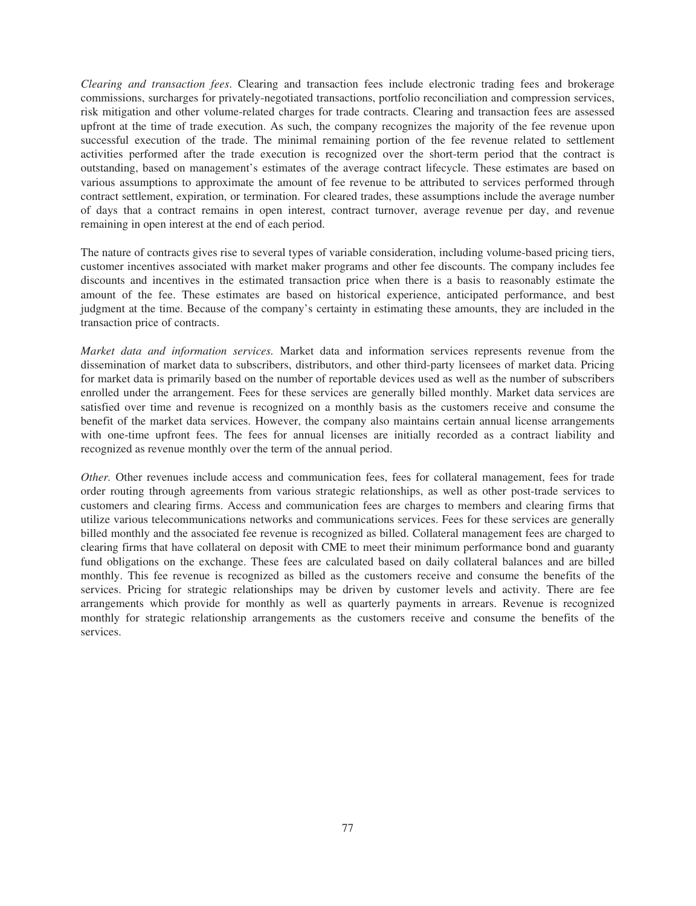*Clearing and transaction fees*. Clearing and transaction fees include electronic trading fees and brokerage commissions, surcharges for privately-negotiated transactions, portfolio reconciliation and compression services, risk mitigation and other volume-related charges for trade contracts. Clearing and transaction fees are assessed upfront at the time of trade execution. As such, the company recognizes the majority of the fee revenue upon successful execution of the trade. The minimal remaining portion of the fee revenue related to settlement activities performed after the trade execution is recognized over the short-term period that the contract is outstanding, based on management's estimates of the average contract lifecycle. These estimates are based on various assumptions to approximate the amount of fee revenue to be attributed to services performed through contract settlement, expiration, or termination. For cleared trades, these assumptions include the average number of days that a contract remains in open interest, contract turnover, average revenue per day, and revenue remaining in open interest at the end of each period.

The nature of contracts gives rise to several types of variable consideration, including volume-based pricing tiers, customer incentives associated with market maker programs and other fee discounts. The company includes fee discounts and incentives in the estimated transaction price when there is a basis to reasonably estimate the amount of the fee. These estimates are based on historical experience, anticipated performance, and best judgment at the time. Because of the company's certainty in estimating these amounts, they are included in the transaction price of contracts.

*Market data and information services.* Market data and information services represents revenue from the dissemination of market data to subscribers, distributors, and other third-party licensees of market data. Pricing for market data is primarily based on the number of reportable devices used as well as the number of subscribers enrolled under the arrangement. Fees for these services are generally billed monthly. Market data services are satisfied over time and revenue is recognized on a monthly basis as the customers receive and consume the benefit of the market data services. However, the company also maintains certain annual license arrangements with one-time upfront fees. The fees for annual licenses are initially recorded as a contract liability and recognized as revenue monthly over the term of the annual period.

*Other.* Other revenues include access and communication fees, fees for collateral management, fees for trade order routing through agreements from various strategic relationships, as well as other post-trade services to customers and clearing firms. Access and communication fees are charges to members and clearing firms that utilize various telecommunications networks and communications services. Fees for these services are generally billed monthly and the associated fee revenue is recognized as billed. Collateral management fees are charged to clearing firms that have collateral on deposit with CME to meet their minimum performance bond and guaranty fund obligations on the exchange. These fees are calculated based on daily collateral balances and are billed monthly. This fee revenue is recognized as billed as the customers receive and consume the benefits of the services. Pricing for strategic relationships may be driven by customer levels and activity. There are fee arrangements which provide for monthly as well as quarterly payments in arrears. Revenue is recognized monthly for strategic relationship arrangements as the customers receive and consume the benefits of the services.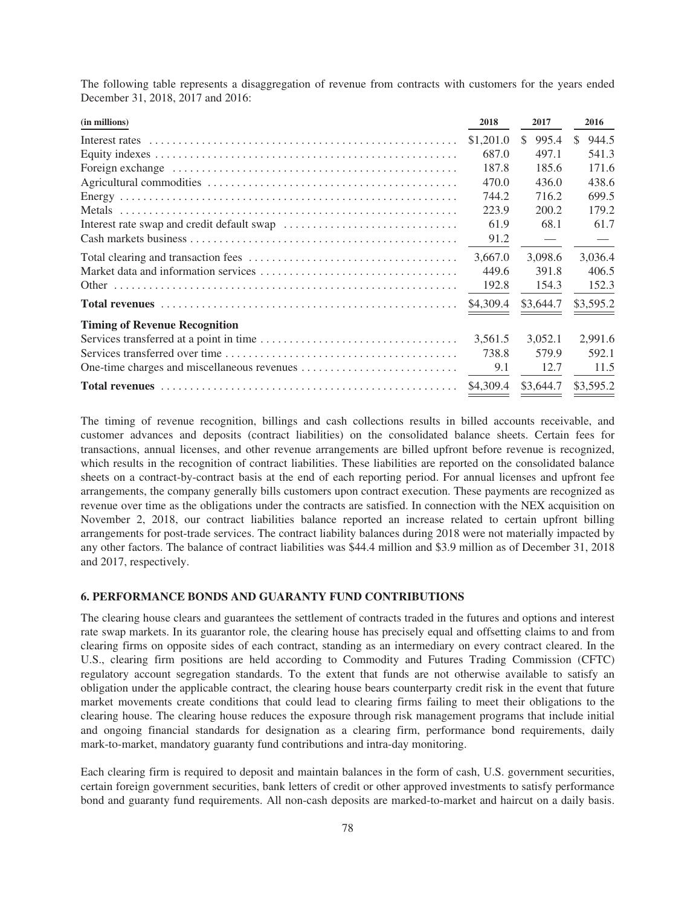| (in millions)                        | 2018      | 2017        | 2016        |
|--------------------------------------|-----------|-------------|-------------|
|                                      | \$1,201.0 | 995.4<br>S. | 944.5<br>S. |
|                                      | 687.0     | 497.1       | 541.3       |
|                                      | 187.8     | 185.6       | 171.6       |
|                                      | 470.0     | 436.0       | 438.6       |
|                                      | 744.2     | 716.2       | 699.5       |
|                                      | 223.9     | 200.2       | 179.2       |
|                                      | 61.9      | 68.1        | 61.7        |
|                                      | 91.2      |             |             |
|                                      | 3,667.0   | 3.098.6     | 3,036.4     |
|                                      | 449.6     | 391.8       | 406.5       |
|                                      | 192.8     | 154.3       | 152.3       |
|                                      | \$4,309.4 | \$3,644.7   | \$3,595.2   |
| <b>Timing of Revenue Recognition</b> |           |             |             |
|                                      | 3.561.5   | 3,052.1     | 2.991.6     |
|                                      | 738.8     | 579.9       | 592.1       |
|                                      | 9.1       | 12.7        | 11.5        |
|                                      | \$4,309.4 | \$3,644.7   | \$3,595.2   |

The following table represents a disaggregation of revenue from contracts with customers for the years ended December 31, 2018, 2017 and 2016:

The timing of revenue recognition, billings and cash collections results in billed accounts receivable, and customer advances and deposits (contract liabilities) on the consolidated balance sheets. Certain fees for transactions, annual licenses, and other revenue arrangements are billed upfront before revenue is recognized, which results in the recognition of contract liabilities. These liabilities are reported on the consolidated balance sheets on a contract-by-contract basis at the end of each reporting period. For annual licenses and upfront fee arrangements, the company generally bills customers upon contract execution. These payments are recognized as revenue over time as the obligations under the contracts are satisfied. In connection with the NEX acquisition on November 2, 2018, our contract liabilities balance reported an increase related to certain upfront billing arrangements for post-trade services. The contract liability balances during 2018 were not materially impacted by any other factors. The balance of contract liabilities was \$44.4 million and \$3.9 million as of December 31, 2018 and 2017, respectively.

#### **6. PERFORMANCE BONDS AND GUARANTY FUND CONTRIBUTIONS**

The clearing house clears and guarantees the settlement of contracts traded in the futures and options and interest rate swap markets. In its guarantor role, the clearing house has precisely equal and offsetting claims to and from clearing firms on opposite sides of each contract, standing as an intermediary on every contract cleared. In the U.S., clearing firm positions are held according to Commodity and Futures Trading Commission (CFTC) regulatory account segregation standards. To the extent that funds are not otherwise available to satisfy an obligation under the applicable contract, the clearing house bears counterparty credit risk in the event that future market movements create conditions that could lead to clearing firms failing to meet their obligations to the clearing house. The clearing house reduces the exposure through risk management programs that include initial and ongoing financial standards for designation as a clearing firm, performance bond requirements, daily mark-to-market, mandatory guaranty fund contributions and intra-day monitoring.

Each clearing firm is required to deposit and maintain balances in the form of cash, U.S. government securities, certain foreign government securities, bank letters of credit or other approved investments to satisfy performance bond and guaranty fund requirements. All non-cash deposits are marked-to-market and haircut on a daily basis.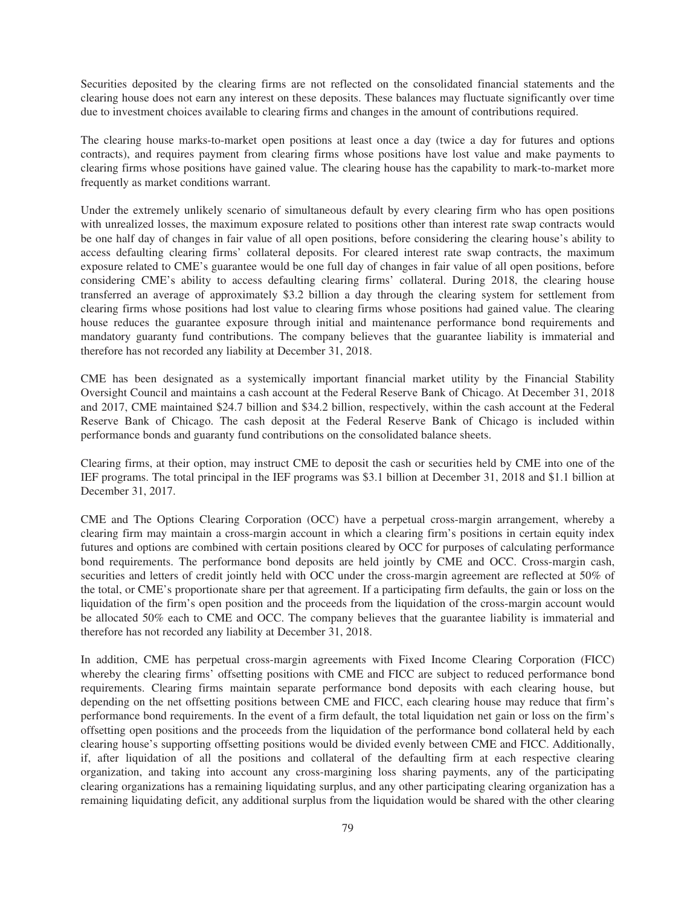Securities deposited by the clearing firms are not reflected on the consolidated financial statements and the clearing house does not earn any interest on these deposits. These balances may fluctuate significantly over time due to investment choices available to clearing firms and changes in the amount of contributions required.

The clearing house marks-to-market open positions at least once a day (twice a day for futures and options contracts), and requires payment from clearing firms whose positions have lost value and make payments to clearing firms whose positions have gained value. The clearing house has the capability to mark-to-market more frequently as market conditions warrant.

Under the extremely unlikely scenario of simultaneous default by every clearing firm who has open positions with unrealized losses, the maximum exposure related to positions other than interest rate swap contracts would be one half day of changes in fair value of all open positions, before considering the clearing house's ability to access defaulting clearing firms' collateral deposits. For cleared interest rate swap contracts, the maximum exposure related to CME's guarantee would be one full day of changes in fair value of all open positions, before considering CME's ability to access defaulting clearing firms' collateral. During 2018, the clearing house transferred an average of approximately \$3.2 billion a day through the clearing system for settlement from clearing firms whose positions had lost value to clearing firms whose positions had gained value. The clearing house reduces the guarantee exposure through initial and maintenance performance bond requirements and mandatory guaranty fund contributions. The company believes that the guarantee liability is immaterial and therefore has not recorded any liability at December 31, 2018.

CME has been designated as a systemically important financial market utility by the Financial Stability Oversight Council and maintains a cash account at the Federal Reserve Bank of Chicago. At December 31, 2018 and 2017, CME maintained \$24.7 billion and \$34.2 billion, respectively, within the cash account at the Federal Reserve Bank of Chicago. The cash deposit at the Federal Reserve Bank of Chicago is included within performance bonds and guaranty fund contributions on the consolidated balance sheets.

Clearing firms, at their option, may instruct CME to deposit the cash or securities held by CME into one of the IEF programs. The total principal in the IEF programs was \$3.1 billion at December 31, 2018 and \$1.1 billion at December 31, 2017.

CME and The Options Clearing Corporation (OCC) have a perpetual cross-margin arrangement, whereby a clearing firm may maintain a cross-margin account in which a clearing firm's positions in certain equity index futures and options are combined with certain positions cleared by OCC for purposes of calculating performance bond requirements. The performance bond deposits are held jointly by CME and OCC. Cross-margin cash, securities and letters of credit jointly held with OCC under the cross-margin agreement are reflected at 50% of the total, or CME's proportionate share per that agreement. If a participating firm defaults, the gain or loss on the liquidation of the firm's open position and the proceeds from the liquidation of the cross-margin account would be allocated 50% each to CME and OCC. The company believes that the guarantee liability is immaterial and therefore has not recorded any liability at December 31, 2018.

In addition, CME has perpetual cross-margin agreements with Fixed Income Clearing Corporation (FICC) whereby the clearing firms' offsetting positions with CME and FICC are subject to reduced performance bond requirements. Clearing firms maintain separate performance bond deposits with each clearing house, but depending on the net offsetting positions between CME and FICC, each clearing house may reduce that firm's performance bond requirements. In the event of a firm default, the total liquidation net gain or loss on the firm's offsetting open positions and the proceeds from the liquidation of the performance bond collateral held by each clearing house's supporting offsetting positions would be divided evenly between CME and FICC. Additionally, if, after liquidation of all the positions and collateral of the defaulting firm at each respective clearing organization, and taking into account any cross-margining loss sharing payments, any of the participating clearing organizations has a remaining liquidating surplus, and any other participating clearing organization has a remaining liquidating deficit, any additional surplus from the liquidation would be shared with the other clearing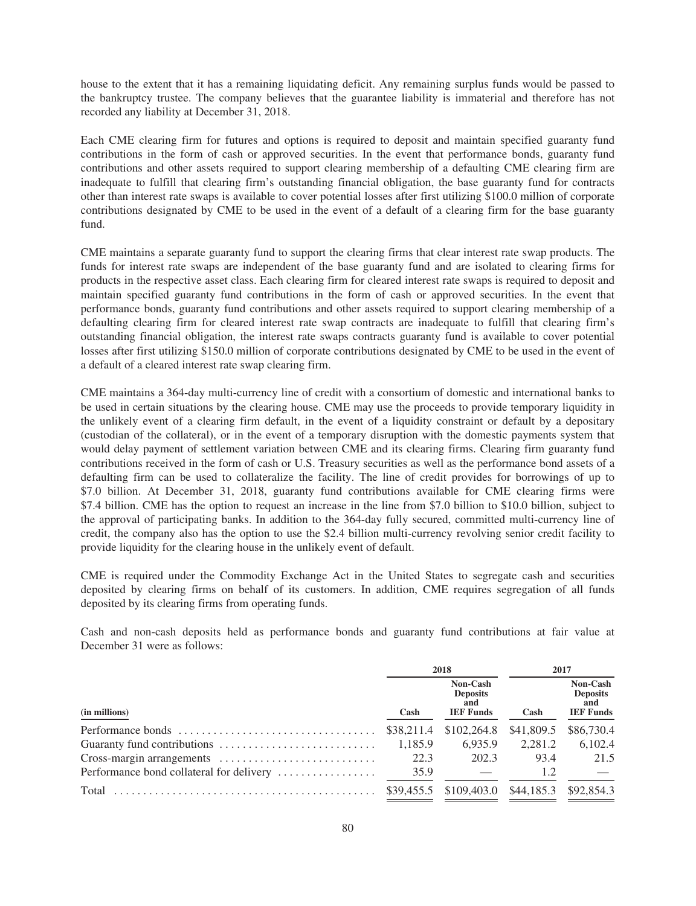house to the extent that it has a remaining liquidating deficit. Any remaining surplus funds would be passed to the bankruptcy trustee. The company believes that the guarantee liability is immaterial and therefore has not recorded any liability at December 31, 2018.

Each CME clearing firm for futures and options is required to deposit and maintain specified guaranty fund contributions in the form of cash or approved securities. In the event that performance bonds, guaranty fund contributions and other assets required to support clearing membership of a defaulting CME clearing firm are inadequate to fulfill that clearing firm's outstanding financial obligation, the base guaranty fund for contracts other than interest rate swaps is available to cover potential losses after first utilizing \$100.0 million of corporate contributions designated by CME to be used in the event of a default of a clearing firm for the base guaranty fund.

CME maintains a separate guaranty fund to support the clearing firms that clear interest rate swap products. The funds for interest rate swaps are independent of the base guaranty fund and are isolated to clearing firms for products in the respective asset class. Each clearing firm for cleared interest rate swaps is required to deposit and maintain specified guaranty fund contributions in the form of cash or approved securities. In the event that performance bonds, guaranty fund contributions and other assets required to support clearing membership of a defaulting clearing firm for cleared interest rate swap contracts are inadequate to fulfill that clearing firm's outstanding financial obligation, the interest rate swaps contracts guaranty fund is available to cover potential losses after first utilizing \$150.0 million of corporate contributions designated by CME to be used in the event of a default of a cleared interest rate swap clearing firm.

CME maintains a 364-day multi-currency line of credit with a consortium of domestic and international banks to be used in certain situations by the clearing house. CME may use the proceeds to provide temporary liquidity in the unlikely event of a clearing firm default, in the event of a liquidity constraint or default by a depositary (custodian of the collateral), or in the event of a temporary disruption with the domestic payments system that would delay payment of settlement variation between CME and its clearing firms. Clearing firm guaranty fund contributions received in the form of cash or U.S. Treasury securities as well as the performance bond assets of a defaulting firm can be used to collateralize the facility. The line of credit provides for borrowings of up to \$7.0 billion. At December 31, 2018, guaranty fund contributions available for CME clearing firms were \$7.4 billion. CME has the option to request an increase in the line from \$7.0 billion to \$10.0 billion, subject to the approval of participating banks. In addition to the 364-day fully secured, committed multi-currency line of credit, the company also has the option to use the \$2.4 billion multi-currency revolving senior credit facility to provide liquidity for the clearing house in the unlikely event of default.

CME is required under the Commodity Exchange Act in the United States to segregate cash and securities deposited by clearing firms on behalf of its customers. In addition, CME requires segregation of all funds deposited by its clearing firms from operating funds.

Cash and non-cash deposits held as performance bonds and guaranty fund contributions at fair value at December 31 were as follows:

|                                          |            | 2018                                                          | 2017       |                                                        |  |  |
|------------------------------------------|------------|---------------------------------------------------------------|------------|--------------------------------------------------------|--|--|
| (in millions)                            | Cash       | <b>Non-Cash</b><br><b>Deposits</b><br>and<br><b>IEF Funds</b> | Cash       | Non-Cash<br><b>Deposits</b><br>and<br><b>IEF Funds</b> |  |  |
|                                          | \$38,211.4 | \$102,264.8                                                   | \$41,809.5 | \$86,730.4                                             |  |  |
|                                          |            | 6.935.9                                                       | 2.281.2    | 6,102.4                                                |  |  |
|                                          | 22.3       | 202.3                                                         | 93.4       | 21.5                                                   |  |  |
| Performance bond collateral for delivery | 35.9       |                                                               | 1.2        |                                                        |  |  |
| Total                                    |            | \$39,455.5 \$109,403.0 \$44,185.3                             |            | \$92,854.3                                             |  |  |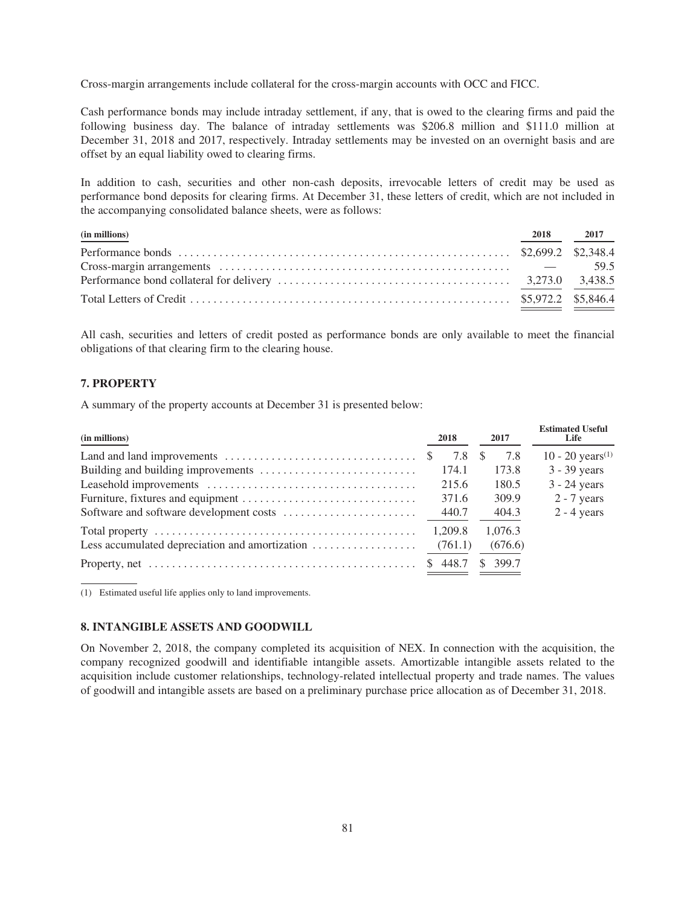Cross-margin arrangements include collateral for the cross-margin accounts with OCC and FICC.

Cash performance bonds may include intraday settlement, if any, that is owed to the clearing firms and paid the following business day. The balance of intraday settlements was \$206.8 million and \$111.0 million at December 31, 2018 and 2017, respectively. Intraday settlements may be invested on an overnight basis and are offset by an equal liability owed to clearing firms.

In addition to cash, securities and other non-cash deposits, irrevocable letters of credit may be used as performance bond deposits for clearing firms. At December 31, these letters of credit, which are not included in the accompanying consolidated balance sheets, were as follows:

| (in millions) | 2018 2017 |
|---------------|-----------|
|               |           |
|               |           |
|               |           |
|               |           |

All cash, securities and letters of credit posted as performance bonds are only available to meet the financial obligations of that clearing firm to the clearing house.

# **7. PROPERTY**

A summary of the property accounts at December 31 is presented below:

| (in millions)                                  | 2018    | 2017        | <b>Estimated Useful</b><br>Life |
|------------------------------------------------|---------|-------------|---------------------------------|
|                                                | 7.8 \$  | 7.8         | 10 - 20 years <sup>(1)</sup>    |
|                                                | 174.1   | 173.8       | $3 - 39$ years                  |
|                                                | 215.6   | 180.5       | $3 - 24$ years                  |
|                                                | 371.6   | 309.9       | $2 - 7$ years                   |
|                                                | 440.7   | 404.3       | $2 - 4$ years                   |
|                                                | 1.209.8 | 1,076.3     |                                 |
| Less accumulated depreciation and amortization | (761.1) | (676.6)     |                                 |
|                                                | \$448.7 | 399.7<br>S. |                                 |

(1) Estimated useful life applies only to land improvements.

#### **8. INTANGIBLE ASSETS AND GOODWILL**

On November 2, 2018, the company completed its acquisition of NEX. In connection with the acquisition, the company recognized goodwill and identifiable intangible assets. Amortizable intangible assets related to the acquisition include customer relationships, technology-related intellectual property and trade names. The values of goodwill and intangible assets are based on a preliminary purchase price allocation as of December 31, 2018.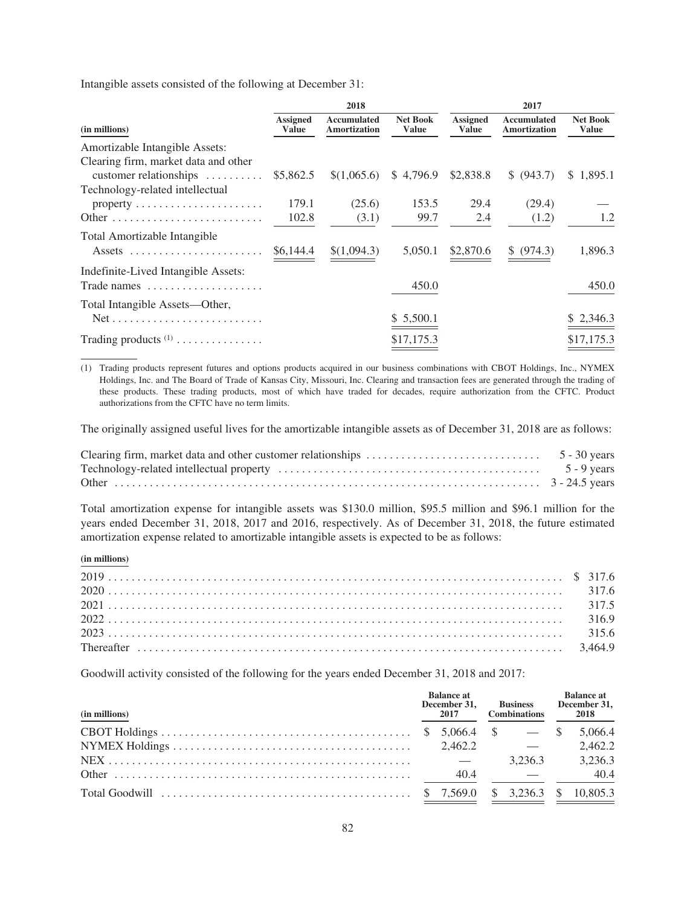Intangible assets consisted of the following at December 31:

|                                                          |                                 | 2018                                      |                                               |                                 |                                    |                                 |
|----------------------------------------------------------|---------------------------------|-------------------------------------------|-----------------------------------------------|---------------------------------|------------------------------------|---------------------------------|
| (in millions)                                            | <b>Assigned</b><br><b>Value</b> | <b>Accumulated</b><br><b>Amortization</b> | <b>Net Book</b><br><b>Value</b>               | <b>Assigned</b><br><b>Value</b> | Accumulated<br><b>Amortization</b> | <b>Net Book</b><br><b>Value</b> |
| Amortizable Intangible Assets:                           |                                 |                                           |                                               |                                 |                                    |                                 |
| Clearing firm, market data and other                     |                                 |                                           |                                               |                                 |                                    |                                 |
| $\alpha$ customer relationships $\dots \dots \dots$      | \$5,862.5                       |                                           | $\{(1,065.6) \quad $4,796.9 \quad $2,838.8\}$ |                                 | \$ (943.7)                         | \$1,895.1                       |
| Technology-related intellectual                          |                                 |                                           |                                               |                                 |                                    |                                 |
| property $\dots\dots\dots\dots\dots\dots\dots\dots\dots$ | 179.1                           | (25.6)                                    | 153.5                                         | 29.4                            | (29.4)                             |                                 |
| Other                                                    | 102.8                           | (3.1)                                     | 99.7                                          | 2.4                             | (1.2)                              | 1.2                             |
| Total Amortizable Intangible                             |                                 |                                           |                                               |                                 |                                    |                                 |
|                                                          | \$6,144.4                       | \$(1,094.3)                               | 5.050.1                                       | \$2,870.6                       | \$ (974.3)                         | 1,896.3                         |
| Indefinite-Lived Intangible Assets:                      |                                 |                                           |                                               |                                 |                                    |                                 |
| Trade names $\ldots \ldots \ldots \ldots \ldots$         |                                 |                                           | 450.0                                         |                                 |                                    | 450.0                           |
| Total Intangible Assets-Other,                           |                                 |                                           |                                               |                                 |                                    |                                 |
| $Net \ldots \ldots \ldots \ldots \ldots \ldots \ldots$   |                                 |                                           | \$5,500.1                                     |                                 |                                    | \$2,346.3                       |
| Trading products $(1)$                                   |                                 |                                           | \$17,175.3                                    |                                 |                                    | \$17,175.3                      |

(1) Trading products represent futures and options products acquired in our business combinations with CBOT Holdings, Inc., NYMEX Holdings, Inc. and The Board of Trade of Kansas City, Missouri, Inc. Clearing and transaction fees are generated through the trading of these products. These trading products, most of which have traded for decades, require authorization from the CFTC. Product authorizations from the CFTC have no term limits.

The originally assigned useful lives for the amortizable intangible assets as of December 31, 2018 are as follows:

Total amortization expense for intangible assets was \$130.0 million, \$95.5 million and \$96.1 million for the years ended December 31, 2018, 2017 and 2016, respectively. As of December 31, 2018, the future estimated amortization expense related to amortizable intangible assets is expected to be as follows:

### **(in millions)**

| Thereafter $\ldots$ and $\ldots$ and $\ldots$ and $\ldots$ and $\ldots$ and $\ldots$ and $\ldots$ and $\ldots$ and $\ldots$ and $\ldots$ and $\ldots$ and $\ldots$ and $\ldots$ and $\ldots$ and $\ldots$ and $\ldots$ and $\ldots$ and $\ldots$ and $\ldots$ and $\ldots$ and $\ldots$ and |  |
|---------------------------------------------------------------------------------------------------------------------------------------------------------------------------------------------------------------------------------------------------------------------------------------------|--|

Goodwill activity consisted of the following for the years ended December 31, 2018 and 2017:

| (in millions)                                                                                         | Balance at the state of the state of the state of the state of the state of the state of the state of the state of the state of the state of the state of the state of the state of the state of the state of the state of the<br><b>Business</b><br>December 31.<br><b>Combinations</b><br>2017 |                        |  |                                            |  |         |  |  |  |  | <b>Balance at</b><br>December 31,<br>2018 |
|-------------------------------------------------------------------------------------------------------|--------------------------------------------------------------------------------------------------------------------------------------------------------------------------------------------------------------------------------------------------------------------------------------------------|------------------------|--|--------------------------------------------|--|---------|--|--|--|--|-------------------------------------------|
|                                                                                                       |                                                                                                                                                                                                                                                                                                  |                        |  |                                            |  | 5.066.4 |  |  |  |  |                                           |
| NYMEX Holdings $\ldots \ldots \ldots \ldots \ldots \ldots \ldots \ldots \ldots \ldots \ldots$ 2,462.2 |                                                                                                                                                                                                                                                                                                  |                        |  | <b>Contract Contract Contract Contract</b> |  | 2.462.2 |  |  |  |  |                                           |
|                                                                                                       |                                                                                                                                                                                                                                                                                                  | $\sim$ 100 $-$ 100 $-$ |  | 3.236.3                                    |  | 3,236.3 |  |  |  |  |                                           |
|                                                                                                       |                                                                                                                                                                                                                                                                                                  | 40.4                   |  |                                            |  | 40.4    |  |  |  |  |                                           |
|                                                                                                       |                                                                                                                                                                                                                                                                                                  |                        |  |                                            |  |         |  |  |  |  |                                           |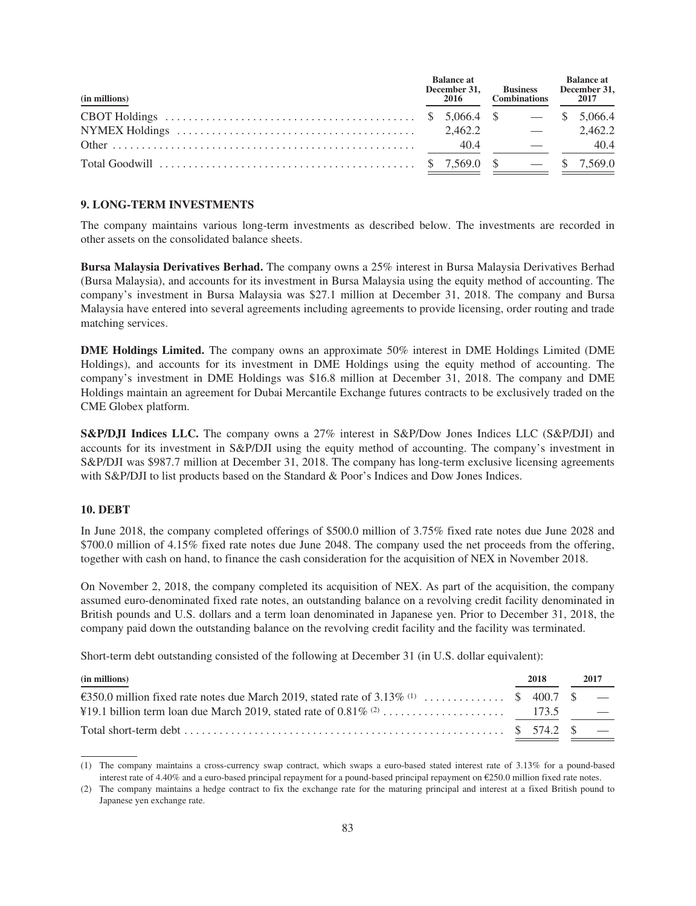| (in millions) |  | December 31, Business<br>2016 |  | <b>Balance at</b><br><b>Combinations</b> |  | <b>Balance at</b><br>December 31,<br>2017 |  |
|---------------|--|-------------------------------|--|------------------------------------------|--|-------------------------------------------|--|
|               |  |                               |  |                                          |  |                                           |  |
|               |  |                               |  | the control of the control of            |  | 2.462.2                                   |  |
|               |  | 40.4                          |  |                                          |  | 40.4                                      |  |
|               |  |                               |  |                                          |  |                                           |  |

# **9. LONG-TERM INVESTMENTS**

The company maintains various long-term investments as described below. The investments are recorded in other assets on the consolidated balance sheets.

**Bursa Malaysia Derivatives Berhad.** The company owns a 25% interest in Bursa Malaysia Derivatives Berhad (Bursa Malaysia), and accounts for its investment in Bursa Malaysia using the equity method of accounting. The company's investment in Bursa Malaysia was \$27.1 million at December 31, 2018. The company and Bursa Malaysia have entered into several agreements including agreements to provide licensing, order routing and trade matching services.

**DME Holdings Limited.** The company owns an approximate 50% interest in DME Holdings Limited (DME Holdings), and accounts for its investment in DME Holdings using the equity method of accounting. The company's investment in DME Holdings was \$16.8 million at December 31, 2018. The company and DME Holdings maintain an agreement for Dubai Mercantile Exchange futures contracts to be exclusively traded on the CME Globex platform.

**S&P/DJI Indices LLC.** The company owns a 27% interest in S&P/Dow Jones Indices LLC (S&P/DJI) and accounts for its investment in S&P/DJI using the equity method of accounting. The company's investment in S&P/DJI was \$987.7 million at December 31, 2018. The company has long-term exclusive licensing agreements with S&P/DJI to list products based on the Standard & Poor's Indices and Dow Jones Indices.

### **10. DEBT**

In June 2018, the company completed offerings of \$500.0 million of 3.75% fixed rate notes due June 2028 and \$700.0 million of 4.15% fixed rate notes due June 2048. The company used the net proceeds from the offering, together with cash on hand, to finance the cash consideration for the acquisition of NEX in November 2018.

On November 2, 2018, the company completed its acquisition of NEX. As part of the acquisition, the company assumed euro-denominated fixed rate notes, an outstanding balance on a revolving credit facility denominated in British pounds and U.S. dollars and a term loan denominated in Japanese yen. Prior to December 31, 2018, the company paid down the outstanding balance on the revolving credit facility and the facility was terminated.

Short-term debt outstanding consisted of the following at December 31 (in U.S. dollar equivalent):

| (in millions)                                                                                     | 2018 | 2017       |
|---------------------------------------------------------------------------------------------------|------|------------|
| €350.0 million fixed rate notes due March 2019, stated rate of 3.13% <sup>(1)</sup> \$ 400.7 \$ — |      |            |
|                                                                                                   |      | $\sim$ $-$ |
|                                                                                                   |      |            |

<sup>(1)</sup> The company maintains a cross-currency swap contract, which swaps a euro-based stated interest rate of 3.13% for a pound-based interest rate of 4.40% and a euro-based principal repayment for a pound-based principal repayment on €250.0 million fixed rate notes.

<sup>(2)</sup> The company maintains a hedge contract to fix the exchange rate for the maturing principal and interest at a fixed British pound to Japanese yen exchange rate.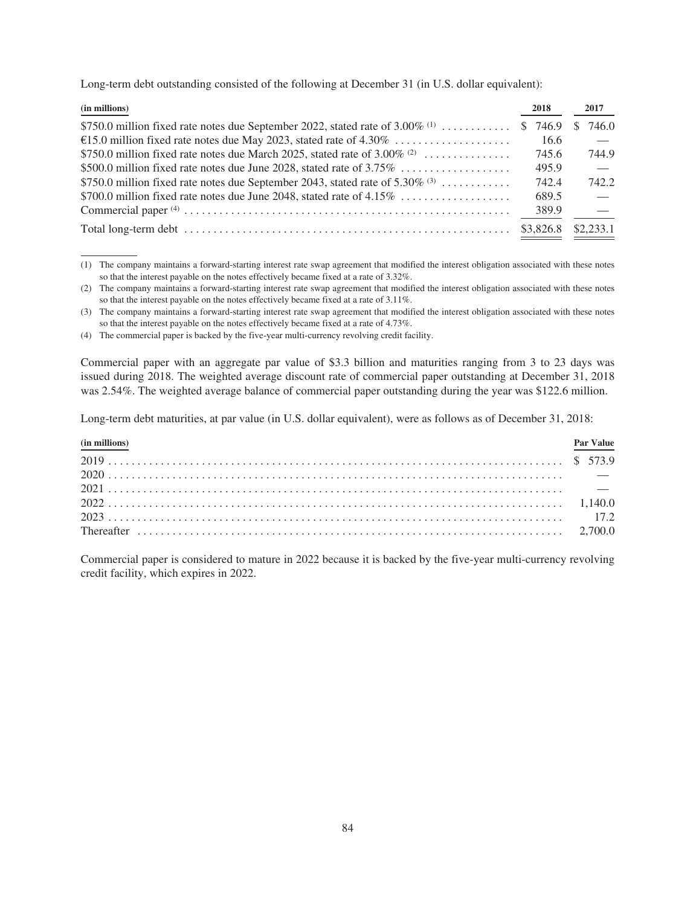Long-term debt outstanding consisted of the following at December 31 (in U.S. dollar equivalent):

| (in millions)                                                                    | 2018  | 2017                     |
|----------------------------------------------------------------------------------|-------|--------------------------|
|                                                                                  |       | 746.0<br>S.              |
|                                                                                  | 16.6  |                          |
| \$750.0 million fixed rate notes due March 2025, stated rate of $3.00\%$ (2)     | 745.6 | 744.9                    |
|                                                                                  | 495.9 |                          |
| \$750.0 million fixed rate notes due September 2043, stated rate of $5.30\%$ (3) | 742.4 | 742.2                    |
|                                                                                  | 689.5 |                          |
|                                                                                  | 389.9 | $\overline{\phantom{a}}$ |
|                                                                                  |       | \$2,233.1                |

<sup>(1)</sup> The company maintains a forward-starting interest rate swap agreement that modified the interest obligation associated with these notes so that the interest payable on the notes effectively became fixed at a rate of 3.32%.

Commercial paper with an aggregate par value of \$3.3 billion and maturities ranging from 3 to 23 days was issued during 2018. The weighted average discount rate of commercial paper outstanding at December 31, 2018 was 2.54%. The weighted average balance of commercial paper outstanding during the year was \$122.6 million.

Long-term debt maturities, at par value (in U.S. dollar equivalent), were as follows as of December 31, 2018:

| $\left($ in millions) | <b>Par Value</b> |
|-----------------------|------------------|
|                       |                  |
|                       |                  |
|                       |                  |
|                       |                  |
|                       |                  |
|                       |                  |

Commercial paper is considered to mature in 2022 because it is backed by the five-year multi-currency revolving credit facility, which expires in 2022.

<sup>(2)</sup> The company maintains a forward-starting interest rate swap agreement that modified the interest obligation associated with these notes so that the interest payable on the notes effectively became fixed at a rate of 3.11%.

<sup>(3)</sup> The company maintains a forward-starting interest rate swap agreement that modified the interest obligation associated with these notes so that the interest payable on the notes effectively became fixed at a rate of 4.73%.

<sup>(4)</sup> The commercial paper is backed by the five-year multi-currency revolving credit facility.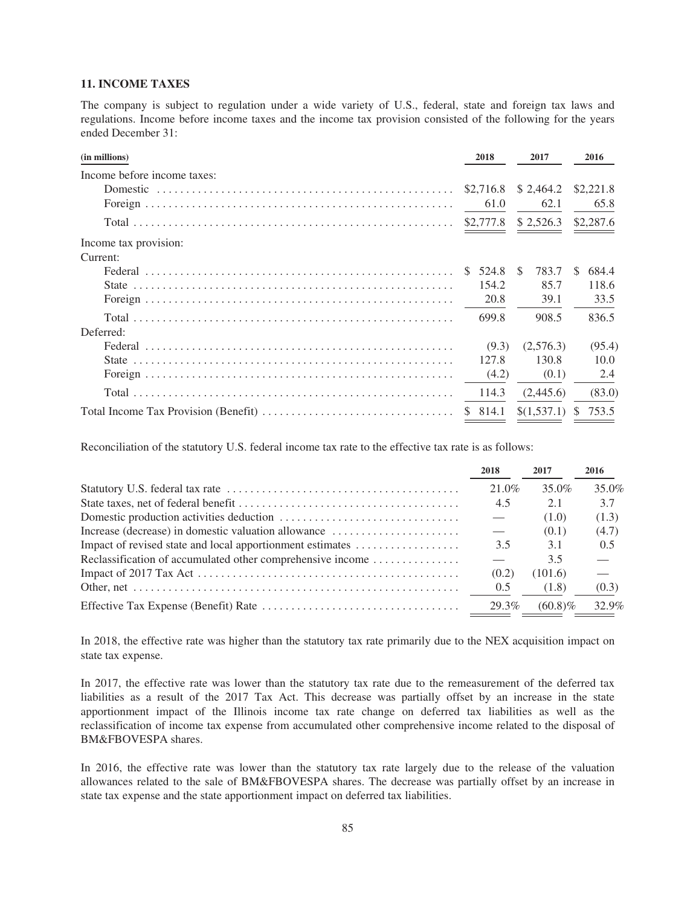#### **11. INCOME TAXES**

The company is subject to regulation under a wide variety of U.S., federal, state and foreign tax laws and regulations. Income before income taxes and the income tax provision consisted of the following for the years ended December 31:

| (in millions)               | 2018        | 2017                             | 2016        |
|-----------------------------|-------------|----------------------------------|-------------|
| Income before income taxes: |             |                                  |             |
|                             | \$2,716.8   | \$2,464.2                        | \$2,221.8   |
|                             | 61.0        | 62.1                             | 65.8        |
|                             |             | $$2,777.8$ $$2,526.3$ $$2,287.6$ |             |
| Income tax provision:       |             |                                  |             |
| Current:                    |             |                                  |             |
|                             | \$ 524.8 \$ | 783.7                            | 684.4<br>S. |
|                             | 154.2       | 85.7                             | 118.6       |
|                             | 20.8        | 39.1                             | 33.5        |
|                             | 699.8       | 908.5                            | 836.5       |
| Deferred:                   |             |                                  |             |
|                             | (9.3)       | (2,576.3)                        | (95.4)      |
|                             | 127.8       | 130.8                            | 10.0        |
|                             | (4.2)       | (0.1)                            | 2.4         |
|                             | 114.3       | (2,445.6)                        | (83.0)      |
|                             | \$ 814.1    | \$(1,537.1)                      | \$753.5     |

Reconciliation of the statutory U.S. federal income tax rate to the effective tax rate is as follows:

|                                                            | 2018                          | 2017       | 2016  |
|------------------------------------------------------------|-------------------------------|------------|-------|
|                                                            | 21.0%                         | 35.0%      | 35.0% |
|                                                            | 4.5                           | 2.1        | 3.7   |
|                                                            |                               | (1.0)      | (1.3) |
| Increase (decrease) in domestic valuation allowance        | $\overbrace{\phantom{aaaaa}}$ | (0.1)      | (4.7) |
| Impact of revised state and local apportionment estimates  | 3.5                           | 3.1        | 0.5   |
| Reclassification of accumulated other comprehensive income | $\overline{\phantom{0}}$      | 3.5        |       |
|                                                            | (0.2)                         | (101.6)    |       |
|                                                            | 0.5                           | (1.8)      | (0.3) |
|                                                            | 29.3%                         | $(60.8)\%$ | 32.9% |

In 2018, the effective rate was higher than the statutory tax rate primarily due to the NEX acquisition impact on state tax expense.

In 2017, the effective rate was lower than the statutory tax rate due to the remeasurement of the deferred tax liabilities as a result of the 2017 Tax Act. This decrease was partially offset by an increase in the state apportionment impact of the Illinois income tax rate change on deferred tax liabilities as well as the reclassification of income tax expense from accumulated other comprehensive income related to the disposal of BM&FBOVESPA shares.

In 2016, the effective rate was lower than the statutory tax rate largely due to the release of the valuation allowances related to the sale of BM&FBOVESPA shares. The decrease was partially offset by an increase in state tax expense and the state apportionment impact on deferred tax liabilities.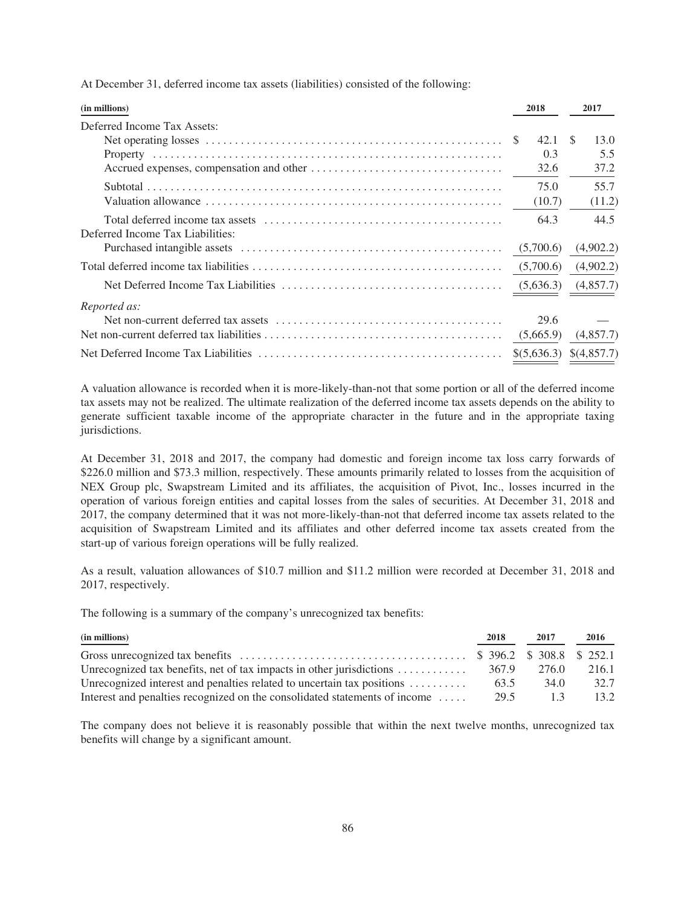| (in millions)                                                                                                                            | 2018                     | 2017       |
|------------------------------------------------------------------------------------------------------------------------------------------|--------------------------|------------|
| Deferred Income Tax Assets:                                                                                                              |                          |            |
|                                                                                                                                          | 42.1                     | 13.0<br>-S |
|                                                                                                                                          | 0.3                      | 5.5        |
|                                                                                                                                          | 32.6                     | 37.2       |
|                                                                                                                                          | 75.0                     | 55.7       |
|                                                                                                                                          | (10.7)                   | (11.2)     |
| Deferred Income Tax Liabilities:                                                                                                         | 64.3                     | 44.5       |
|                                                                                                                                          |                          | (4,902.2)  |
| Total deferred income tax liabilities $\ldots \ldots \ldots \ldots \ldots \ldots \ldots \ldots \ldots \ldots \ldots$ (5,700.6) (4,902.2) |                          |            |
|                                                                                                                                          |                          |            |
| Reported as:                                                                                                                             |                          |            |
|                                                                                                                                          | 29.6                     |            |
|                                                                                                                                          |                          | (4,857.7)  |
|                                                                                                                                          | $$(5,636.3) \$(4,857.7)$ |            |

At December 31, deferred income tax assets (liabilities) consisted of the following:

A valuation allowance is recorded when it is more-likely-than-not that some portion or all of the deferred income tax assets may not be realized. The ultimate realization of the deferred income tax assets depends on the ability to generate sufficient taxable income of the appropriate character in the future and in the appropriate taxing jurisdictions.

At December 31, 2018 and 2017, the company had domestic and foreign income tax loss carry forwards of \$226.0 million and \$73.3 million, respectively. These amounts primarily related to losses from the acquisition of NEX Group plc, Swapstream Limited and its affiliates, the acquisition of Pivot, Inc., losses incurred in the operation of various foreign entities and capital losses from the sales of securities. At December 31, 2018 and 2017, the company determined that it was not more-likely-than-not that deferred income tax assets related to the acquisition of Swapstream Limited and its affiliates and other deferred income tax assets created from the start-up of various foreign operations will be fully realized.

As a result, valuation allowances of \$10.7 million and \$11.2 million were recorded at December 31, 2018 and 2017, respectively.

The following is a summary of the company's unrecognized tax benefits:

| (in millions)                                                                            | 2018  | 2017  | 2016  |
|------------------------------------------------------------------------------------------|-------|-------|-------|
|                                                                                          |       |       |       |
| Unrecognized tax benefits, net of tax impacts in other jurisdictions $\dots \dots \dots$ | 367.9 | 276.0 | 216.1 |
| Unrecognized interest and penalties related to uncertain tax positions $\dots \dots$     | 63.5  | 34.0  | 32.7  |
| Interest and penalties recognized on the consolidated statements of income $\dots$       | 29.5  | 13    | 132   |

The company does not believe it is reasonably possible that within the next twelve months, unrecognized tax benefits will change by a significant amount.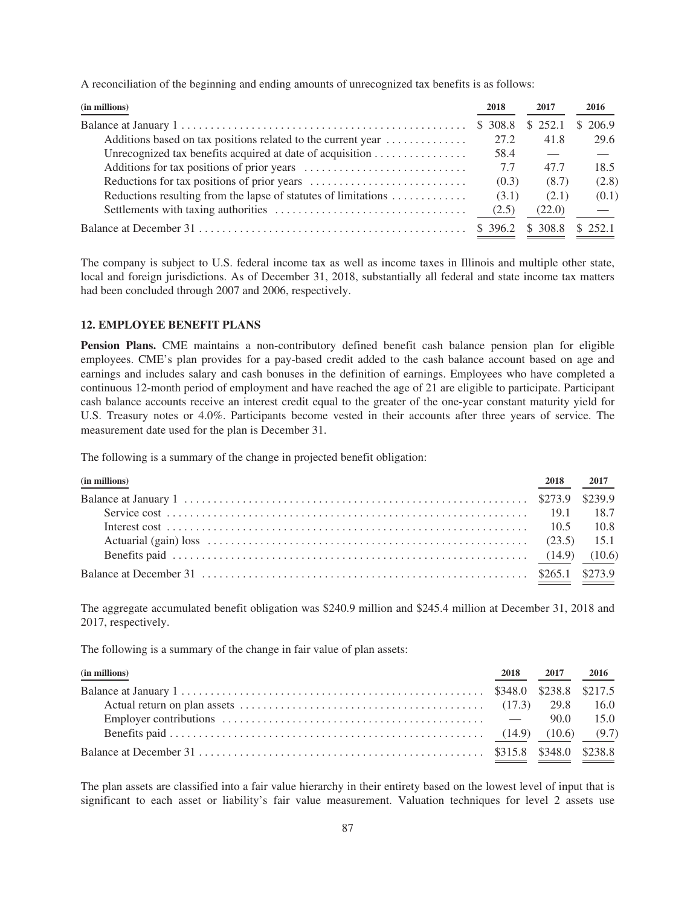A reconciliation of the beginning and ending amounts of unrecognized tax benefits is as follows:

| (in millions)                                                  | 2018     | 2017     | 2016                     |
|----------------------------------------------------------------|----------|----------|--------------------------|
|                                                                | \$ 308.8 | \$252.1  | \$206.9                  |
| Additions based on tax positions related to the current year   | 27.2     | 41.8     | 29.6                     |
| Unrecognized tax benefits acquired at date of acquisition      | 58.4     |          |                          |
|                                                                | 7.7      | 47.7     | 18.5                     |
|                                                                | (0.3)    | (8.7)    | (2.8)                    |
| Reductions resulting from the lapse of statutes of limitations | (3.1)    | (2.1)    | (0.1)                    |
|                                                                | (2.5)    | (22.0)   | $\overline{\phantom{m}}$ |
|                                                                | \$ 396.2 | \$ 308.8 | \$ 252.1                 |

The company is subject to U.S. federal income tax as well as income taxes in Illinois and multiple other state, local and foreign jurisdictions. As of December 31, 2018, substantially all federal and state income tax matters had been concluded through 2007 and 2006, respectively.

### **12. EMPLOYEE BENEFIT PLANS**

**Pension Plans.** CME maintains a non-contributory defined benefit cash balance pension plan for eligible employees. CME's plan provides for a pay-based credit added to the cash balance account based on age and earnings and includes salary and cash bonuses in the definition of earnings. Employees who have completed a continuous 12-month period of employment and have reached the age of 21 are eligible to participate. Participant cash balance accounts receive an interest credit equal to the greater of the one-year constant maturity yield for U.S. Treasury notes or 4.0%. Participants become vested in their accounts after three years of service. The measurement date used for the plan is December 31.

The following is a summary of the change in projected benefit obligation:

| (in millions)                 | 2018 2017 |  |
|-------------------------------|-----------|--|
|                               |           |  |
|                               |           |  |
|                               |           |  |
|                               |           |  |
| Benefits paid $(14.9)$ (10.6) |           |  |
|                               |           |  |

The aggregate accumulated benefit obligation was \$240.9 million and \$245.4 million at December 31, 2018 and 2017, respectively.

The following is a summary of the change in fair value of plan assets:

| (in millions)                                                                                                | $2018$ $2017$ $2016$ |                    |
|--------------------------------------------------------------------------------------------------------------|----------------------|--------------------|
|                                                                                                              |                      |                    |
|                                                                                                              |                      |                    |
| Employer contributions $\ldots \ldots \ldots \ldots \ldots \ldots \ldots \ldots \ldots \ldots \ldots \ldots$ |                      | $90.0 \qquad 15.0$ |
|                                                                                                              |                      |                    |
|                                                                                                              |                      |                    |

The plan assets are classified into a fair value hierarchy in their entirety based on the lowest level of input that is significant to each asset or liability's fair value measurement. Valuation techniques for level 2 assets use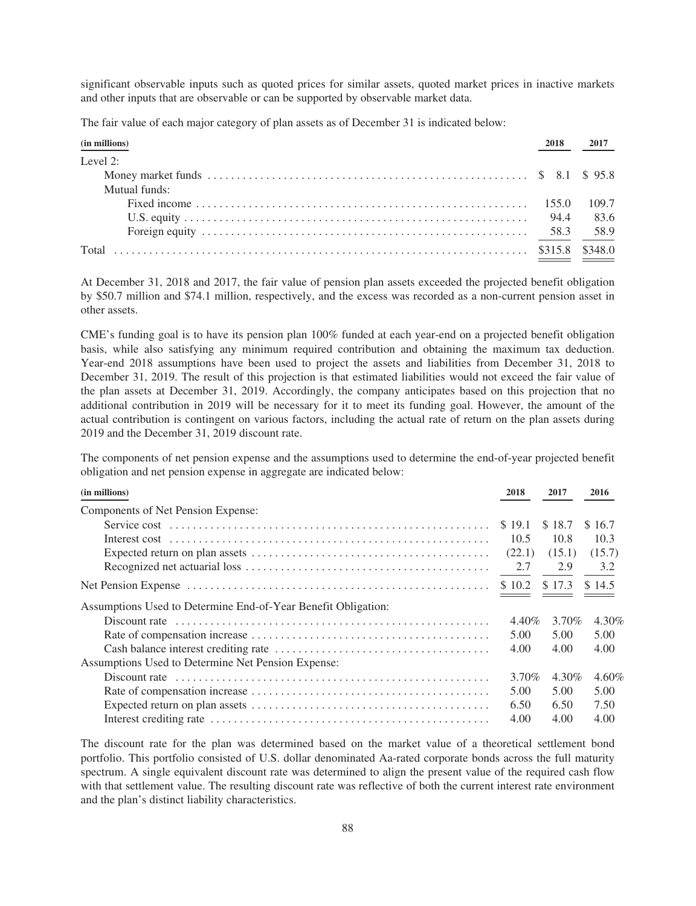significant observable inputs such as quoted prices for similar assets, quoted market prices in inactive markets and other inputs that are observable or can be supported by observable market data.

The fair value of each major category of plan assets as of December 31 is indicated below:

| $(in$ millions) | 2018 | 2017  |
|-----------------|------|-------|
| Level 2:        |      |       |
|                 |      |       |
| Mutual funds:   |      |       |
|                 |      | 109.7 |
|                 |      | 83.6  |
|                 |      | 58.9  |
|                 |      |       |

At December 31, 2018 and 2017, the fair value of pension plan assets exceeded the projected benefit obligation by \$50.7 million and \$74.1 million, respectively, and the excess was recorded as a non-current pension asset in other assets.

CME's funding goal is to have its pension plan 100% funded at each year-end on a projected benefit obligation basis, while also satisfying any minimum required contribution and obtaining the maximum tax deduction. Year-end 2018 assumptions have been used to project the assets and liabilities from December 31, 2018 to December 31, 2019. The result of this projection is that estimated liabilities would not exceed the fair value of the plan assets at December 31, 2019. Accordingly, the company anticipates based on this projection that no additional contribution in 2019 will be necessary for it to meet its funding goal. However, the amount of the actual contribution is contingent on various factors, including the actual rate of return on the plan assets during 2019 and the December 31, 2019 discount rate.

The components of net pension expense and the assumptions used to determine the end-of-year projected benefit obligation and net pension expense in aggregate are indicated below:

| (in millions)                                                 | 2018   | 2017                    | 2016   |
|---------------------------------------------------------------|--------|-------------------------|--------|
| Components of Net Pension Expense:                            |        |                         |        |
|                                                               | \$19.1 | \$18.7                  | \$16.7 |
|                                                               | 10.5   | 10.8                    | 10.3   |
|                                                               | (22.1) | (15.1)                  | (15.7) |
|                                                               | 2.7    | 2.9                     | 3.2    |
|                                                               |        | $$10.2$ $$17.3$ $$14.5$ |        |
| Assumptions Used to Determine End-of-Year Benefit Obligation: |        |                         |        |
|                                                               | 4.40%  | 3.70%                   | 4.30%  |
|                                                               | 5.00   | 5.00                    | 5.00   |
|                                                               | 4.00   | 4.00                    | 4.00   |
| Assumptions Used to Determine Net Pension Expense:            |        |                         |        |
|                                                               | 3.70%  | 4.30%                   | 4.60%  |
|                                                               | 5.00   | 5.00                    | 5.00   |
|                                                               | 6.50   | 6.50                    | 7.50   |
|                                                               | 4.00   | 4.00                    | 4.00   |

The discount rate for the plan was determined based on the market value of a theoretical settlement bond portfolio. This portfolio consisted of U.S. dollar denominated Aa-rated corporate bonds across the full maturity spectrum. A single equivalent discount rate was determined to align the present value of the required cash flow with that settlement value. The resulting discount rate was reflective of both the current interest rate environment and the plan's distinct liability characteristics.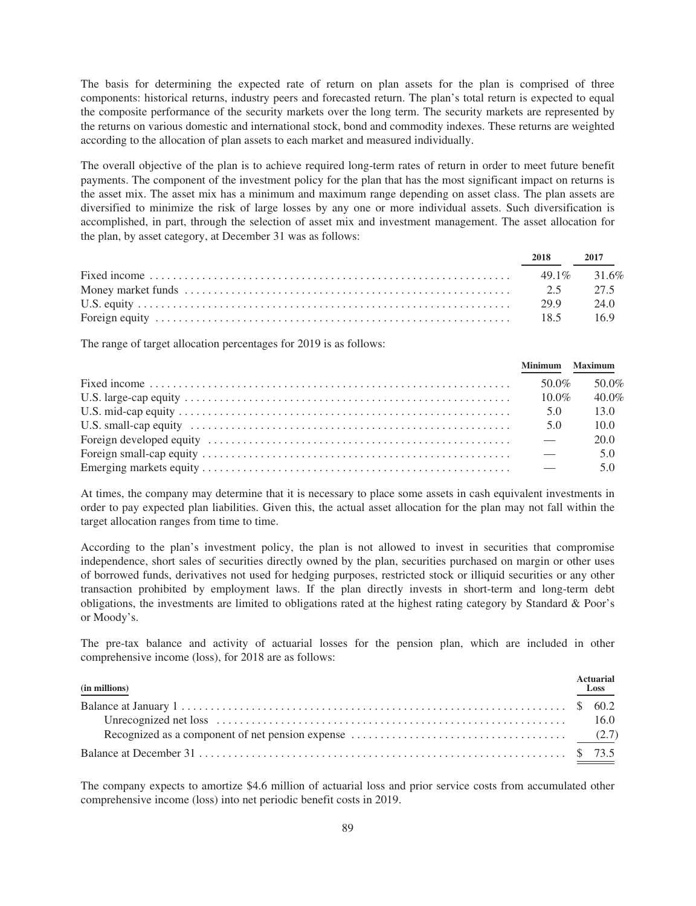The basis for determining the expected rate of return on plan assets for the plan is comprised of three components: historical returns, industry peers and forecasted return. The plan's total return is expected to equal the composite performance of the security markets over the long term. The security markets are represented by the returns on various domestic and international stock, bond and commodity indexes. These returns are weighted according to the allocation of plan assets to each market and measured individually.

The overall objective of the plan is to achieve required long-term rates of return in order to meet future benefit payments. The component of the investment policy for the plan that has the most significant impact on returns is the asset mix. The asset mix has a minimum and maximum range depending on asset class. The plan assets are diversified to minimize the risk of large losses by any one or more individual assets. Such diversification is accomplished, in part, through the selection of asset mix and investment management. The asset allocation for the plan, by asset category, at December 31 was as follows:

| 2018 | 2017 |
|------|------|
|      |      |
|      |      |
| 29.9 | 24.0 |
| 18.5 | 169  |

The range of target allocation percentages for 2019 is as follows:

| Minimum Maximum |           |
|-----------------|-----------|
| 50.0%           | 50.0%     |
|                 | $-40.0\%$ |
| 5.0             | 13.0      |
| 5.0             | 10.0      |
|                 | 20.0      |
|                 | 5.0       |
|                 | 5.0       |

At times, the company may determine that it is necessary to place some assets in cash equivalent investments in order to pay expected plan liabilities. Given this, the actual asset allocation for the plan may not fall within the target allocation ranges from time to time.

According to the plan's investment policy, the plan is not allowed to invest in securities that compromise independence, short sales of securities directly owned by the plan, securities purchased on margin or other uses of borrowed funds, derivatives not used for hedging purposes, restricted stock or illiquid securities or any other transaction prohibited by employment laws. If the plan directly invests in short-term and long-term debt obligations, the investments are limited to obligations rated at the highest rating category by Standard & Poor's or Moody's.

The pre-tax balance and activity of actuarial losses for the pension plan, which are included in other comprehensive income (loss), for 2018 are as follows:

| (in millions)                                                                                                              | Actuarial<br>Loss |
|----------------------------------------------------------------------------------------------------------------------------|-------------------|
|                                                                                                                            |                   |
|                                                                                                                            |                   |
| Recognized as a component of net pension expense $\dots \dots \dots \dots \dots \dots \dots \dots \dots \dots \dots$ (2.7) |                   |
|                                                                                                                            |                   |

The company expects to amortize \$4.6 million of actuarial loss and prior service costs from accumulated other comprehensive income (loss) into net periodic benefit costs in 2019.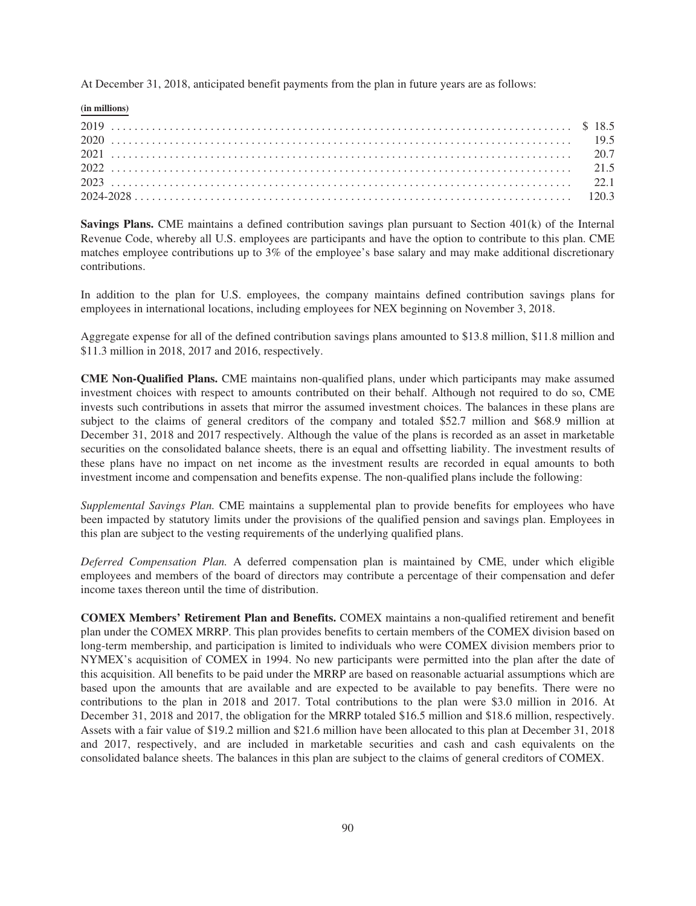At December 31, 2018, anticipated benefit payments from the plan in future years are as follows:

**(in millions)**

| $\frac{(\text{m minions})}{(\text{m minions})}$ |  |  |  |  |  |  |  |  |  |  |  |  |  |  |  |  |  |  |  |  |  |  |  |  |  |  |  |  |  |  |
|-------------------------------------------------|--|--|--|--|--|--|--|--|--|--|--|--|--|--|--|--|--|--|--|--|--|--|--|--|--|--|--|--|--|--|
|                                                 |  |  |  |  |  |  |  |  |  |  |  |  |  |  |  |  |  |  |  |  |  |  |  |  |  |  |  |  |  |  |
|                                                 |  |  |  |  |  |  |  |  |  |  |  |  |  |  |  |  |  |  |  |  |  |  |  |  |  |  |  |  |  |  |
|                                                 |  |  |  |  |  |  |  |  |  |  |  |  |  |  |  |  |  |  |  |  |  |  |  |  |  |  |  |  |  |  |
|                                                 |  |  |  |  |  |  |  |  |  |  |  |  |  |  |  |  |  |  |  |  |  |  |  |  |  |  |  |  |  |  |
|                                                 |  |  |  |  |  |  |  |  |  |  |  |  |  |  |  |  |  |  |  |  |  |  |  |  |  |  |  |  |  |  |
|                                                 |  |  |  |  |  |  |  |  |  |  |  |  |  |  |  |  |  |  |  |  |  |  |  |  |  |  |  |  |  |  |

**Savings Plans.** CME maintains a defined contribution savings plan pursuant to Section 401(k) of the Internal Revenue Code, whereby all U.S. employees are participants and have the option to contribute to this plan. CME matches employee contributions up to 3% of the employee's base salary and may make additional discretionary contributions.

In addition to the plan for U.S. employees, the company maintains defined contribution savings plans for employees in international locations, including employees for NEX beginning on November 3, 2018.

Aggregate expense for all of the defined contribution savings plans amounted to \$13.8 million, \$11.8 million and \$11.3 million in 2018, 2017 and 2016, respectively.

**CME Non-Qualified Plans.** CME maintains non-qualified plans, under which participants may make assumed investment choices with respect to amounts contributed on their behalf. Although not required to do so, CME invests such contributions in assets that mirror the assumed investment choices. The balances in these plans are subject to the claims of general creditors of the company and totaled \$52.7 million and \$68.9 million at December 31, 2018 and 2017 respectively. Although the value of the plans is recorded as an asset in marketable securities on the consolidated balance sheets, there is an equal and offsetting liability. The investment results of these plans have no impact on net income as the investment results are recorded in equal amounts to both investment income and compensation and benefits expense. The non-qualified plans include the following:

*Supplemental Savings Plan.* CME maintains a supplemental plan to provide benefits for employees who have been impacted by statutory limits under the provisions of the qualified pension and savings plan. Employees in this plan are subject to the vesting requirements of the underlying qualified plans.

*Deferred Compensation Plan.* A deferred compensation plan is maintained by CME, under which eligible employees and members of the board of directors may contribute a percentage of their compensation and defer income taxes thereon until the time of distribution.

**COMEX Members' Retirement Plan and Benefits.** COMEX maintains a non-qualified retirement and benefit plan under the COMEX MRRP. This plan provides benefits to certain members of the COMEX division based on long-term membership, and participation is limited to individuals who were COMEX division members prior to NYMEX's acquisition of COMEX in 1994. No new participants were permitted into the plan after the date of this acquisition. All benefits to be paid under the MRRP are based on reasonable actuarial assumptions which are based upon the amounts that are available and are expected to be available to pay benefits. There were no contributions to the plan in 2018 and 2017. Total contributions to the plan were \$3.0 million in 2016. At December 31, 2018 and 2017, the obligation for the MRRP totaled \$16.5 million and \$18.6 million, respectively. Assets with a fair value of \$19.2 million and \$21.6 million have been allocated to this plan at December 31, 2018 and 2017, respectively, and are included in marketable securities and cash and cash equivalents on the consolidated balance sheets. The balances in this plan are subject to the claims of general creditors of COMEX.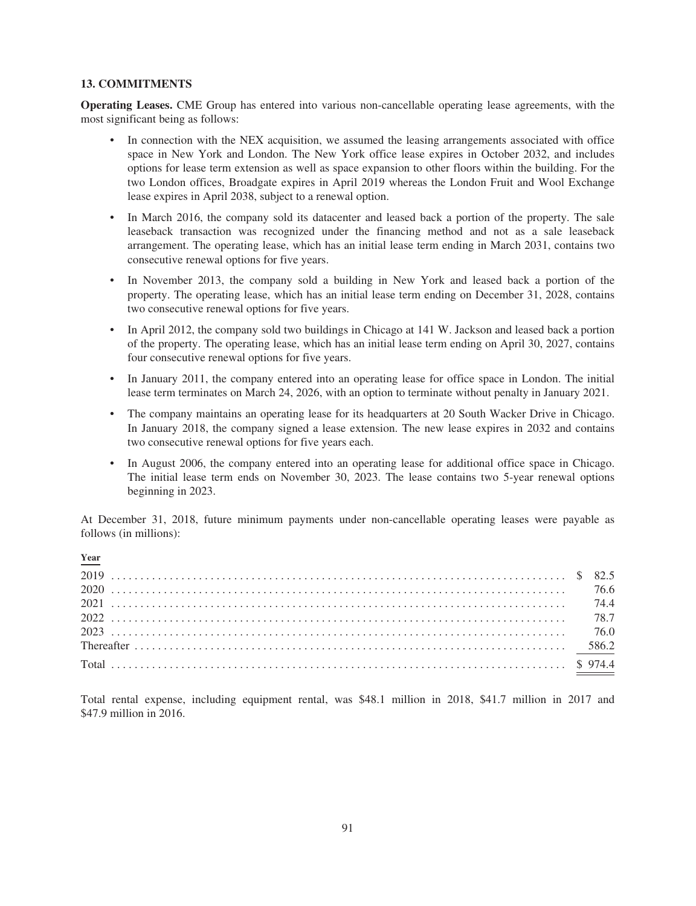### **13. COMMITMENTS**

**Operating Leases.** CME Group has entered into various non-cancellable operating lease agreements, with the most significant being as follows:

- In connection with the NEX acquisition, we assumed the leasing arrangements associated with office space in New York and London. The New York office lease expires in October 2032, and includes options for lease term extension as well as space expansion to other floors within the building. For the two London offices, Broadgate expires in April 2019 whereas the London Fruit and Wool Exchange lease expires in April 2038, subject to a renewal option.
- In March 2016, the company sold its datacenter and leased back a portion of the property. The sale leaseback transaction was recognized under the financing method and not as a sale leaseback arrangement. The operating lease, which has an initial lease term ending in March 2031, contains two consecutive renewal options for five years.
- In November 2013, the company sold a building in New York and leased back a portion of the property. The operating lease, which has an initial lease term ending on December 31, 2028, contains two consecutive renewal options for five years.
- In April 2012, the company sold two buildings in Chicago at 141 W. Jackson and leased back a portion of the property. The operating lease, which has an initial lease term ending on April 30, 2027, contains four consecutive renewal options for five years.
- In January 2011, the company entered into an operating lease for office space in London. The initial lease term terminates on March 24, 2026, with an option to terminate without penalty in January 2021.
- The company maintains an operating lease for its headquarters at 20 South Wacker Drive in Chicago. In January 2018, the company signed a lease extension. The new lease expires in 2032 and contains two consecutive renewal options for five years each.
- In August 2006, the company entered into an operating lease for additional office space in Chicago. The initial lease term ends on November 30, 2023. The lease contains two 5-year renewal options beginning in 2023.

At December 31, 2018, future minimum payments under non-cancellable operating leases were payable as follows (in millions):

**Year**

Total rental expense, including equipment rental, was \$48.1 million in 2018, \$41.7 million in 2017 and \$47.9 million in 2016.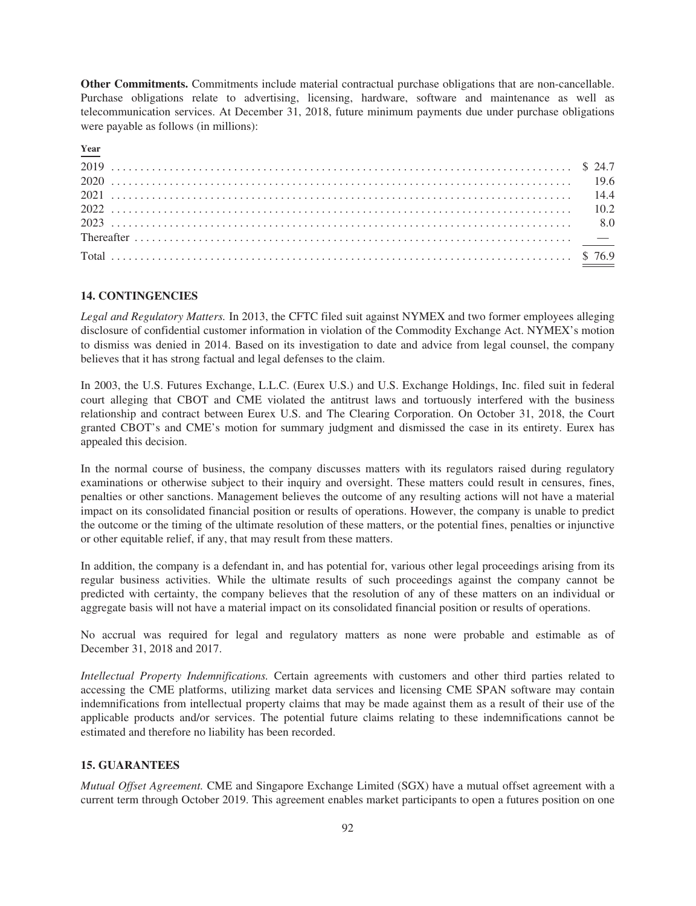**Other Commitments.** Commitments include material contractual purchase obligations that are non-cancellable. Purchase obligations relate to advertising, licensing, hardware, software and maintenance as well as telecommunication services. At December 31, 2018, future minimum payments due under purchase obligations were payable as follows (in millions):

#### **Year**

### **14. CONTINGENCIES**

*Legal and Regulatory Matters.* In 2013, the CFTC filed suit against NYMEX and two former employees alleging disclosure of confidential customer information in violation of the Commodity Exchange Act. NYMEX's motion to dismiss was denied in 2014. Based on its investigation to date and advice from legal counsel, the company believes that it has strong factual and legal defenses to the claim.

In 2003, the U.S. Futures Exchange, L.L.C. (Eurex U.S.) and U.S. Exchange Holdings, Inc. filed suit in federal court alleging that CBOT and CME violated the antitrust laws and tortuously interfered with the business relationship and contract between Eurex U.S. and The Clearing Corporation. On October 31, 2018, the Court granted CBOT's and CME's motion for summary judgment and dismissed the case in its entirety. Eurex has appealed this decision.

In the normal course of business, the company discusses matters with its regulators raised during regulatory examinations or otherwise subject to their inquiry and oversight. These matters could result in censures, fines, penalties or other sanctions. Management believes the outcome of any resulting actions will not have a material impact on its consolidated financial position or results of operations. However, the company is unable to predict the outcome or the timing of the ultimate resolution of these matters, or the potential fines, penalties or injunctive or other equitable relief, if any, that may result from these matters.

In addition, the company is a defendant in, and has potential for, various other legal proceedings arising from its regular business activities. While the ultimate results of such proceedings against the company cannot be predicted with certainty, the company believes that the resolution of any of these matters on an individual or aggregate basis will not have a material impact on its consolidated financial position or results of operations.

No accrual was required for legal and regulatory matters as none were probable and estimable as of December 31, 2018 and 2017.

*Intellectual Property Indemnifications.* Certain agreements with customers and other third parties related to accessing the CME platforms, utilizing market data services and licensing CME SPAN software may contain indemnifications from intellectual property claims that may be made against them as a result of their use of the applicable products and/or services. The potential future claims relating to these indemnifications cannot be estimated and therefore no liability has been recorded.

# **15. GUARANTEES**

*Mutual Offset Agreement.* CME and Singapore Exchange Limited (SGX) have a mutual offset agreement with a current term through October 2019. This agreement enables market participants to open a futures position on one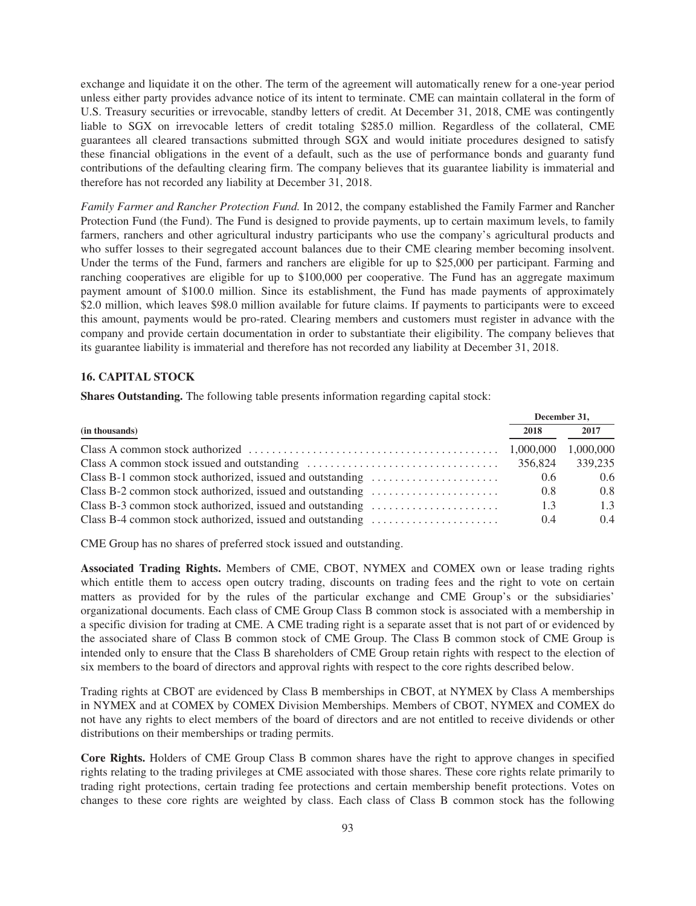exchange and liquidate it on the other. The term of the agreement will automatically renew for a one-year period unless either party provides advance notice of its intent to terminate. CME can maintain collateral in the form of U.S. Treasury securities or irrevocable, standby letters of credit. At December 31, 2018, CME was contingently liable to SGX on irrevocable letters of credit totaling \$285.0 million. Regardless of the collateral, CME guarantees all cleared transactions submitted through SGX and would initiate procedures designed to satisfy these financial obligations in the event of a default, such as the use of performance bonds and guaranty fund contributions of the defaulting clearing firm. The company believes that its guarantee liability is immaterial and therefore has not recorded any liability at December 31, 2018.

*Family Farmer and Rancher Protection Fund.* In 2012, the company established the Family Farmer and Rancher Protection Fund (the Fund). The Fund is designed to provide payments, up to certain maximum levels, to family farmers, ranchers and other agricultural industry participants who use the company's agricultural products and who suffer losses to their segregated account balances due to their CME clearing member becoming insolvent. Under the terms of the Fund, farmers and ranchers are eligible for up to \$25,000 per participant. Farming and ranching cooperatives are eligible for up to \$100,000 per cooperative. The Fund has an aggregate maximum payment amount of \$100.0 million. Since its establishment, the Fund has made payments of approximately \$2.0 million, which leaves \$98.0 million available for future claims. If payments to participants were to exceed this amount, payments would be pro-rated. Clearing members and customers must register in advance with the company and provide certain documentation in order to substantiate their eligibility. The company believes that its guarantee liability is immaterial and therefore has not recorded any liability at December 31, 2018.

# **16. CAPITAL STOCK**

**Shares Outstanding.** The following table presents information regarding capital stock:

|                                                                                                 |         | December 31, |
|-------------------------------------------------------------------------------------------------|---------|--------------|
| (in thousands)                                                                                  | 2018    | 2017         |
|                                                                                                 |         | 1,000,000    |
|                                                                                                 | 356.824 | 339,235      |
| Class B-1 common stock authorized, issued and outstanding $\dots\dots\dots\dots\dots\dots\dots$ | 0.6     | 0.6          |
| Class B-2 common stock authorized, issued and outstanding                                       | 0.8     | 0.8          |
| Class B-3 common stock authorized, issued and outstanding                                       | 1.3     | 1.3          |
| Class B-4 common stock authorized, issued and outstanding $\dots\dots\dots\dots\dots\dots\dots$ | 0.4     | 0.4          |

CME Group has no shares of preferred stock issued and outstanding.

**Associated Trading Rights.** Members of CME, CBOT, NYMEX and COMEX own or lease trading rights which entitle them to access open outcry trading, discounts on trading fees and the right to vote on certain matters as provided for by the rules of the particular exchange and CME Group's or the subsidiaries' organizational documents. Each class of CME Group Class B common stock is associated with a membership in a specific division for trading at CME. A CME trading right is a separate asset that is not part of or evidenced by the associated share of Class B common stock of CME Group. The Class B common stock of CME Group is intended only to ensure that the Class B shareholders of CME Group retain rights with respect to the election of six members to the board of directors and approval rights with respect to the core rights described below.

Trading rights at CBOT are evidenced by Class B memberships in CBOT, at NYMEX by Class A memberships in NYMEX and at COMEX by COMEX Division Memberships. Members of CBOT, NYMEX and COMEX do not have any rights to elect members of the board of directors and are not entitled to receive dividends or other distributions on their memberships or trading permits.

**Core Rights.** Holders of CME Group Class B common shares have the right to approve changes in specified rights relating to the trading privileges at CME associated with those shares. These core rights relate primarily to trading right protections, certain trading fee protections and certain membership benefit protections. Votes on changes to these core rights are weighted by class. Each class of Class B common stock has the following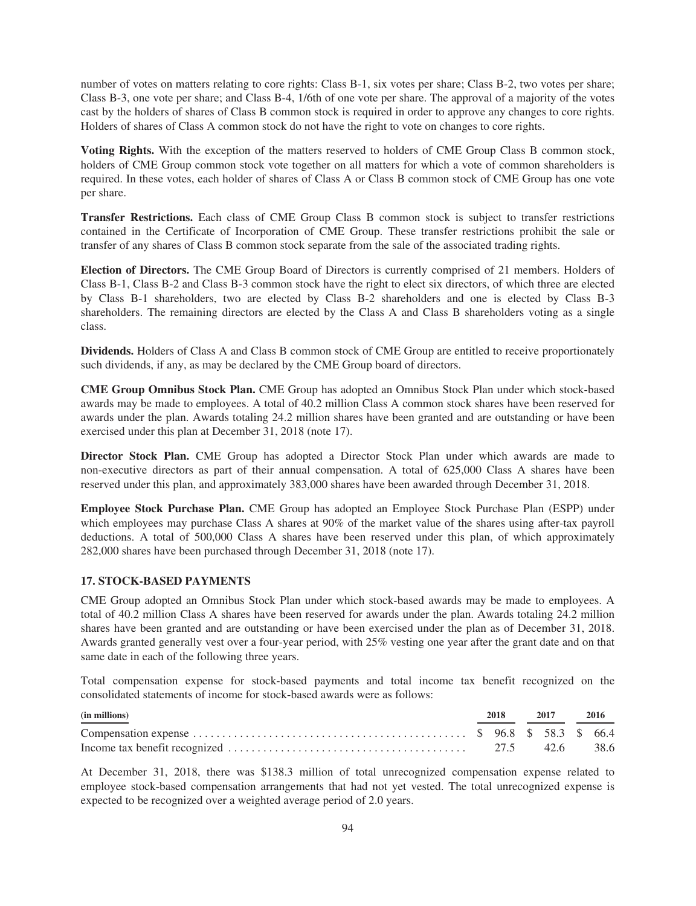number of votes on matters relating to core rights: Class B-1, six votes per share; Class B-2, two votes per share; Class B-3, one vote per share; and Class B-4, 1/6th of one vote per share. The approval of a majority of the votes cast by the holders of shares of Class B common stock is required in order to approve any changes to core rights. Holders of shares of Class A common stock do not have the right to vote on changes to core rights.

**Voting Rights.** With the exception of the matters reserved to holders of CME Group Class B common stock, holders of CME Group common stock vote together on all matters for which a vote of common shareholders is required. In these votes, each holder of shares of Class A or Class B common stock of CME Group has one vote per share.

**Transfer Restrictions.** Each class of CME Group Class B common stock is subject to transfer restrictions contained in the Certificate of Incorporation of CME Group. These transfer restrictions prohibit the sale or transfer of any shares of Class B common stock separate from the sale of the associated trading rights.

**Election of Directors.** The CME Group Board of Directors is currently comprised of 21 members. Holders of Class B-1, Class B-2 and Class B-3 common stock have the right to elect six directors, of which three are elected by Class B-1 shareholders, two are elected by Class B-2 shareholders and one is elected by Class B-3 shareholders. The remaining directors are elected by the Class A and Class B shareholders voting as a single class.

**Dividends.** Holders of Class A and Class B common stock of CME Group are entitled to receive proportionately such dividends, if any, as may be declared by the CME Group board of directors.

**CME Group Omnibus Stock Plan.** CME Group has adopted an Omnibus Stock Plan under which stock-based awards may be made to employees. A total of 40.2 million Class A common stock shares have been reserved for awards under the plan. Awards totaling 24.2 million shares have been granted and are outstanding or have been exercised under this plan at December 31, 2018 (note 17).

**Director Stock Plan.** CME Group has adopted a Director Stock Plan under which awards are made to non-executive directors as part of their annual compensation. A total of 625,000 Class A shares have been reserved under this plan, and approximately 383,000 shares have been awarded through December 31, 2018.

**Employee Stock Purchase Plan.** CME Group has adopted an Employee Stock Purchase Plan (ESPP) under which employees may purchase Class A shares at 90% of the market value of the shares using after-tax payroll deductions. A total of 500,000 Class A shares have been reserved under this plan, of which approximately 282,000 shares have been purchased through December 31, 2018 (note 17).

# **17. STOCK-BASED PAYMENTS**

CME Group adopted an Omnibus Stock Plan under which stock-based awards may be made to employees. A total of 40.2 million Class A shares have been reserved for awards under the plan. Awards totaling 24.2 million shares have been granted and are outstanding or have been exercised under the plan as of December 31, 2018. Awards granted generally vest over a four-year period, with 25% vesting one year after the grant date and on that same date in each of the following three years.

Total compensation expense for stock-based payments and total income tax benefit recognized on the consolidated statements of income for stock-based awards were as follows:

| (in millions) | 2018 2017 2016 |  |  |
|---------------|----------------|--|--|
|               |                |  |  |
|               |                |  |  |

At December 31, 2018, there was \$138.3 million of total unrecognized compensation expense related to employee stock-based compensation arrangements that had not yet vested. The total unrecognized expense is expected to be recognized over a weighted average period of 2.0 years.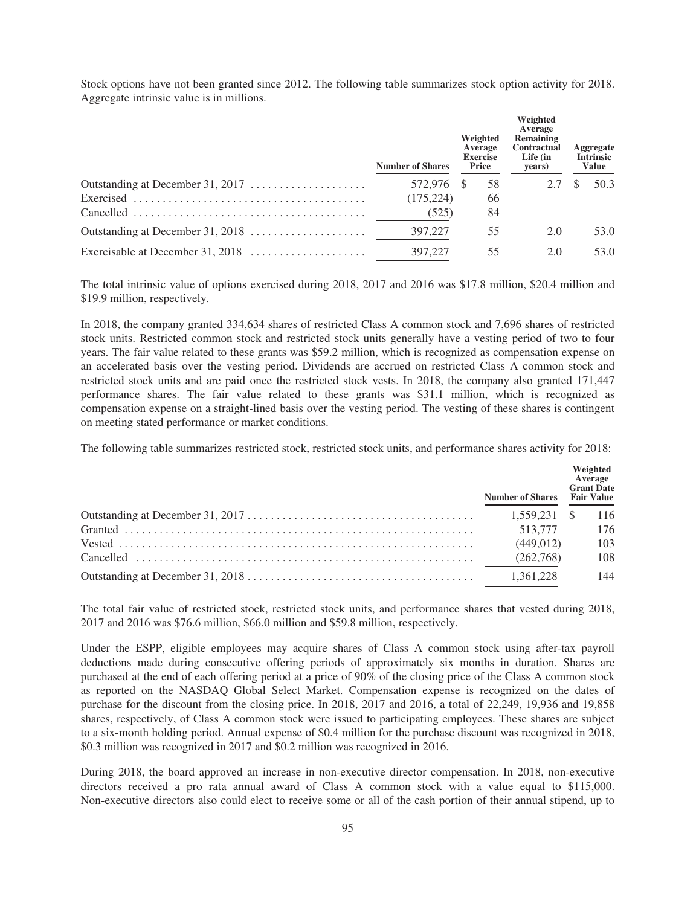Stock options have not been granted since 2012. The following table summarizes stock option activity for 2018. Aggregate intrinsic value is in millions.

|                                  | <b>Number of Shares</b> | Weighted<br>Average<br><b>Exercise</b><br>Price | Weighted<br>Average<br><b>Remaining</b><br>Contractual<br>Life (in<br>years) |    | Aggregate<br><b>Intrinsic</b><br>Value |
|----------------------------------|-------------------------|-------------------------------------------------|------------------------------------------------------------------------------|----|----------------------------------------|
|                                  | 572.976                 | 58                                              | 2.7                                                                          | S. | 50.3                                   |
|                                  | (175, 224)              | 66                                              |                                                                              |    |                                        |
|                                  | (525)                   | 84                                              |                                                                              |    |                                        |
|                                  | 397,227                 | 55                                              | 2.0                                                                          |    | 53.0                                   |
| Exercisable at December 31, 2018 | 397,227                 | 55                                              | 2.0                                                                          |    | 53.0                                   |

The total intrinsic value of options exercised during 2018, 2017 and 2016 was \$17.8 million, \$20.4 million and \$19.9 million, respectively.

In 2018, the company granted 334,634 shares of restricted Class A common stock and 7,696 shares of restricted stock units. Restricted common stock and restricted stock units generally have a vesting period of two to four years. The fair value related to these grants was \$59.2 million, which is recognized as compensation expense on an accelerated basis over the vesting period. Dividends are accrued on restricted Class A common stock and restricted stock units and are paid once the restricted stock vests. In 2018, the company also granted 171,447 performance shares. The fair value related to these grants was \$31.1 million, which is recognized as compensation expense on a straight-lined basis over the vesting period. The vesting of these shares is contingent on meeting stated performance or market conditions.

The following table summarizes restricted stock, restricted stock units, and performance shares activity for 2018:

| <b>Number of Shares</b> | Weighted<br>Average<br><b>Grant Date</b><br><b>Fair Value</b> |
|-------------------------|---------------------------------------------------------------|
| $1.559.231$ \$          | 116                                                           |
| 513,777                 | 176                                                           |
| (449.012)               | 103                                                           |
| (262.768)               | 108                                                           |
| 1.361.228               | 144                                                           |

The total fair value of restricted stock, restricted stock units, and performance shares that vested during 2018, 2017 and 2016 was \$76.6 million, \$66.0 million and \$59.8 million, respectively.

Under the ESPP, eligible employees may acquire shares of Class A common stock using after-tax payroll deductions made during consecutive offering periods of approximately six months in duration. Shares are purchased at the end of each offering period at a price of 90% of the closing price of the Class A common stock as reported on the NASDAQ Global Select Market. Compensation expense is recognized on the dates of purchase for the discount from the closing price. In 2018, 2017 and 2016, a total of 22,249, 19,936 and 19,858 shares, respectively, of Class A common stock were issued to participating employees. These shares are subject to a six-month holding period. Annual expense of \$0.4 million for the purchase discount was recognized in 2018, \$0.3 million was recognized in 2017 and \$0.2 million was recognized in 2016.

During 2018, the board approved an increase in non-executive director compensation. In 2018, non-executive directors received a pro rata annual award of Class A common stock with a value equal to \$115,000. Non-executive directors also could elect to receive some or all of the cash portion of their annual stipend, up to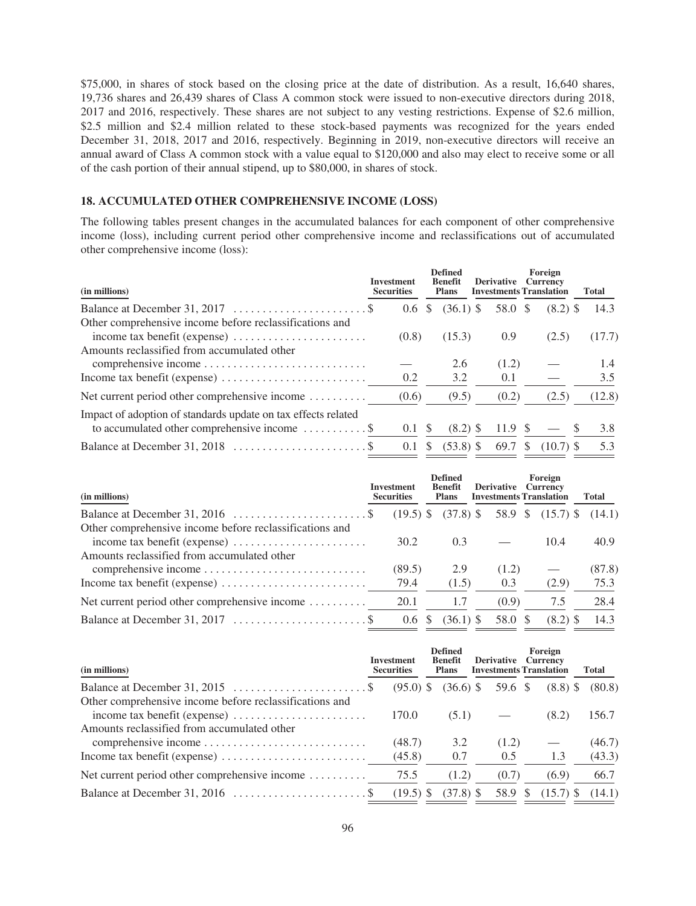\$75,000, in shares of stock based on the closing price at the date of distribution. As a result, 16,640 shares, 19,736 shares and 26,439 shares of Class A common stock were issued to non-executive directors during 2018, 2017 and 2016, respectively. These shares are not subject to any vesting restrictions. Expense of \$2.6 million, \$2.5 million and \$2.4 million related to these stock-based payments was recognized for the years ended December 31, 2018, 2017 and 2016, respectively. Beginning in 2019, non-executive directors will receive an annual award of Class A common stock with a value equal to \$120,000 and also may elect to receive some or all of the cash portion of their annual stipend, up to \$80,000, in shares of stock.

### **18. ACCUMULATED OTHER COMPREHENSIVE INCOME (LOSS)**

The following tables present changes in the accumulated balances for each component of other comprehensive income (loss), including current period other comprehensive income and reclassifications out of accumulated other comprehensive income (loss):

| (in millions)                                                                                                                          | Investment<br><b>Securities</b> |    | <b>Defined</b><br>Benefit<br><b>Plans</b> | <b>Derivative</b><br><b>Investments Translation</b> | Foreign<br><b>Currency</b> | <b>Total</b> |
|----------------------------------------------------------------------------------------------------------------------------------------|---------------------------------|----|-------------------------------------------|-----------------------------------------------------|----------------------------|--------------|
| Balance at December 31, 2017 $\ldots \ldots \ldots \ldots \ldots \ldots$                                                               | 0.6 <sup>°</sup>                |    | $(36.1)$ \$                               | 58.0 \$                                             | $(8.2)$ \$                 | 14.3         |
| Other comprehensive income before reclassifications and<br>income tax benefit (expense)<br>Amounts reclassified from accumulated other | (0.8)                           |    | (15.3)                                    | 0.9                                                 | (2.5)                      | (17.7)       |
|                                                                                                                                        |                                 |    | 2.6                                       | (1.2)                                               |                            | 1.4          |
|                                                                                                                                        | 0.2                             |    | 3.2                                       | 0.1                                                 |                            | 3.5          |
| Net current period other comprehensive income $\dots \dots$                                                                            | (0.6)                           |    | (9.5)                                     | (0.2)                                               | (2.5)                      | (12.8)       |
| Impact of adoption of standards update on tax effects related<br>to accumulated other comprehensive income $\dots \dots \dots$         | 0.1 <sup>5</sup>                |    | $(8.2)$ \$                                | 11.9 S                                              |                            | 3.8          |
|                                                                                                                                        | 0.1                             | -S | $(53.8)$ \$                               | 69.7 \$                                             | $(10.7)$ \$                | 5.3          |

| (in millions)                                                                                                                                                                      | <b>Investment</b><br><b>Securities</b> | <b>Defined</b><br>Benefit<br><b>Plans</b> | Derivative Currency<br><b>Investments Translation</b> | Foreign    | <b>Total</b> |
|------------------------------------------------------------------------------------------------------------------------------------------------------------------------------------|----------------------------------------|-------------------------------------------|-------------------------------------------------------|------------|--------------|
| Balance at December 31, 2016 $\dots \dots \dots \dots \dots \dots \dots$                                                                                                           |                                        |                                           | $(19.5)$ \$ $(37.8)$ \$ 58.9 \$ $(15.7)$ \$ $(14.1)$  |            |              |
| Other comprehensive income before reclassifications and<br>income tax benefit (expense) $\dots \dots \dots \dots \dots \dots \dots$<br>Amounts reclassified from accumulated other | 30.2                                   | 0.3                                       |                                                       | 10.4       | 40.9         |
|                                                                                                                                                                                    | (89.5)                                 | 2.9                                       | (1.2)                                                 |            | (87.8)       |
| Income tax benefit (expense) $\dots \dots \dots \dots \dots \dots \dots$                                                                                                           | 79.4                                   | (1.5)                                     | 0.3                                                   | (2.9)      | 75.3         |
| Net current period other comprehensive income                                                                                                                                      | 20.1                                   | 1.7                                       | (0.9)                                                 | 7.5        | 28.4         |
|                                                                                                                                                                                    | 0.6 <sup>°</sup>                       | $(36.1)$ \$                               | 58.0 \$                                               | $(8.2)$ \$ | 14.3         |

| (in millions)                                                                | <b>Investment</b><br><b>Securities</b> | <b>Defined</b><br>Benefit<br><b>Plans</b> | Derivative Currency<br><b>Investments Translation</b> | Foreign     | <b>Total</b> |
|------------------------------------------------------------------------------|----------------------------------------|-------------------------------------------|-------------------------------------------------------|-------------|--------------|
|                                                                              | $(95.0)$ \$                            | $(36.6)$ \$                               | 59.6 \$                                               | $(8.8)$ \$  | (80.8)       |
| Other comprehensive income before reclassifications and                      |                                        |                                           |                                                       |             |              |
| income tax benefit (expense) $\dots \dots \dots \dots \dots \dots \dots$     | 170.0                                  | (5.1)                                     |                                                       | (8.2)       | 156.7        |
| Amounts reclassified from accumulated other                                  |                                        |                                           |                                                       |             |              |
|                                                                              | (48.7)                                 | 3.2                                       | (1.2)                                                 |             | (46.7)       |
| Income tax benefit (expense) $\dots\dots\dots\dots\dots\dots\dots\dots\dots$ | (45.8)                                 | 0.7                                       | 0.5                                                   | 1.3         | (43.3)       |
| Net current period other comprehensive income                                | 75.5                                   | (1.2)                                     | (0.7)                                                 | (6.9)       | 66.7         |
| Balance at December 31, 2016 $\dots \dots \dots \dots \dots \dots \dots$     | $(19.5)$ \$                            | $(37.8)$ \$                               | 58.9 \$                                               | $(15.7)$ \$ | (14.1)       |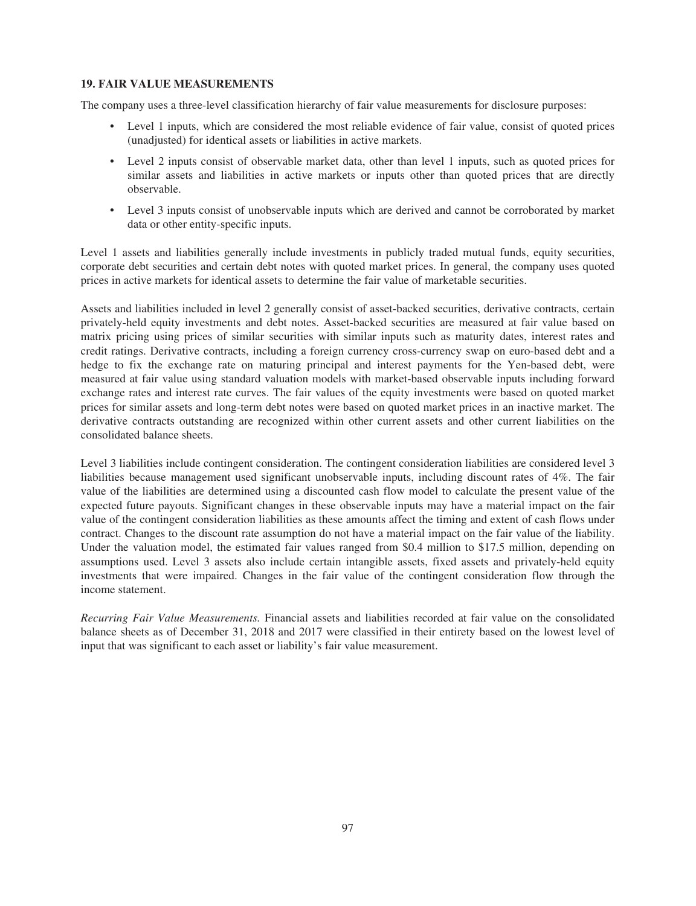# **19. FAIR VALUE MEASUREMENTS**

The company uses a three-level classification hierarchy of fair value measurements for disclosure purposes:

- Level 1 inputs, which are considered the most reliable evidence of fair value, consist of quoted prices (unadjusted) for identical assets or liabilities in active markets.
- Level 2 inputs consist of observable market data, other than level 1 inputs, such as quoted prices for similar assets and liabilities in active markets or inputs other than quoted prices that are directly observable.
- Level 3 inputs consist of unobservable inputs which are derived and cannot be corroborated by market data or other entity-specific inputs.

Level 1 assets and liabilities generally include investments in publicly traded mutual funds, equity securities, corporate debt securities and certain debt notes with quoted market prices. In general, the company uses quoted prices in active markets for identical assets to determine the fair value of marketable securities.

Assets and liabilities included in level 2 generally consist of asset-backed securities, derivative contracts, certain privately-held equity investments and debt notes. Asset-backed securities are measured at fair value based on matrix pricing using prices of similar securities with similar inputs such as maturity dates, interest rates and credit ratings. Derivative contracts, including a foreign currency cross-currency swap on euro-based debt and a hedge to fix the exchange rate on maturing principal and interest payments for the Yen-based debt, were measured at fair value using standard valuation models with market-based observable inputs including forward exchange rates and interest rate curves. The fair values of the equity investments were based on quoted market prices for similar assets and long-term debt notes were based on quoted market prices in an inactive market. The derivative contracts outstanding are recognized within other current assets and other current liabilities on the consolidated balance sheets.

Level 3 liabilities include contingent consideration. The contingent consideration liabilities are considered level 3 liabilities because management used significant unobservable inputs, including discount rates of 4%. The fair value of the liabilities are determined using a discounted cash flow model to calculate the present value of the expected future payouts. Significant changes in these observable inputs may have a material impact on the fair value of the contingent consideration liabilities as these amounts affect the timing and extent of cash flows under contract. Changes to the discount rate assumption do not have a material impact on the fair value of the liability. Under the valuation model, the estimated fair values ranged from \$0.4 million to \$17.5 million, depending on assumptions used. Level 3 assets also include certain intangible assets, fixed assets and privately-held equity investments that were impaired. Changes in the fair value of the contingent consideration flow through the income statement.

*Recurring Fair Value Measurements.* Financial assets and liabilities recorded at fair value on the consolidated balance sheets as of December 31, 2018 and 2017 were classified in their entirety based on the lowest level of input that was significant to each asset or liability's fair value measurement.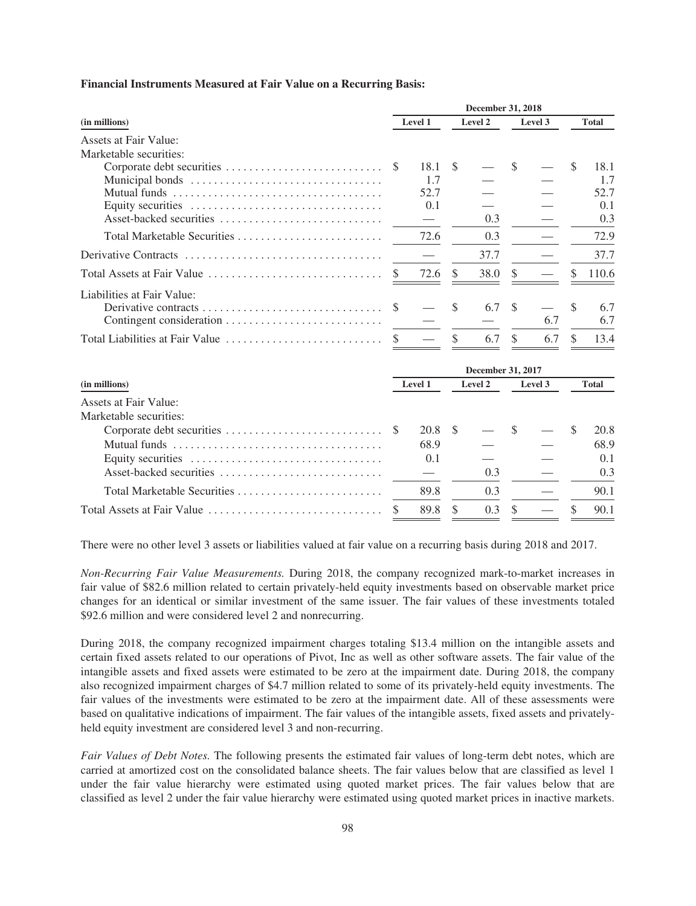|                                                                                       | December 31, 2018 |             |               |                          |         |     |               |              |  |  |  |
|---------------------------------------------------------------------------------------|-------------------|-------------|---------------|--------------------------|---------|-----|---------------|--------------|--|--|--|
| (in millions)                                                                         | Level 1           |             | Level 2       |                          | Level 3 |     |               | <b>Total</b> |  |  |  |
| Assets at Fair Value:                                                                 |                   |             |               |                          |         |     |               |              |  |  |  |
| Marketable securities:                                                                |                   |             |               |                          |         |     |               |              |  |  |  |
|                                                                                       | <sup>\$</sup>     | 18.1        | \$            |                          | \$.     |     | \$            | 18.1         |  |  |  |
| Municipal bonds                                                                       |                   | 1.7         |               |                          |         |     |               | 1.7          |  |  |  |
| Mutual funds $\ldots, \ldots, \ldots, \ldots, \ldots, \ldots, \ldots, \ldots, \ldots$ |                   | 52.7<br>0.1 |               |                          |         |     |               | 52.7<br>0.1  |  |  |  |
| Equity securities<br>Asset-backed securities                                          |                   |             |               | 0.3                      |         |     |               | 0.3          |  |  |  |
|                                                                                       |                   | 72.6        |               | 0.3                      |         |     |               | 72.9         |  |  |  |
|                                                                                       |                   |             |               | 37.7                     |         |     |               | 37.7         |  |  |  |
| Total Assets at Fair Value                                                            | \$                | 72.6        | \$            | 38.0                     | \$.     |     | \$            | 110.6        |  |  |  |
| Liabilities at Fair Value:                                                            |                   |             |               |                          |         |     |               |              |  |  |  |
|                                                                                       | \$                |             | \$            | 6.7                      | \$.     |     | S.            | 6.7          |  |  |  |
|                                                                                       |                   |             |               |                          |         | 6.7 |               | 6.7          |  |  |  |
| Total Liabilities at Fair Value                                                       | \$                |             | \$            | 6.7                      | \$      | 6.7 | \$            | 13.4         |  |  |  |
|                                                                                       |                   |             |               | <b>December 31, 2017</b> |         |     |               |              |  |  |  |
| (in millions)                                                                         |                   | Level 1     |               | Level 2                  | Level 3 |     | <b>Total</b>  |              |  |  |  |
| Assets at Fair Value:                                                                 |                   |             |               |                          |         |     |               |              |  |  |  |
| Marketable securities:                                                                |                   |             |               |                          |         |     |               |              |  |  |  |
|                                                                                       | <sup>S</sup>      | 20.8        | <sup>\$</sup> |                          | £.      |     | <sup>\$</sup> | 20.8         |  |  |  |
|                                                                                       |                   | 68.9        |               |                          |         |     |               | 68.9         |  |  |  |
|                                                                                       |                   | 0.1         |               |                          |         |     |               | 0.1          |  |  |  |
| Asset-backed securities                                                               |                   |             |               | 0.3                      |         |     |               | 0.3          |  |  |  |
|                                                                                       |                   | 89.8        |               | 0.3                      |         |     |               | 90.1         |  |  |  |
| Total Assets at Fair Value                                                            | S                 | 89.8        | S             | 0.3                      | S       |     | \$            | 90.1         |  |  |  |

#### **Financial Instruments Measured at Fair Value on a Recurring Basis:**

There were no other level 3 assets or liabilities valued at fair value on a recurring basis during 2018 and 2017.

*Non-Recurring Fair Value Measurements.* During 2018, the company recognized mark-to-market increases in fair value of \$82.6 million related to certain privately-held equity investments based on observable market price changes for an identical or similar investment of the same issuer. The fair values of these investments totaled \$92.6 million and were considered level 2 and nonrecurring.

During 2018, the company recognized impairment charges totaling \$13.4 million on the intangible assets and certain fixed assets related to our operations of Pivot, Inc as well as other software assets. The fair value of the intangible assets and fixed assets were estimated to be zero at the impairment date. During 2018, the company also recognized impairment charges of \$4.7 million related to some of its privately-held equity investments. The fair values of the investments were estimated to be zero at the impairment date. All of these assessments were based on qualitative indications of impairment. The fair values of the intangible assets, fixed assets and privatelyheld equity investment are considered level 3 and non-recurring.

*Fair Values of Debt Notes.* The following presents the estimated fair values of long-term debt notes, which are carried at amortized cost on the consolidated balance sheets. The fair values below that are classified as level 1 under the fair value hierarchy were estimated using quoted market prices. The fair values below that are classified as level 2 under the fair value hierarchy were estimated using quoted market prices in inactive markets.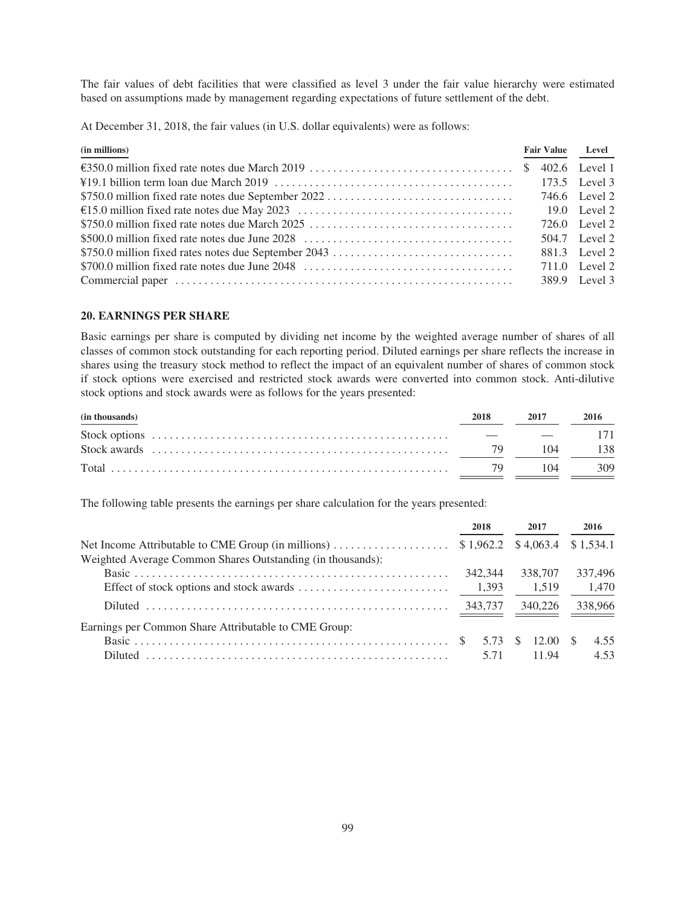The fair values of debt facilities that were classified as level 3 under the fair value hierarchy were estimated based on assumptions made by management regarding expectations of future settlement of the debt.

At December 31, 2018, the fair values (in U.S. dollar equivalents) were as follows:

| (in millions)                                        |  | <b>Fair Value</b> Level |
|------------------------------------------------------|--|-------------------------|
|                                                      |  |                         |
|                                                      |  |                         |
|                                                      |  | 746.6 Level 2           |
|                                                      |  | 19.0 Level 2            |
|                                                      |  | 726.0 Level 2           |
|                                                      |  | 504.7 Level 2           |
| \$750.0 million fixed rates notes due September 2043 |  | 881.3 Level 2           |
|                                                      |  | 711.0 Level 2           |
|                                                      |  | 389.9 Level 3           |

### **20. EARNINGS PER SHARE**

Basic earnings per share is computed by dividing net income by the weighted average number of shares of all classes of common stock outstanding for each reporting period. Diluted earnings per share reflects the increase in shares using the treasury stock method to reflect the impact of an equivalent number of shares of common stock if stock options were exercised and restricted stock awards were converted into common stock. Anti-dilutive stock options and stock awards were as follows for the years presented:

| (in thousands) | 2018 | 2017 | 2016 |
|----------------|------|------|------|
|                |      |      | 171. |
|                | 70   | 104  | 138  |
|                | 70   | 104  | 309. |

The following table presents the earnings per share calculation for the years presented:

|                                                            | 2018    | 2017          | 2016    |
|------------------------------------------------------------|---------|---------------|---------|
|                                                            |         |               |         |
| Weighted Average Common Shares Outstanding (in thousands): |         |               |         |
|                                                            | 342,344 | 338,707       | 337,496 |
|                                                            |         | 1,519         | 1,470   |
|                                                            | 343,737 | 340,226       | 338,966 |
| Earnings per Common Share Attributable to CME Group:       |         |               |         |
|                                                            | 5.73    | -S<br>12.00 S | 4.55    |
|                                                            | 5 7 1   | 11 94         | 4.53    |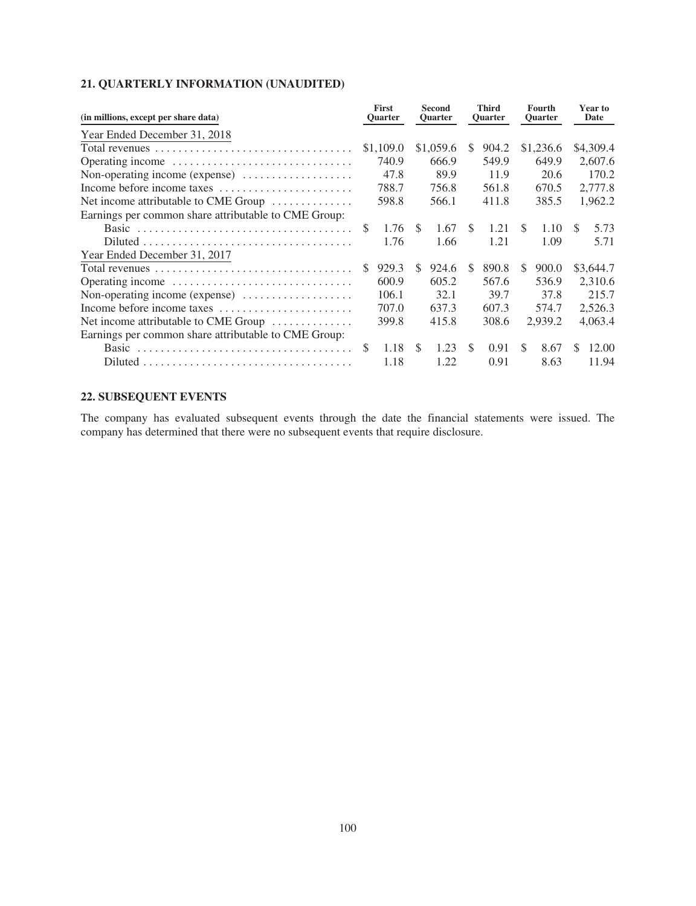# **21. QUARTERLY INFORMATION (UNAUDITED)**

| (in millions, except per share data)                                  | <b>Ouarter</b> |           | <b>First</b>  |           |               | <b>Second</b><br><b>Ouarter</b> |               | <b>Third</b><br><b>Ouarter</b> |       | Fourth<br><b>Ouarter</b> |         | <b>Year to</b><br>Date |
|-----------------------------------------------------------------------|----------------|-----------|---------------|-----------|---------------|---------------------------------|---------------|--------------------------------|-------|--------------------------|---------|------------------------|
| Year Ended December 31, 2018                                          |                |           |               |           |               |                                 |               |                                |       |                          |         |                        |
|                                                                       |                | \$1,109.0 |               | \$1,059.6 | <sup>\$</sup> | 904.2                           |               | \$1,236.6                      |       | \$4,309.4                |         |                        |
|                                                                       |                | 740.9     |               | 666.9     |               |                                 |               | 549.9                          |       | 649.9                    |         | 2,607.6                |
| Non-operating income (expense)                                        | 47.8           |           |               | 89.9      |               | 11.9                            |               | 20.6                           | 170.2 |                          |         |                        |
| Income before income taxes                                            |                | 788.7     | 756.8         |           |               |                                 |               | 561.8                          |       | 670.5                    | 2,777.8 |                        |
| Net income attributable to CME Group                                  |                | 598.8     | 566.1         |           |               | 411.8                           |               | 385.5                          |       | 1,962.2                  |         |                        |
| Earnings per common share attributable to CME Group:                  |                |           |               |           |               |                                 |               |                                |       |                          |         |                        |
|                                                                       | <sup>\$</sup>  | 1.76      | \$.           | 1.67      | <sup>\$</sup> | 1.21                            | S.            | 1.10                           | S.    | 5.73                     |         |                        |
|                                                                       |                | 1.76      |               | 1.66      |               | 1.21                            |               | 1.09                           |       | 5.71                     |         |                        |
| Year Ended December 31, 2017                                          |                |           |               |           |               |                                 |               |                                |       |                          |         |                        |
|                                                                       | <sup>S</sup>   | 929.3     | \$.           | 924.6     | <sup>\$</sup> | 890.8                           | <sup>S</sup>  | 900.0                          |       | \$3,644.7                |         |                        |
|                                                                       |                | 600.9     |               | 605.2     |               | 567.6                           |               | 536.9                          |       | 2,310.6                  |         |                        |
| Non-operating income (expense)                                        |                | 106.1     |               | 32.1      |               | 39.7                            |               | 37.8                           |       | 215.7                    |         |                        |
| Income before income taxes $\dots\dots\dots\dots\dots\dots\dots\dots$ |                | 707.0     |               | 637.3     |               | 607.3                           |               | 574.7                          |       | 2,526.3                  |         |                        |
| Net income attributable to CME Group $\dots\dots\dots\dots$           |                | 399.8     |               | 415.8     |               | 308.6                           |               | 2.939.2                        |       | 4,063.4                  |         |                        |
| Earnings per common share attributable to CME Group:                  |                |           |               |           |               |                                 |               |                                |       |                          |         |                        |
|                                                                       | <sup>\$</sup>  | 1.18      | <sup>\$</sup> | 1.23      | <sup>\$</sup> | 0.91                            | <sup>\$</sup> | 8.67                           | S.    | 12.00                    |         |                        |
|                                                                       |                | 1.18      |               | 1.22      |               | 0.91                            |               | 8.63                           |       | 11.94                    |         |                        |

# **22. SUBSEQUENT EVENTS**

The company has evaluated subsequent events through the date the financial statements were issued. The company has determined that there were no subsequent events that require disclosure.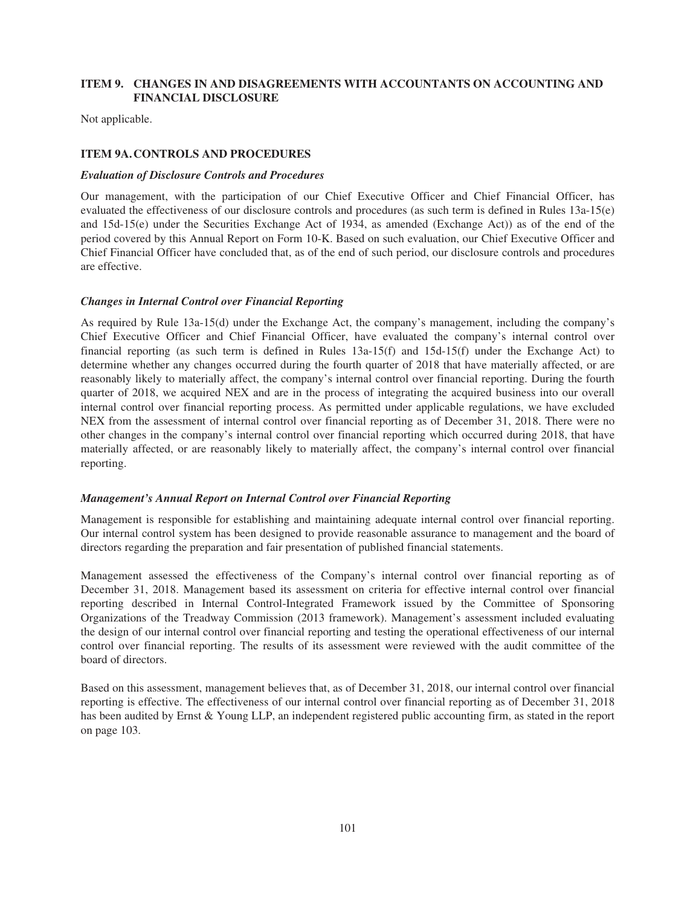# **ITEM 9. CHANGES IN AND DISAGREEMENTS WITH ACCOUNTANTS ON ACCOUNTING AND FINANCIAL DISCLOSURE**

Not applicable.

### **ITEM 9A.CONTROLS AND PROCEDURES**

#### *Evaluation of Disclosure Controls and Procedures*

Our management, with the participation of our Chief Executive Officer and Chief Financial Officer, has evaluated the effectiveness of our disclosure controls and procedures (as such term is defined in Rules 13a-15(e) and 15d-15(e) under the Securities Exchange Act of 1934, as amended (Exchange Act)) as of the end of the period covered by this Annual Report on Form 10-K. Based on such evaluation, our Chief Executive Officer and Chief Financial Officer have concluded that, as of the end of such period, our disclosure controls and procedures are effective.

#### *Changes in Internal Control over Financial Reporting*

As required by Rule 13a-15(d) under the Exchange Act, the company's management, including the company's Chief Executive Officer and Chief Financial Officer, have evaluated the company's internal control over financial reporting (as such term is defined in Rules 13a-15(f) and 15d-15(f) under the Exchange Act) to determine whether any changes occurred during the fourth quarter of 2018 that have materially affected, or are reasonably likely to materially affect, the company's internal control over financial reporting. During the fourth quarter of 2018, we acquired NEX and are in the process of integrating the acquired business into our overall internal control over financial reporting process. As permitted under applicable regulations, we have excluded NEX from the assessment of internal control over financial reporting as of December 31, 2018. There were no other changes in the company's internal control over financial reporting which occurred during 2018, that have materially affected, or are reasonably likely to materially affect, the company's internal control over financial reporting.

#### *Management's Annual Report on Internal Control over Financial Reporting*

Management is responsible for establishing and maintaining adequate internal control over financial reporting. Our internal control system has been designed to provide reasonable assurance to management and the board of directors regarding the preparation and fair presentation of published financial statements.

Management assessed the effectiveness of the Company's internal control over financial reporting as of December 31, 2018. Management based its assessment on criteria for effective internal control over financial reporting described in Internal Control-Integrated Framework issued by the Committee of Sponsoring Organizations of the Treadway Commission (2013 framework). Management's assessment included evaluating the design of our internal control over financial reporting and testing the operational effectiveness of our internal control over financial reporting. The results of its assessment were reviewed with the audit committee of the board of directors.

Based on this assessment, management believes that, as of December 31, 2018, our internal control over financial reporting is effective. The effectiveness of our internal control over financial reporting as of December 31, 2018 has been audited by Ernst & Young LLP, an independent registered public accounting firm, as stated in the report on page 103.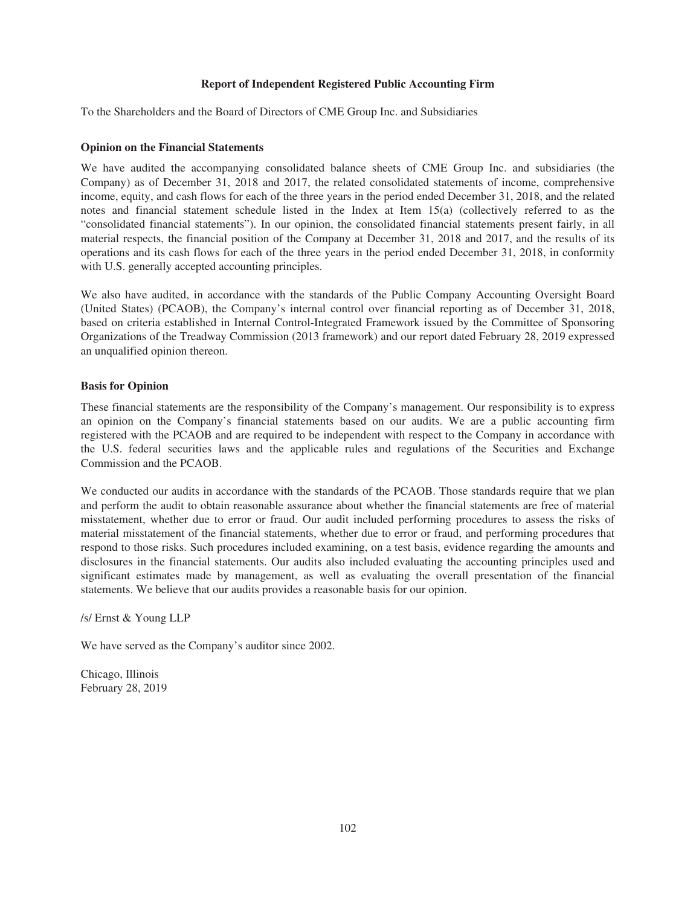### **Report of Independent Registered Public Accounting Firm**

To the Shareholders and the Board of Directors of CME Group Inc. and Subsidiaries

### **Opinion on the Financial Statements**

We have audited the accompanying consolidated balance sheets of CME Group Inc. and subsidiaries (the Company) as of December 31, 2018 and 2017, the related consolidated statements of income, comprehensive income, equity, and cash flows for each of the three years in the period ended December 31, 2018, and the related notes and financial statement schedule listed in the Index at Item 15(a) (collectively referred to as the "consolidated financial statements"). In our opinion, the consolidated financial statements present fairly, in all material respects, the financial position of the Company at December 31, 2018 and 2017, and the results of its operations and its cash flows for each of the three years in the period ended December 31, 2018, in conformity with U.S. generally accepted accounting principles.

We also have audited, in accordance with the standards of the Public Company Accounting Oversight Board (United States) (PCAOB), the Company's internal control over financial reporting as of December 31, 2018, based on criteria established in Internal Control-Integrated Framework issued by the Committee of Sponsoring Organizations of the Treadway Commission (2013 framework) and our report dated February 28, 2019 expressed an unqualified opinion thereon.

### **Basis for Opinion**

These financial statements are the responsibility of the Company's management. Our responsibility is to express an opinion on the Company's financial statements based on our audits. We are a public accounting firm registered with the PCAOB and are required to be independent with respect to the Company in accordance with the U.S. federal securities laws and the applicable rules and regulations of the Securities and Exchange Commission and the PCAOB.

We conducted our audits in accordance with the standards of the PCAOB. Those standards require that we plan and perform the audit to obtain reasonable assurance about whether the financial statements are free of material misstatement, whether due to error or fraud. Our audit included performing procedures to assess the risks of material misstatement of the financial statements, whether due to error or fraud, and performing procedures that respond to those risks. Such procedures included examining, on a test basis, evidence regarding the amounts and disclosures in the financial statements. Our audits also included evaluating the accounting principles used and significant estimates made by management, as well as evaluating the overall presentation of the financial statements. We believe that our audits provides a reasonable basis for our opinion.

/s/ Ernst & Young LLP

We have served as the Company's auditor since 2002.

Chicago, Illinois February 28, 2019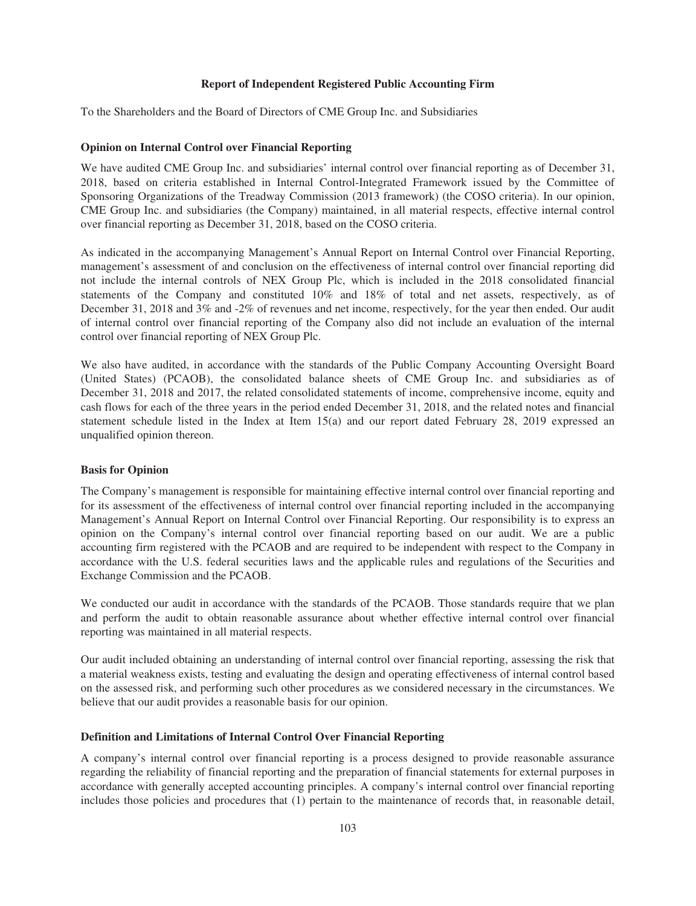#### **Report of Independent Registered Public Accounting Firm**

To the Shareholders and the Board of Directors of CME Group Inc. and Subsidiaries

#### **Opinion on Internal Control over Financial Reporting**

We have audited CME Group Inc. and subsidiaries' internal control over financial reporting as of December 31, 2018, based on criteria established in Internal Control-Integrated Framework issued by the Committee of Sponsoring Organizations of the Treadway Commission (2013 framework) (the COSO criteria). In our opinion, CME Group Inc. and subsidiaries (the Company) maintained, in all material respects, effective internal control over financial reporting as December 31, 2018, based on the COSO criteria.

As indicated in the accompanying Management's Annual Report on Internal Control over Financial Reporting, management's assessment of and conclusion on the effectiveness of internal control over financial reporting did not include the internal controls of NEX Group Plc, which is included in the 2018 consolidated financial statements of the Company and constituted 10% and 18% of total and net assets, respectively, as of December 31, 2018 and 3% and -2% of revenues and net income, respectively, for the year then ended. Our audit of internal control over financial reporting of the Company also did not include an evaluation of the internal control over financial reporting of NEX Group Plc.

We also have audited, in accordance with the standards of the Public Company Accounting Oversight Board (United States) (PCAOB), the consolidated balance sheets of CME Group Inc. and subsidiaries as of December 31, 2018 and 2017, the related consolidated statements of income, comprehensive income, equity and cash flows for each of the three years in the period ended December 31, 2018, and the related notes and financial statement schedule listed in the Index at Item 15(a) and our report dated February 28, 2019 expressed an unqualified opinion thereon.

#### **Basis for Opinion**

The Company's management is responsible for maintaining effective internal control over financial reporting and for its assessment of the effectiveness of internal control over financial reporting included in the accompanying Management's Annual Report on Internal Control over Financial Reporting. Our responsibility is to express an opinion on the Company's internal control over financial reporting based on our audit. We are a public accounting firm registered with the PCAOB and are required to be independent with respect to the Company in accordance with the U.S. federal securities laws and the applicable rules and regulations of the Securities and Exchange Commission and the PCAOB.

We conducted our audit in accordance with the standards of the PCAOB. Those standards require that we plan and perform the audit to obtain reasonable assurance about whether effective internal control over financial reporting was maintained in all material respects.

Our audit included obtaining an understanding of internal control over financial reporting, assessing the risk that a material weakness exists, testing and evaluating the design and operating effectiveness of internal control based on the assessed risk, and performing such other procedures as we considered necessary in the circumstances. We believe that our audit provides a reasonable basis for our opinion.

#### **Definition and Limitations of Internal Control Over Financial Reporting**

A company's internal control over financial reporting is a process designed to provide reasonable assurance regarding the reliability of financial reporting and the preparation of financial statements for external purposes in accordance with generally accepted accounting principles. A company's internal control over financial reporting includes those policies and procedures that (1) pertain to the maintenance of records that, in reasonable detail,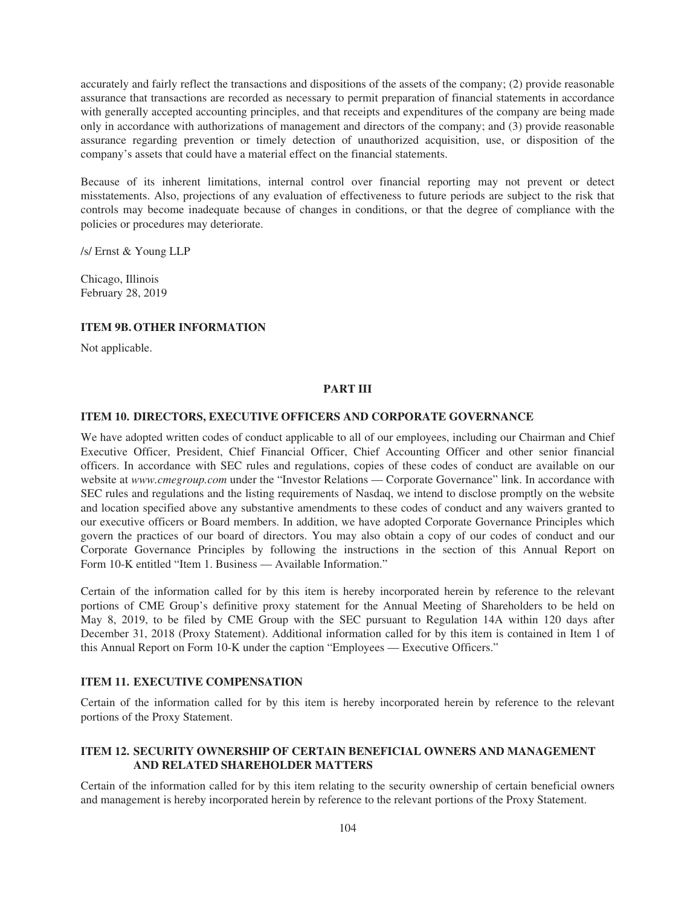accurately and fairly reflect the transactions and dispositions of the assets of the company; (2) provide reasonable assurance that transactions are recorded as necessary to permit preparation of financial statements in accordance with generally accepted accounting principles, and that receipts and expenditures of the company are being made only in accordance with authorizations of management and directors of the company; and (3) provide reasonable assurance regarding prevention or timely detection of unauthorized acquisition, use, or disposition of the company's assets that could have a material effect on the financial statements.

Because of its inherent limitations, internal control over financial reporting may not prevent or detect misstatements. Also, projections of any evaluation of effectiveness to future periods are subject to the risk that controls may become inadequate because of changes in conditions, or that the degree of compliance with the policies or procedures may deteriorate.

/s/ Ernst & Young LLP

Chicago, Illinois February 28, 2019

### **ITEM 9B. OTHER INFORMATION**

Not applicable.

#### **PART III**

#### **ITEM 10. DIRECTORS, EXECUTIVE OFFICERS AND CORPORATE GOVERNANCE**

We have adopted written codes of conduct applicable to all of our employees, including our Chairman and Chief Executive Officer, President, Chief Financial Officer, Chief Accounting Officer and other senior financial officers. In accordance with SEC rules and regulations, copies of these codes of conduct are available on our website at *www.cmegroup.com* under the "Investor Relations — Corporate Governance" link. In accordance with SEC rules and regulations and the listing requirements of Nasdaq, we intend to disclose promptly on the website and location specified above any substantive amendments to these codes of conduct and any waivers granted to our executive officers or Board members. In addition, we have adopted Corporate Governance Principles which govern the practices of our board of directors. You may also obtain a copy of our codes of conduct and our Corporate Governance Principles by following the instructions in the section of this Annual Report on Form 10-K entitled "Item 1. Business — Available Information."

Certain of the information called for by this item is hereby incorporated herein by reference to the relevant portions of CME Group's definitive proxy statement for the Annual Meeting of Shareholders to be held on May 8, 2019, to be filed by CME Group with the SEC pursuant to Regulation 14A within 120 days after December 31, 2018 (Proxy Statement). Additional information called for by this item is contained in Item 1 of this Annual Report on Form 10-K under the caption "Employees — Executive Officers."

#### **ITEM 11. EXECUTIVE COMPENSATION**

Certain of the information called for by this item is hereby incorporated herein by reference to the relevant portions of the Proxy Statement.

# **ITEM 12. SECURITY OWNERSHIP OF CERTAIN BENEFICIAL OWNERS AND MANAGEMENT AND RELATED SHAREHOLDER MATTERS**

Certain of the information called for by this item relating to the security ownership of certain beneficial owners and management is hereby incorporated herein by reference to the relevant portions of the Proxy Statement.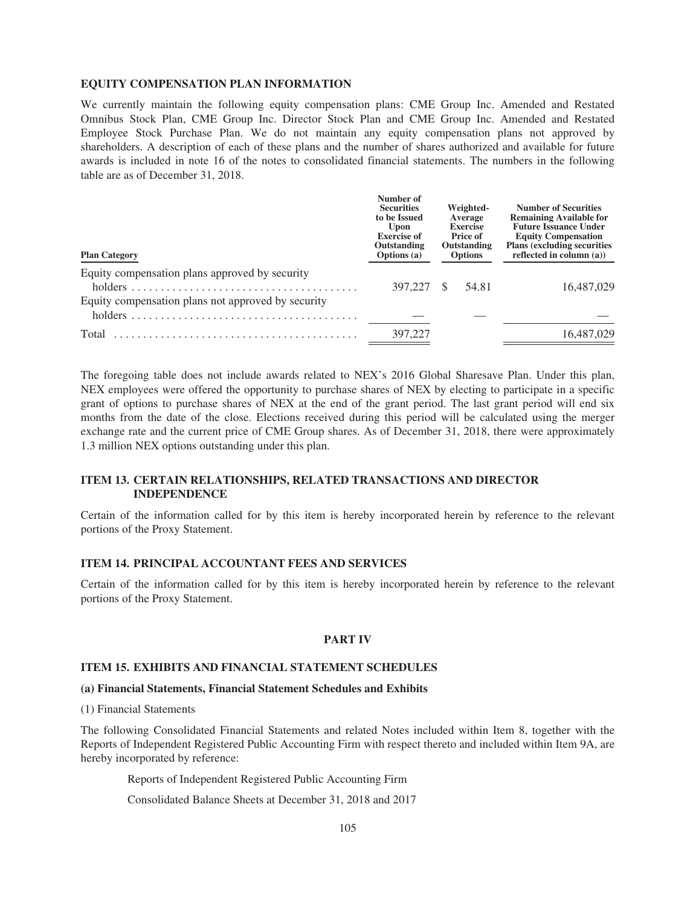#### **EQUITY COMPENSATION PLAN INFORMATION**

We currently maintain the following equity compensation plans: CME Group Inc. Amended and Restated Omnibus Stock Plan, CME Group Inc. Director Stock Plan and CME Group Inc. Amended and Restated Employee Stock Purchase Plan. We do not maintain any equity compensation plans not approved by shareholders. A description of each of these plans and the number of shares authorized and available for future awards is included in note 16 of the notes to consolidated financial statements. The numbers in the following table are as of December 31, 2018.

| <b>Plan Category</b>                               | Number of<br><b>Securities</b><br>to be Issued<br><b>Upon</b><br><b>Exercise of</b><br>Outstanding<br>Options (a) |    | Weighted-<br>Average<br><b>Exercise</b><br><b>Price of</b><br>Outstanding<br><b>Options</b> | <b>Number of Securities</b><br><b>Remaining Available for</b><br><b>Future Issuance Under</b><br><b>Equity Compensation</b><br><b>Plans (excluding securities)</b><br>reflected in column $(a)$ ) |  |  |
|----------------------------------------------------|-------------------------------------------------------------------------------------------------------------------|----|---------------------------------------------------------------------------------------------|---------------------------------------------------------------------------------------------------------------------------------------------------------------------------------------------------|--|--|
| Equity compensation plans approved by security     |                                                                                                                   |    |                                                                                             |                                                                                                                                                                                                   |  |  |
| holders.                                           | 397.227                                                                                                           | -S | 54.81                                                                                       | 16,487,029                                                                                                                                                                                        |  |  |
| Equity compensation plans not approved by security |                                                                                                                   |    |                                                                                             |                                                                                                                                                                                                   |  |  |
| holders                                            |                                                                                                                   |    |                                                                                             |                                                                                                                                                                                                   |  |  |
| Total                                              | 397,227                                                                                                           |    |                                                                                             | 16.487.029                                                                                                                                                                                        |  |  |
|                                                    |                                                                                                                   |    |                                                                                             |                                                                                                                                                                                                   |  |  |

The foregoing table does not include awards related to NEX's 2016 Global Sharesave Plan. Under this plan, NEX employees were offered the opportunity to purchase shares of NEX by electing to participate in a specific grant of options to purchase shares of NEX at the end of the grant period. The last grant period will end six months from the date of the close. Elections received during this period will be calculated using the merger exchange rate and the current price of CME Group shares. As of December 31, 2018, there were approximately 1.3 million NEX options outstanding under this plan.

# **ITEM 13. CERTAIN RELATIONSHIPS, RELATED TRANSACTIONS AND DIRECTOR INDEPENDENCE**

Certain of the information called for by this item is hereby incorporated herein by reference to the relevant portions of the Proxy Statement.

# **ITEM 14. PRINCIPAL ACCOUNTANT FEES AND SERVICES**

Certain of the information called for by this item is hereby incorporated herein by reference to the relevant portions of the Proxy Statement.

#### **PART IV**

#### **ITEM 15. EXHIBITS AND FINANCIAL STATEMENT SCHEDULES**

#### **(a) Financial Statements, Financial Statement Schedules and Exhibits**

(1) Financial Statements

The following Consolidated Financial Statements and related Notes included within Item 8, together with the Reports of Independent Registered Public Accounting Firm with respect thereto and included within Item 9A, are hereby incorporated by reference:

Reports of Independent Registered Public Accounting Firm

Consolidated Balance Sheets at December 31, 2018 and 2017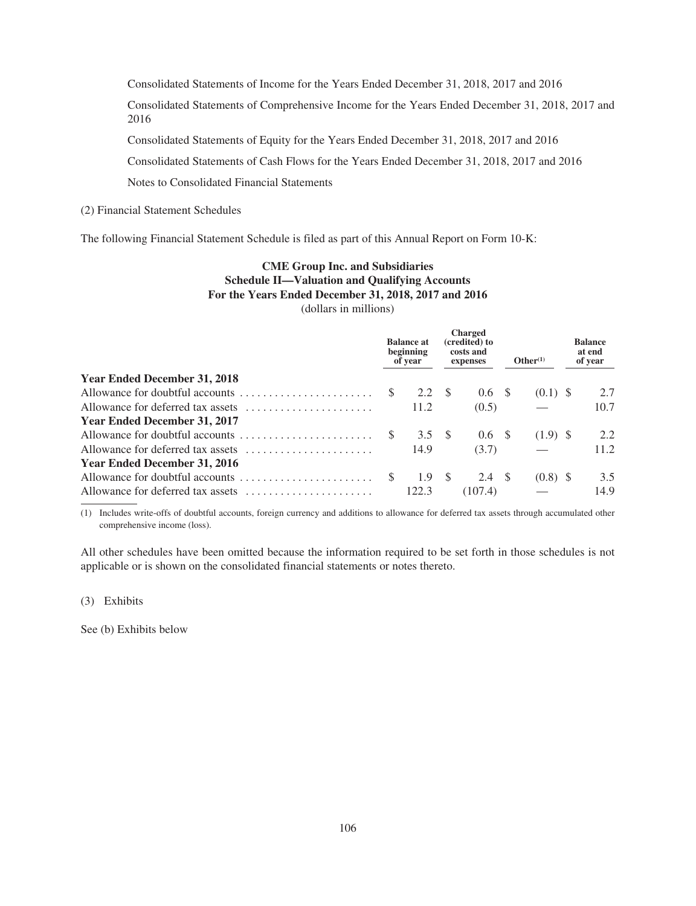Consolidated Statements of Income for the Years Ended December 31, 2018, 2017 and 2016

Consolidated Statements of Comprehensive Income for the Years Ended December 31, 2018, 2017 and 2016

Consolidated Statements of Equity for the Years Ended December 31, 2018, 2017 and 2016

Consolidated Statements of Cash Flows for the Years Ended December 31, 2018, 2017 and 2016

Notes to Consolidated Financial Statements

(2) Financial Statement Schedules

The following Financial Statement Schedule is filed as part of this Annual Report on Form 10-K:

# **CME Group Inc. and Subsidiaries Schedule II—Valuation and Qualifying Accounts For the Years Ended December 31, 2018, 2017 and 2016** (dollars in millions)

**Balance at beginning of year Charged (credited) to costs and**  $expenses$  Other<sup>(1)</sup> **Balance at end of year Year Ended December 31, 2018** Allowance for doubtful accounts . . . . . . . . . . . . . . . . . . . . . . . \$ 2.2 \$ 0.6 \$ (0.1) \$ 2.7 Allowance for deferred tax assets ...................... 11.2 (0.5) — 10.7 **Year Ended December 31, 2017** Allowance for doubtful accounts . . . . . . . . . . . . . . . . . . . . . . . \$ 3.5 \$ 0.6 \$ (1.9) \$ 2.2 Allowance for deferred tax assets ...................... 14.9 (3.7) — 11.2 **Year Ended December 31, 2016** Allowance for doubtful accounts . . . . . . . . . . . . . . . . . . . . . . . \$ 1.9 \$ 2.4 \$ (0.8) \$ 3.5 Allowance for deferred tax assets ...................... 122.3 (107.4) — 14.9

(1) Includes write-offs of doubtful accounts, foreign currency and additions to allowance for deferred tax assets through accumulated other comprehensive income (loss).

All other schedules have been omitted because the information required to be set forth in those schedules is not applicable or is shown on the consolidated financial statements or notes thereto.

(3) Exhibits

See (b) Exhibits below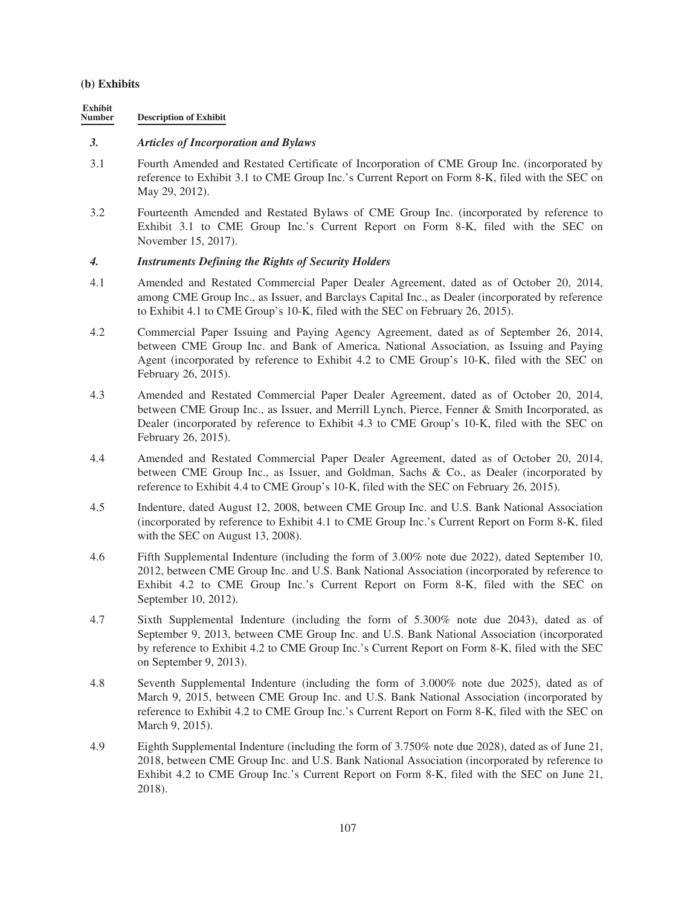#### **(b) Exhibits**

**Exhibit Description of Exhibit** 

### *3. Articles of Incorporation and Bylaws*

- 3.1 Fourth Amended and Restated Certificate of Incorporation of CME Group Inc. (incorporated by reference to Exhibit 3.1 to CME Group Inc.'s Current Report on Form 8-K, filed with the SEC on May 29, 2012).
- 3.2 Fourteenth Amended and Restated Bylaws of CME Group Inc. (incorporated by reference to Exhibit 3.1 to CME Group Inc.'s Current Report on Form 8-K, filed with the SEC on November 15, 2017).

### *4. Instruments Defining the Rights of Security Holders*

- 4.1 Amended and Restated Commercial Paper Dealer Agreement, dated as of October 20, 2014, among CME Group Inc., as Issuer, and Barclays Capital Inc., as Dealer (incorporated by reference to Exhibit 4.1 to CME Group's 10-K, filed with the SEC on February 26, 2015).
- 4.2 Commercial Paper Issuing and Paying Agency Agreement, dated as of September 26, 2014, between CME Group Inc. and Bank of America, National Association, as Issuing and Paying Agent (incorporated by reference to Exhibit 4.2 to CME Group's 10-K, filed with the SEC on February 26, 2015).
- 4.3 Amended and Restated Commercial Paper Dealer Agreement, dated as of October 20, 2014, between CME Group Inc., as Issuer, and Merrill Lynch, Pierce, Fenner & Smith Incorporated, as Dealer (incorporated by reference to Exhibit 4.3 to CME Group's 10-K, filed with the SEC on February 26, 2015).
- 4.4 Amended and Restated Commercial Paper Dealer Agreement, dated as of October 20, 2014, between CME Group Inc., as Issuer, and Goldman, Sachs & Co., as Dealer (incorporated by reference to Exhibit 4.4 to CME Group's 10-K, filed with the SEC on February 26, 2015).
- 4.5 Indenture, dated August 12, 2008, between CME Group Inc. and U.S. Bank National Association (incorporated by reference to Exhibit 4.1 to CME Group Inc.'s Current Report on Form 8-K, filed with the SEC on August 13, 2008).
- 4.6 Fifth Supplemental Indenture (including the form of 3.00% note due 2022), dated September 10, 2012, between CME Group Inc. and U.S. Bank National Association (incorporated by reference to Exhibit 4.2 to CME Group Inc.'s Current Report on Form 8-K, filed with the SEC on September 10, 2012).
- 4.7 Sixth Supplemental Indenture (including the form of 5.300% note due 2043), dated as of September 9, 2013, between CME Group Inc. and U.S. Bank National Association (incorporated by reference to Exhibit 4.2 to CME Group Inc.'s Current Report on Form 8-K, filed with the SEC on September 9, 2013).
- 4.8 Seventh Supplemental Indenture (including the form of 3.000% note due 2025), dated as of March 9, 2015, between CME Group Inc. and U.S. Bank National Association (incorporated by reference to Exhibit 4.2 to CME Group Inc.'s Current Report on Form 8-K, filed with the SEC on March 9, 2015).
- 4.9 Eighth Supplemental Indenture (including the form of 3.750% note due 2028), dated as of June 21, 2018, between CME Group Inc. and U.S. Bank National Association (incorporated by reference to Exhibit 4.2 to CME Group Inc.'s Current Report on Form 8-K, filed with the SEC on June 21, 2018).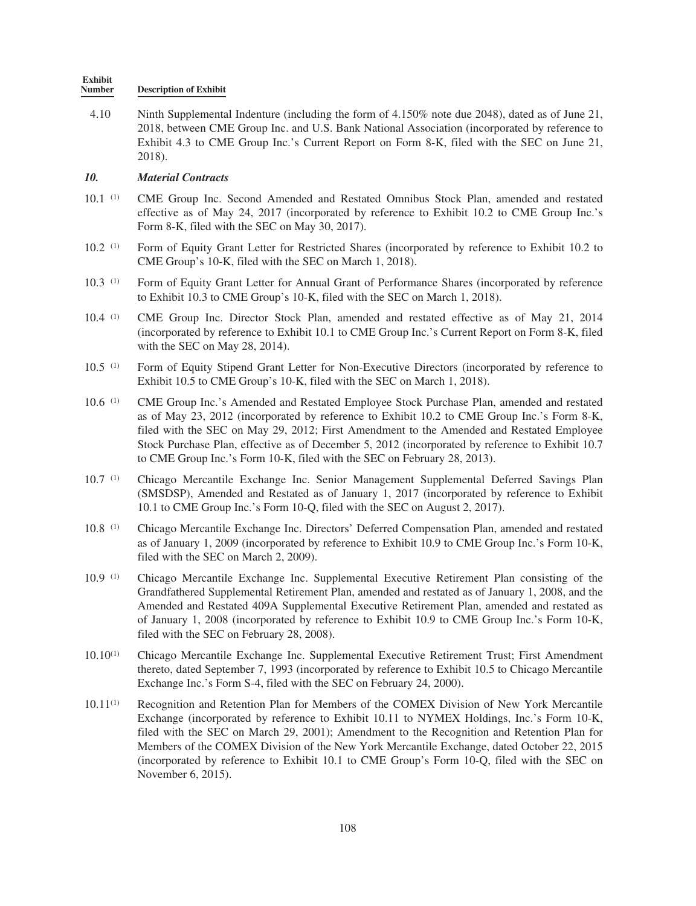#### **Exhibit Description of Exhibit**

4.10 Ninth Supplemental Indenture (including the form of 4.150% note due 2048), dated as of June 21, 2018, between CME Group Inc. and U.S. Bank National Association (incorporated by reference to Exhibit 4.3 to CME Group Inc.'s Current Report on Form 8-K, filed with the SEC on June 21, 2018).

#### *10. Material Contracts*

- 10.1 (1) CME Group Inc. Second Amended and Restated Omnibus Stock Plan, amended and restated effective as of May 24, 2017 (incorporated by reference to Exhibit 10.2 to CME Group Inc.'s Form 8-K, filed with the SEC on May 30, 2017).
- 10.2 (1) Form of Equity Grant Letter for Restricted Shares (incorporated by reference to Exhibit 10.2 to CME Group's 10-K, filed with the SEC on March 1, 2018).
- 10.3 (1) Form of Equity Grant Letter for Annual Grant of Performance Shares (incorporated by reference to Exhibit 10.3 to CME Group's 10-K, filed with the SEC on March 1, 2018).
- 10.4 (1) CME Group Inc. Director Stock Plan, amended and restated effective as of May 21, 2014 (incorporated by reference to Exhibit 10.1 to CME Group Inc.'s Current Report on Form 8-K, filed with the SEC on May 28, 2014).
- 10.5 (1) Form of Equity Stipend Grant Letter for Non-Executive Directors (incorporated by reference to Exhibit 10.5 to CME Group's 10-K, filed with the SEC on March 1, 2018).
- 10.6 (1) CME Group Inc.'s Amended and Restated Employee Stock Purchase Plan, amended and restated as of May 23, 2012 (incorporated by reference to Exhibit 10.2 to CME Group Inc.'s Form 8-K, filed with the SEC on May 29, 2012; First Amendment to the Amended and Restated Employee Stock Purchase Plan, effective as of December 5, 2012 (incorporated by reference to Exhibit 10.7 to CME Group Inc.'s Form 10-K, filed with the SEC on February 28, 2013).
- 10.7 (1) Chicago Mercantile Exchange Inc. Senior Management Supplemental Deferred Savings Plan (SMSDSP), Amended and Restated as of January 1, 2017 (incorporated by reference to Exhibit 10.1 to CME Group Inc.'s Form 10-Q, filed with the SEC on August 2, 2017).
- 10.8 (1) Chicago Mercantile Exchange Inc. Directors' Deferred Compensation Plan, amended and restated as of January 1, 2009 (incorporated by reference to Exhibit 10.9 to CME Group Inc.'s Form 10-K, filed with the SEC on March 2, 2009).
- 10.9 (1) Chicago Mercantile Exchange Inc. Supplemental Executive Retirement Plan consisting of the Grandfathered Supplemental Retirement Plan, amended and restated as of January 1, 2008, and the Amended and Restated 409A Supplemental Executive Retirement Plan, amended and restated as of January 1, 2008 (incorporated by reference to Exhibit 10.9 to CME Group Inc.'s Form 10-K, filed with the SEC on February 28, 2008).
- 10.10<sup>(1)</sup> Chicago Mercantile Exchange Inc. Supplemental Executive Retirement Trust; First Amendment thereto, dated September 7, 1993 (incorporated by reference to Exhibit 10.5 to Chicago Mercantile Exchange Inc.'s Form S-4, filed with the SEC on February 24, 2000).
- 10.11<sup>(1)</sup> Recognition and Retention Plan for Members of the COMEX Division of New York Mercantile Exchange (incorporated by reference to Exhibit 10.11 to NYMEX Holdings, Inc.'s Form 10-K, filed with the SEC on March 29, 2001); Amendment to the Recognition and Retention Plan for Members of the COMEX Division of the New York Mercantile Exchange, dated October 22, 2015 (incorporated by reference to Exhibit 10.1 to CME Group's Form 10-Q, filed with the SEC on November 6, 2015).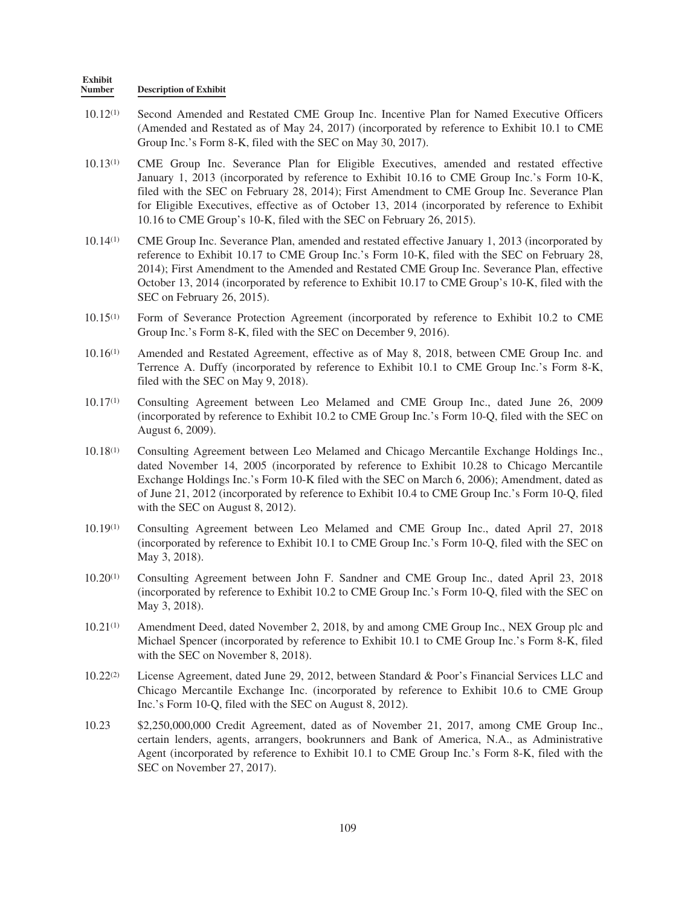## **Exhibit Description of Exhibit**

- 10.12(1) Second Amended and Restated CME Group Inc. Incentive Plan for Named Executive Officers (Amended and Restated as of May 24, 2017) (incorporated by reference to Exhibit 10.1 to CME Group Inc.'s Form 8-K, filed with the SEC on May 30, 2017).
- 10.13(1) CME Group Inc. Severance Plan for Eligible Executives, amended and restated effective January 1, 2013 (incorporated by reference to Exhibit 10.16 to CME Group Inc.'s Form 10-K, filed with the SEC on February 28, 2014); First Amendment to CME Group Inc. Severance Plan for Eligible Executives, effective as of October 13, 2014 (incorporated by reference to Exhibit 10.16 to CME Group's 10-K, filed with the SEC on February 26, 2015).
- 10.14(1) CME Group Inc. Severance Plan, amended and restated effective January 1, 2013 (incorporated by reference to Exhibit 10.17 to CME Group Inc.'s Form 10-K, filed with the SEC on February 28, 2014); First Amendment to the Amended and Restated CME Group Inc. Severance Plan, effective October 13, 2014 (incorporated by reference to Exhibit 10.17 to CME Group's 10-K, filed with the SEC on February 26, 2015).
- 10.15(1) Form of Severance Protection Agreement (incorporated by reference to Exhibit 10.2 to CME Group Inc.'s Form 8-K, filed with the SEC on December 9, 2016).
- 10.16(1) Amended and Restated Agreement, effective as of May 8, 2018, between CME Group Inc. and Terrence A. Duffy (incorporated by reference to Exhibit 10.1 to CME Group Inc.'s Form 8-K, filed with the SEC on May 9, 2018).
- 10.17(1) Consulting Agreement between Leo Melamed and CME Group Inc., dated June 26, 2009 (incorporated by reference to Exhibit 10.2 to CME Group Inc.'s Form 10-Q, filed with the SEC on August 6, 2009).
- 10.18(1) Consulting Agreement between Leo Melamed and Chicago Mercantile Exchange Holdings Inc., dated November 14, 2005 (incorporated by reference to Exhibit 10.28 to Chicago Mercantile Exchange Holdings Inc.'s Form 10-K filed with the SEC on March 6, 2006); Amendment, dated as of June 21, 2012 (incorporated by reference to Exhibit 10.4 to CME Group Inc.'s Form 10-Q, filed with the SEC on August 8, 2012).
- 10.19(1) Consulting Agreement between Leo Melamed and CME Group Inc., dated April 27, 2018 (incorporated by reference to Exhibit 10.1 to CME Group Inc.'s Form 10-Q, filed with the SEC on May 3, 2018).
- 10.20(1) Consulting Agreement between John F. Sandner and CME Group Inc., dated April 23, 2018 (incorporated by reference to Exhibit 10.2 to CME Group Inc.'s Form 10-Q, filed with the SEC on May 3, 2018).
- 10.21(1) Amendment Deed, dated November 2, 2018, by and among CME Group Inc., NEX Group plc and Michael Spencer (incorporated by reference to Exhibit 10.1 to CME Group Inc.'s Form 8-K, filed with the SEC on November 8, 2018).
- 10.22<sup>(2)</sup> License Agreement, dated June 29, 2012, between Standard & Poor's Financial Services LLC and Chicago Mercantile Exchange Inc. (incorporated by reference to Exhibit 10.6 to CME Group Inc.'s Form 10-Q, filed with the SEC on August 8, 2012).
- 10.23 \$2,250,000,000 Credit Agreement, dated as of November 21, 2017, among CME Group Inc., certain lenders, agents, arrangers, bookrunners and Bank of America, N.A., as Administrative Agent (incorporated by reference to Exhibit 10.1 to CME Group Inc.'s Form 8-K, filed with the SEC on November 27, 2017).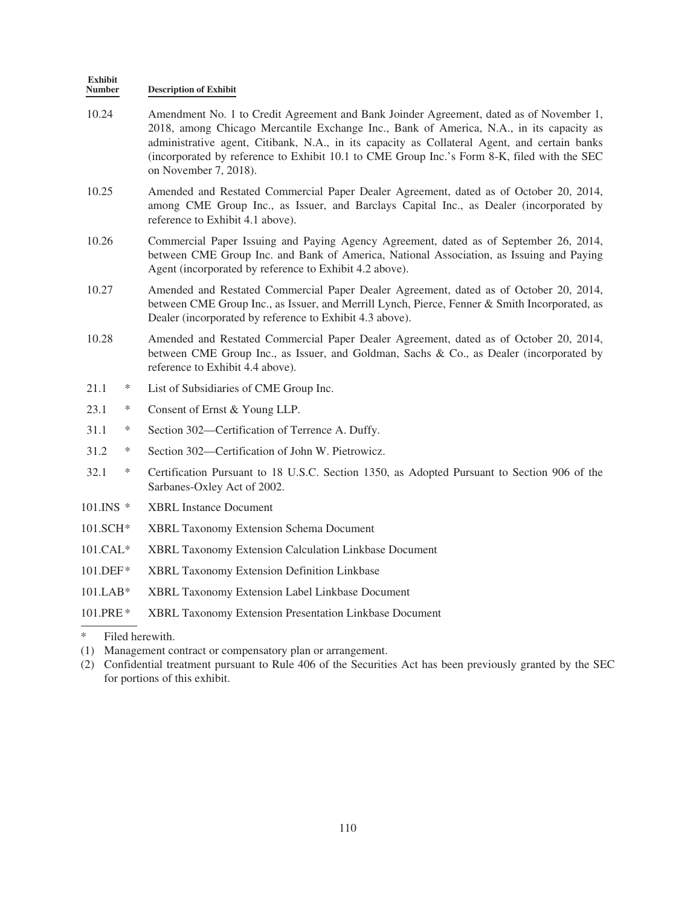## **Exhibit Description of Exhibit**

- 10.24 Amendment No. 1 to Credit Agreement and Bank Joinder Agreement, dated as of November 1, 2018, among Chicago Mercantile Exchange Inc., Bank of America, N.A., in its capacity as administrative agent, Citibank, N.A., in its capacity as Collateral Agent, and certain banks (incorporated by reference to Exhibit 10.1 to CME Group Inc.'s Form 8-K, filed with the SEC on November 7, 2018).
- 10.25 Amended and Restated Commercial Paper Dealer Agreement, dated as of October 20, 2014, among CME Group Inc., as Issuer, and Barclays Capital Inc., as Dealer (incorporated by reference to Exhibit 4.1 above).
- 10.26 Commercial Paper Issuing and Paying Agency Agreement, dated as of September 26, 2014, between CME Group Inc. and Bank of America, National Association, as Issuing and Paying Agent (incorporated by reference to Exhibit 4.2 above).
- 10.27 Amended and Restated Commercial Paper Dealer Agreement, dated as of October 20, 2014, between CME Group Inc., as Issuer, and Merrill Lynch, Pierce, Fenner & Smith Incorporated, as Dealer (incorporated by reference to Exhibit 4.3 above).
- 10.28 Amended and Restated Commercial Paper Dealer Agreement, dated as of October 20, 2014, between CME Group Inc., as Issuer, and Goldman, Sachs & Co., as Dealer (incorporated by reference to Exhibit 4.4 above).
- 21.1 \* List of Subsidiaries of CME Group Inc.
- 23.1 \* Consent of Ernst & Young LLP.
- 31.1 \* Section 302—Certification of Terrence A. Duffy.
- 31.2 \* Section 302—Certification of John W. Pietrowicz.
- 32.1 \* Certification Pursuant to 18 U.S.C. Section 1350, as Adopted Pursuant to Section 906 of the Sarbanes-Oxley Act of 2002.
- 101.INS \* XBRL Instance Document
- 101.SCH\* XBRL Taxonomy Extension Schema Document
- 101.CAL\* XBRL Taxonomy Extension Calculation Linkbase Document
- 101.DEF \* XBRL Taxonomy Extension Definition Linkbase
- 101.LAB\* XBRL Taxonomy Extension Label Linkbase Document
- 101.PRE \* XBRL Taxonomy Extension Presentation Linkbase Document

(1) Management contract or compensatory plan or arrangement.

Filed herewith.

<sup>(2)</sup> Confidential treatment pursuant to Rule 406 of the Securities Act has been previously granted by the SEC for portions of this exhibit.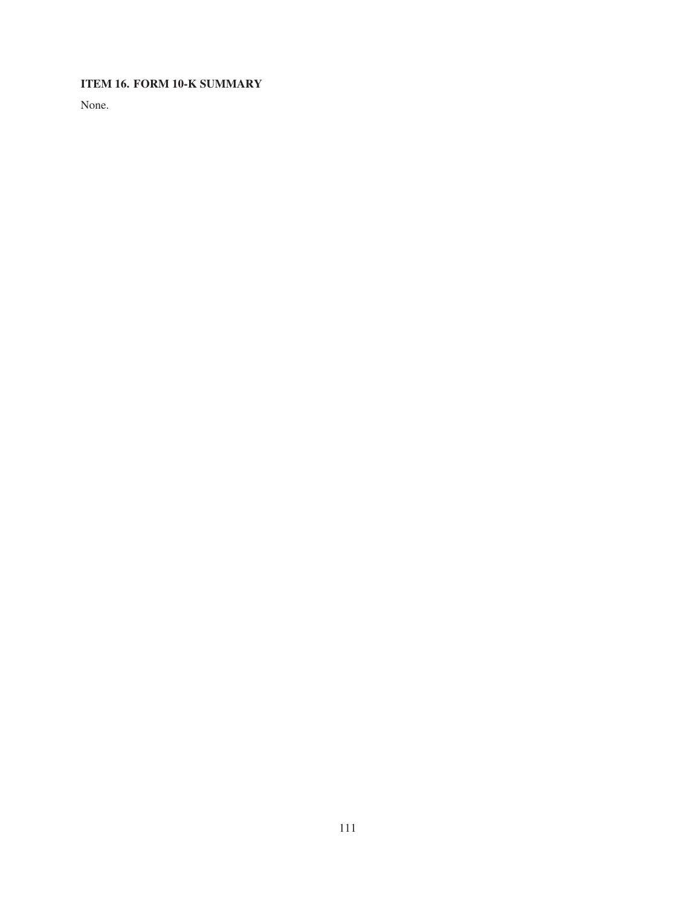## **ITEM 16. FORM 10-K SUMMARY**

None.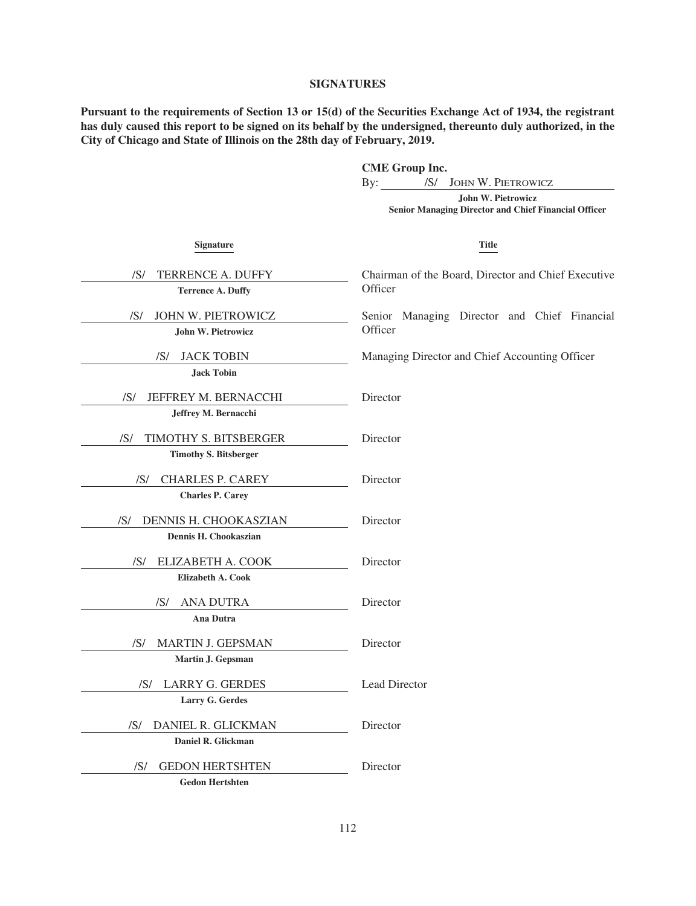## **SIGNATURES**

**Pursuant to the requirements of Section 13 or 15(d) of the Securities Exchange Act of 1934, the registrant has duly caused this report to be signed on its behalf by the undersigned, thereunto duly authorized, in the City of Chicago and State of Illinois on the 28th day of February, 2019.**

a.

|                                                           | <b>CME</b> Group Inc.                                          |  |
|-----------------------------------------------------------|----------------------------------------------------------------|--|
|                                                           | /S/<br><b>JOHN W. PIETROWICZ</b><br>By:                        |  |
|                                                           | John W. Pietrowicz                                             |  |
|                                                           | <b>Senior Managing Director and Chief Financial Officer</b>    |  |
| <b>Signature</b>                                          | <b>Title</b>                                                   |  |
| /S/<br>TERRENCE A. DUFFY                                  | Chairman of the Board, Director and Chief Executive<br>Officer |  |
| <b>Terrence A. Duffy</b>                                  |                                                                |  |
| /S/<br>JOHN W. PIETROWICZ                                 | Senior Managing Director and Chief Financial<br>Officer        |  |
| John W. Pietrowicz                                        |                                                                |  |
| <b>JACK TOBIN</b><br>/S/                                  | Managing Director and Chief Accounting Officer                 |  |
| <b>Jack Tobin</b>                                         |                                                                |  |
| JEFFREY M. BERNACCHI<br>/S/                               | Director                                                       |  |
| Jeffrey M. Bernacchi                                      |                                                                |  |
| /S/<br>TIMOTHY S. BITSBERGER                              | Director                                                       |  |
| <b>Timothy S. Bitsberger</b>                              |                                                                |  |
|                                                           |                                                                |  |
| /S/<br><b>CHARLES P. CAREY</b><br><b>Charles P. Carey</b> | Director                                                       |  |
|                                                           |                                                                |  |
| DENNIS H. CHOOKASZIAN<br>/S/                              | Director                                                       |  |
| Dennis H. Chookaszian                                     |                                                                |  |
| /S/<br>ELIZABETH A. COOK                                  | Director                                                       |  |
| Elizabeth A. Cook                                         |                                                                |  |
| <b>ANA DUTRA</b><br>/S/                                   | Director                                                       |  |
| Ana Dutra                                                 |                                                                |  |
| /S/<br><b>MARTIN J. GEPSMAN</b>                           | Director                                                       |  |
| Martin J. Gepsman                                         |                                                                |  |
| /S/ LARRY G. GERDES                                       | Lead Director                                                  |  |
| Larry G. Gerdes                                           |                                                                |  |
| DANIEL R. GLICKMAN<br>/S/                                 | Director                                                       |  |
| Daniel R. Glickman                                        |                                                                |  |
|                                                           |                                                                |  |
| /S/<br><b>GEDON HERTSHTEN</b>                             | Director                                                       |  |
| <b>Gedon Hertshten</b>                                    |                                                                |  |